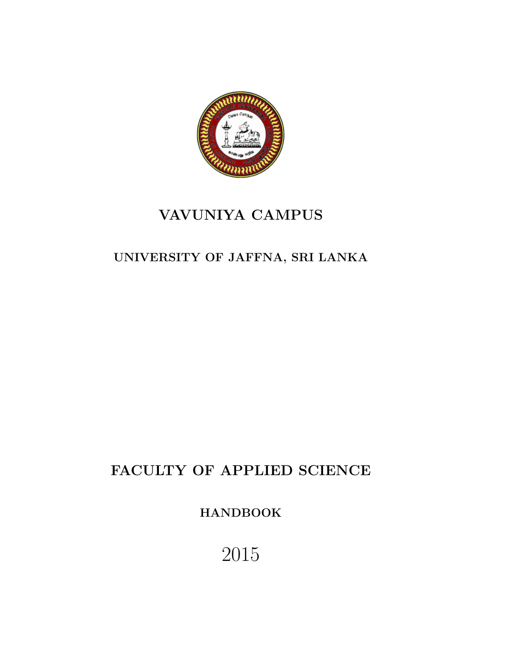

## VAVUNIYA CAMPUS

## UNIVERSITY OF JAFFNA, SRI LANKA

# FACULTY OF APPLIED SCIENCE

HANDBOOK

2015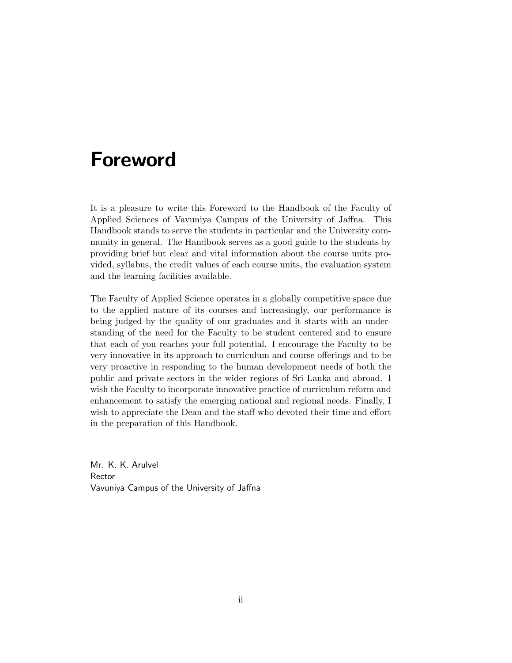# Foreword

It is a pleasure to write this Foreword to the Handbook of the Faculty of Applied Sciences of Vavuniya Campus of the University of Jaffna. This Handbook stands to serve the students in particular and the University community in general. The Handbook serves as a good guide to the students by providing brief but clear and vital information about the course units provided, syllabus, the credit values of each course units, the evaluation system and the learning facilities available.

The Faculty of Applied Science operates in a globally competitive space due to the applied nature of its courses and increasingly, our performance is being judged by the quality of our graduates and it starts with an understanding of the need for the Faculty to be student centered and to ensure that each of you reaches your full potential. I encourage the Faculty to be very innovative in its approach to curriculum and course offerings and to be very proactive in responding to the human development needs of both the public and private sectors in the wider regions of Sri Lanka and abroad. I wish the Faculty to incorporate innovative practice of curriculum reform and enhancement to satisfy the emerging national and regional needs. Finally, I wish to appreciate the Dean and the staff who devoted their time and effort in the preparation of this Handbook.

Mr. K. K. Arulvel Rector Vavuniya Campus of the University of Jaffna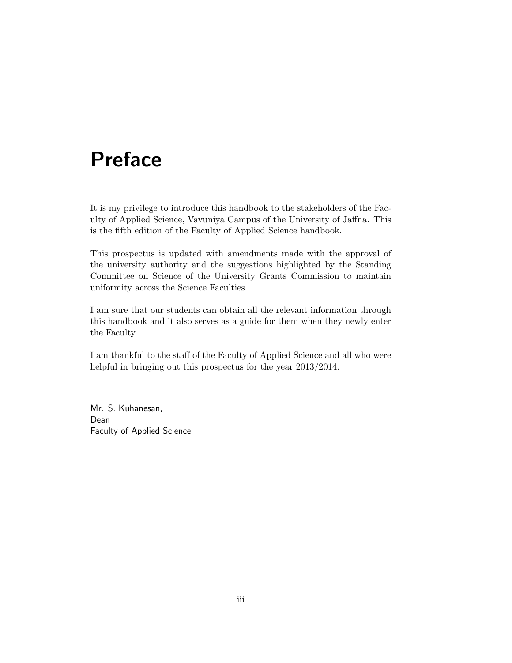# Preface

It is my privilege to introduce this handbook to the stakeholders of the Faculty of Applied Science, Vavuniya Campus of the University of Jaffna. This is the fifth edition of the Faculty of Applied Science handbook.

This prospectus is updated with amendments made with the approval of the university authority and the suggestions highlighted by the Standing Committee on Science of the University Grants Commission to maintain uniformity across the Science Faculties.

I am sure that our students can obtain all the relevant information through this handbook and it also serves as a guide for them when they newly enter the Faculty.

I am thankful to the staff of the Faculty of Applied Science and all who were helpful in bringing out this prospectus for the year  $2013/2014$ .

Mr. S. Kuhanesan, Dean Faculty of Applied Science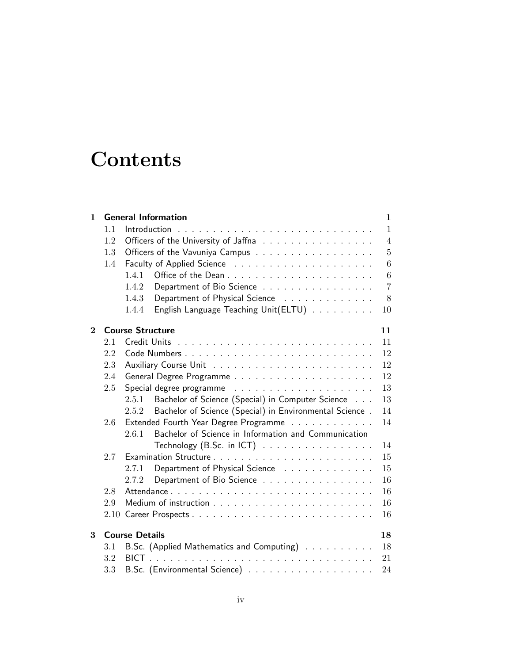# **Contents**

| $\mathbf{1}$ |     | <b>General Information</b>                                       | $\mathbf 1$    |
|--------------|-----|------------------------------------------------------------------|----------------|
|              | 1.1 |                                                                  | $\mathbf{1}$   |
|              | 1.2 | Officers of the University of Jaffna                             | $\overline{4}$ |
|              | 1.3 | Officers of the Vavuniya Campus                                  | 5              |
|              | 1.4 |                                                                  | 6              |
|              |     | 1.4.1                                                            | 6              |
|              |     | Department of Bio Science<br>1.4.2                               | $\overline{7}$ |
|              |     | Department of Physical Science<br>1.4.3                          | 8              |
|              |     | English Language Teaching Unit(ELTU)<br>1.4.4                    | 10             |
| $\mathbf{2}$ |     | <b>Course Structure</b>                                          | 11             |
|              | 2.1 |                                                                  | 11             |
|              | 2.2 |                                                                  | 12             |
|              | 2.3 |                                                                  | 12             |
|              | 2.4 |                                                                  | 12             |
|              | 2.5 |                                                                  | 13             |
|              |     | Bachelor of Science (Special) in Computer Science<br>2.5.1       | 13             |
|              |     | Bachelor of Science (Special) in Environmental Science.<br>2.5.2 | 14             |
|              | 2.6 | Extended Fourth Year Degree Programme                            | 14             |
|              |     | Bachelor of Science in Information and Communication<br>2.6.1    |                |
|              |     | Technology (B.Sc. in ICT) $\ldots \ldots \ldots \ldots \ldots$   | 14             |
|              | 2.7 |                                                                  | 15             |
|              |     | Department of Physical Science<br>2.7.1                          | 15             |
|              |     | Department of Bio Science<br>2.7.2                               | 16             |
|              | 2.8 |                                                                  | 16             |
|              | 2.9 |                                                                  | 16             |
|              |     |                                                                  | 16             |
| 3            |     | <b>Course Details</b>                                            | 18             |
|              | 3.1 | B.Sc. (Applied Mathematics and Computing)                        | 18             |
|              | 3.2 | BICT.                                                            | 21             |
|              | 3.3 |                                                                  | 24             |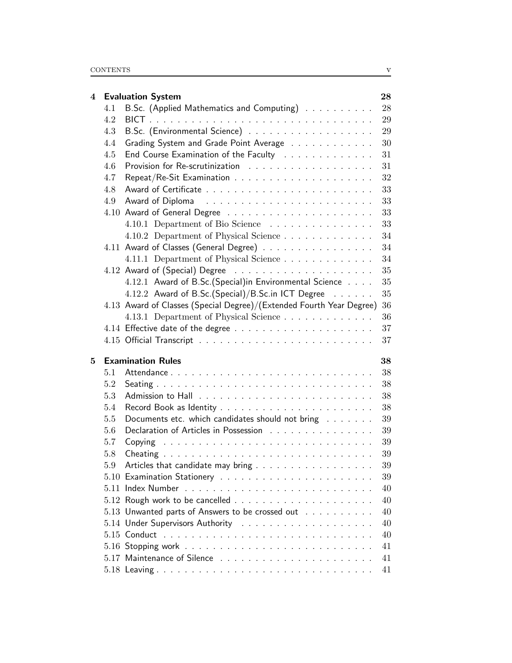| 4        |            | <b>Evaluation System</b>                                                                  | 28           |
|----------|------------|-------------------------------------------------------------------------------------------|--------------|
|          | 4.1        | B.Sc. (Applied Mathematics and Computing)                                                 | 28           |
|          | 4.2        |                                                                                           | 29           |
|          | 4.3        |                                                                                           | 29           |
|          | 4.4        | Grading System and Grade Point Average                                                    | 30           |
|          | 4.5        | End Course Examination of the Faculty                                                     | 31           |
|          | 4.6        |                                                                                           | 31           |
|          | 4.7        |                                                                                           | 32           |
|          | 4.8        |                                                                                           | 33           |
|          | 4.9        |                                                                                           | 33           |
|          |            |                                                                                           | 33           |
|          |            | 4.10.1 Department of Bio Science                                                          | 33           |
|          |            | 4.10.2 Department of Physical Science                                                     | 34           |
|          |            | 4.11 Award of Classes (General Degree)                                                    | 34           |
|          |            | 4.11.1 Department of Physical Science                                                     | 34           |
|          |            |                                                                                           | 35           |
|          |            | 4.12.1 Award of B.Sc.(Special)in Environmental Science                                    | 35           |
|          |            | 4.12.2 Award of B.Sc.(Special)/B.Sc.in ICT Degree                                         | 35           |
|          |            | 4.13 Award of Classes (Special Degree)/(Extended Fourth Year Degree)                      | 36           |
|          |            | 4.13.1 Department of Physical Science                                                     | 36           |
|          |            |                                                                                           | 37           |
|          |            |                                                                                           |              |
|          |            |                                                                                           | 37           |
| $\bf{5}$ |            |                                                                                           |              |
|          | 5.1        | <b>Examination Rules</b>                                                                  | 38           |
|          | 5.2        |                                                                                           | 38           |
|          |            |                                                                                           | 38           |
|          | 5.3        |                                                                                           | 38           |
|          | 5.4<br>5.5 |                                                                                           | 38           |
|          | 5.6        | Documents etc. which candidates should not bring<br>Declaration of Articles in Possession | 39<br>39     |
|          | 5.7        |                                                                                           | 39           |
|          | 5.8        |                                                                                           | 39           |
|          | 5.9        |                                                                                           |              |
|          |            | Articles that candidate may bring                                                         | $39\,$<br>39 |
|          |            |                                                                                           | 40           |
|          |            |                                                                                           | 40           |
|          |            |                                                                                           | 40           |
|          |            | 5.13 Unwanted parts of Answers to be crossed out                                          | 40           |
|          |            |                                                                                           | 40           |
|          |            |                                                                                           | 41           |
|          |            |                                                                                           | 41           |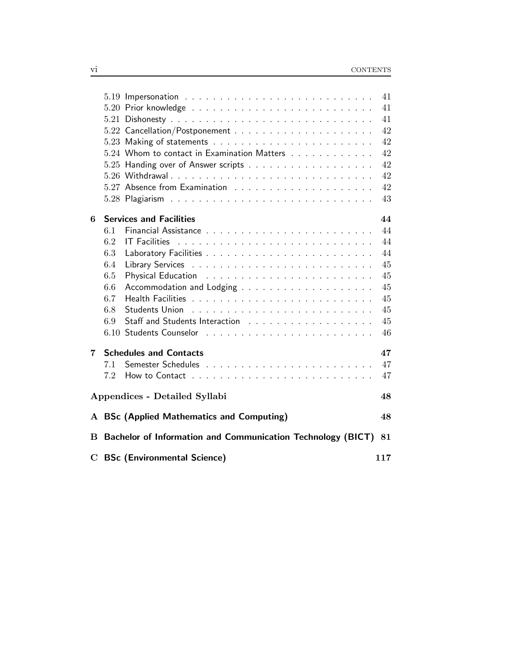|   |                                                                | 41  |
|---|----------------------------------------------------------------|-----|
|   |                                                                | 41  |
|   |                                                                | 41  |
|   |                                                                | 42  |
|   |                                                                | 42  |
|   | 5.24 Whom to contact in Examination Matters                    | 42  |
|   |                                                                | 42  |
|   |                                                                | 42  |
|   |                                                                | 42  |
|   |                                                                | 43  |
|   |                                                                |     |
| 6 | <b>Services and Facilities</b>                                 | 44  |
|   | 6.1                                                            | 44  |
|   | 6.2                                                            | 44  |
|   | 6.3                                                            | 44  |
|   | 6.4                                                            | 45  |
|   | 6.5                                                            | 45  |
|   | 6.6                                                            | 45  |
|   | 6.7                                                            | 45  |
|   | 6.8                                                            | 45  |
|   | 6.9                                                            | 45  |
|   |                                                                | 46  |
| 7 | <b>Schedules and Contacts</b>                                  | 47  |
|   | 7.1                                                            | 47  |
|   | 7.2                                                            | 47  |
|   |                                                                |     |
|   | Appendices - Detailed Syllabi                                  | 48  |
|   | A BSc (Applied Mathematics and Computing)                      | 48  |
| B | Bachelor of Information and Communication Technology (BICT) 81 |     |
|   |                                                                |     |
|   | <b>C</b> BSc (Environmental Science)                           | 117 |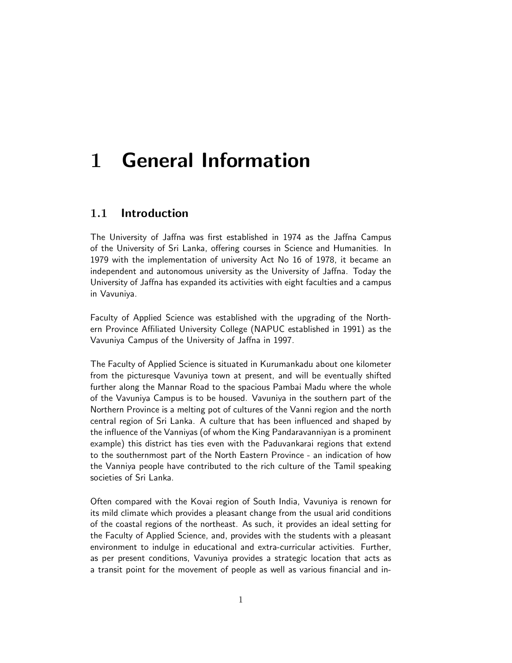# 1 General Information

## 1.1 Introduction

The University of Jaffna was first established in 1974 as the Jaffna Campus of the University of Sri Lanka, offering courses in Science and Humanities. In 1979 with the implementation of university Act No 16 of 1978, it became an independent and autonomous university as the University of Jaffna. Today the University of Jaffna has expanded its activities with eight faculties and a campus in Vavuniya.

Faculty of Applied Science was established with the upgrading of the Northern Province Affiliated University College (NAPUC established in 1991) as the Vavuniya Campus of the University of Jaffna in 1997.

The Faculty of Applied Science is situated in Kurumankadu about one kilometer from the picturesque Vavuniya town at present, and will be eventually shifted further along the Mannar Road to the spacious Pambai Madu where the whole of the Vavuniya Campus is to be housed. Vavuniya in the southern part of the Northern Province is a melting pot of cultures of the Vanni region and the north central region of Sri Lanka. A culture that has been influenced and shaped by the influence of the Vanniyas (of whom the King Pandaravanniyan is a prominent example) this district has ties even with the Paduvankarai regions that extend to the southernmost part of the North Eastern Province - an indication of how the Vanniya people have contributed to the rich culture of the Tamil speaking societies of Sri Lanka.

Often compared with the Kovai region of South India, Vavuniya is renown for its mild climate which provides a pleasant change from the usual arid conditions of the coastal regions of the northeast. As such, it provides an ideal setting for the Faculty of Applied Science, and, provides with the students with a pleasant environment to indulge in educational and extra-curricular activities. Further, as per present conditions, Vavuniya provides a strategic location that acts as a transit point for the movement of people as well as various financial and in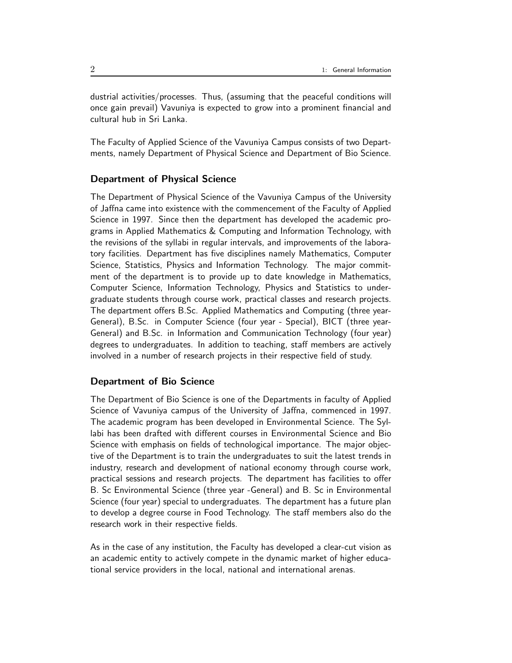dustrial activities/processes. Thus, (assuming that the peaceful conditions will once gain prevail) Vavuniya is expected to grow into a prominent financial and cultural hub in Sri Lanka.

The Faculty of Applied Science of the Vavuniya Campus consists of two Departments, namely Department of Physical Science and Department of Bio Science.

### Department of Physical Science

The Department of Physical Science of the Vavuniya Campus of the University of Jaffna came into existence with the commencement of the Faculty of Applied Science in 1997. Since then the department has developed the academic programs in Applied Mathematics & Computing and Information Technology, with the revisions of the syllabi in regular intervals, and improvements of the laboratory facilities. Department has five disciplines namely Mathematics, Computer Science, Statistics, Physics and Information Technology. The major commitment of the department is to provide up to date knowledge in Mathematics, Computer Science, Information Technology, Physics and Statistics to undergraduate students through course work, practical classes and research projects. The department offers B.Sc. Applied Mathematics and Computing (three year-General), B.Sc. in Computer Science (four year - Special), BICT (three year-General) and B.Sc. in Information and Communication Technology (four year) degrees to undergraduates. In addition to teaching, staff members are actively involved in a number of research projects in their respective field of study.

### Department of Bio Science

The Department of Bio Science is one of the Departments in faculty of Applied Science of Vavuniya campus of the University of Jaffna, commenced in 1997. The academic program has been developed in Environmental Science. The Syllabi has been drafted with different courses in Environmental Science and Bio Science with emphasis on fields of technological importance. The major objective of the Department is to train the undergraduates to suit the latest trends in industry, research and development of national economy through course work, practical sessions and research projects. The department has facilities to offer B. Sc Environmental Science (three year -General) and B. Sc in Environmental Science (four year) special to undergraduates. The department has a future plan to develop a degree course in Food Technology. The staff members also do the research work in their respective fields.

As in the case of any institution, the Faculty has developed a clear-cut vision as an academic entity to actively compete in the dynamic market of higher educational service providers in the local, national and international arenas.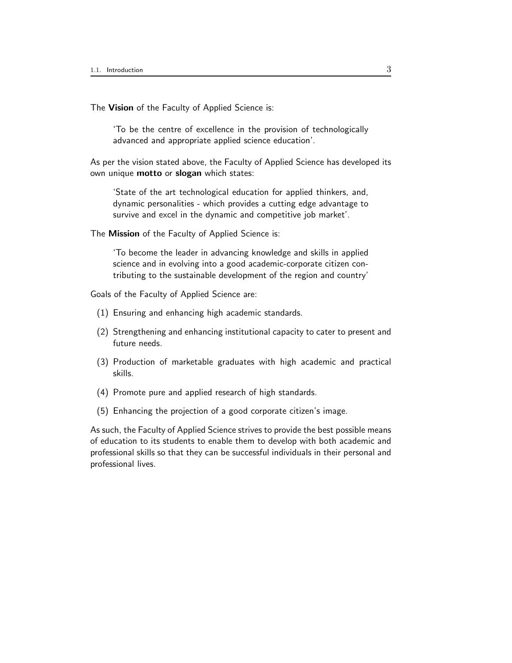The Vision of the Faculty of Applied Science is:

'To be the centre of excellence in the provision of technologically advanced and appropriate applied science education'.

As per the vision stated above, the Faculty of Applied Science has developed its own unique **motto** or **slogan** which states:

'State of the art technological education for applied thinkers, and, dynamic personalities - which provides a cutting edge advantage to survive and excel in the dynamic and competitive job market'.

The Mission of the Faculty of Applied Science is:

'To become the leader in advancing knowledge and skills in applied science and in evolving into a good academic-corporate citizen contributing to the sustainable development of the region and country'

Goals of the Faculty of Applied Science are:

- (1) Ensuring and enhancing high academic standards.
- (2) Strengthening and enhancing institutional capacity to cater to present and future needs.
- (3) Production of marketable graduates with high academic and practical skills.
- (4) Promote pure and applied research of high standards.
- (5) Enhancing the projection of a good corporate citizen's image.

As such, the Faculty of Applied Science strives to provide the best possible means of education to its students to enable them to develop with both academic and professional skills so that they can be successful individuals in their personal and professional lives.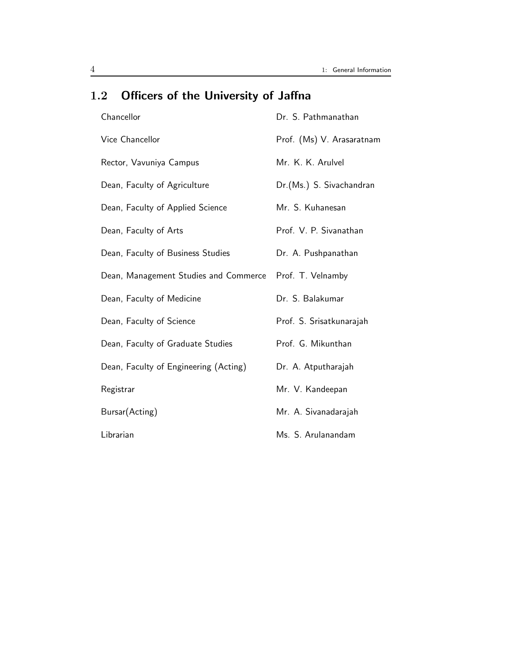| Chancellor                            | Dr. S. Pathmanathan       |
|---------------------------------------|---------------------------|
| Vice Chancellor                       | Prof. (Ms) V. Arasaratnam |
| Rector, Vavuniya Campus               | Mr. K. K. Arulvel         |
| Dean, Faculty of Agriculture          | Dr.(Ms.) S. Sivachandran  |
| Dean, Faculty of Applied Science      | Mr. S. Kuhanesan          |
| Dean, Faculty of Arts                 | Prof. V. P. Sivanathan    |
| Dean, Faculty of Business Studies     | Dr. A. Pushpanathan       |
| Dean, Management Studies and Commerce | Prof. T. Velnamby         |
| Dean, Faculty of Medicine             | Dr. S. Balakumar          |
| Dean, Faculty of Science              | Prof. S. Srisatkunarajah  |
| Dean, Faculty of Graduate Studies     | Prof. G. Mikunthan        |
| Dean, Faculty of Engineering (Acting) | Dr. A. Atputharajah       |
| Registrar                             | Mr. V. Kandeepan          |
| Bursar(Acting)                        | Mr. A. Sivanadarajah      |
| Librarian                             | Ms. S. Arulanandam        |

## 1.2 Officers of the University of Jaffna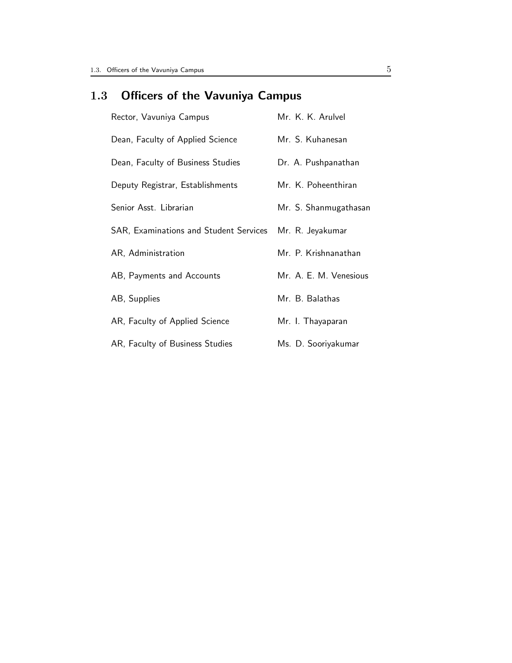## 1.3 Officers of the Vavuniya Campus

| Rector, Vavuniya Campus                | Mr. K. K. Arulvel      |
|----------------------------------------|------------------------|
| Dean, Faculty of Applied Science       | Mr. S. Kuhanesan       |
| Dean, Faculty of Business Studies      | Dr. A. Pushpanathan    |
| Deputy Registrar, Establishments       | Mr. K. Poheenthiran    |
| Senior Asst. Librarian                 | Mr. S. Shanmugathasan  |
| SAR, Examinations and Student Services | Mr. R. Jeyakumar       |
| AR, Administration                     | Mr. P. Krishnanathan   |
| AB, Payments and Accounts              | Mr. A. E. M. Venesious |
| AB, Supplies                           | Mr. B. Balathas        |
| AR, Faculty of Applied Science         | Mr. I. Thayaparan      |
| AR, Faculty of Business Studies        | Ms. D. Sooriyakumar    |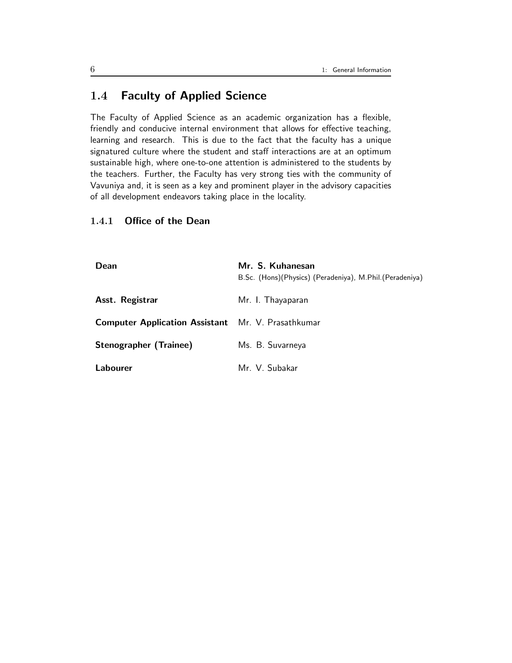## 1.4 Faculty of Applied Science

The Faculty of Applied Science as an academic organization has a flexible, friendly and conducive internal environment that allows for effective teaching, learning and research. This is due to the fact that the faculty has a unique signatured culture where the student and staff interactions are at an optimum sustainable high, where one-to-one attention is administered to the students by the teachers. Further, the Faculty has very strong ties with the community of Vavuniya and, it is seen as a key and prominent player in the advisory capacities of all development endeavors taking place in the locality.

## 1.4.1 Office of the Dean

| Dean                                                      | Mr. S. Kuhanesan<br>B.Sc. (Hons)(Physics) (Peradeniya), M.Phil.(Peradeniya) |
|-----------------------------------------------------------|-----------------------------------------------------------------------------|
| Asst. Registrar                                           | Mr. I. Thayaparan                                                           |
| <b>Computer Application Assistant</b> Mr. V. Prasathkumar |                                                                             |
| <b>Stenographer (Trainee)</b>                             | Ms. B. Suvarneya                                                            |
| Labourer                                                  | Mr. V. Subakar                                                              |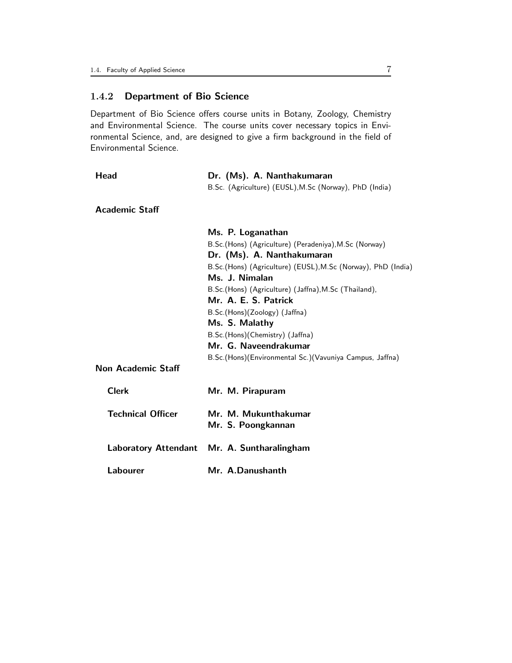## 1.4.2 Department of Bio Science

Department of Bio Science offers course units in Botany, Zoology, Chemistry and Environmental Science. The course units cover necessary topics in Environmental Science, and, are designed to give a firm background in the field of Environmental Science.

| Head                     | Dr. (Ms). A. Nanthakumaran                                   |  |  |
|--------------------------|--------------------------------------------------------------|--|--|
|                          | B.Sc. (Agriculture) (EUSL), M.Sc (Norway), PhD (India)       |  |  |
| <b>Academic Staff</b>    |                                                              |  |  |
|                          | Ms. P. Loganathan                                            |  |  |
|                          | B.Sc.(Hons) (Agriculture) (Peradeniya), M.Sc (Norway)        |  |  |
|                          | Dr. (Ms). A. Nanthakumaran                                   |  |  |
|                          | B.Sc.(Hons) (Agriculture) (EUSL), M.Sc (Norway), PhD (India) |  |  |
|                          | Ms. J. Nimalan                                               |  |  |
|                          | B.Sc.(Hons) (Agriculture) (Jaffna), M.Sc (Thailand),         |  |  |
|                          | Mr. A. E. S. Patrick                                         |  |  |
|                          | B.Sc.(Hons)(Zoology) (Jaffna)                                |  |  |
|                          | Ms. S. Malathy                                               |  |  |
|                          | B.Sc.(Hons)(Chemistry) (Jaffna)                              |  |  |
|                          | Mr. G. Naveendrakumar                                        |  |  |
|                          | B.Sc.(Hons)(Environmental Sc.)(Vavuniya Campus, Jaffna)      |  |  |
| Non Academic Staff       |                                                              |  |  |
| <b>Clerk</b>             | Mr. M. Pirapuram                                             |  |  |
| <b>Technical Officer</b> | Mr. M. Mukunthakumar<br>Mr. S. Poongkannan                   |  |  |
|                          | Laboratory Attendant Mr. A. Suntharalingham                  |  |  |
| Labourer                 | Mr. A.Danushanth                                             |  |  |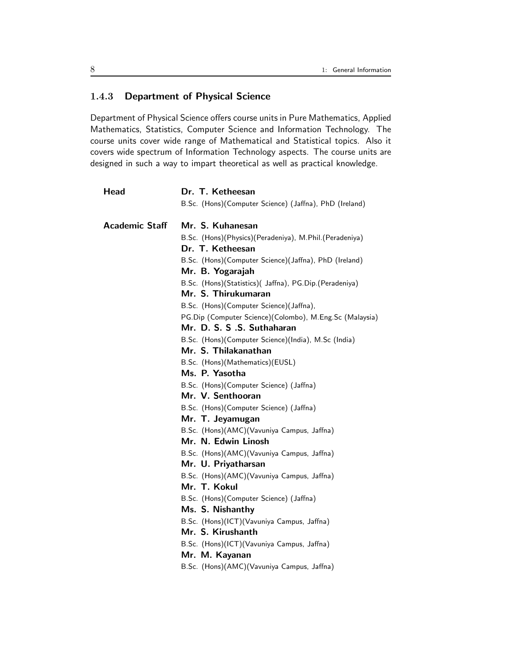## 1.4.3 Department of Physical Science

Department of Physical Science offers course units in Pure Mathematics, Applied Mathematics, Statistics, Computer Science and Information Technology. The course units cover wide range of Mathematical and Statistical topics. Also it covers wide spectrum of Information Technology aspects. The course units are designed in such a way to impart theoretical as well as practical knowledge.

| Head                  | Dr. T. Ketheesan                                        |
|-----------------------|---------------------------------------------------------|
|                       | B.Sc. (Hons)(Computer Science) (Jaffna), PhD (Ireland)  |
| <b>Academic Staff</b> | Mr. S. Kuhanesan                                        |
|                       | B.Sc. (Hons)(Physics)(Peradeniya), M.Phil.(Peradeniya)  |
|                       | Dr. T. Ketheesan                                        |
|                       | B.Sc. (Hons)(Computer Science)(Jaffna), PhD (Ireland)   |
|                       | Mr. B. Yogarajah                                        |
|                       | B.Sc. (Hons)(Statistics)( Jaffna), PG.Dip.(Peradeniya)  |
|                       | Mr. S. Thirukumaran                                     |
|                       | B.Sc. (Hons)(Computer Science)(Jaffna),                 |
|                       | PG.Dip (Computer Science)(Colombo), M.Eng.Sc (Malaysia) |
|                       | Mr. D. S. S .S. Suthaharan                              |
|                       | B.Sc. (Hons)(Computer Science)(India), M.Sc (India)     |
|                       | Mr. S. Thilakanathan                                    |
|                       | B.Sc. (Hons)(Mathematics)(EUSL)                         |
|                       | Ms. P. Yasotha                                          |
|                       | B.Sc. (Hons)(Computer Science) (Jaffna)                 |
|                       | Mr. V. Senthooran                                       |
|                       | B.Sc. (Hons)(Computer Science) (Jaffna)                 |
|                       | Mr. T. Jeyamugan                                        |
|                       | B.Sc. (Hons)(AMC)(Vavuniya Campus, Jaffna)              |
|                       | Mr. N. Edwin Linosh                                     |
|                       | B.Sc. (Hons)(AMC)(Vavuniya Campus, Jaffna)              |
|                       | Mr. U. Priyatharsan                                     |
|                       | B.Sc. (Hons)(AMC)(Vavuniya Campus, Jaffna)              |
|                       | Mr. T. Kokul                                            |
|                       | B.Sc. (Hons)(Computer Science) (Jaffna)                 |
|                       | Ms. S. Nishanthy                                        |
|                       | B.Sc. (Hons)(ICT)(Vavuniya Campus, Jaffna)              |
|                       | Mr. S. Kirushanth                                       |
|                       | B.Sc. (Hons)(ICT)(Vavuniya Campus, Jaffna)              |
|                       | Mr. M. Kayanan                                          |
|                       | B.Sc. (Hons)(AMC)(Vavuniya Campus, Jaffna)              |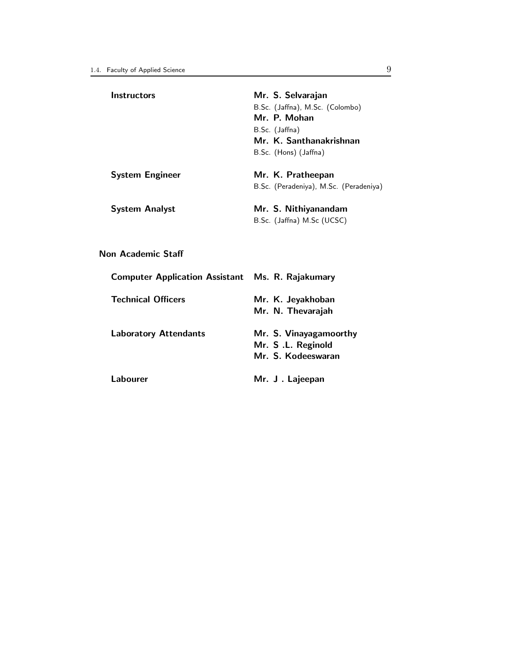| <b>Instructors</b>                                      | Mr. S. Selvarajan                      |
|---------------------------------------------------------|----------------------------------------|
|                                                         | B.Sc. (Jaffna), M.Sc. (Colombo)        |
|                                                         | Mr. P. Mohan                           |
|                                                         | B.Sc. (Jaffna)                         |
|                                                         | Mr. K. Santhanakrishnan                |
|                                                         | B.Sc. (Hons) (Jaffna)                  |
| <b>System Engineer</b>                                  | Mr. K. Pratheepan                      |
|                                                         | B.Sc. (Peradeniya), M.Sc. (Peradeniya) |
| <b>System Analyst</b>                                   | Mr. S. Nithiyanandam                   |
|                                                         | B.Sc. (Jaffna) M.Sc (UCSC)             |
|                                                         |                                        |
| Non Academic Staff                                      |                                        |
| <b>Computer Application Assistant Ms. R. Rajakumary</b> |                                        |
| <b>Technical Officers</b>                               | Mr. K. Jeyakhoban                      |
|                                                         | Mr. N. Thevarajah                      |
| <b>Laboratory Attendants</b>                            | Mr. S. Vinayagamoorthy                 |
|                                                         | Mr. S.L. Reginold                      |
|                                                         | Mr. S. Kodeeswaran                     |
| Labourer                                                | Mr. J. Lajeepan                        |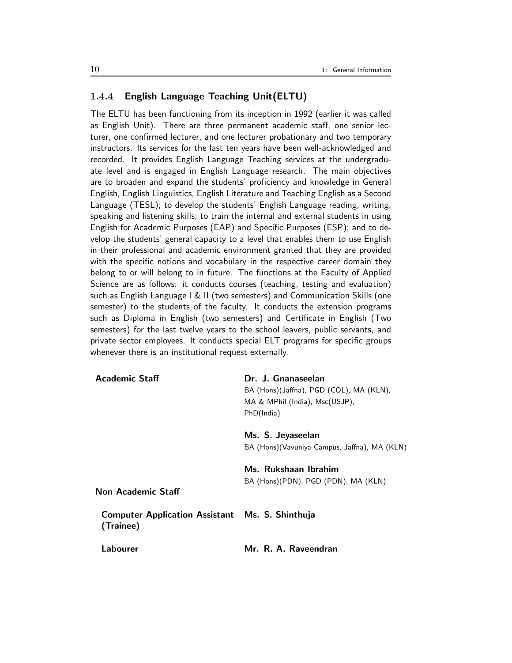## 1.4.4 English Language Teaching Unit(ELTU)

The ELTU has been functioning from its inception in 1992 (earlier it was called as English Unit). There are three permanent academic staff, one senior lecturer, one confirmed lecturer, and one lecturer probationary and two temporary instructors. Its services for the last ten years have been well-acknowledged and recorded. It provides English Language Teaching services at the undergraduate level and is engaged in English Language research. The main objectives are to broaden and expand the students' proficiency and knowledge in General English, English Linguistics, English Literature and Teaching English as a Second Language (TESL); to develop the students' English Language reading, writing, speaking and listening skills; to train the internal and external students in using English for Academic Purposes (EAP) and Specific Purposes (ESP); and to develop the students' general capacity to a level that enables them to use English in their professional and academic environment granted that they are provided with the specific notions and vocabulary in the respective career domain they belong to or will belong to in future. The functions at the Faculty of Applied Science are as follows: it conducts courses (teaching, testing and evaluation) such as English Language I & II (two semesters) and Communication Skills (one semester) to the students of the faculty. It conducts the extension programs such as Diploma in English (two semesters) and Certificate in English (Two semesters) for the last twelve years to the school leavers, public servants, and private sector employees. It conducts special ELT programs for specific groups whenever there is an institutional request externally.

| <b>Academic Staff</b>                                               | Dr. J. Gnanaseelan                            |  |
|---------------------------------------------------------------------|-----------------------------------------------|--|
|                                                                     | BA (Hons)(Jaffna), PGD (COL), MA (KLN),       |  |
|                                                                     | MA & MPhil (India), Msc(USJP),                |  |
|                                                                     | PhD(India)                                    |  |
|                                                                     | Ms. S. Jeyaseelan                             |  |
|                                                                     | BA (Hons) (Vavuniya Campus, Jaffna), MA (KLN) |  |
|                                                                     | Ms. Rukshaan Ibrahim                          |  |
|                                                                     | BA (Hons)(PDN), PGD (PDN), MA (KLN)           |  |
| <b>Non Academic Staff</b>                                           |                                               |  |
| <b>Computer Application Assistant Ms. S. Shinthuja</b><br>(Trainee) |                                               |  |
| Labourer                                                            | Mr. R. A. Raveendran                          |  |
|                                                                     |                                               |  |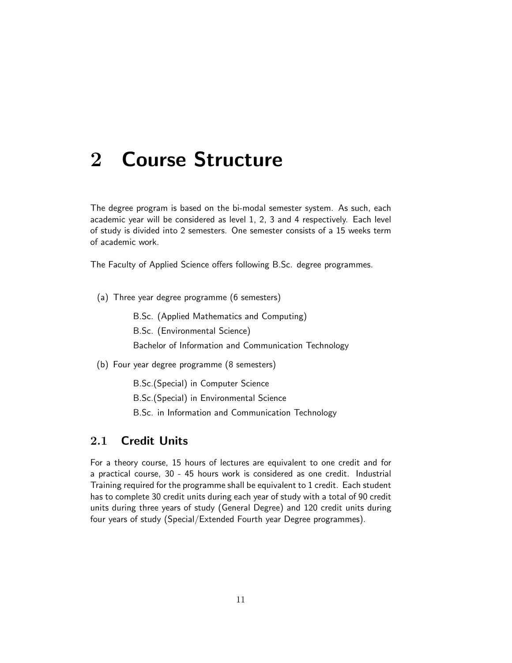# 2 Course Structure

The degree program is based on the bi-modal semester system. As such, each academic year will be considered as level 1, 2, 3 and 4 respectively. Each level of study is divided into 2 semesters. One semester consists of a 15 weeks term of academic work.

The Faculty of Applied Science offers following B.Sc. degree programmes.

(a) Three year degree programme (6 semesters)

B.Sc. (Applied Mathematics and Computing)

B.Sc. (Environmental Science)

Bachelor of Information and Communication Technology

(b) Four year degree programme (8 semesters)

B.Sc.(Special) in Computer Science

B.Sc.(Special) in Environmental Science

B.Sc. in Information and Communication Technology

## 2.1 Credit Units

For a theory course, 15 hours of lectures are equivalent to one credit and for a practical course, 30 - 45 hours work is considered as one credit. Industrial Training required for the programme shall be equivalent to 1 credit. Each student has to complete 30 credit units during each year of study with a total of 90 credit units during three years of study (General Degree) and 120 credit units during four years of study (Special/Extended Fourth year Degree programmes).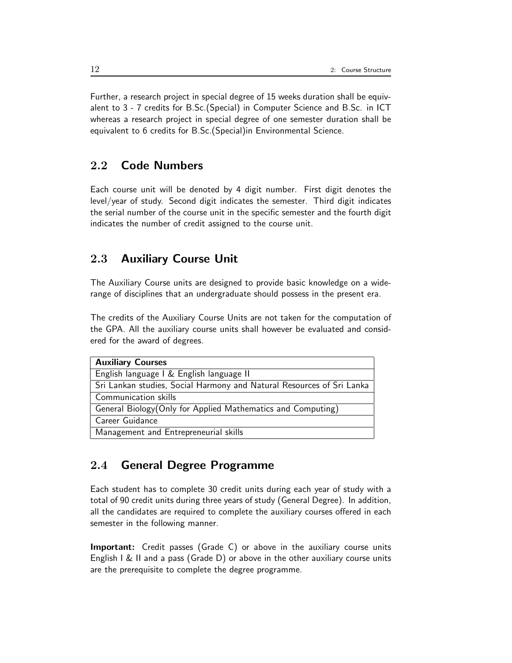Further, a research project in special degree of 15 weeks duration shall be equivalent to 3 - 7 credits for B.Sc.(Special) in Computer Science and B.Sc. in ICT whereas a research project in special degree of one semester duration shall be equivalent to 6 credits for B.Sc.(Special)in Environmental Science.

## 2.2 Code Numbers

Each course unit will be denoted by 4 digit number. First digit denotes the level/year of study. Second digit indicates the semester. Third digit indicates the serial number of the course unit in the specific semester and the fourth digit indicates the number of credit assigned to the course unit.

## 2.3 Auxiliary Course Unit

The Auxiliary Course units are designed to provide basic knowledge on a widerange of disciplines that an undergraduate should possess in the present era.

The credits of the Auxiliary Course Units are not taken for the computation of the GPA. All the auxiliary course units shall however be evaluated and considered for the award of degrees.

| <b>Auxiliary Courses</b>                                              |
|-----------------------------------------------------------------------|
| English language I & English language II                              |
| Sri Lankan studies, Social Harmony and Natural Resources of Sri Lanka |
| Communication skills                                                  |
| General Biology(Only for Applied Mathematics and Computing)           |
| Career Guidance                                                       |
| Management and Entrepreneurial skills                                 |

## 2.4 General Degree Programme

Each student has to complete 30 credit units during each year of study with a total of 90 credit units during three years of study (General Degree). In addition, all the candidates are required to complete the auxiliary courses offered in each semester in the following manner.

Important: Credit passes (Grade C) or above in the auxiliary course units English I & II and a pass (Grade D) or above in the other auxiliary course units are the prerequisite to complete the degree programme.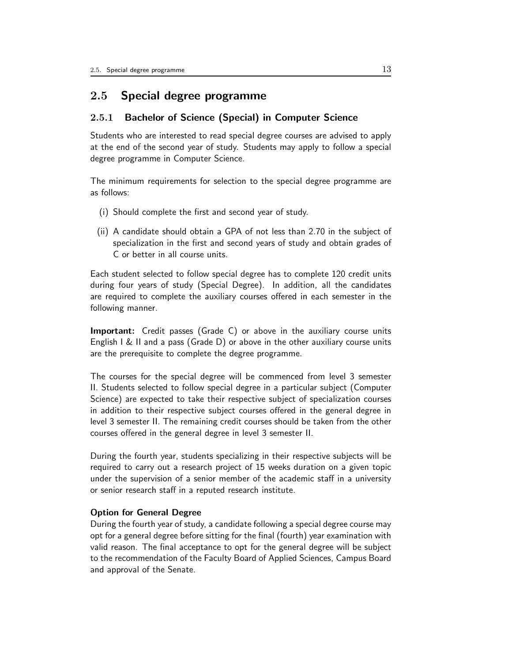## 2.5 Special degree programme

### 2.5.1 Bachelor of Science (Special) in Computer Science

Students who are interested to read special degree courses are advised to apply at the end of the second year of study. Students may apply to follow a special degree programme in Computer Science.

The minimum requirements for selection to the special degree programme are as follows:

- (i) Should complete the first and second year of study.
- (ii) A candidate should obtain a GPA of not less than 2.70 in the subject of specialization in the first and second years of study and obtain grades of C or better in all course units.

Each student selected to follow special degree has to complete 120 credit units during four years of study (Special Degree). In addition, all the candidates are required to complete the auxiliary courses offered in each semester in the following manner.

Important: Credit passes (Grade C) or above in the auxiliary course units English I & II and a pass (Grade D) or above in the other auxiliary course units are the prerequisite to complete the degree programme.

The courses for the special degree will be commenced from level 3 semester II. Students selected to follow special degree in a particular subject (Computer Science) are expected to take their respective subject of specialization courses in addition to their respective subject courses offered in the general degree in level 3 semester II. The remaining credit courses should be taken from the other courses offered in the general degree in level 3 semester II.

During the fourth year, students specializing in their respective subjects will be required to carry out a research project of 15 weeks duration on a given topic under the supervision of a senior member of the academic staff in a university or senior research staff in a reputed research institute.

### Option for General Degree

During the fourth year of study, a candidate following a special degree course may opt for a general degree before sitting for the final (fourth) year examination with valid reason. The final acceptance to opt for the general degree will be subject to the recommendation of the Faculty Board of Applied Sciences, Campus Board and approval of the Senate.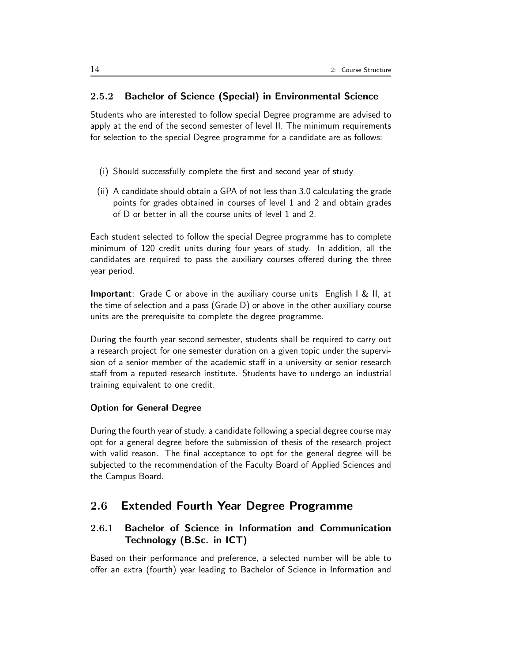## 2.5.2 Bachelor of Science (Special) in Environmental Science

Students who are interested to follow special Degree programme are advised to apply at the end of the second semester of level II. The minimum requirements for selection to the special Degree programme for a candidate are as follows:

- (i) Should successfully complete the first and second year of study
- (ii) A candidate should obtain a GPA of not less than 3.0 calculating the grade points for grades obtained in courses of level 1 and 2 and obtain grades of D or better in all the course units of level 1 and 2.

Each student selected to follow the special Degree programme has to complete minimum of 120 credit units during four years of study. In addition, all the candidates are required to pass the auxiliary courses offered during the three year period.

Important: Grade C or above in the auxiliary course units English I & II, at the time of selection and a pass (Grade D) or above in the other auxiliary course units are the prerequisite to complete the degree programme.

During the fourth year second semester, students shall be required to carry out a research project for one semester duration on a given topic under the supervision of a senior member of the academic staff in a university or senior research staff from a reputed research institute. Students have to undergo an industrial training equivalent to one credit.

### Option for General Degree

During the fourth year of study, a candidate following a special degree course may opt for a general degree before the submission of thesis of the research project with valid reason. The final acceptance to opt for the general degree will be subjected to the recommendation of the Faculty Board of Applied Sciences and the Campus Board.

## 2.6 Extended Fourth Year Degree Programme

## 2.6.1 Bachelor of Science in Information and Communication Technology (B.Sc. in ICT)

Based on their performance and preference, a selected number will be able to offer an extra (fourth) year leading to Bachelor of Science in Information and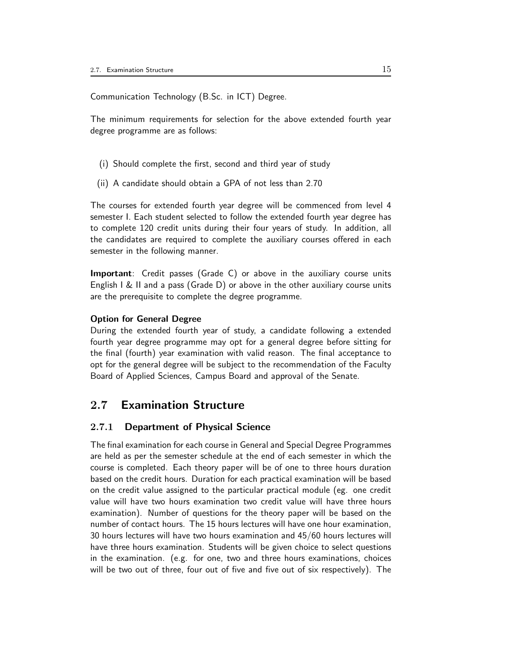Communication Technology (B.Sc. in ICT) Degree.

The minimum requirements for selection for the above extended fourth year degree programme are as follows:

- (i) Should complete the first, second and third year of study
- (ii) A candidate should obtain a GPA of not less than 2.70

The courses for extended fourth year degree will be commenced from level 4 semester I. Each student selected to follow the extended fourth year degree has to complete 120 credit units during their four years of study. In addition, all the candidates are required to complete the auxiliary courses offered in each semester in the following manner.

**Important**: Credit passes (Grade C) or above in the auxiliary course units English I & II and a pass (Grade D) or above in the other auxiliary course units are the prerequisite to complete the degree programme.

### Option for General Degree

During the extended fourth year of study, a candidate following a extended fourth year degree programme may opt for a general degree before sitting for the final (fourth) year examination with valid reason. The final acceptance to opt for the general degree will be subject to the recommendation of the Faculty Board of Applied Sciences, Campus Board and approval of the Senate.

## 2.7 Examination Structure

### 2.7.1 Department of Physical Science

The final examination for each course in General and Special Degree Programmes are held as per the semester schedule at the end of each semester in which the course is completed. Each theory paper will be of one to three hours duration based on the credit hours. Duration for each practical examination will be based on the credit value assigned to the particular practical module (eg. one credit value will have two hours examination two credit value will have three hours examination). Number of questions for the theory paper will be based on the number of contact hours. The 15 hours lectures will have one hour examination, 30 hours lectures will have two hours examination and 45/60 hours lectures will have three hours examination. Students will be given choice to select questions in the examination. (e.g. for one, two and three hours examinations, choices will be two out of three, four out of five and five out of six respectively). The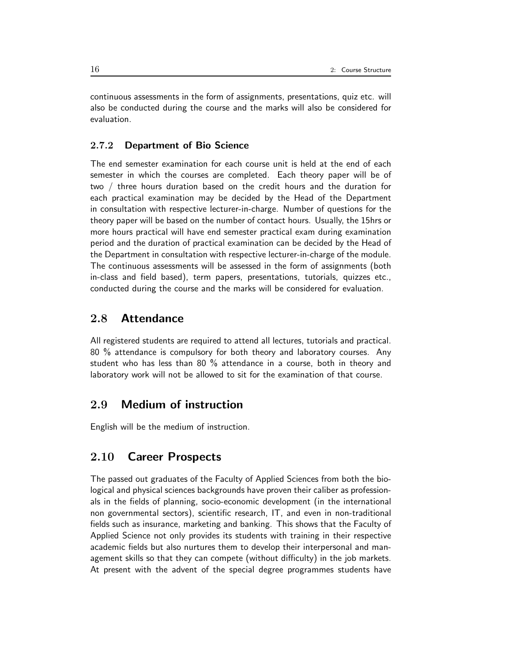continuous assessments in the form of assignments, presentations, quiz etc. will also be conducted during the course and the marks will also be considered for evaluation.

## 2.7.2 Department of Bio Science

The end semester examination for each course unit is held at the end of each semester in which the courses are completed. Each theory paper will be of two / three hours duration based on the credit hours and the duration for each practical examination may be decided by the Head of the Department in consultation with respective lecturer-in-charge. Number of questions for the theory paper will be based on the number of contact hours. Usually, the 15hrs or more hours practical will have end semester practical exam during examination period and the duration of practical examination can be decided by the Head of the Department in consultation with respective lecturer-in-charge of the module. The continuous assessments will be assessed in the form of assignments (both in-class and field based), term papers, presentations, tutorials, quizzes etc., conducted during the course and the marks will be considered for evaluation.

## 2.8 Attendance

All registered students are required to attend all lectures, tutorials and practical. 80 % attendance is compulsory for both theory and laboratory courses. Any student who has less than 80 % attendance in a course, both in theory and laboratory work will not be allowed to sit for the examination of that course.

## 2.9 Medium of instruction

English will be the medium of instruction.

## 2.10 Career Prospects

The passed out graduates of the Faculty of Applied Sciences from both the biological and physical sciences backgrounds have proven their caliber as professionals in the fields of planning, socio-economic development (in the international non governmental sectors), scientific research, IT, and even in non-traditional fields such as insurance, marketing and banking. This shows that the Faculty of Applied Science not only provides its students with training in their respective academic fields but also nurtures them to develop their interpersonal and management skills so that they can compete (without difficulty) in the job markets. At present with the advent of the special degree programmes students have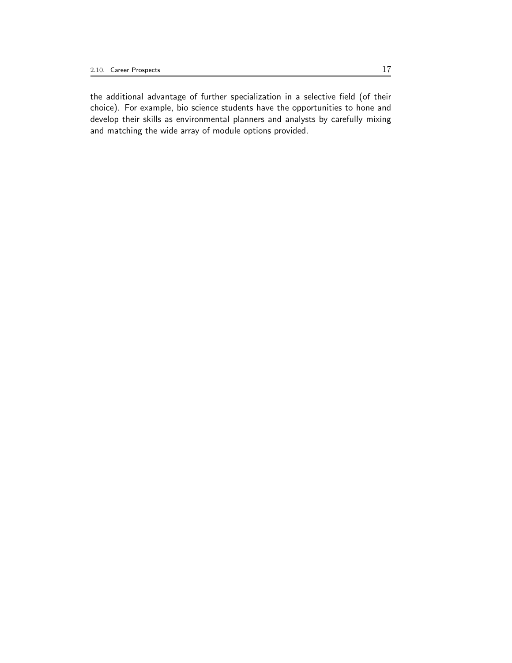the additional advantage of further specialization in a selective field (of their choice). For example, bio science students have the opportunities to hone and develop their skills as environmental planners and analysts by carefully mixing and matching the wide array of module options provided.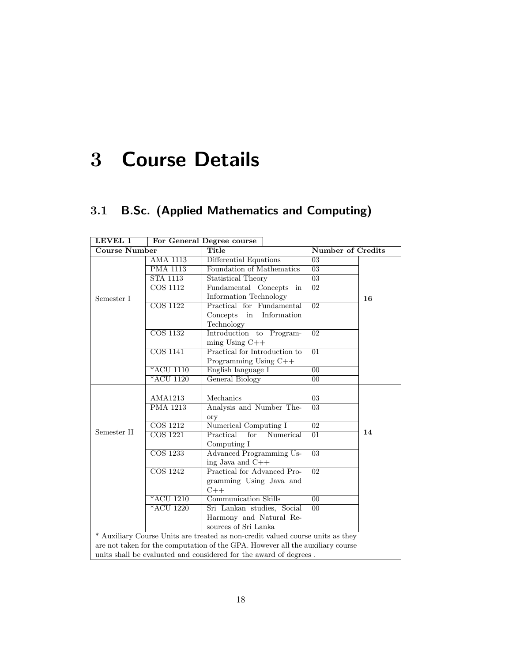# 3 Course Details

## 3.1 B.Sc. (Applied Mathematics and Computing)

| LEVEL 1                                                                        |                              | For General Degree course                                                      |                          |    |
|--------------------------------------------------------------------------------|------------------------------|--------------------------------------------------------------------------------|--------------------------|----|
| <b>Course Number</b>                                                           |                              | Title                                                                          | <b>Number of Credits</b> |    |
|                                                                                | AMA 1113                     | Differential Equations                                                         | 03                       |    |
|                                                                                | <b>PMA 1113</b>              | Foundation of Mathematics                                                      | $\overline{03}$          |    |
|                                                                                | <b>STA 1113</b>              | Statistical Theory                                                             | 03                       |    |
|                                                                                | $\overline{\text{COS }1112}$ | Fundamental Concepts<br>in                                                     | $\overline{02}$          |    |
| Semester I                                                                     |                              | Information Technology                                                         |                          | 16 |
|                                                                                | $\overline{\text{COS }1122}$ | Practical for Fundamental                                                      | $\overline{02}$          |    |
|                                                                                |                              | Information<br>Concepts<br>in                                                  |                          |    |
|                                                                                |                              | Technology                                                                     |                          |    |
|                                                                                | <b>COS 1132</b>              | Introduction to<br>Program-                                                    | $\overline{02}$          |    |
|                                                                                |                              | $ming$ Using $C++$                                                             |                          |    |
|                                                                                | <b>COS 1141</b>              | Practical for Introduction to                                                  | $\overline{01}$          |    |
|                                                                                |                              | Programming Using C++                                                          |                          |    |
|                                                                                | *ACU 1110                    | English language I                                                             | $\overline{00}$          |    |
|                                                                                | *ACU 1120                    | General Biology                                                                | $00\,$                   |    |
|                                                                                |                              |                                                                                |                          |    |
|                                                                                | <b>AMA1213</b>               | Mechanics                                                                      | 03                       |    |
|                                                                                | <b>PMA 1213</b>              | Analysis and Number The-                                                       | $\overline{03}$          |    |
|                                                                                |                              | ory                                                                            |                          |    |
|                                                                                | COS 1212                     | Numerical Computing I                                                          | $\overline{02}$          |    |
| Semester II                                                                    | <b>COS 1221</b>              | Practical<br>for<br>Numerical                                                  | 01                       | 14 |
|                                                                                |                              | Computing I                                                                    |                          |    |
|                                                                                | $\overline{\text{COS }1233}$ | <b>Advanced Programming Us-</b>                                                | $\overline{03}$          |    |
|                                                                                |                              | ing Java and $C++$                                                             |                          |    |
|                                                                                | <b>COS</b> 1242              | Practical for Advanced Pro-                                                    | $\overline{02}$          |    |
|                                                                                |                              | gramming Using Java and                                                        |                          |    |
|                                                                                |                              | $C++$                                                                          |                          |    |
|                                                                                | $*ACU$ 1210                  | <b>Communication Skills</b>                                                    | $\overline{00}$          |    |
|                                                                                | *ACU 1220                    | Sri Lankan studies, Social                                                     | $\overline{00}$          |    |
|                                                                                |                              | Harmony and Natural Re-                                                        |                          |    |
|                                                                                |                              | sources of Sri Lanka                                                           |                          |    |
| * Auxiliary Course Units are treated as non-credit valued course units as they |                              |                                                                                |                          |    |
|                                                                                |                              | are not taken for the computation of the GPA. However all the auxiliary course |                          |    |
| units shall be evaluated and considered for the award of degrees.              |                              |                                                                                |                          |    |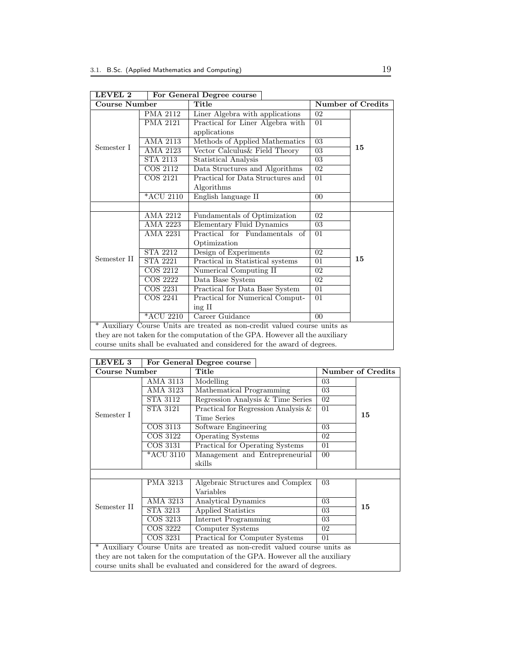| LEVEL 2              |                 | For General Degree course                                                    |  |                 |                          |  |
|----------------------|-----------------|------------------------------------------------------------------------------|--|-----------------|--------------------------|--|
| <b>Course Number</b> |                 | Title                                                                        |  |                 | <b>Number of Credits</b> |  |
|                      | <b>PMA 2112</b> | Liner Algebra with applications                                              |  |                 |                          |  |
|                      | <b>PMA 2121</b> | Practical for Liner Algebra with                                             |  | 01              |                          |  |
|                      |                 | applications                                                                 |  |                 |                          |  |
|                      | <b>AMA 2113</b> | Methods of Applied Mathematics                                               |  | $\overline{03}$ |                          |  |
| Semester I           | AMA 2123        | Vector Calculus & Field Theory                                               |  | 03              | 15                       |  |
|                      | <b>STA 2113</b> | <b>Statistical Analysis</b>                                                  |  | 03              |                          |  |
|                      | <b>COS 2112</b> | Data Structures and Algorithms                                               |  | 02              |                          |  |
|                      | COS 2121        | Practical for Data Structures and                                            |  | 01              |                          |  |
|                      |                 | Algorithms                                                                   |  |                 |                          |  |
|                      | *ACU 2110       | English language II                                                          |  | 0 <sub>0</sub>  |                          |  |
|                      |                 |                                                                              |  |                 |                          |  |
|                      | AMA 2212        | Fundamentals of Optimization                                                 |  | 02              |                          |  |
|                      | AMA 2223        | Elementary Fluid Dynamics                                                    |  | 03              |                          |  |
|                      | AMA 2231        | Practical for Fundamentals of                                                |  | 01              |                          |  |
|                      |                 | Optimization                                                                 |  |                 |                          |  |
|                      | <b>STA 2212</b> | Design of Experiments                                                        |  | 02              |                          |  |
| Semester II          | <b>STA 2221</b> | Practical in Statistical systems                                             |  | 01              | 15                       |  |
|                      | <b>COS 2212</b> | Numerical Computing II                                                       |  | 02              |                          |  |
|                      | COS 2222        | Data Base System                                                             |  | 02              |                          |  |
|                      | COS 2231        | Practical for Data Base System                                               |  | 01              |                          |  |
|                      | COS 2241        | Practical for Numerical Comput-                                              |  | 01              |                          |  |
|                      |                 | $\operatorname{ing} \Pi$                                                     |  |                 |                          |  |
|                      | *ACU 2210       | Career Guidance                                                              |  | 0 <sup>0</sup>  |                          |  |
|                      |                 | * Auxiliary Course Units are treated as non-credit valued course units as    |  |                 |                          |  |
|                      |                 | they are not taken for the computation of the GPA. However all the auxiliary |  |                 |                          |  |
|                      |                 | course units shall be evaluated and considered for the award of degrees      |  |                 |                          |  |

| LEVEL 2 | For General Degree course |
|---------|---------------------------|

course units shall be evaluated and considered for the award of degrees.

| LEVEL 3                                                                  |                                                                           | For General Degree course                                                    |        |                          |  |  |
|--------------------------------------------------------------------------|---------------------------------------------------------------------------|------------------------------------------------------------------------------|--------|--------------------------|--|--|
| <b>Course Number</b>                                                     |                                                                           | Title                                                                        |        | <b>Number of Credits</b> |  |  |
|                                                                          | AMA 3113                                                                  | Modelling                                                                    | 03     |                          |  |  |
|                                                                          | <b>AMA 3123</b>                                                           | Mathematical Programming                                                     | 03     |                          |  |  |
|                                                                          | STA 3112                                                                  | Regression Analysis & Time Series                                            | 02     |                          |  |  |
|                                                                          | STA 3121                                                                  | Practical for Regression Analysis $\&$                                       | 01     |                          |  |  |
| Semester I                                                               |                                                                           | Time Series                                                                  |        | 15                       |  |  |
|                                                                          | COS 3113                                                                  | Software Engineering                                                         | 03     |                          |  |  |
|                                                                          | COS 3122                                                                  | <b>Operating Systems</b>                                                     | 02     |                          |  |  |
|                                                                          | COS 3131                                                                  | Practical for Operating Systems                                              | 01     |                          |  |  |
|                                                                          | *ACU 3110                                                                 | Management and Entrepreneurial                                               | $00\,$ |                          |  |  |
|                                                                          |                                                                           | skills                                                                       |        |                          |  |  |
|                                                                          |                                                                           |                                                                              |        |                          |  |  |
|                                                                          | <b>PMA 3213</b>                                                           | Algebraic Structures and Complex                                             | 03     |                          |  |  |
|                                                                          |                                                                           | Variables                                                                    |        |                          |  |  |
|                                                                          | $\overline{\mathrm{AMA}}$ 3213                                            | Analytical Dynamics                                                          | 03     |                          |  |  |
| Semester II                                                              | STA 3213                                                                  | Applied Statistics                                                           | 03     | 15                       |  |  |
|                                                                          | COS 3213                                                                  | Internet Programming                                                         | 03     |                          |  |  |
|                                                                          | COS 3222                                                                  | Computer Systems                                                             | 02     |                          |  |  |
|                                                                          | COS 3231                                                                  | Practical for Computer Systems                                               | 01     |                          |  |  |
|                                                                          | * Auxiliary Course Units are treated as non-credit valued course units as |                                                                              |        |                          |  |  |
|                                                                          |                                                                           | they are not taken for the computation of the GPA. However all the auxiliary |        |                          |  |  |
| course units shall be evaluated and considered for the award of degrees. |                                                                           |                                                                              |        |                          |  |  |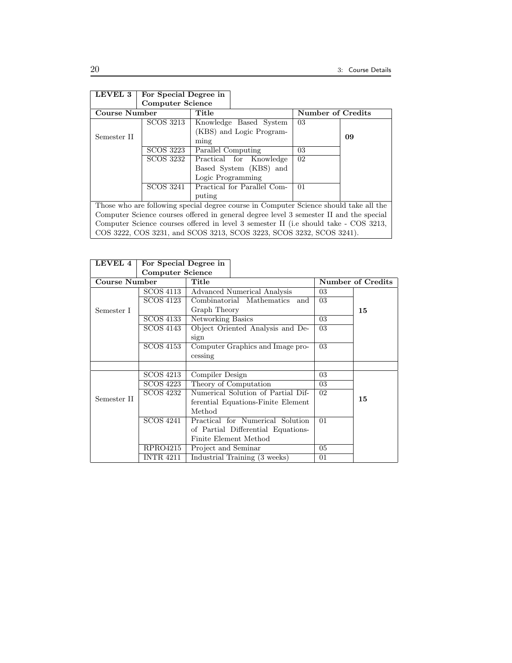| LEVEL 3                                                                                | For Special Degree in                                                                 |                             |  |                          |  |    |    |
|----------------------------------------------------------------------------------------|---------------------------------------------------------------------------------------|-----------------------------|--|--------------------------|--|----|----|
|                                                                                        | <b>Computer Science</b>                                                               |                             |  |                          |  |    |    |
| <b>Course Number</b>                                                                   |                                                                                       | Title                       |  | <b>Number of Credits</b> |  |    |    |
|                                                                                        | <b>SCOS 3213</b>                                                                      | Knowledge Based System      |  |                          |  | 03 |    |
|                                                                                        |                                                                                       | (KBS) and Logic Program-    |  |                          |  |    |    |
| Semester II                                                                            |                                                                                       | ming                        |  |                          |  |    | 09 |
|                                                                                        | SCOS 3223                                                                             | Parallel Computing          |  |                          |  | 03 |    |
|                                                                                        | SCOS 3232                                                                             | Practical for Knowledge     |  |                          |  | 02 |    |
|                                                                                        |                                                                                       | Based System (KBS) and      |  |                          |  |    |    |
|                                                                                        |                                                                                       | Logic Programming           |  |                          |  |    |    |
|                                                                                        | SCOS 3241                                                                             | Practical for Parallel Com- |  |                          |  | 01 |    |
|                                                                                        |                                                                                       | puting                      |  |                          |  |    |    |
|                                                                                        | Those who are following special degree course in Computer Science should take all the |                             |  |                          |  |    |    |
| Computer Science courses offered in general degree level 3 semester II and the special |                                                                                       |                             |  |                          |  |    |    |
| Computer Science courses offered in level 3 semester II (i.e should take - COS 3213,   |                                                                                       |                             |  |                          |  |    |    |
|                                                                                        | COS 3222, COS 3231, and SCOS 3213, SCOS 3223, SCOS 3232, SCOS 3241).                  |                             |  |                          |  |    |    |

| LEVEL 4       | For Special Degree in   |                                    |    |                   |
|---------------|-------------------------|------------------------------------|----|-------------------|
|               | <b>Computer Science</b> |                                    |    |                   |
| Course Number |                         | Title                              |    | Number of Credits |
|               | SCOS 4113               | Advanced Numerical Analysis        | 03 |                   |
|               | SCOS 4123               | Combinatorial Mathematics and      | 03 |                   |
| Semester I    |                         | Graph Theory                       |    | 15                |
|               | SCOS 4133               | Networking Basics                  | 03 |                   |
|               | SCOS 4143               | Object Oriented Analysis and De-   | 03 |                   |
|               |                         | sign                               |    |                   |
|               | <b>SCOS 4153</b>        | Computer Graphics and Image pro-   | 03 |                   |
|               |                         | cessing                            |    |                   |
|               |                         |                                    |    |                   |
|               | SCOS 4213               | Compiler Design                    | 03 |                   |
|               | SCOS 4223               | Theory of Computation              | 03 |                   |
|               | SCOS 4232               | Numerical Solution of Partial Dif- | 02 |                   |
| Semester II   |                         | ferential Equations-Finite Element |    | 15                |
|               |                         | Method                             |    |                   |
|               | <b>SCOS 4241</b>        | Practical for Numerical Solution   |    |                   |
|               |                         | of Partial Differential Equations- |    |                   |
|               |                         | Finite Element Method              |    |                   |
|               | RPRO4215                | Project and Seminar                | 05 |                   |
|               | <b>INTR 4211</b>        | Industrial Training (3 weeks)      | 01 |                   |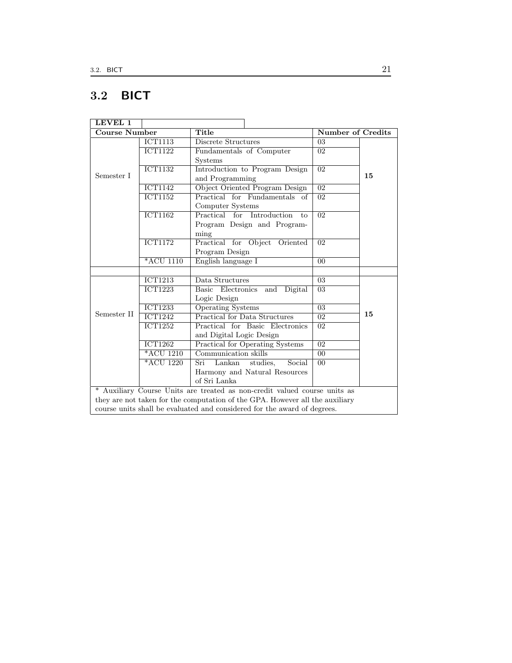## 3.2 BICT

| LEVEL 1              |                             |                                                                              |                          |    |
|----------------------|-----------------------------|------------------------------------------------------------------------------|--------------------------|----|
| <b>Course Number</b> |                             | Title                                                                        | <b>Number of Credits</b> |    |
|                      | <b>ICT1113</b>              | Discrete Structures                                                          | 03                       |    |
|                      | <b>ICT1122</b>              | Fundamentals of Computer                                                     | 02                       |    |
|                      |                             | Systems                                                                      |                          |    |
|                      | $\overline{\text{ICT1132}}$ | Introduction to Program Design                                               | $\overline{02}$          |    |
| Semester I           |                             | and Programming                                                              |                          | 15 |
|                      | $\overline{\text{ICT1142}}$ | Object Oriented Program Design                                               | $\overline{02}$          |    |
|                      | $\overline{\text{ICT1152}}$ | Practical for Fundamentals of                                                | $\overline{02}$          |    |
|                      |                             | Computer Systems                                                             |                          |    |
|                      | $\overline{\text{ICT1162}}$ | Practical for Introduction<br>to                                             | $\overline{02}$          |    |
|                      |                             | Program Design and Program-                                                  |                          |    |
|                      |                             | ming                                                                         |                          |    |
|                      | $\overline{\text{ICT1172}}$ | Practical for Object Oriented                                                | $\overline{02}$          |    |
|                      |                             | Program Design                                                               |                          |    |
|                      | *ACU 1110                   | English language I                                                           | $\overline{00}$          |    |
|                      |                             |                                                                              |                          |    |
|                      | $\overline{\text{ICT1213}}$ | Data Structures                                                              | 03                       |    |
|                      | <b>ICT1223</b>              | Basic Electronics<br>and Digital                                             | 03                       |    |
|                      |                             | Logic Design                                                                 |                          |    |
|                      | <b>ICT1233</b>              | <b>Operating Systems</b>                                                     | $\overline{03}$          |    |
| Semester II          | <b>ICT1242</b>              | Practical for Data Structures                                                | 02                       | 15 |
|                      | <b>ICT1252</b>              | Practical for Basic Electronics                                              | $\overline{02}$          |    |
|                      |                             | and Digital Logic Design                                                     |                          |    |
|                      | $\overline{\text{ICT1262}}$ | <b>Practical for Operating Systems</b>                                       | $\overline{02}$          |    |
|                      | $*ACU$ 1210                 | Communication skills                                                         | $\overline{00}$          |    |
|                      | *ACU 1220                   | Lankan<br>Social<br>Sri<br>studies,                                          | 0 <sub>0</sub>           |    |
|                      |                             | Harmony and Natural Resources                                                |                          |    |
|                      |                             | of Sri Lanka                                                                 |                          |    |
|                      |                             | * Auxiliary Course Units are treated as non-credit valued course units as    |                          |    |
|                      |                             | they are not taken for the computation of the GPA. However all the auxiliary |                          |    |
|                      |                             | course units shall be evaluated and considered for the award of degrees.     |                          |    |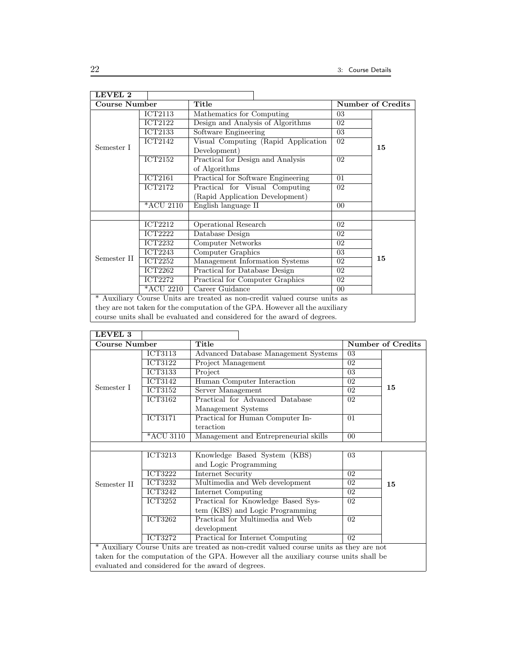| LEVEL 2              |                |                                                                              |                |                   |
|----------------------|----------------|------------------------------------------------------------------------------|----------------|-------------------|
| <b>Course Number</b> |                | Title                                                                        |                | Number of Credits |
|                      | ICT2113        | Mathematics for Computing                                                    | 03             |                   |
|                      | <b>ICT2122</b> | Design and Analysis of Algorithms                                            | 02             |                   |
|                      | <b>ICT2133</b> | Software Engineering                                                         | 03             |                   |
|                      | ICT2142        | Visual Computing (Rapid Application                                          | 02             |                   |
| Semester I           |                | Development)                                                                 |                | 15                |
|                      | ICT2152        | Practical for Design and Analysis                                            | 02             |                   |
|                      |                | of Algorithms                                                                |                |                   |
|                      | <b>ICT2161</b> | Practical for Software Engineering                                           | 01             |                   |
|                      | <b>ICT2172</b> | Practical for Visual Computing                                               | 02             |                   |
|                      |                | (Rapid Application Development)                                              |                |                   |
|                      | *ACU 2110      | English language II                                                          | $00\,$         |                   |
|                      |                |                                                                              |                |                   |
|                      | <b>ICT2212</b> | Operational Research                                                         | 02             |                   |
|                      | <b>ICT2222</b> | Database Design                                                              | 02             |                   |
|                      | ICT2232        | Computer Networks                                                            | 02             |                   |
|                      | <b>ICT2243</b> | Computer Graphics                                                            | 03             |                   |
| Semester II          | <b>ICT2252</b> | Management Information Systems                                               | 02             | 15                |
|                      | <b>ICT2262</b> | Practical for Database Design                                                | 02             |                   |
|                      | <b>ICT2272</b> | Practical for Computer Graphics                                              | 02             |                   |
|                      | *ACU 2210      | Career Guidance                                                              | 0 <sup>0</sup> |                   |
|                      |                | * Auxiliary Course Units are treated as non-credit valued course units as    |                |                   |
|                      |                | they are not taken for the computation of the GPA. However all the auxiliary |                |                   |
|                      |                | course units shall be evaluated and considered for the award of degrees.     |                |                   |

| LEVEL 3       |                             |                                                                                        |                |                                                    |  |  |  |  |  |
|---------------|-----------------------------|----------------------------------------------------------------------------------------|----------------|----------------------------------------------------|--|--|--|--|--|
| Course Number |                             | Title                                                                                  |                | <b>Number of Credits</b>                           |  |  |  |  |  |
|               | <b>ICT3113</b>              | Advanced Database Management Systems                                                   | 03             |                                                    |  |  |  |  |  |
|               | ICT3122                     | Project Management                                                                     | 02             |                                                    |  |  |  |  |  |
|               | ICT3133                     | Project                                                                                | 03             |                                                    |  |  |  |  |  |
|               | <b>ICT3142</b>              | Human Computer Interaction                                                             | 02             |                                                    |  |  |  |  |  |
| Semester I    | <b>ICT3152</b>              | Server Management                                                                      | 02             | 15                                                 |  |  |  |  |  |
|               | <b>ICT3162</b>              | Practical for Advanced Database                                                        | 02             |                                                    |  |  |  |  |  |
|               |                             | Management Systems                                                                     |                |                                                    |  |  |  |  |  |
|               | <b>ICT3171</b>              | Practical for Human Computer In-                                                       | 01             |                                                    |  |  |  |  |  |
|               |                             | teraction                                                                              |                |                                                    |  |  |  |  |  |
|               | *ACU 3110                   | Management and Entrepreneurial skills                                                  | 0 <sub>0</sub> |                                                    |  |  |  |  |  |
|               |                             |                                                                                        |                |                                                    |  |  |  |  |  |
|               | ICT3213                     | Knowledge Based System (KBS)                                                           | 03             |                                                    |  |  |  |  |  |
|               |                             | and Logic Programming                                                                  |                |                                                    |  |  |  |  |  |
|               | <b>ICT3222</b>              | Internet Security                                                                      | 02             |                                                    |  |  |  |  |  |
| Semester II   | <b>ICT3232</b>              | Multimedia and Web development                                                         | 02             | 15                                                 |  |  |  |  |  |
|               | ICT3242                     | <b>Internet Computing</b>                                                              | 02             |                                                    |  |  |  |  |  |
|               | $\overline{\text{ICT32}}52$ | Practical for Knowledge Based Sys-                                                     | 02             |                                                    |  |  |  |  |  |
|               |                             | tem (KBS) and Logic Programming                                                        |                |                                                    |  |  |  |  |  |
|               | <b>ICT3262</b>              | Practical for Multimedia and Web                                                       | 02             |                                                    |  |  |  |  |  |
|               |                             | development                                                                            |                |                                                    |  |  |  |  |  |
|               | <b>ICT3272</b>              | Practical for Internet Computing                                                       | 02             |                                                    |  |  |  |  |  |
|               |                             | * Auxiliary Course Units are treated as non-credit valued course units as they are not |                |                                                    |  |  |  |  |  |
|               |                             | taken for the computation of the GPA. However all the auxiliary course units shall be  |                |                                                    |  |  |  |  |  |
|               |                             |                                                                                        |                | evaluated and considered for the award of degrees. |  |  |  |  |  |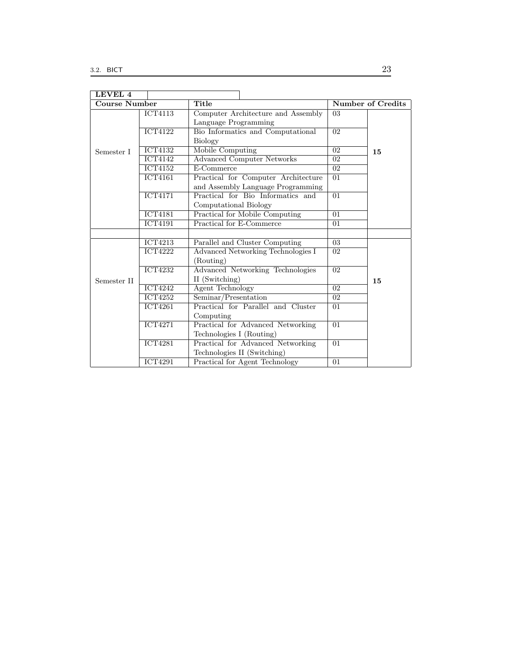| LEVEL 4       |                             |                                                                          |                 |                          |
|---------------|-----------------------------|--------------------------------------------------------------------------|-----------------|--------------------------|
| Course Number |                             | Title                                                                    |                 | <b>Number of Credits</b> |
|               | <b>ICT4113</b>              | Computer Architecture and Assembly<br>Language Programming               | 03              |                          |
|               | <b>ICT4122</b>              | Bio Informatics and Computational<br>Biology                             | 02              |                          |
| Semester I    | <b>ICT4132</b>              | Mobile Computing                                                         | 02              | 15                       |
|               | $\overline{\text{ICT4142}}$ | <b>Advanced Computer Networks</b>                                        | $\overline{02}$ |                          |
|               | <b>ICT4152</b>              | E-Commerce                                                               | 02 <sup>2</sup> |                          |
|               | $\overline{\text{ICT4161}}$ | Practical for Computer Architecture<br>and Assembly Language Programming | 01              |                          |
|               | <b>ICT4171</b>              | Practical for Bio Informatics and<br>Computational Biology               | $\overline{01}$ |                          |
|               | <b>ICT4181</b>              | <b>Practical for Mobile Computing</b>                                    | $\overline{01}$ |                          |
|               | <b>ICT4191</b>              | Practical for E-Commerce                                                 | 01              |                          |
|               |                             |                                                                          |                 |                          |
|               | <b>ICT4213</b>              | Parallel and Cluster Computing                                           | 03              |                          |
|               | <b>ICT4222</b>              | Advanced Networking Technologies I<br>(Routing)                          | 02              |                          |
| Semester II   | <b>ICT4232</b>              | Advanced Networking Technologies<br>II (Switching)                       | $\overline{02}$ | 15                       |
|               | <b>ICT4242</b>              | <b>Agent Technology</b>                                                  | $\overline{02}$ |                          |
|               | <b>ICT4252</b>              | Seminar/Presentation                                                     | $\overline{02}$ |                          |
|               | <b>ICT4261</b>              | Practical for Parallel and Cluster<br>Computing                          | 01              |                          |
|               | <b>ICT4271</b>              | Practical for Advanced Networking<br>Technologies I (Routing)            | $\overline{01}$ |                          |
|               | <b>ICT4281</b>              | Practical for Advanced Networking<br>Technologies II (Switching)         | 01              |                          |
|               | <b>ICT4291</b>              | <b>Practical for Agent Technology</b>                                    | 01              |                          |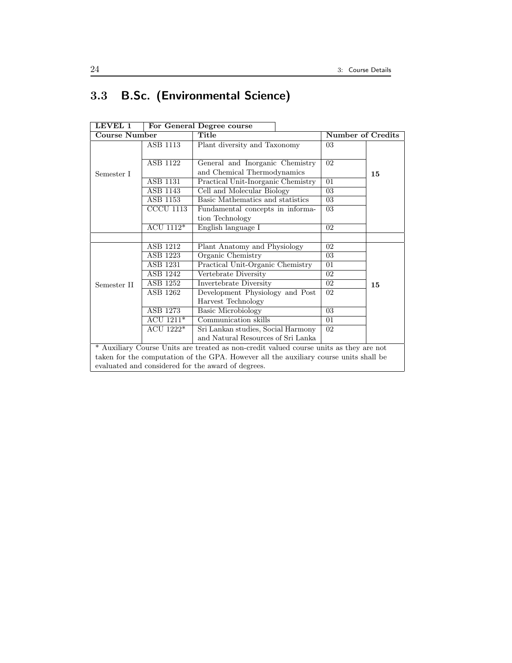## 3.3 B.Sc. (Environmental Science)

| LEVEL 1              |                               | For General Degree course                                                              |                          |    |  |
|----------------------|-------------------------------|----------------------------------------------------------------------------------------|--------------------------|----|--|
| <b>Course Number</b> |                               | Title                                                                                  | <b>Number of Credits</b> |    |  |
|                      | ASB 1113                      | Plant diversity and Taxonomy                                                           | 03                       |    |  |
|                      |                               |                                                                                        |                          |    |  |
|                      | ASB 1122                      | General and Inorganic Chemistry                                                        | 02                       |    |  |
| Semester I           |                               | and Chemical Thermodynamics                                                            |                          | 15 |  |
|                      | ASB 1131                      | Practical Unit-Inorganic Chemistry                                                     | 01                       |    |  |
|                      | ASB 1143                      | Cell and Molecular Biology                                                             | 03                       |    |  |
|                      | <b>ASB 1153</b>               | Basic Mathematics and statistics                                                       | 03                       |    |  |
|                      | $\overline{\text{CCCU}}$ 1113 | Fundamental concepts in informa-                                                       | 03                       |    |  |
|                      |                               | tion Technology                                                                        |                          |    |  |
|                      | ACU 1112*                     | English language I                                                                     | 02                       |    |  |
|                      |                               |                                                                                        |                          |    |  |
|                      | ASB 1212                      | Plant Anatomy and Physiology                                                           | 02                       |    |  |
|                      | ASB 1223                      | Organic Chemistry                                                                      | 03                       |    |  |
|                      | ASB 1231                      | Practical Unit-Organic Chemistry                                                       | 01                       |    |  |
|                      | ASB 1242                      | Vertebrate Diversity                                                                   | 02                       |    |  |
| Semester II          | ASB 1252                      | Invertebrate Diversity                                                                 | 02                       | 15 |  |
|                      | ASB 1262                      | Development Physiology and Post                                                        | 02                       |    |  |
|                      |                               | Harvest Technology                                                                     |                          |    |  |
|                      | ASB 1273                      | Basic Microbiology                                                                     | 03                       |    |  |
|                      | $ACU$ 1211*                   | Communication skills                                                                   | 01                       |    |  |
|                      | ACU 1222*                     | Sri Lankan studies, Social Harmony                                                     | 02                       |    |  |
|                      |                               | and Natural Resources of Sri Lanka                                                     |                          |    |  |
|                      |                               | * Auxiliary Course Units are treated as non-credit valued course units as they are not |                          |    |  |
|                      |                               | taken for the computation of the GPA. However all the auxiliary course units shall be  |                          |    |  |
|                      |                               | evaluated and considered for the award of degrees.                                     |                          |    |  |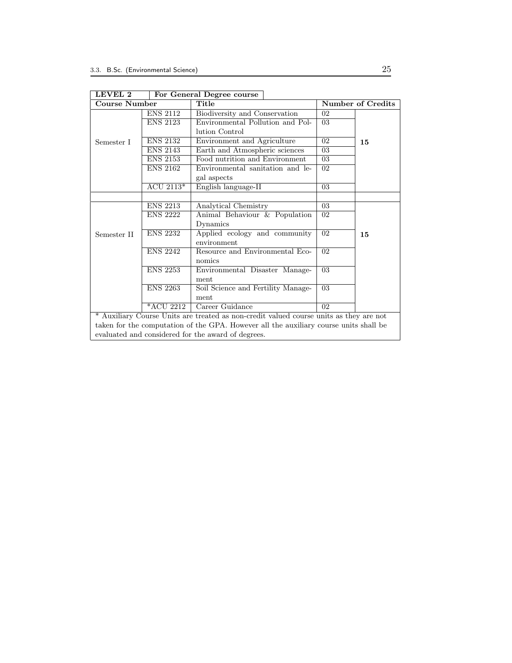| 88 U.V U.V                                                                             |                 | rur Generar Degree course                                                             |                |                   |
|----------------------------------------------------------------------------------------|-----------------|---------------------------------------------------------------------------------------|----------------|-------------------|
| <b>Course Number</b>                                                                   |                 | Title                                                                                 |                | Number of Credits |
|                                                                                        | <b>ENS 2112</b> | Biodiversity and Conservation                                                         | 0 <sub>2</sub> |                   |
|                                                                                        | <b>ENS 2123</b> | Environmental Pollution and Pol-                                                      | 03             |                   |
|                                                                                        |                 | lution Control                                                                        |                |                   |
| Semester I                                                                             | <b>ENS 2132</b> | Environment and Agriculture                                                           | 02             | 15                |
|                                                                                        | <b>ENS 2143</b> | Earth and Atmospheric sciences                                                        | 03             |                   |
|                                                                                        | <b>ENS 2153</b> | Food nutrition and Environment                                                        | 03             |                   |
|                                                                                        | <b>ENS 2162</b> | Environmental sanitation and le-                                                      | 02             |                   |
|                                                                                        |                 | gal aspects                                                                           |                |                   |
|                                                                                        | ACU $2113*$     | English language-II                                                                   | 03             |                   |
|                                                                                        |                 |                                                                                       |                |                   |
|                                                                                        | <b>ENS 2213</b> | Analytical Chemistry                                                                  | 03             |                   |
|                                                                                        | <b>ENS 2222</b> | Animal Behaviour & Population                                                         | 02             |                   |
|                                                                                        |                 | Dynamics                                                                              |                |                   |
| Semester II                                                                            | <b>ENS 2232</b> | Applied ecology and community                                                         | 02             | 15                |
|                                                                                        |                 | environment                                                                           |                |                   |
|                                                                                        | <b>ENS 2242</b> | Resource and Environmental Eco-                                                       | 0 <sub>2</sub> |                   |
|                                                                                        |                 | nomics                                                                                |                |                   |
|                                                                                        | <b>ENS 2253</b> | Environmental Disaster Manage-                                                        | 03             |                   |
|                                                                                        |                 | ment                                                                                  |                |                   |
|                                                                                        | <b>ENS 2263</b> | Soil Science and Fertility Manage-                                                    | 03             |                   |
|                                                                                        |                 | ment                                                                                  |                |                   |
|                                                                                        | *ACU 2212       | Career Guidance                                                                       | 02             |                   |
| * Auxiliary Course Units are treated as non-credit valued course units as they are not |                 |                                                                                       |                |                   |
|                                                                                        |                 | taken for the computation of the GPA. However all the auxiliary course units shall be |                |                   |
|                                                                                        |                 | evaluated and considered for the award of degrees.                                    |                |                   |

LEVEL 2 For General Degree course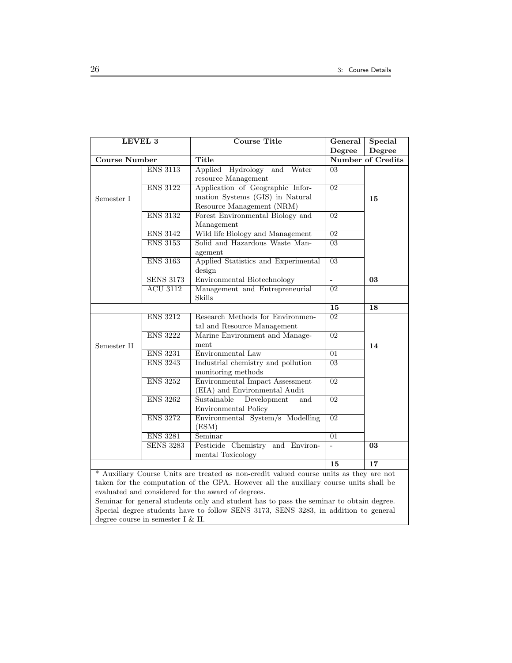| LEVEL 3                                            |                  | <b>Course Title</b>                                                                    | General                  | <b>Special</b>           |  |
|----------------------------------------------------|------------------|----------------------------------------------------------------------------------------|--------------------------|--------------------------|--|
|                                                    |                  |                                                                                        | Degree                   | Degree                   |  |
| <b>Course Number</b>                               |                  | <b>Title</b>                                                                           |                          | <b>Number of Credits</b> |  |
|                                                    | <b>ENS 3113</b>  | Applied Hydrology<br>and Water                                                         | 03                       |                          |  |
|                                                    |                  | resource Management                                                                    |                          |                          |  |
|                                                    | <b>ENS 3122</b>  | Application of Geographic Infor-                                                       | $\overline{02}$          |                          |  |
| Semester I                                         |                  | mation Systems (GIS) in Natural                                                        |                          | 15                       |  |
|                                                    |                  | Resource Management (NRM)                                                              |                          |                          |  |
|                                                    | <b>ENS 3132</b>  | Forest Environmental Biology and                                                       | 02                       |                          |  |
|                                                    |                  | Management                                                                             |                          |                          |  |
|                                                    | <b>ENS 3142</b>  | Wild life Biology and Management                                                       | $\overline{02}$          |                          |  |
|                                                    | <b>ENS 3153</b>  | Solid and Hazardous Waste Man-                                                         | $\overline{03}$          |                          |  |
|                                                    |                  | agement                                                                                |                          |                          |  |
|                                                    | <b>ENS 3163</b>  | Applied Statistics and Experimental                                                    | $\overline{03}$          |                          |  |
|                                                    |                  | design                                                                                 |                          |                          |  |
|                                                    | <b>SENS 3173</b> | <b>Environmental Biotechnology</b>                                                     | ÷.                       | $\overline{03}$          |  |
|                                                    | <b>ACU 3112</b>  | Management and Entrepreneurial                                                         | $\overline{02}$          |                          |  |
|                                                    |                  | <b>Skills</b>                                                                          |                          |                          |  |
|                                                    |                  |                                                                                        | 15                       | 18                       |  |
|                                                    | <b>ENS 3212</b>  | Research Methods for Environmen-                                                       | $\overline{02}$          |                          |  |
|                                                    |                  | tal and Resource Management                                                            |                          |                          |  |
|                                                    | <b>ENS 3222</b>  | Marine Environment and Manage-                                                         | $\overline{02}$          |                          |  |
| Semester II                                        |                  | ment                                                                                   |                          | 14                       |  |
|                                                    | <b>ENS 3231</b>  | Environmental Law                                                                      | 01                       |                          |  |
|                                                    | <b>ENS 3243</b>  | Industrial chemistry and pollution                                                     | $\overline{03}$          |                          |  |
|                                                    |                  | monitoring methods                                                                     |                          |                          |  |
|                                                    | <b>ENS 3252</b>  | Environmental Impact Assessment                                                        | $\overline{02}$          |                          |  |
|                                                    |                  | (EIA) and Environmental Audit                                                          |                          |                          |  |
|                                                    | <b>ENS 3262</b>  | Sustainable<br>Development<br>and                                                      | $\overline{02}$          |                          |  |
|                                                    |                  | Environmental Policy                                                                   |                          |                          |  |
|                                                    | <b>ENS 3272</b>  | Environmental System/s Modelling                                                       | $\overline{02}$          |                          |  |
|                                                    |                  | (ESM)                                                                                  |                          |                          |  |
|                                                    | <b>ENS 3281</b>  | Seminar                                                                                | $\overline{01}$          |                          |  |
|                                                    | <b>SENS 3283</b> | Pesticide Chemistry and Environ-                                                       | $\overline{\phantom{a}}$ | $\overline{03}$          |  |
|                                                    |                  | mental Toxicology                                                                      |                          |                          |  |
|                                                    |                  |                                                                                        | 15                       | 17                       |  |
|                                                    |                  | * Auxiliary Course Units are treated as non-credit valued course units as they are not |                          |                          |  |
|                                                    |                  | taken for the computation of the GPA. However all the auxiliary course units shall be  |                          |                          |  |
| evaluated and considered for the award of degrees. |                  |                                                                                        |                          |                          |  |

Seminar for general students only and student has to pass the seminar to obtain degree. Special degree students have to follow SENS 3173, SENS 3283, in addition to general degree course in semester I & II.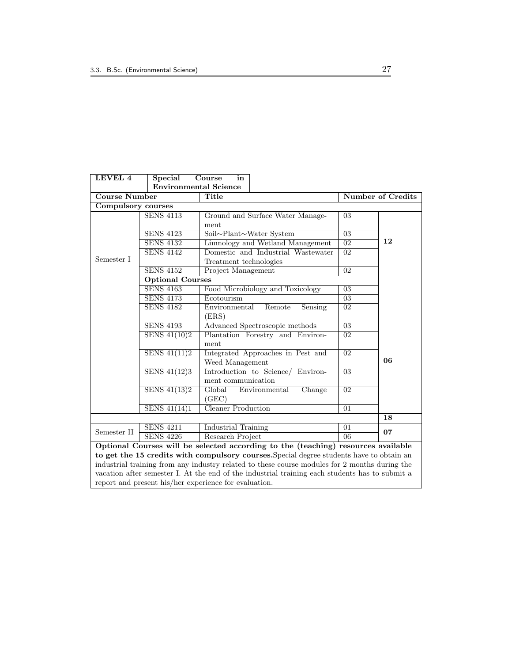| LEVEL 4                                                                                       | Special                      | Course<br>in                                                                                   |                          |    |  |
|-----------------------------------------------------------------------------------------------|------------------------------|------------------------------------------------------------------------------------------------|--------------------------|----|--|
|                                                                                               | <b>Environmental Science</b> |                                                                                                |                          |    |  |
| <b>Course Number</b>                                                                          |                              | Title                                                                                          | <b>Number of Credits</b> |    |  |
| Compulsory courses                                                                            |                              |                                                                                                |                          |    |  |
| Semester I                                                                                    | <b>SENS 4113</b>             | Ground and Surface Water Manage-                                                               | 03                       |    |  |
|                                                                                               |                              | ment                                                                                           |                          |    |  |
|                                                                                               | <b>SENS 4123</b>             | Soil~Plant~Water System                                                                        | $\overline{03}$          |    |  |
|                                                                                               | <b>SENS 4132</b>             | Limnology and Wetland Management<br>02                                                         |                          | 12 |  |
|                                                                                               | <b>SENS 4142</b>             | Domestic and Industrial Wastewater<br>$\overline{02}$                                          |                          |    |  |
|                                                                                               |                              | Treatment technologies                                                                         |                          |    |  |
|                                                                                               | <b>SENS 4152</b>             | $\overline{02}$<br>Project Management                                                          |                          |    |  |
|                                                                                               | <b>Optional Courses</b>      |                                                                                                |                          |    |  |
|                                                                                               | <b>SENS 4163</b>             | Food Microbiology and Toxicology                                                               | 03                       | 06 |  |
|                                                                                               | <b>SENS 4173</b>             | Ecotourism                                                                                     | $\overline{03}$          |    |  |
|                                                                                               | <b>SENS 4182</b>             | Environmental<br>Remote<br>Sensing<br>(ERS)                                                    | $\overline{02}$          |    |  |
|                                                                                               | <b>SENS 4193</b>             | Advanced Spectroscopic methods                                                                 | $\overline{03}$          |    |  |
|                                                                                               | SENS $41(10)2$               | Plantation Forestry and Environ-<br>ment                                                       | 02                       |    |  |
|                                                                                               | SENS $41(11)2$               | Integrated Approaches in Pest and<br>Weed Management                                           | $\overline{02}$          |    |  |
|                                                                                               | SENS 41(12)3                 | Introduction to Science/ Environ-<br>ment communication                                        | 03                       |    |  |
|                                                                                               | SENS $41(13)2$               | Global<br>Environmental<br>Change<br>(GEC)                                                     | $\overline{02}$          |    |  |
|                                                                                               | SENS $41(14)1$               | Cleaner Production                                                                             | $\overline{01}$          |    |  |
|                                                                                               |                              |                                                                                                |                          | 18 |  |
| Semester II                                                                                   | <b>SENS 4211</b>             | Industrial Training                                                                            | 01                       | 07 |  |
|                                                                                               | <b>SENS 4226</b>             | Research Project                                                                               | $\overline{06}$          |    |  |
|                                                                                               |                              | Optional Courses will be selected according to the (teaching) resources available              |                          |    |  |
| to get the 15 credits with compulsory courses. Special degree students have to obtain an      |                              |                                                                                                |                          |    |  |
| industrial training from any industry related to these course modules for 2 months during the |                              |                                                                                                |                          |    |  |
|                                                                                               |                              | vacation after semester I. At the end of the industrial training each students has to submit a |                          |    |  |
|                                                                                               |                              | report and present his/her experience for evaluation.                                          |                          |    |  |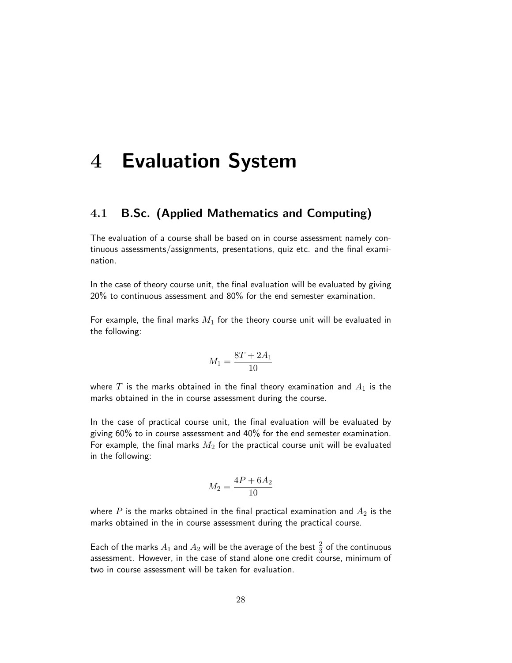# 4 Evaluation System

## 4.1 B.Sc. (Applied Mathematics and Computing)

The evaluation of a course shall be based on in course assessment namely continuous assessments/assignments, presentations, quiz etc. and the final examination.

In the case of theory course unit, the final evaluation will be evaluated by giving 20% to continuous assessment and 80% for the end semester examination.

For example, the final marks  $M_1$  for the theory course unit will be evaluated in the following:

$$
M_1 = \frac{8T + 2A_1}{10}
$$

where T is the marks obtained in the final theory examination and  $A_1$  is the marks obtained in the in course assessment during the course.

In the case of practical course unit, the final evaluation will be evaluated by giving 60% to in course assessment and 40% for the end semester examination. For example, the final marks  $M_2$  for the practical course unit will be evaluated in the following:

$$
M_2 = \frac{4P + 6A_2}{10}
$$

where  $P$  is the marks obtained in the final practical examination and  $A_2$  is the marks obtained in the in course assessment during the practical course.

Each of the marks  $A_1$  and  $A_2$  will be the average of the best  $\frac{2}{3}$  of the continuous assessment. However, in the case of stand alone one credit course, minimum of two in course assessment will be taken for evaluation.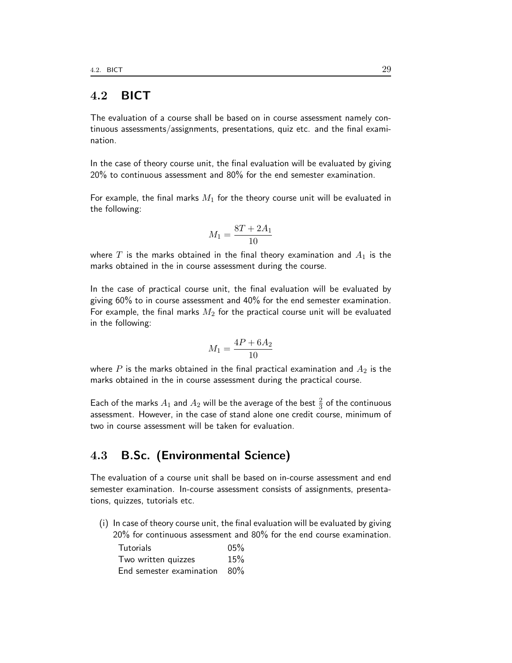## 4.2 BICT

The evaluation of a course shall be based on in course assessment namely continuous assessments/assignments, presentations, quiz etc. and the final examination.

In the case of theory course unit, the final evaluation will be evaluated by giving 20% to continuous assessment and 80% for the end semester examination.

For example, the final marks  $M_1$  for the theory course unit will be evaluated in the following:

$$
M_1 = \frac{8T + 2A_1}{10}
$$

where T is the marks obtained in the final theory examination and  $A_1$  is the marks obtained in the in course assessment during the course.

In the case of practical course unit, the final evaluation will be evaluated by giving 60% to in course assessment and 40% for the end semester examination. For example, the final marks  $M_2$  for the practical course unit will be evaluated in the following:

$$
M_1 = \frac{4P + 6A_2}{10}
$$

where P is the marks obtained in the final practical examination and  $A_2$  is the marks obtained in the in course assessment during the practical course.

Each of the marks  $A_1$  and  $A_2$  will be the average of the best  $\frac{2}{3}$  of the continuous assessment. However, in the case of stand alone one credit course, minimum of two in course assessment will be taken for evaluation.

## 4.3 B.Sc. (Environmental Science)

The evaluation of a course unit shall be based on in-course assessment and end semester examination. In-course assessment consists of assignments, presentations, quizzes, tutorials etc.

(i) In case of theory course unit, the final evaluation will be evaluated by giving 20% for continuous assessment and 80% for the end course examination.

| <b>Tutorials</b>             | 05% |
|------------------------------|-----|
| Two written quizzes          | 15% |
| End semester examination 80% |     |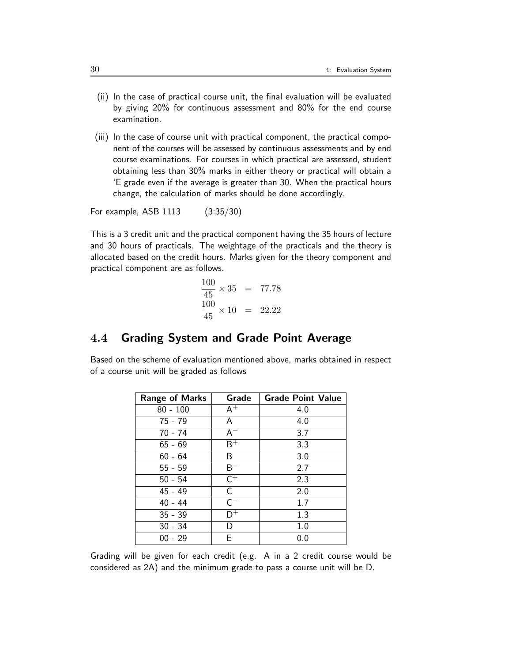- (ii) In the case of practical course unit, the final evaluation will be evaluated by giving 20% for continuous assessment and 80% for the end course examination.
- (iii) In the case of course unit with practical component, the practical component of the courses will be assessed by continuous assessments and by end course examinations. For courses in which practical are assessed, student obtaining less than 30% marks in either theory or practical will obtain a 'E grade even if the average is greater than 30. When the practical hours change, the calculation of marks should be done accordingly.

For example, ASB 1113 (3:35/30)

This is a 3 credit unit and the practical component having the 35 hours of lecture and 30 hours of practicals. The weightage of the practicals and the theory is allocated based on the credit hours. Marks given for the theory component and practical component are as follows.

$$
\frac{100}{45} \times 35 = 77.78
$$
  

$$
\frac{100}{45} \times 10 = 22.22
$$

## 4.4 Grading System and Grade Point Average

Based on the scheme of evaluation mentioned above, marks obtained in respect of a course unit will be graded as follows

| <b>Range of Marks</b> | Grade            | <b>Grade Point Value</b> |
|-----------------------|------------------|--------------------------|
| $80 - 100$            | $A^+$            | 4.0                      |
| 75 - 79               | A                | 4.0                      |
| $70 - 74$             | $A^{-}$          | 3.7                      |
| $65 - 69$             | $\overline{B^+}$ | 3.3                      |
| $60 - 64$             | В                | 3.0                      |
| $55 - 59$             | $B^-$            | 2.7                      |
| $50 - 54$             | $\overline{C^+}$ | 2.3                      |
| $45 - 49$             | $\mathsf{C}$     | 2.0                      |
| $40 - 44$             | $C^{-}$          | 1.7                      |
| $35 - 39$             | D+               | 1.3                      |
| $30 - 34$             | D                | 1.0                      |
| $00 - 29$             | F                | $0.0\,$                  |

Grading will be given for each credit (e.g. A in a 2 credit course would be considered as 2A) and the minimum grade to pass a course unit will be D.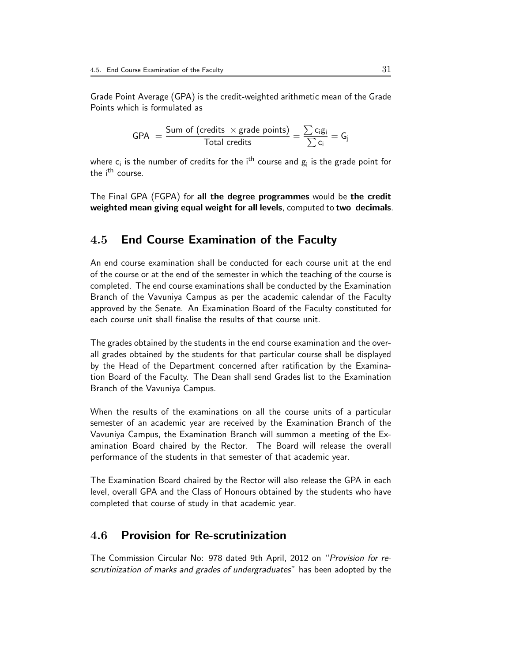Grade Point Average (GPA) is the credit-weighted arithmetic mean of the Grade Points which is formulated as

$$
\mathsf{GPA}\ =\frac{\mathsf{Sum\ of\ (credits}\ \times\ \mathsf{grade\ points})}{\mathsf{Total\ credits}} = \frac{\sum c_i g_i}{\sum c_i} = G_j
$$

where  $\mathsf{c}_{\mathsf{i}}$  is the number of credits for the i<sup>th</sup> course and  $\mathsf{g}_{\mathsf{i}}$  is the grade point for the i<sup>th</sup> course.

The Final GPA (FGPA) for all the degree programmes would be the credit weighted mean giving equal weight for all levels, computed to two decimals.

#### 4.5 End Course Examination of the Faculty

An end course examination shall be conducted for each course unit at the end of the course or at the end of the semester in which the teaching of the course is completed. The end course examinations shall be conducted by the Examination Branch of the Vavuniya Campus as per the academic calendar of the Faculty approved by the Senate. An Examination Board of the Faculty constituted for each course unit shall finalise the results of that course unit.

The grades obtained by the students in the end course examination and the overall grades obtained by the students for that particular course shall be displayed by the Head of the Department concerned after ratification by the Examination Board of the Faculty. The Dean shall send Grades list to the Examination Branch of the Vavuniya Campus.

When the results of the examinations on all the course units of a particular semester of an academic year are received by the Examination Branch of the Vavuniya Campus, the Examination Branch will summon a meeting of the Examination Board chaired by the Rector. The Board will release the overall performance of the students in that semester of that academic year.

The Examination Board chaired by the Rector will also release the GPA in each level, overall GPA and the Class of Honours obtained by the students who have completed that course of study in that academic year.

## 4.6 Provision for Re-scrutinization

The Commission Circular No: 978 dated 9th April, 2012 on "Provision for rescrutinization of marks and grades of undergraduates" has been adopted by the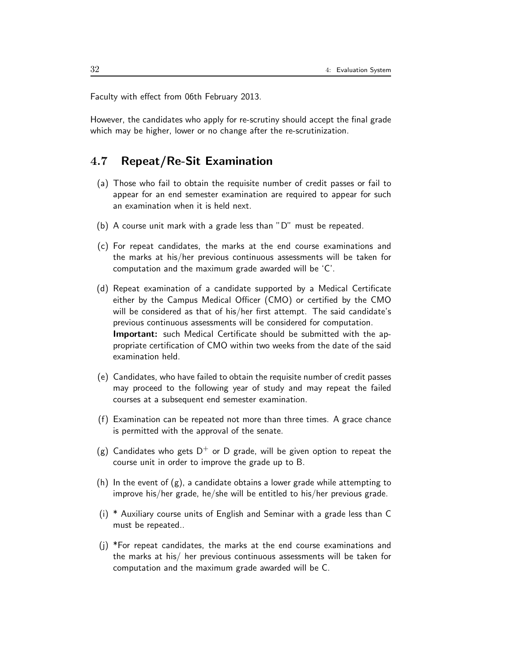Faculty with effect from 06th February 2013.

However, the candidates who apply for re-scrutiny should accept the final grade which may be higher, lower or no change after the re-scrutinization.

# 4.7 Repeat/Re-Sit Examination

- (a) Those who fail to obtain the requisite number of credit passes or fail to appear for an end semester examination are required to appear for such an examination when it is held next.
- (b) A course unit mark with a grade less than "D" must be repeated.
- (c) For repeat candidates, the marks at the end course examinations and the marks at his/her previous continuous assessments will be taken for computation and the maximum grade awarded will be 'C'.
- (d) Repeat examination of a candidate supported by a Medical Certificate either by the Campus Medical Officer (CMO) or certified by the CMO will be considered as that of his/her first attempt. The said candidate's previous continuous assessments will be considered for computation. Important: such Medical Certificate should be submitted with the appropriate certification of CMO within two weeks from the date of the said examination held.
- (e) Candidates, who have failed to obtain the requisite number of credit passes may proceed to the following year of study and may repeat the failed courses at a subsequent end semester examination.
- (f) Examination can be repeated not more than three times. A grace chance is permitted with the approval of the senate.
- (g) Candidates who gets  $D^+$  or D grade, will be given option to repeat the course unit in order to improve the grade up to B.
- (h) In the event of  $(g)$ , a candidate obtains a lower grade while attempting to improve his/her grade, he/she will be entitled to his/her previous grade.
- (i) \* Auxiliary course units of English and Seminar with a grade less than C must be repeated..
- (j) \*For repeat candidates, the marks at the end course examinations and the marks at his/ her previous continuous assessments will be taken for computation and the maximum grade awarded will be C.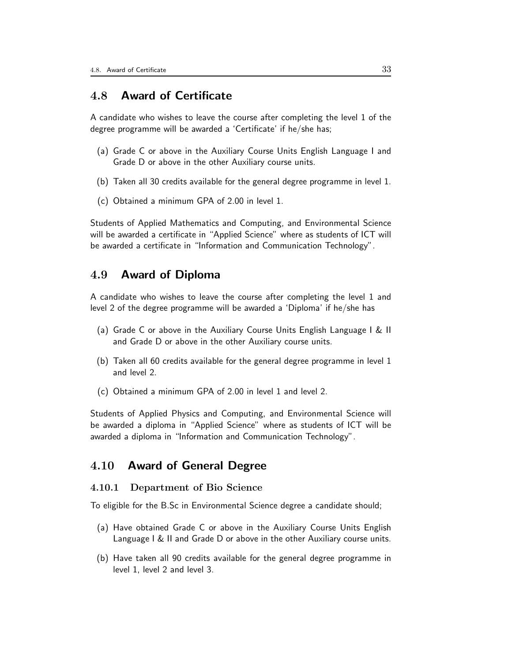## 4.8 Award of Certificate

A candidate who wishes to leave the course after completing the level 1 of the degree programme will be awarded a 'Certificate' if he/she has;

- (a) Grade C or above in the Auxiliary Course Units English Language I and Grade D or above in the other Auxiliary course units.
- (b) Taken all 30 credits available for the general degree programme in level 1.
- (c) Obtained a minimum GPA of 2.00 in level 1.

Students of Applied Mathematics and Computing, and Environmental Science will be awarded a certificate in "Applied Science" where as students of ICT will be awarded a certificate in "Information and Communication Technology".

#### 4.9 Award of Diploma

A candidate who wishes to leave the course after completing the level 1 and level 2 of the degree programme will be awarded a 'Diploma' if he/she has

- (a) Grade C or above in the Auxiliary Course Units English Language I & II and Grade D or above in the other Auxiliary course units.
- (b) Taken all 60 credits available for the general degree programme in level 1 and level 2.
- (c) Obtained a minimum GPA of 2.00 in level 1 and level 2.

Students of Applied Physics and Computing, and Environmental Science will be awarded a diploma in "Applied Science" where as students of ICT will be awarded a diploma in "Information and Communication Technology".

# 4.10 Award of General Degree

#### 4.10.1 Department of Bio Science

To eligible for the B.Sc in Environmental Science degree a candidate should;

- (a) Have obtained Grade C or above in the Auxiliary Course Units English Language I & II and Grade D or above in the other Auxiliary course units.
- (b) Have taken all 90 credits available for the general degree programme in level 1, level 2 and level 3.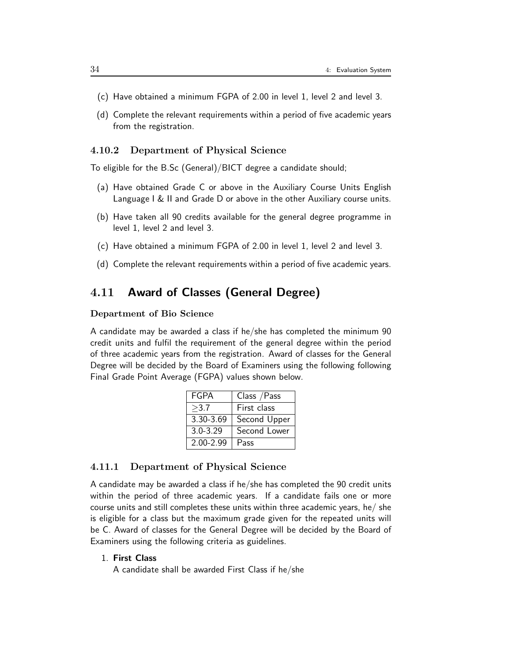- (c) Have obtained a minimum FGPA of 2.00 in level 1, level 2 and level 3.
- (d) Complete the relevant requirements within a period of five academic years from the registration.

#### 4.10.2 Department of Physical Science

To eligible for the B.Sc (General)/BICT degree a candidate should;

- (a) Have obtained Grade C or above in the Auxiliary Course Units English Language I & II and Grade D or above in the other Auxiliary course units.
- (b) Have taken all 90 credits available for the general degree programme in level 1, level 2 and level 3.
- (c) Have obtained a minimum FGPA of 2.00 in level 1, level 2 and level 3.
- (d) Complete the relevant requirements within a period of five academic years.

# 4.11 Award of Classes (General Degree)

#### Department of Bio Science

A candidate may be awarded a class if he/she has completed the minimum 90 credit units and fulfil the requirement of the general degree within the period of three academic years from the registration. Award of classes for the General Degree will be decided by the Board of Examiners using the following following Final Grade Point Average (FGPA) values shown below.

| <b>FGPA</b>   | Class / Pass |
|---------------|--------------|
| >3.7          | First class  |
| 3.30-3.69     | Second Upper |
| $3.0 - 3.29$  | Second Lower |
| $2.00 - 2.99$ | Pass         |

#### 4.11.1 Department of Physical Science

A candidate may be awarded a class if he/she has completed the 90 credit units within the period of three academic years. If a candidate fails one or more course units and still completes these units within three academic years, he/ she is eligible for a class but the maximum grade given for the repeated units will be C. Award of classes for the General Degree will be decided by the Board of Examiners using the following criteria as guidelines.

#### 1. First Class

A candidate shall be awarded First Class if he/she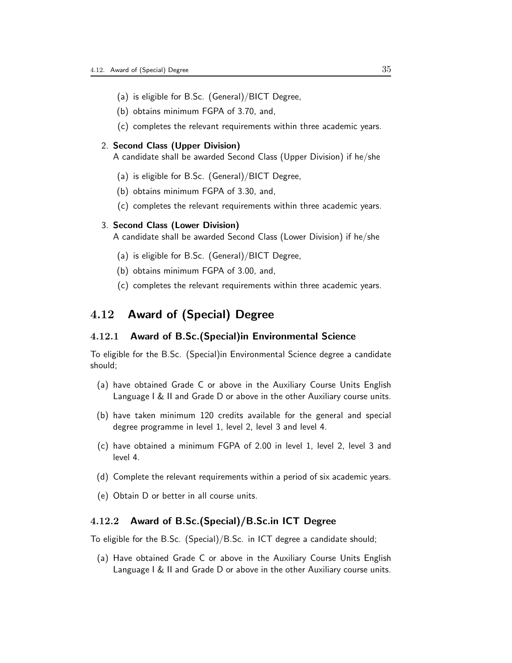- (a) is eligible for B.Sc. (General)/BICT Degree,
- (b) obtains minimum FGPA of 3.70, and,
- (c) completes the relevant requirements within three academic years.

#### 2. Second Class (Upper Division)

A candidate shall be awarded Second Class (Upper Division) if he/she

- (a) is eligible for B.Sc. (General)/BICT Degree,
- (b) obtains minimum FGPA of 3.30, and,
- (c) completes the relevant requirements within three academic years.

#### 3. Second Class (Lower Division)

A candidate shall be awarded Second Class (Lower Division) if he/she

- (a) is eligible for B.Sc. (General)/BICT Degree,
- (b) obtains minimum FGPA of 3.00, and,
- (c) completes the relevant requirements within three academic years.

#### 4.12 Award of (Special) Degree

#### 4.12.1 Award of B.Sc.(Special)in Environmental Science

To eligible for the B.Sc. (Special)in Environmental Science degree a candidate should;

- (a) have obtained Grade C or above in the Auxiliary Course Units English Language I & II and Grade D or above in the other Auxiliary course units.
- (b) have taken minimum 120 credits available for the general and special degree programme in level 1, level 2, level 3 and level 4.
- (c) have obtained a minimum FGPA of 2.00 in level 1, level 2, level 3 and level 4.
- (d) Complete the relevant requirements within a period of six academic years.
- (e) Obtain D or better in all course units.

#### 4.12.2 Award of B.Sc.(Special)/B.Sc.in ICT Degree

To eligible for the B.Sc. (Special)/B.Sc. in ICT degree a candidate should;

(a) Have obtained Grade C or above in the Auxiliary Course Units English Language I & II and Grade D or above in the other Auxiliary course units.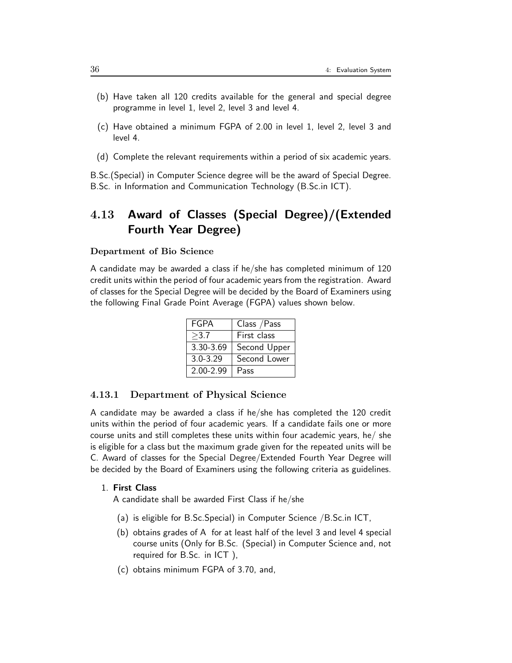- (b) Have taken all 120 credits available for the general and special degree programme in level 1, level 2, level 3 and level 4.
- (c) Have obtained a minimum FGPA of 2.00 in level 1, level 2, level 3 and level 4.
- (d) Complete the relevant requirements within a period of six academic years.

B.Sc.(Special) in Computer Science degree will be the award of Special Degree. B.Sc. in Information and Communication Technology (B.Sc.in ICT).

# 4.13 Award of Classes (Special Degree)/(Extended Fourth Year Degree)

#### Department of Bio Science

A candidate may be awarded a class if he/she has completed minimum of 120 credit units within the period of four academic years from the registration. Award of classes for the Special Degree will be decided by the Board of Examiners using the following Final Grade Point Average (FGPA) values shown below.

| FGPA          | Class / Pass |
|---------------|--------------|
| >3.7          | First class  |
| 3.30-3.69     | Second Upper |
| $3.0 - 3.29$  | Second Lower |
| $2.00 - 2.99$ | Pass         |

#### 4.13.1 Department of Physical Science

A candidate may be awarded a class if he/she has completed the 120 credit units within the period of four academic years. If a candidate fails one or more course units and still completes these units within four academic years, he/ she is eligible for a class but the maximum grade given for the repeated units will be C. Award of classes for the Special Degree/Extended Fourth Year Degree will be decided by the Board of Examiners using the following criteria as guidelines.

#### 1. First Class

A candidate shall be awarded First Class if he/she

- (a) is eligible for B.Sc.Special) in Computer Science /B.Sc.in ICT,
- (b) obtains grades of A for at least half of the level 3 and level 4 special course units (Only for B.Sc. (Special) in Computer Science and, not required for B.Sc. in ICT ),
- (c) obtains minimum FGPA of 3.70, and,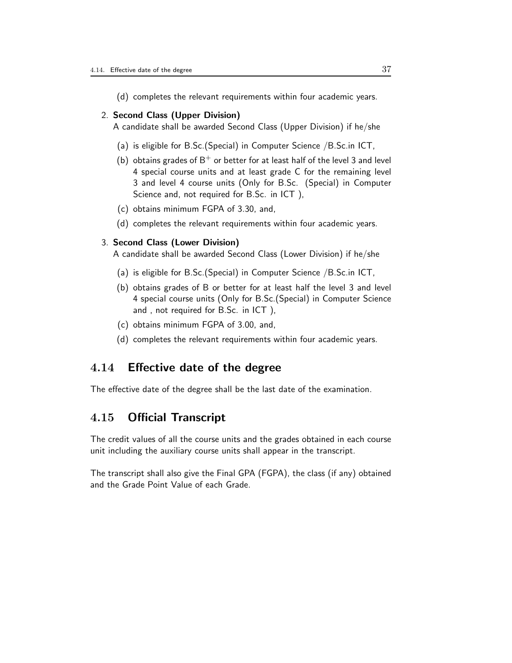(d) completes the relevant requirements within four academic years.

#### 2. Second Class (Upper Division)

A candidate shall be awarded Second Class (Upper Division) if he/she

- (a) is eligible for B.Sc.(Special) in Computer Science /B.Sc.in ICT,
- (b) obtains grades of  $B^+$  or better for at least half of the level 3 and level 4 special course units and at least grade C for the remaining level 3 and level 4 course units (Only for B.Sc. (Special) in Computer Science and, not required for B.Sc. in ICT ),
- (c) obtains minimum FGPA of 3.30, and,
- (d) completes the relevant requirements within four academic years.

#### 3. Second Class (Lower Division)

A candidate shall be awarded Second Class (Lower Division) if he/she

- (a) is eligible for B.Sc.(Special) in Computer Science /B.Sc.in ICT,
- (b) obtains grades of B or better for at least half the level 3 and level 4 special course units (Only for B.Sc.(Special) in Computer Science and , not required for B.Sc. in ICT ),
- (c) obtains minimum FGPA of 3.00, and,
- (d) completes the relevant requirements within four academic years.

## 4.14 Effective date of the degree

The effective date of the degree shall be the last date of the examination.

### 4.15 Official Transcript

The credit values of all the course units and the grades obtained in each course unit including the auxiliary course units shall appear in the transcript.

The transcript shall also give the Final GPA (FGPA), the class (if any) obtained and the Grade Point Value of each Grade.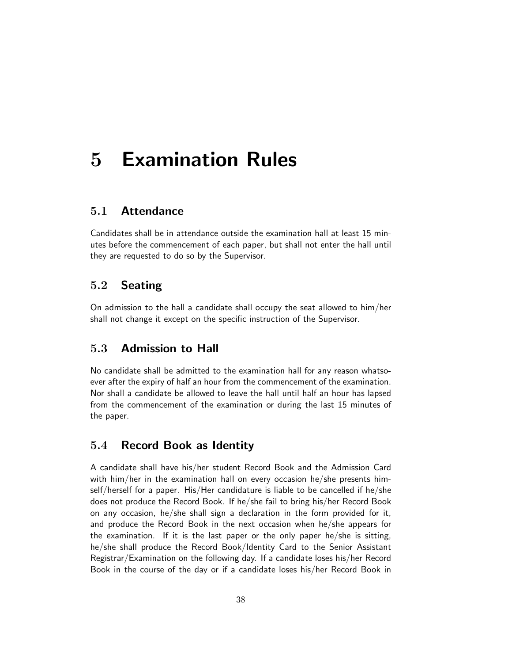# 5 Examination Rules

### 5.1 Attendance

Candidates shall be in attendance outside the examination hall at least 15 minutes before the commencement of each paper, but shall not enter the hall until they are requested to do so by the Supervisor.

## 5.2 Seating

On admission to the hall a candidate shall occupy the seat allowed to him/her shall not change it except on the specific instruction of the Supervisor.

## 5.3 Admission to Hall

No candidate shall be admitted to the examination hall for any reason whatsoever after the expiry of half an hour from the commencement of the examination. Nor shall a candidate be allowed to leave the hall until half an hour has lapsed from the commencement of the examination or during the last 15 minutes of the paper.

#### 5.4 Record Book as Identity

A candidate shall have his/her student Record Book and the Admission Card with him/her in the examination hall on every occasion he/she presents himself/herself for a paper. His/Her candidature is liable to be cancelled if he/she does not produce the Record Book. If he/she fail to bring his/her Record Book on any occasion, he/she shall sign a declaration in the form provided for it, and produce the Record Book in the next occasion when he/she appears for the examination. If it is the last paper or the only paper he/she is sitting, he/she shall produce the Record Book/Identity Card to the Senior Assistant Registrar/Examination on the following day. If a candidate loses his/her Record Book in the course of the day or if a candidate loses his/her Record Book in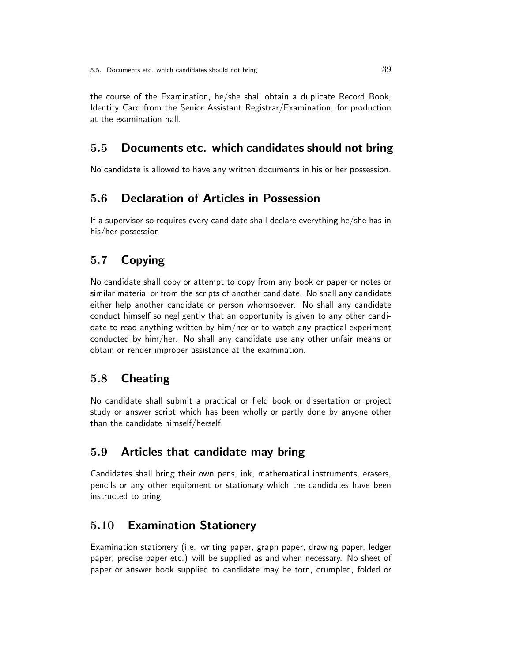the course of the Examination, he/she shall obtain a duplicate Record Book, Identity Card from the Senior Assistant Registrar/Examination, for production at the examination hall.

## 5.5 Documents etc. which candidates should not bring

No candidate is allowed to have any written documents in his or her possession.

# 5.6 Declaration of Articles in Possession

If a supervisor so requires every candidate shall declare everything he/she has in his/her possession

# 5.7 Copying

No candidate shall copy or attempt to copy from any book or paper or notes or similar material or from the scripts of another candidate. No shall any candidate either help another candidate or person whomsoever. No shall any candidate conduct himself so negligently that an opportunity is given to any other candidate to read anything written by him/her or to watch any practical experiment conducted by him/her. No shall any candidate use any other unfair means or obtain or render improper assistance at the examination.

## 5.8 Cheating

No candidate shall submit a practical or field book or dissertation or project study or answer script which has been wholly or partly done by anyone other than the candidate himself/herself.

## 5.9 Articles that candidate may bring

Candidates shall bring their own pens, ink, mathematical instruments, erasers, pencils or any other equipment or stationary which the candidates have been instructed to bring.

# 5.10 Examination Stationery

Examination stationery (i.e. writing paper, graph paper, drawing paper, ledger paper, precise paper etc.) will be supplied as and when necessary. No sheet of paper or answer book supplied to candidate may be torn, crumpled, folded or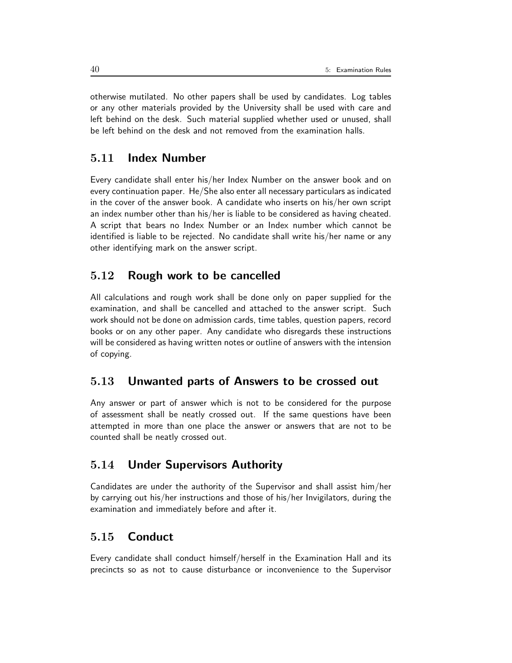otherwise mutilated. No other papers shall be used by candidates. Log tables or any other materials provided by the University shall be used with care and left behind on the desk. Such material supplied whether used or unused, shall be left behind on the desk and not removed from the examination halls.

# 5.11 Index Number

Every candidate shall enter his/her Index Number on the answer book and on every continuation paper. He/She also enter all necessary particulars as indicated in the cover of the answer book. A candidate who inserts on his/her own script an index number other than his/her is liable to be considered as having cheated. A script that bears no Index Number or an Index number which cannot be identified is liable to be rejected. No candidate shall write his/her name or any other identifying mark on the answer script.

### 5.12 Rough work to be cancelled

All calculations and rough work shall be done only on paper supplied for the examination, and shall be cancelled and attached to the answer script. Such work should not be done on admission cards, time tables, question papers, record books or on any other paper. Any candidate who disregards these instructions will be considered as having written notes or outline of answers with the intension of copying.

#### 5.13 Unwanted parts of Answers to be crossed out

Any answer or part of answer which is not to be considered for the purpose of assessment shall be neatly crossed out. If the same questions have been attempted in more than one place the answer or answers that are not to be counted shall be neatly crossed out.

## 5.14 Under Supervisors Authority

Candidates are under the authority of the Supervisor and shall assist him/her by carrying out his/her instructions and those of his/her Invigilators, during the examination and immediately before and after it.

## 5.15 Conduct

Every candidate shall conduct himself/herself in the Examination Hall and its precincts so as not to cause disturbance or inconvenience to the Supervisor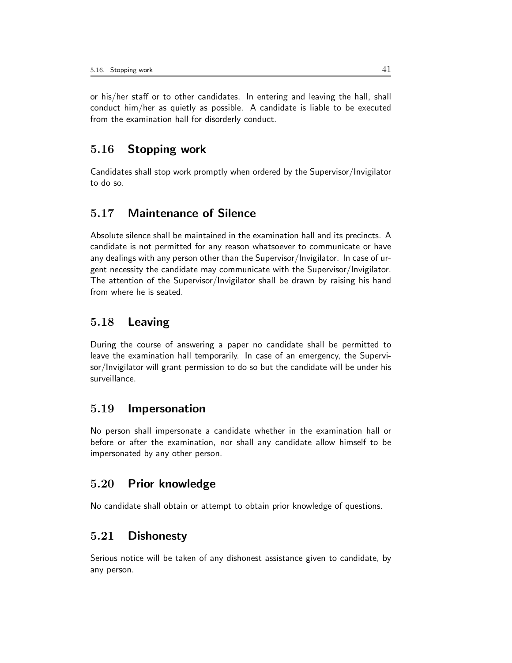or his/her staff or to other candidates. In entering and leaving the hall, shall conduct him/her as quietly as possible. A candidate is liable to be executed from the examination hall for disorderly conduct.

# 5.16 Stopping work

Candidates shall stop work promptly when ordered by the Supervisor/Invigilator to do so.

# 5.17 Maintenance of Silence

Absolute silence shall be maintained in the examination hall and its precincts. A candidate is not permitted for any reason whatsoever to communicate or have any dealings with any person other than the Supervisor/Invigilator. In case of urgent necessity the candidate may communicate with the Supervisor/Invigilator. The attention of the Supervisor/Invigilator shall be drawn by raising his hand from where he is seated.

## 5.18 Leaving

During the course of answering a paper no candidate shall be permitted to leave the examination hall temporarily. In case of an emergency, the Supervisor/Invigilator will grant permission to do so but the candidate will be under his surveillance.

### 5.19 Impersonation

No person shall impersonate a candidate whether in the examination hall or before or after the examination, nor shall any candidate allow himself to be impersonated by any other person.

## 5.20 Prior knowledge

No candidate shall obtain or attempt to obtain prior knowledge of questions.

## 5.21 Dishonesty

Serious notice will be taken of any dishonest assistance given to candidate, by any person.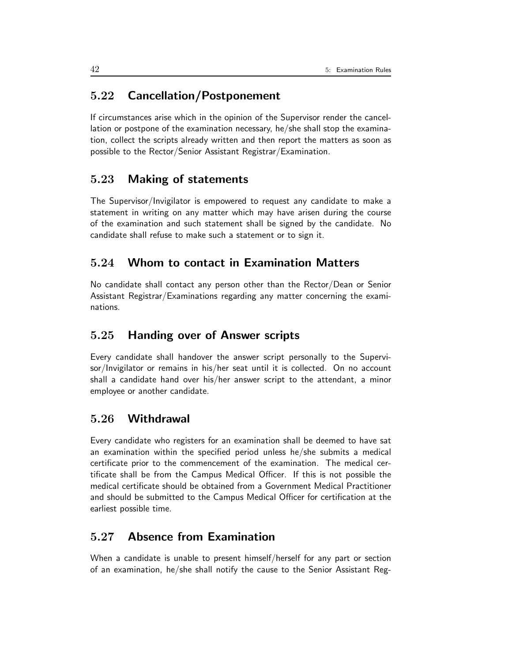# 5.22 Cancellation/Postponement

If circumstances arise which in the opinion of the Supervisor render the cancellation or postpone of the examination necessary, he/she shall stop the examination, collect the scripts already written and then report the matters as soon as possible to the Rector/Senior Assistant Registrar/Examination.

## 5.23 Making of statements

The Supervisor/Invigilator is empowered to request any candidate to make a statement in writing on any matter which may have arisen during the course of the examination and such statement shall be signed by the candidate. No candidate shall refuse to make such a statement or to sign it.

# 5.24 Whom to contact in Examination Matters

No candidate shall contact any person other than the Rector/Dean or Senior Assistant Registrar/Examinations regarding any matter concerning the examinations.

## 5.25 Handing over of Answer scripts

Every candidate shall handover the answer script personally to the Supervisor/Invigilator or remains in his/her seat until it is collected. On no account shall a candidate hand over his/her answer script to the attendant, a minor employee or another candidate.

### 5.26 Withdrawal

Every candidate who registers for an examination shall be deemed to have sat an examination within the specified period unless he/she submits a medical certificate prior to the commencement of the examination. The medical certificate shall be from the Campus Medical Officer. If this is not possible the medical certificate should be obtained from a Government Medical Practitioner and should be submitted to the Campus Medical Officer for certification at the earliest possible time.

# 5.27 Absence from Examination

When a candidate is unable to present himself/herself for any part or section of an examination, he/she shall notify the cause to the Senior Assistant Reg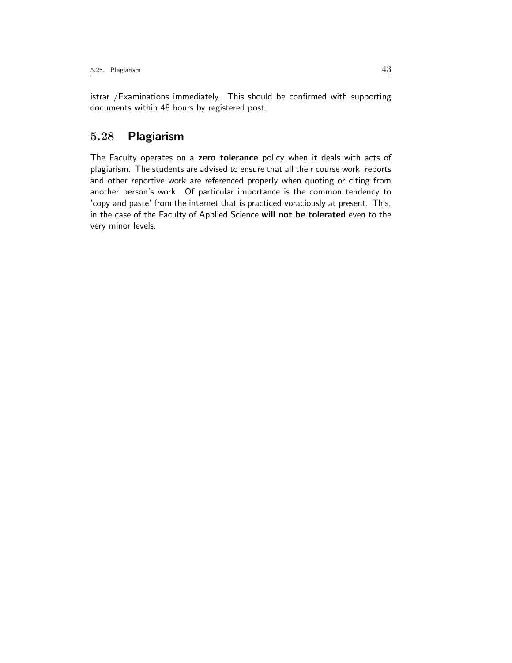istrar /Examinations immediately. This should be confirmed with supporting documents within 48 hours by registered post.

## 5.28 Plagiarism

The Faculty operates on a zero tolerance policy when it deals with acts of plagiarism. The students are advised to ensure that all their course work, reports and other reportive work are referenced properly when quoting or citing from another person's work. Of particular importance is the common tendency to 'copy and paste' from the internet that is practiced voraciously at present. This, in the case of the Faculty of Applied Science will not be tolerated even to the very minor levels.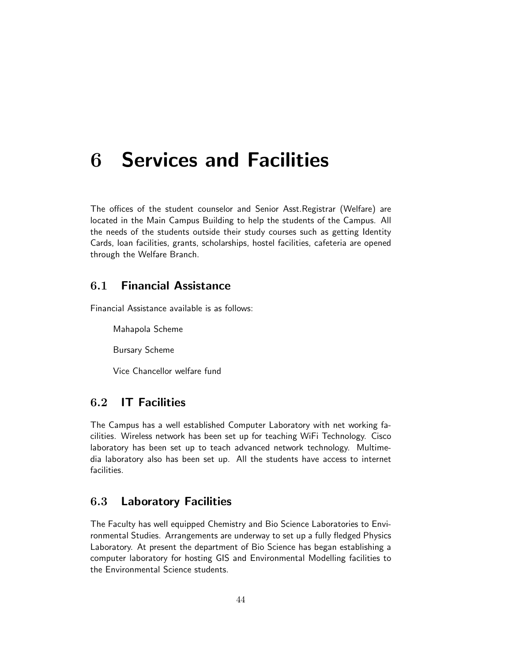# 6 Services and Facilities

The offices of the student counselor and Senior Asst.Registrar (Welfare) are located in the Main Campus Building to help the students of the Campus. All the needs of the students outside their study courses such as getting Identity Cards, loan facilities, grants, scholarships, hostel facilities, cafeteria are opened through the Welfare Branch.

## 6.1 Financial Assistance

Financial Assistance available is as follows:

Mahapola Scheme

Bursary Scheme

Vice Chancellor welfare fund

# 6.2 IT Facilities

The Campus has a well established Computer Laboratory with net working facilities. Wireless network has been set up for teaching WiFi Technology. Cisco laboratory has been set up to teach advanced network technology. Multimedia laboratory also has been set up. All the students have access to internet facilities.

## 6.3 Laboratory Facilities

The Faculty has well equipped Chemistry and Bio Science Laboratories to Environmental Studies. Arrangements are underway to set up a fully fledged Physics Laboratory. At present the department of Bio Science has began establishing a computer laboratory for hosting GIS and Environmental Modelling facilities to the Environmental Science students.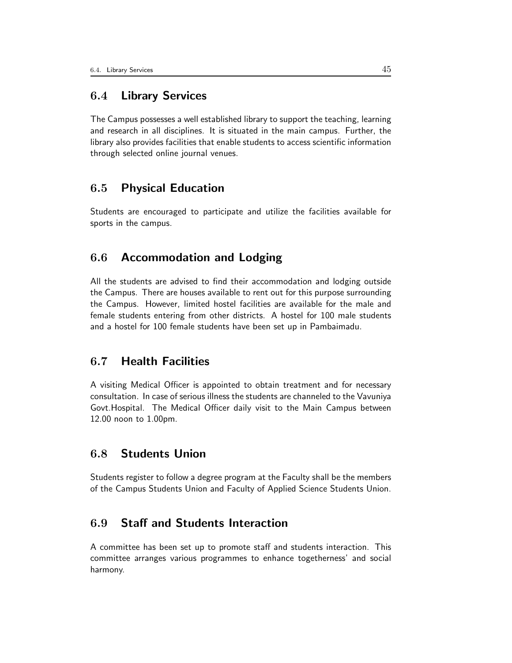## 6.4 Library Services

The Campus possesses a well established library to support the teaching, learning and research in all disciplines. It is situated in the main campus. Further, the library also provides facilities that enable students to access scientific information through selected online journal venues.

## 6.5 Physical Education

Students are encouraged to participate and utilize the facilities available for sports in the campus.

### 6.6 Accommodation and Lodging

All the students are advised to find their accommodation and lodging outside the Campus. There are houses available to rent out for this purpose surrounding the Campus. However, limited hostel facilities are available for the male and female students entering from other districts. A hostel for 100 male students and a hostel for 100 female students have been set up in Pambaimadu.

## 6.7 Health Facilities

A visiting Medical Officer is appointed to obtain treatment and for necessary consultation. In case of serious illness the students are channeled to the Vavuniya Govt.Hospital. The Medical Officer daily visit to the Main Campus between 12.00 noon to 1.00pm.

## 6.8 Students Union

Students register to follow a degree program at the Faculty shall be the members of the Campus Students Union and Faculty of Applied Science Students Union.

## 6.9 Staff and Students Interaction

A committee has been set up to promote staff and students interaction. This committee arranges various programmes to enhance togetherness' and social harmony.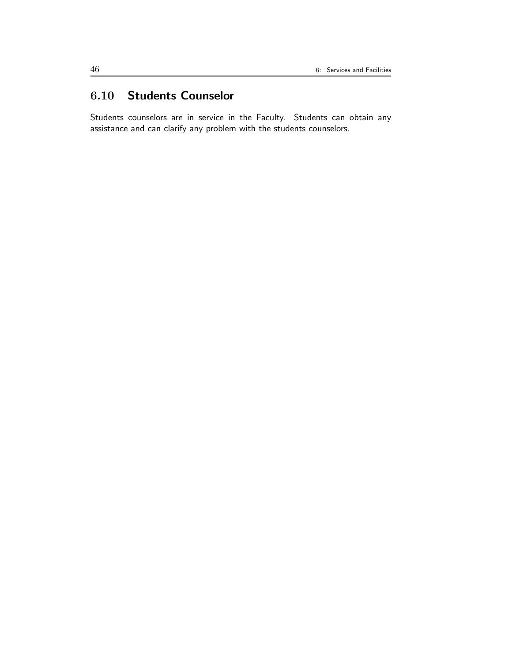# 6.10 Students Counselor

Students counselors are in service in the Faculty. Students can obtain any assistance and can clarify any problem with the students counselors.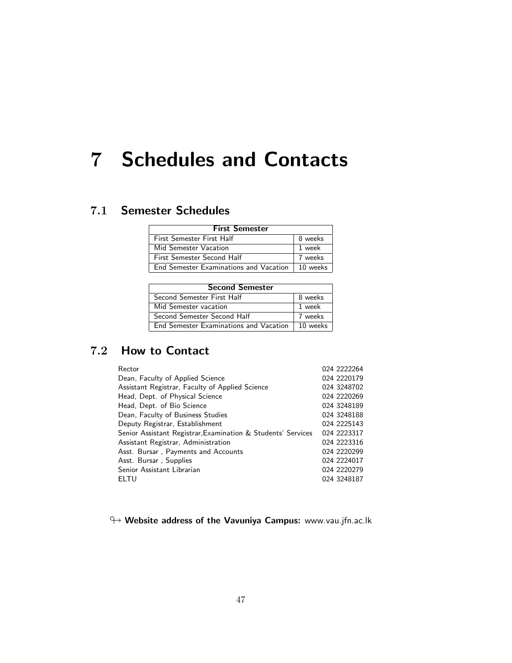# 7 Schedules and Contacts

# 7.1 Semester Schedules

| <b>First Semester</b>                    |          |  |  |  |
|------------------------------------------|----------|--|--|--|
| First Semester First Half                | 8 weeks  |  |  |  |
| Mid Semester Vacation                    | 1 week   |  |  |  |
| First Semester Second Half               | 7 weeks  |  |  |  |
| End Semester Examinations and Vacation 1 | 10 weeks |  |  |  |

| <b>Second Semester</b>                 |          |  |  |  |
|----------------------------------------|----------|--|--|--|
| Second Semester First Half             | 8 weeks  |  |  |  |
| Mid Semester vacation                  | 1 week   |  |  |  |
| Second Semester Second Half            | 7 weeks  |  |  |  |
| End Semester Examinations and Vacation | 10 weeks |  |  |  |

# 7.2 How to Contact

| Rector                                                       | 024 2222264 |
|--------------------------------------------------------------|-------------|
| Dean, Faculty of Applied Science                             | 024 2220179 |
| Assistant Registrar, Faculty of Applied Science              | 024 3248702 |
| Head, Dept. of Physical Science                              | 024 2220269 |
| Head, Dept. of Bio Science                                   | 024 3248189 |
| Dean, Faculty of Business Studies                            | 024 3248188 |
| Deputy Registrar, Establishment                              | 024 2225143 |
| Senior Assistant Registrar, Examination & Students' Services | 024 2223317 |
| Assistant Registrar, Administration                          | 024 2223316 |
| Asst. Bursar, Payments and Accounts                          | 024 2220299 |
| Asst. Bursar, Supplies                                       | 024 2224017 |
| Senior Assistant Librarian                                   | 024 2220279 |
| ELTU                                                         | 024 3248187 |
|                                                              |             |

 $\leftrightarrow$  Website address of the Vavuniya Campus: www.vau.jfn.ac.lk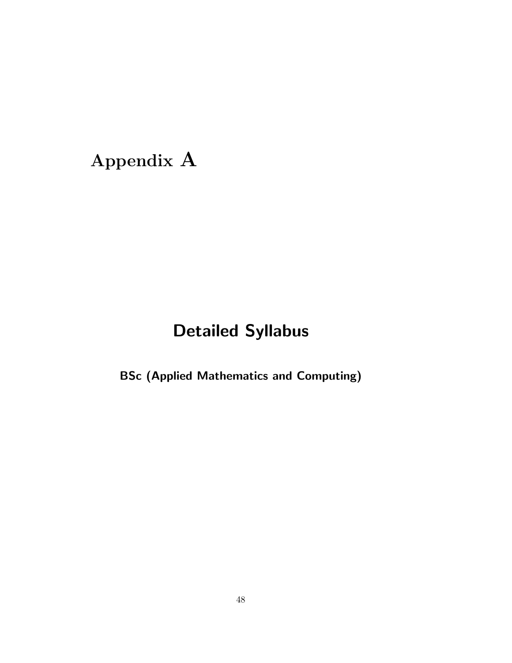# Appendix A

# Detailed Syllabus

BSc (Applied Mathematics and Computing)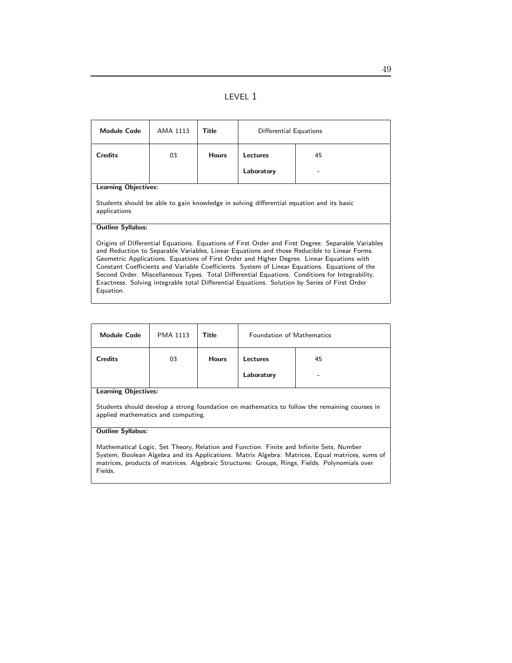|--|--|

| <b>Module Code</b>                                                                                                                                                                                                                                                                                                                                                                                                                                                                                                                                                                                             | AMA 1113 | Title        | Differential Equations |    |  |
|----------------------------------------------------------------------------------------------------------------------------------------------------------------------------------------------------------------------------------------------------------------------------------------------------------------------------------------------------------------------------------------------------------------------------------------------------------------------------------------------------------------------------------------------------------------------------------------------------------------|----------|--------------|------------------------|----|--|
| <b>Credits</b>                                                                                                                                                                                                                                                                                                                                                                                                                                                                                                                                                                                                 | 03       | <b>Hours</b> | Lectures               | 45 |  |
|                                                                                                                                                                                                                                                                                                                                                                                                                                                                                                                                                                                                                |          |              | Laboratory             |    |  |
| <b>Learning Objectives:</b>                                                                                                                                                                                                                                                                                                                                                                                                                                                                                                                                                                                    |          |              |                        |    |  |
| Students should be able to gain knowledge in solving differential equation and its basic<br>applications                                                                                                                                                                                                                                                                                                                                                                                                                                                                                                       |          |              |                        |    |  |
| <b>Outline Syllabus:</b>                                                                                                                                                                                                                                                                                                                                                                                                                                                                                                                                                                                       |          |              |                        |    |  |
| Origins of Differential Equations. Equations of First Order and First Degree. Separable Variables<br>and Reduction to Separable Variables, Linear Equations and those Reducible to Linear Forms.<br>Geometric Applications. Equations of First Order and Higher Degree. Linear Equations with<br>Constant Coefficients and Variable Coefficients. System of Linear Equations. Equations of the<br>Second Order. Miscellaneous Types. Total Differential Equations. Conditions for Integrability,<br>Exactness. Solving integrable total Differential Equations. Solution by Series of First Order<br>Equation. |          |              |                        |    |  |

| <b>Module Code</b>                  | <b>PMA 1113</b> | Title        | <b>Foundation of Mathematics</b>         |  |
|-------------------------------------|-----------------|--------------|------------------------------------------|--|
| <b>Credits</b><br>sambas Oktaabisas | 03              | <b>Hours</b> | 45<br><b>Lectures</b><br>Laboratory<br>- |  |

#### Learning Objectives:

Students should develop a strong foundation on mathematics to follow the remaining courses in applied mathematics and computing.

#### Outline Syllabus:

Mathematical Logic, Set Theory, Relation and Function. Finite and Infinite Sets, Number System, Boolean Algebra and its Applications. Matrix Algebra: Matrices, Equal matrices, sums of matrices, products of matrices. Algebraic Structures: Groups, Rings, Fields. Polynomials over Fields.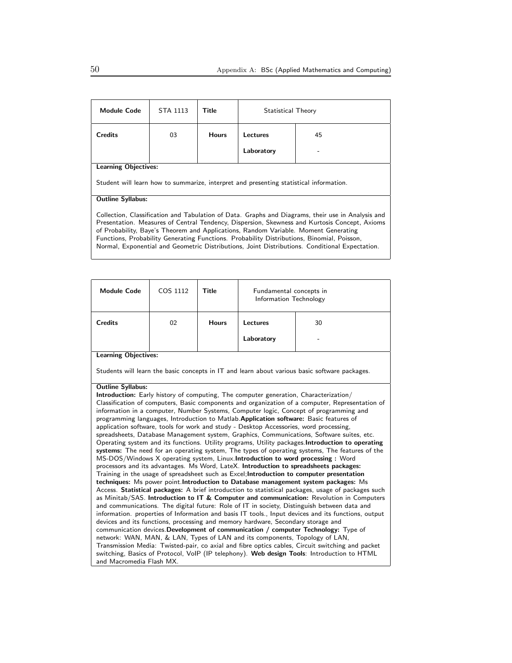| <b>Module Code</b>                                                                                                                                                                                                                                                                                                                                                                                                                                                                        | STA 1113 | Title        | Statistical Theory |    |  |
|-------------------------------------------------------------------------------------------------------------------------------------------------------------------------------------------------------------------------------------------------------------------------------------------------------------------------------------------------------------------------------------------------------------------------------------------------------------------------------------------|----------|--------------|--------------------|----|--|
| <b>Credits</b>                                                                                                                                                                                                                                                                                                                                                                                                                                                                            | 03       | <b>Hours</b> | Lectures           | 45 |  |
|                                                                                                                                                                                                                                                                                                                                                                                                                                                                                           |          |              | Laboratory         |    |  |
| <b>Learning Objectives:</b>                                                                                                                                                                                                                                                                                                                                                                                                                                                               |          |              |                    |    |  |
| Student will learn how to summarize, interpret and presenting statistical information.                                                                                                                                                                                                                                                                                                                                                                                                    |          |              |                    |    |  |
| <b>Outline Syllabus:</b>                                                                                                                                                                                                                                                                                                                                                                                                                                                                  |          |              |                    |    |  |
| Collection, Classification and Tabulation of Data. Graphs and Diagrams, their use in Analysis and<br>Presentation. Measures of Central Tendency, Dispersion, Skewness and Kurtosis Concept, Axioms<br>of Probability, Baye's Theorem and Applications, Random Variable. Moment Generating<br>Functions, Probability Generating Functions. Probability Distributions, Binomial, Poisson,<br>Normal, Exponential and Geometric Distributions, Joint Distributions. Conditional Expectation. |          |              |                    |    |  |

| <b>Module Code</b>                                                                                                                                                                                                                                                                                                                                                                                                                                                                                                                                                                                                                                                                                                                                                                                                                                                                                                                                                                                                                                                                                                                                                                                                                                                                                                                                                                                                                                                                                                                                                                                                                                                                                                                                                                                                                                                                                                                             | COS 1112 | <b>Title</b> | Fundamental concepts in<br>Information Technology |                                                                                               |  |
|------------------------------------------------------------------------------------------------------------------------------------------------------------------------------------------------------------------------------------------------------------------------------------------------------------------------------------------------------------------------------------------------------------------------------------------------------------------------------------------------------------------------------------------------------------------------------------------------------------------------------------------------------------------------------------------------------------------------------------------------------------------------------------------------------------------------------------------------------------------------------------------------------------------------------------------------------------------------------------------------------------------------------------------------------------------------------------------------------------------------------------------------------------------------------------------------------------------------------------------------------------------------------------------------------------------------------------------------------------------------------------------------------------------------------------------------------------------------------------------------------------------------------------------------------------------------------------------------------------------------------------------------------------------------------------------------------------------------------------------------------------------------------------------------------------------------------------------------------------------------------------------------------------------------------------------------|----------|--------------|---------------------------------------------------|-----------------------------------------------------------------------------------------------|--|
| <b>Credits</b>                                                                                                                                                                                                                                                                                                                                                                                                                                                                                                                                                                                                                                                                                                                                                                                                                                                                                                                                                                                                                                                                                                                                                                                                                                                                                                                                                                                                                                                                                                                                                                                                                                                                                                                                                                                                                                                                                                                                 | 02       | <b>Hours</b> | <b>Lectures</b>                                   | 30                                                                                            |  |
|                                                                                                                                                                                                                                                                                                                                                                                                                                                                                                                                                                                                                                                                                                                                                                                                                                                                                                                                                                                                                                                                                                                                                                                                                                                                                                                                                                                                                                                                                                                                                                                                                                                                                                                                                                                                                                                                                                                                                |          |              | Laboratory                                        |                                                                                               |  |
| <b>Learning Objectives:</b>                                                                                                                                                                                                                                                                                                                                                                                                                                                                                                                                                                                                                                                                                                                                                                                                                                                                                                                                                                                                                                                                                                                                                                                                                                                                                                                                                                                                                                                                                                                                                                                                                                                                                                                                                                                                                                                                                                                    |          |              |                                                   |                                                                                               |  |
|                                                                                                                                                                                                                                                                                                                                                                                                                                                                                                                                                                                                                                                                                                                                                                                                                                                                                                                                                                                                                                                                                                                                                                                                                                                                                                                                                                                                                                                                                                                                                                                                                                                                                                                                                                                                                                                                                                                                                |          |              |                                                   | Students will learn the basic concepts in IT and learn about various basic software packages. |  |
| <b>Outline Syllabus:</b><br><b>Introduction:</b> Early history of computing, The computer generation, Characterization/<br>Classification of computers, Basic components and organization of a computer, Representation of<br>information in a computer, Number Systems, Computer logic, Concept of programming and<br>programming languages, Introduction to Matlab. Application software: Basic features of<br>application software, tools for work and study - Desktop Accessories, word processing,<br>spreadsheets, Database Management system, Graphics, Communications, Software suites, etc.<br>Operating system and its functions. Utility programs, Utility packages Introduction to operating<br>systems: The need for an operating system, The types of operating systems, The features of the<br>MS-DOS/Windows X operating system, Linux. Introduction to word processing: Word<br>processors and its advantages. Ms Word, LateX. Introduction to spreadsheets packages:<br>Training in the usage of spreadsheet such as Excel; Introduction to computer presentation<br>techniques: Ms power point Introduction to Database management system packages: Ms<br>Access. Statistical packages: A brief introduction to statistical packages, usage of packages such<br>as Minitab/SAS. Introduction to IT & Computer and communication: Revolution in Computers<br>and communications. The digital future: Role of IT in society, Distinguish between data and<br>information. properties of Information and basis IT tools., Input devices and its functions, output<br>devices and its functions, processing and memory hardware, Secondary storage and<br>communication devices. Development of communication / computer Technology: Type of<br>network: WAN, MAN, & LAN, Types of LAN and its components, Topology of LAN,<br>Transmission Media: Twisted-pair, co axial and fibre optics cables, Circuit switching and packet |          |              |                                                   |                                                                                               |  |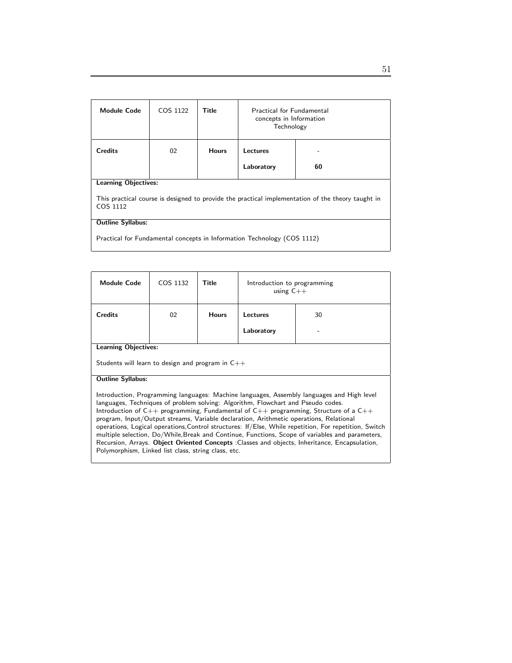| <b>Module Code</b>                                                                                            | COS 1122 | Title        | <b>Practical for Fundamental</b><br>concepts in Information<br>Technology |    |  |
|---------------------------------------------------------------------------------------------------------------|----------|--------------|---------------------------------------------------------------------------|----|--|
| <b>Credits</b>                                                                                                | 02       | <b>Hours</b> | Lectures                                                                  |    |  |
|                                                                                                               |          |              | Laboratory                                                                | 60 |  |
| Learning Objectives:                                                                                          |          |              |                                                                           |    |  |
| This practical course is designed to provide the practical implementation of the theory taught in<br>COS 1112 |          |              |                                                                           |    |  |
| <b>Outline Syllabus:</b>                                                                                      |          |              |                                                                           |    |  |
| Practical for Fundamental concepts in Information Technology (COS 1112)                                       |          |              |                                                                           |    |  |

| <b>Module Code</b>                                                                                                                                                                                                                                                                                                                                                                                                                                                                                                                                                                                                                                                                                                                                 | COS 1132 | Title        | Introduction to programming<br>using $C++$ |  |  |
|----------------------------------------------------------------------------------------------------------------------------------------------------------------------------------------------------------------------------------------------------------------------------------------------------------------------------------------------------------------------------------------------------------------------------------------------------------------------------------------------------------------------------------------------------------------------------------------------------------------------------------------------------------------------------------------------------------------------------------------------------|----------|--------------|--------------------------------------------|--|--|
| Credits                                                                                                                                                                                                                                                                                                                                                                                                                                                                                                                                                                                                                                                                                                                                            | 02       | <b>Hours</b> | 30<br><b>Lectures</b>                      |  |  |
|                                                                                                                                                                                                                                                                                                                                                                                                                                                                                                                                                                                                                                                                                                                                                    |          |              | Laboratory                                 |  |  |
| <b>Learning Objectives:</b>                                                                                                                                                                                                                                                                                                                                                                                                                                                                                                                                                                                                                                                                                                                        |          |              |                                            |  |  |
| Students will learn to design and program in $C++$                                                                                                                                                                                                                                                                                                                                                                                                                                                                                                                                                                                                                                                                                                 |          |              |                                            |  |  |
| <b>Outline Syllabus:</b>                                                                                                                                                                                                                                                                                                                                                                                                                                                                                                                                                                                                                                                                                                                           |          |              |                                            |  |  |
| Introduction, Programming languages: Machine languages, Assembly languages and High level<br>languages, Techniques of problem solving: Algorithm, Flowchart and Pseudo codes.<br>Introduction of $C_{++}$ programming, Fundamental of $C_{++}$ programming, Structure of a $C_{++}$<br>program, Input/Output streams, Variable declaration, Arithmetic operations, Relational<br>operations, Logical operations, Control structures: If/Else, While repetition, For repetition, Switch<br>multiple selection, Do/While, Break and Continue, Functions, Scope of variables and parameters,<br>Recursion, Arrays. Object Oriented Concepts : Classes and objects, Inheritance, Encapsulation,<br>Polymorphism, Linked list class, string class, etc. |          |              |                                            |  |  |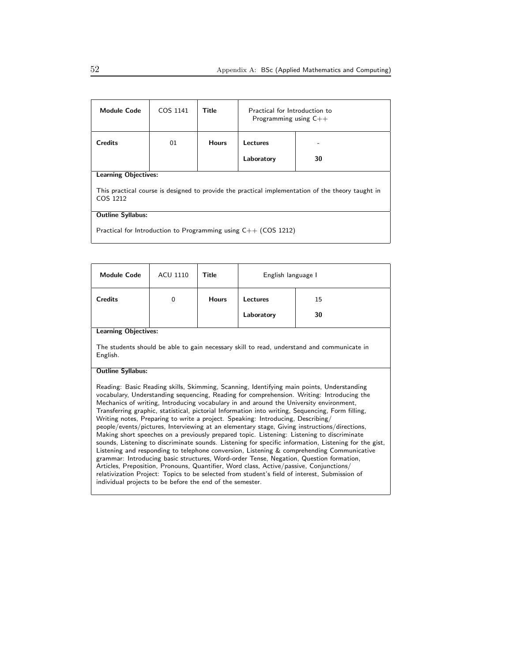| <b>Module Code</b>                                                                                            | COS 1141 | Title        | Practical for Introduction to<br>Programming using $C++$ |    |
|---------------------------------------------------------------------------------------------------------------|----------|--------------|----------------------------------------------------------|----|
| <b>Credits</b>                                                                                                | 01       | <b>Hours</b> | Lectures                                                 |    |
|                                                                                                               |          |              | Laboratory                                               | 30 |
| <b>Learning Objectives:</b>                                                                                   |          |              |                                                          |    |
| This practical course is designed to provide the practical implementation of the theory taught in<br>COS 1212 |          |              |                                                          |    |
| <b>Outline Syllabus:</b>                                                                                      |          |              |                                                          |    |
| Practical for Introduction to Programming using $C++$ (COS 1212)                                              |          |              |                                                          |    |

| <b>Module Code</b>                                                                                                                                                                                                                                                                                                                                                                                                                                                                                                                                                                                                                                                                                                                                                                                                                                                                                                                                                                                                                                                                                                                                                                                                            | <b>ACU 1110</b> | Title        | English language I |    |  |  |
|-------------------------------------------------------------------------------------------------------------------------------------------------------------------------------------------------------------------------------------------------------------------------------------------------------------------------------------------------------------------------------------------------------------------------------------------------------------------------------------------------------------------------------------------------------------------------------------------------------------------------------------------------------------------------------------------------------------------------------------------------------------------------------------------------------------------------------------------------------------------------------------------------------------------------------------------------------------------------------------------------------------------------------------------------------------------------------------------------------------------------------------------------------------------------------------------------------------------------------|-----------------|--------------|--------------------|----|--|--|
| <b>Credits</b>                                                                                                                                                                                                                                                                                                                                                                                                                                                                                                                                                                                                                                                                                                                                                                                                                                                                                                                                                                                                                                                                                                                                                                                                                | $\Omega$        | <b>Hours</b> | <b>Lectures</b>    | 15 |  |  |
|                                                                                                                                                                                                                                                                                                                                                                                                                                                                                                                                                                                                                                                                                                                                                                                                                                                                                                                                                                                                                                                                                                                                                                                                                               |                 |              | Laboratory         | 30 |  |  |
| <b>Learning Objectives:</b>                                                                                                                                                                                                                                                                                                                                                                                                                                                                                                                                                                                                                                                                                                                                                                                                                                                                                                                                                                                                                                                                                                                                                                                                   |                 |              |                    |    |  |  |
| The students should be able to gain necessary skill to read, understand and communicate in<br>English.                                                                                                                                                                                                                                                                                                                                                                                                                                                                                                                                                                                                                                                                                                                                                                                                                                                                                                                                                                                                                                                                                                                        |                 |              |                    |    |  |  |
| <b>Outline Syllabus:</b>                                                                                                                                                                                                                                                                                                                                                                                                                                                                                                                                                                                                                                                                                                                                                                                                                                                                                                                                                                                                                                                                                                                                                                                                      |                 |              |                    |    |  |  |
| Reading: Basic Reading skills, Skimming, Scanning, Identifying main points, Understanding<br>vocabulary, Understanding sequencing, Reading for comprehension. Writing: Introducing the<br>Mechanics of writing, Introducing vocabulary in and around the University environment,<br>Transferring graphic, statistical, pictorial Information into writing, Sequencing, Form filling,<br>Writing notes, Preparing to write a project. Speaking: Introducing, Describing/<br>people/events/pictures, Interviewing at an elementary stage, Giving instructions/directions,<br>Making short speeches on a previously prepared topic. Listening: Listening to discriminate<br>sounds, Listening to discriminate sounds. Listening for specific information, Listening for the gist,<br>Listening and responding to telephone conversion, Listening & comprehending Communicative<br>grammar: Introducing basic structures, Word-order Tense, Negation, Question formation,<br>Articles, Preposition, Pronouns, Quantifier, Word class, Active/passive, Conjunctions/<br>relativization Project: Topics to be selected from student's field of interest, Submission of<br>individual projects to be before the end of the semester. |                 |              |                    |    |  |  |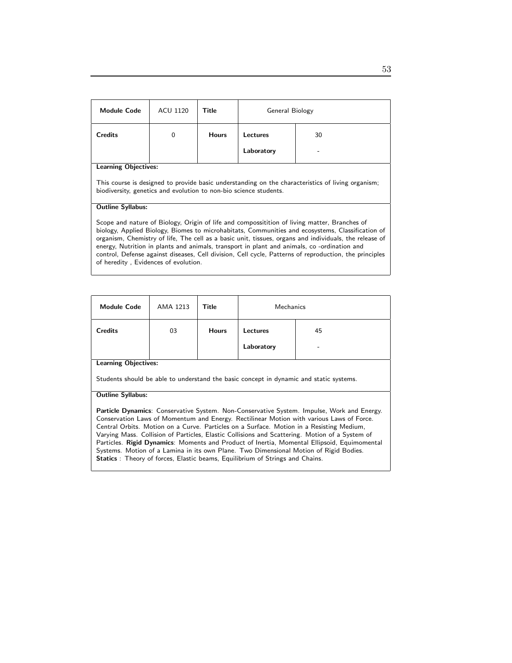| <b>Module Code</b>                                                                                                                                                                                                                                                                                                                                                                                                                                                                                                                                         | ACU 1120                                                                                                                                                               | Title        | General Biology |    |  |
|------------------------------------------------------------------------------------------------------------------------------------------------------------------------------------------------------------------------------------------------------------------------------------------------------------------------------------------------------------------------------------------------------------------------------------------------------------------------------------------------------------------------------------------------------------|------------------------------------------------------------------------------------------------------------------------------------------------------------------------|--------------|-----------------|----|--|
| <b>Credits</b>                                                                                                                                                                                                                                                                                                                                                                                                                                                                                                                                             | $\Omega$                                                                                                                                                               | <b>Hours</b> | Lectures        | 30 |  |
|                                                                                                                                                                                                                                                                                                                                                                                                                                                                                                                                                            |                                                                                                                                                                        |              | Laboratory      |    |  |
| <b>Learning Objectives:</b>                                                                                                                                                                                                                                                                                                                                                                                                                                                                                                                                |                                                                                                                                                                        |              |                 |    |  |
|                                                                                                                                                                                                                                                                                                                                                                                                                                                                                                                                                            | This course is designed to provide basic understanding on the characteristics of living organism;<br>biodiversity, genetics and evolution to non-bio science students. |              |                 |    |  |
| <b>Outline Syllabus:</b>                                                                                                                                                                                                                                                                                                                                                                                                                                                                                                                                   |                                                                                                                                                                        |              |                 |    |  |
| Scope and nature of Biology, Origin of life and compossitition of living matter, Branches of<br>biology, Applied Biology, Biomes to microhabitats, Communities and ecosystems, Classification of<br>organism, Chemistry of life, The cell as a basic unit, tissues, organs and individuals, the release of<br>energy, Nutrition in plants and animals, transport in plant and animals, co-ordination and<br>control, Defense against diseases, Cell division, Cell cycle, Patterns of reproduction, the principles<br>of heredity, Evidences of evolution. |                                                                                                                                                                        |              |                 |    |  |

| <b>Module Code</b>                                                                     | AMA 1213 | Title        | Mechanics  |    |  |
|----------------------------------------------------------------------------------------|----------|--------------|------------|----|--|
| <b>Credits</b>                                                                         | 03       | <b>Hours</b> | Lectures   | 45 |  |
|                                                                                        |          |              | Laboratory | -  |  |
| <b>Learning Objectives:</b>                                                            |          |              |            |    |  |
| Students should be able to understand the basic concept in dynamic and static systems. |          |              |            |    |  |

#### Outline Syllabus:

Particle Dynamics: Conservative System. Non-Conservative System. Impulse, Work and Energy. Conservation Laws of Momentum and Energy. Rectilinear Motion with various Laws of Force. Central Orbits. Motion on a Curve. Particles on a Surface. Motion in a Resisting Medium, Varying Mass. Collision of Particles, Elastic Collisions and Scattering. Motion of a System of Particles. Rigid Dynamics: Moments and Product of Inertia, Momental Ellipsoid, Equimomental Systems. Motion of a Lamina in its own Plane. Two Dimensional Motion of Rigid Bodies. Statics : Theory of forces, Elastic beams, Equilibrium of Strings and Chains.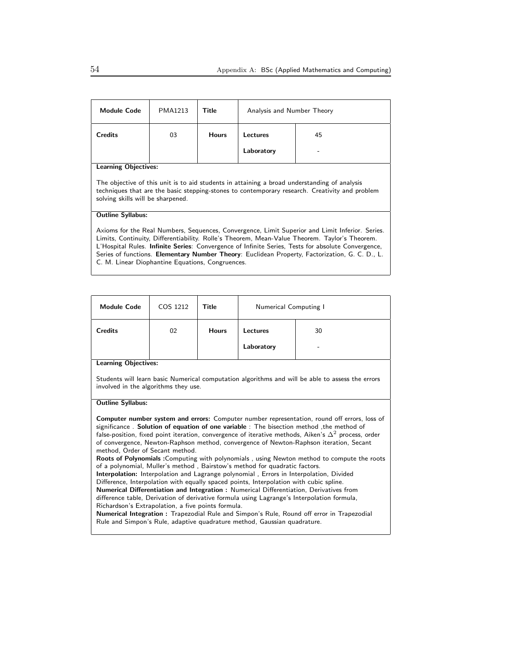| <b>Module Code</b>                                                                                                                                                                                                                                                                                                                                                                                       | <b>PMA1213</b> | Title        | Analysis and Number Theory |    |
|----------------------------------------------------------------------------------------------------------------------------------------------------------------------------------------------------------------------------------------------------------------------------------------------------------------------------------------------------------------------------------------------------------|----------------|--------------|----------------------------|----|
| <b>Credits</b>                                                                                                                                                                                                                                                                                                                                                                                           | 03             | <b>Hours</b> | Lectures                   | 45 |
|                                                                                                                                                                                                                                                                                                                                                                                                          |                |              | Laboratory                 |    |
| <b>Learning Objectives:</b>                                                                                                                                                                                                                                                                                                                                                                              |                |              |                            |    |
| The objective of this unit is to aid students in attaining a broad understanding of analysis<br>techniques that are the basic stepping-stones to contemporary research. Creativity and problem<br>solving skills will be sharpened.                                                                                                                                                                      |                |              |                            |    |
| <b>Outline Syllabus:</b>                                                                                                                                                                                                                                                                                                                                                                                 |                |              |                            |    |
| Axioms for the Real Numbers, Sequences, Convergence, Limit Superior and Limit Inferior. Series.<br>Limits, Continuity, Differentiability. Rolle's Theorem, Mean-Value Theorem. Taylor's Theorem.<br>L'Hospital Rules. Infinite Series: Convergence of Infinite Series, Tests for absolute Convergence,<br>Series of functions. Elementary Number Theory: Euclidean Property, Factorization, G. C. D., L. |                |              |                            |    |

C. M. Linear Diophantine Equations, Congruences.

| <b>Module Code</b>      | COS 1212 | Title        | Numerical Computing I  |         |
|-------------------------|----------|--------------|------------------------|---------|
| <b>Credits</b><br>- - - | 02       | <b>Hours</b> | Lectures<br>Laboratory | 30<br>۰ |

Learning Objectives:

Students will learn basic Numerical computation algorithms and will be able to assess the errors involved in the algorithms they use.

#### Outline Syllabus:

Computer number system and errors: Computer number representation, round off errors, loss of significance . Solution of equation of one variable : The bisection method ,the method of false-position, fixed point iteration, convergence of iterative methods, Aiken's  $\Delta^2$  process, order of convergence, Newton-Raphson method, convergence of Newton-Raphson iteration, Secant method, Order of Secant method.

Roots of Polynomials :Computing with polynomials , using Newton method to compute the roots of a polynomial, Muller's method , Bairstow's method for quadratic factors.

Interpolation: Interpolation and Lagrange polynomial , Errors in Interpolation, Divided Difference, Interpolation with equally spaced points, Interpolation with cubic spline. Numerical Differentiation and Integration : Numerical Differentiation, Derivatives from difference table, Derivation of derivative formula using Lagrange's Interpolation formula,

Richardson's Extrapolation, a five points formula.

Numerical Integration : Trapezodial Rule and Simpon's Rule, Round off error in Trapezodial Rule and Simpon's Rule, adaptive quadrature method, Gaussian quadrature.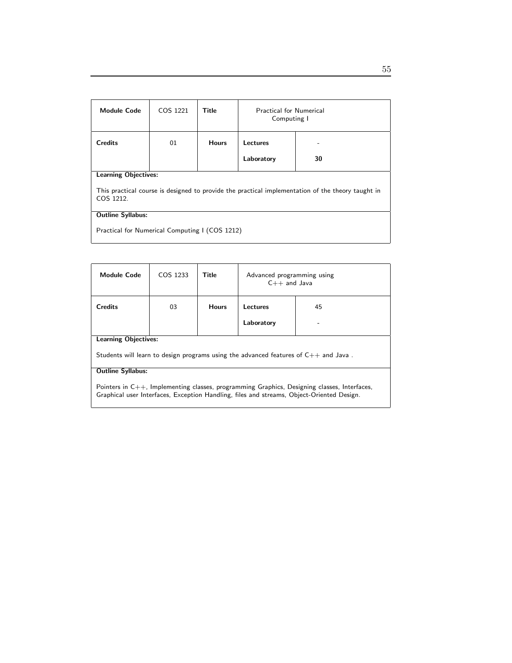| <b>Module Code</b>                                                                                             | COS 1221 | Title        | <b>Practical for Numerical</b><br>Computing I |    |  |
|----------------------------------------------------------------------------------------------------------------|----------|--------------|-----------------------------------------------|----|--|
| <b>Credits</b>                                                                                                 | 01       | <b>Hours</b> | Lectures                                      |    |  |
|                                                                                                                |          |              | Laboratory                                    | 30 |  |
| <b>Learning Objectives:</b>                                                                                    |          |              |                                               |    |  |
| This practical course is designed to provide the practical implementation of the theory taught in<br>COS 1212. |          |              |                                               |    |  |
| <b>Outline Syllabus:</b>                                                                                       |          |              |                                               |    |  |
| Practical for Numerical Computing I (COS 1212)                                                                 |          |              |                                               |    |  |

| <b>Module Code</b>                                                                                                                                                                       | COS 1233                                                                                 | Title        | Advanced programming using<br>$C++$ and Java |    |  |
|------------------------------------------------------------------------------------------------------------------------------------------------------------------------------------------|------------------------------------------------------------------------------------------|--------------|----------------------------------------------|----|--|
| <b>Credits</b>                                                                                                                                                                           | 03                                                                                       | <b>Hours</b> | Lectures                                     | 45 |  |
|                                                                                                                                                                                          |                                                                                          |              | Laboratory                                   |    |  |
|                                                                                                                                                                                          | <b>Learning Objectives:</b>                                                              |              |                                              |    |  |
|                                                                                                                                                                                          | Students will learn to design programs using the advanced features of $C_{++}$ and Java. |              |                                              |    |  |
| <b>Outline Syllabus:</b>                                                                                                                                                                 |                                                                                          |              |                                              |    |  |
| Pointers in C++, Implementing classes, programming Graphics, Designing classes, Interfaces,<br>Graphical user Interfaces, Exception Handling, files and streams, Object-Oriented Design. |                                                                                          |              |                                              |    |  |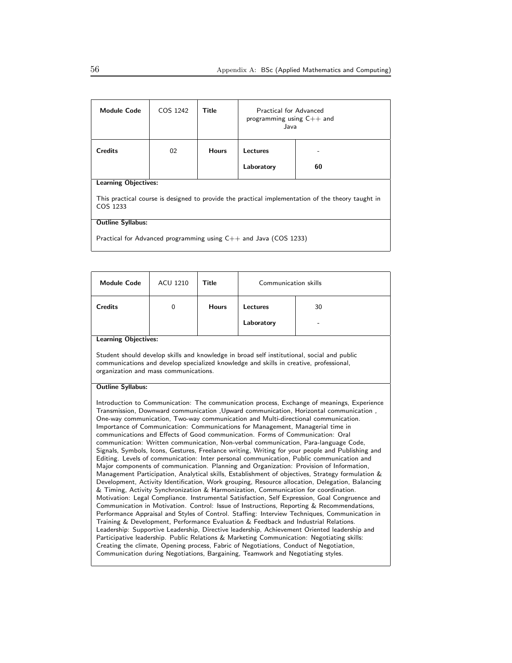| <b>Module Code</b>                                                                                            | COS 1242 | Title        | Practical for Advanced<br>programming using $C++$ and<br>Java |    |
|---------------------------------------------------------------------------------------------------------------|----------|--------------|---------------------------------------------------------------|----|
| <b>Credits</b>                                                                                                | 02       | <b>Hours</b> | Lectures                                                      |    |
|                                                                                                               |          |              | Laboratory                                                    | 60 |
| <b>Learning Objectives:</b>                                                                                   |          |              |                                                               |    |
| This practical course is designed to provide the practical implementation of the theory taught in<br>COS 1233 |          |              |                                                               |    |
| <b>Outline Syllabus:</b>                                                                                      |          |              |                                                               |    |
| Practical for Advanced programming using $C++$ and Java (COS 1233)                                            |          |              |                                                               |    |

| <b>Module Code</b>          | <b>ACU 1210</b> | Title        | Communication skills          |         |
|-----------------------------|-----------------|--------------|-------------------------------|---------|
| <b>Credits</b>              | 0               | <b>Hours</b> | <b>Lectures</b><br>Laboratory | 30<br>- |
| <b>Learning Objectives:</b> |                 |              |                               |         |

Student should develop skills and knowledge in broad self institutional, social and public communications and develop specialized knowledge and skills in creative, professional, organization and mass communications.

#### Outline Syllabus:

Introduction to Communication: The communication process, Exchange of meanings, Experience Transmission, Downward communication ,Upward communication, Horizontal communication , One-way communication, Two-way communication and Multi-directional communication. Importance of Communication: Communications for Management, Managerial time in communications and Effects of Good communication. Forms of Communication: Oral communication: Written communication, Non-verbal communication, Para-language Code, Signals, Symbols, Icons, Gestures, Freelance writing, Writing for your people and Publishing and Editing. Levels of communication: Inter personal communication, Public communication and Major components of communication. Planning and Organization: Provision of Information, Management Participation, Analytical skills, Establishment of objectives, Strategy formulation & Development, Activity Identification, Work grouping, Resource allocation, Delegation, Balancing & Timing, Activity Synchronization & Harmonization, Communication for coordination. Motivation: Legal Compliance. Instrumental Satisfaction, Self Expression, Goal Congruence and Communication in Motivation. Control: Issue of Instructions, Reporting & Recommendations, Performance Appraisal and Styles of Control. Staffing: Interview Techniques, Communication in Training & Development, Performance Evaluation & Feedback and Industrial Relations. Leadership: Supportive Leadership, Directive leadership, Achievement Oriented leadership and Participative leadership. Public Relations & Marketing Communication: Negotiating skills: Creating the climate, Opening process, Fabric of Negotiations, Conduct of Negotiation, Communication during Negotiations, Bargaining, Teamwork and Negotiating styles.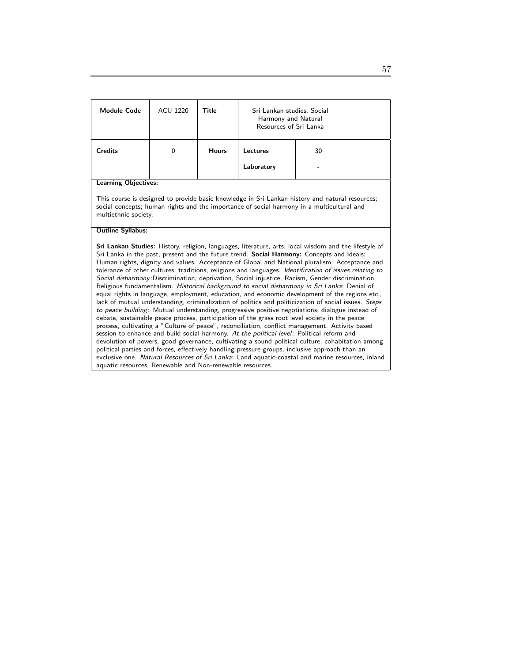| <b>Module Code</b>          | ACU 1220 | Title        | Sri Lankan studies, Social<br>Harmony and Natural<br>Resources of Sri Lanka |                                                                                                 |
|-----------------------------|----------|--------------|-----------------------------------------------------------------------------|-------------------------------------------------------------------------------------------------|
| <b>Credits</b>              | $\Omega$ | <b>Hours</b> | Lectures<br>Laboratory                                                      | 30                                                                                              |
| <b>Learning Objectives:</b> |          |              |                                                                             | This course is designed to provide basic knowledge in Sri Lankan history and natural resources; |

social concepts; human rights and the importance of social harmony in a multicultural and multiethnic society.

#### Outline Syllabus:

Sri Lankan Studies: History, religion, languages, literature, arts, local wisdom and the lifestyle of Sri Lanka in the past, present and the future trend. Social Harmony: Concepts and Ideals: Human rights, dignity and values. Acceptance of Global and National pluralism. Acceptance and tolerance of other cultures, traditions, religions and languages. Identification of issues relating to Social disharmony:Discrimination, deprivation, Social injustice, Racism, Gender discrimination, Religious fundamentalism. Historical background to social disharmony in Sri Lanka: Denial of equal rights in language, employment, education, and economic development of the regions etc., lack of mutual understanding, criminalization of politics and politicization of social issues. Steps to peace building: Mutual understanding, progressive positive negotiations, dialogue instead of debate, sustainable peace process, participation of the grass root level society in the peace process, cultivating a "Culture of peace", reconciliation, conflict management. Activity based session to enhance and build social harmony. At the political level: Political reform and devolution of powers, good governance, cultivating a sound political culture, cohabitation among political parties and forces, effectively handling pressure groups, inclusive approach than an exclusive one. Natural Resources of Sri Lanka: Land aquatic-coastal and marine resources, inland aquatic resources, Renewable and Non-renewable resources.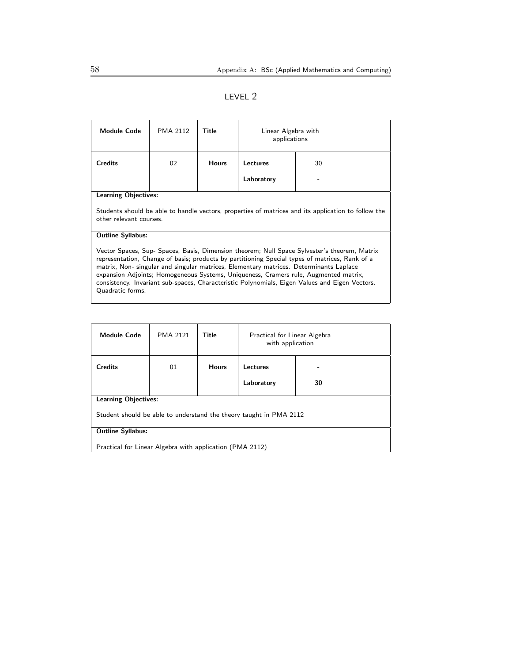|--|--|

| <b>Module Code</b>                                                                                                                                                                                                                                                                                                                                                                                                                                                                                     | <b>PMA 2112</b> | Title        | Linear Algebra with<br>applications |  |  |
|--------------------------------------------------------------------------------------------------------------------------------------------------------------------------------------------------------------------------------------------------------------------------------------------------------------------------------------------------------------------------------------------------------------------------------------------------------------------------------------------------------|-----------------|--------------|-------------------------------------|--|--|
| <b>Credits</b>                                                                                                                                                                                                                                                                                                                                                                                                                                                                                         | 02              | <b>Hours</b> | 30<br>Lectures                      |  |  |
|                                                                                                                                                                                                                                                                                                                                                                                                                                                                                                        |                 |              | Laboratory                          |  |  |
| <b>Learning Objectives:</b>                                                                                                                                                                                                                                                                                                                                                                                                                                                                            |                 |              |                                     |  |  |
| Students should be able to handle vectors, properties of matrices and its application to follow the<br>other relevant courses                                                                                                                                                                                                                                                                                                                                                                          |                 |              |                                     |  |  |
| <b>Outline Syllabus:</b>                                                                                                                                                                                                                                                                                                                                                                                                                                                                               |                 |              |                                     |  |  |
| Vector Spaces, Sup- Spaces, Basis, Dimension theorem; Null Space Sylvester's theorem, Matrix<br>representation, Change of basis; products by partitioning Special types of matrices, Rank of a<br>matrix, Non- singular and singular matrices, Elementary matrices. Determinants Laplace<br>expansion Adjoints; Homogeneous Systems, Uniqueness, Cramers rule, Augmented matrix,<br>consistency. Invariant sub-spaces, Characteristic Polynomials, Eigen Values and Eigen Vectors.<br>Quadratic forms. |                 |              |                                     |  |  |

| <b>Module Code</b>                                                 | <b>PMA 2121</b>                                          | Title        | Practical for Linear Algebra<br>with application |    |  |
|--------------------------------------------------------------------|----------------------------------------------------------|--------------|--------------------------------------------------|----|--|
| <b>Credits</b>                                                     | 01                                                       | <b>Hours</b> | <b>Lectures</b>                                  | -  |  |
|                                                                    |                                                          |              | Laboratory                                       | 30 |  |
| <b>Learning Objectives:</b>                                        |                                                          |              |                                                  |    |  |
| Student should be able to understand the theory taught in PMA 2112 |                                                          |              |                                                  |    |  |
| <b>Outline Syllabus:</b>                                           |                                                          |              |                                                  |    |  |
|                                                                    | Practical for Linear Algebra with application (PMA 2112) |              |                                                  |    |  |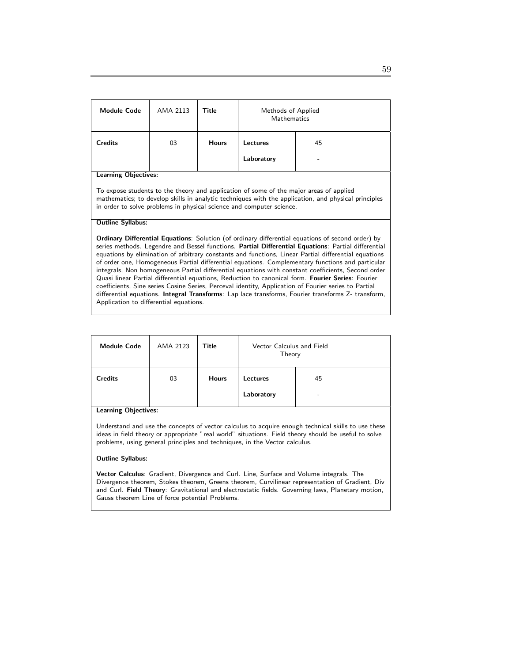| <b>Module Code</b>                                                                                                                                                                                                                                                                                                                                                                                                                                                                                                                                                                                                                                                                                                                                                                                                                                                               | AMA 2113 | Title        | Methods of Applied<br><b>Mathematics</b> |    |  |
|----------------------------------------------------------------------------------------------------------------------------------------------------------------------------------------------------------------------------------------------------------------------------------------------------------------------------------------------------------------------------------------------------------------------------------------------------------------------------------------------------------------------------------------------------------------------------------------------------------------------------------------------------------------------------------------------------------------------------------------------------------------------------------------------------------------------------------------------------------------------------------|----------|--------------|------------------------------------------|----|--|
| <b>Credits</b>                                                                                                                                                                                                                                                                                                                                                                                                                                                                                                                                                                                                                                                                                                                                                                                                                                                                   | 03       | <b>Hours</b> | Lectures                                 | 45 |  |
|                                                                                                                                                                                                                                                                                                                                                                                                                                                                                                                                                                                                                                                                                                                                                                                                                                                                                  |          |              | Laboratory                               |    |  |
| <b>Learning Objectives:</b><br>To expose students to the theory and application of some of the major areas of applied<br>mathematics; to develop skills in analytic techniques with the application, and physical principles<br>in order to solve problems in physical science and computer science.                                                                                                                                                                                                                                                                                                                                                                                                                                                                                                                                                                             |          |              |                                          |    |  |
| <b>Outline Syllabus:</b><br><b>Ordinary Differential Equations:</b> Solution (of ordinary differential equations of second order) by<br>series methods. Legendre and Bessel functions. Partial Differential Equations: Partial differential<br>equations by elimination of arbitrary constants and functions, Linear Partial differential equations<br>of order one, Homogeneous Partial differential equations. Complementary functions and particular<br>integrals, Non homogeneous Partial differential equations with constant coefficients, Second order<br>Quasi linear Partial differential equations, Reduction to canonical form. Fourier Series: Fourier<br>coefficients, Sine series Cosine Series, Perceval identity, Application of Fourier series to Partial<br>differential equations. Integral Transforms: Lap lace transforms, Fourier transforms Z- transform, |          |              |                                          |    |  |

Application to differential equations.

| <b>Module Code</b> | AMA 2123 | Title        | Vector Calculus and Field<br>Theory |         |
|--------------------|----------|--------------|-------------------------------------|---------|
| <b>Credits</b>     | 03       | <b>Hours</b> | Lectures<br>Laboratory              | 45<br>- |

Learning Objectives:

Understand and use the concepts of vector calculus to acquire enough technical skills to use these ideas in field theory or appropriate "real world" situations. Field theory should be useful to solve problems, using general principles and techniques, in the Vector calculus.

#### Outline Syllabus:

Vector Calculus: Gradient, Divergence and Curl. Line, Surface and Volume integrals. The Divergence theorem, Stokes theorem, Greens theorem, Curvilinear representation of Gradient, Div and Curl. Field Theory: Gravitational and electrostatic fields. Governing laws, Planetary motion, Gauss theorem Line of force potential Problems.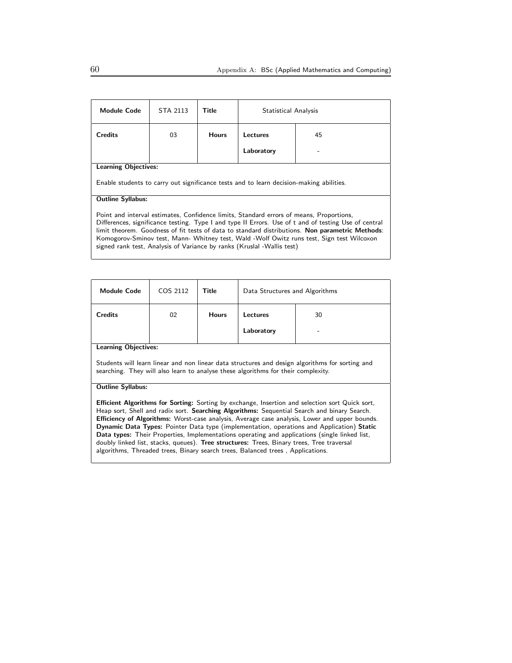| <b>Module Code</b>                                                                                                                                                                                                                                                                                                                                                                                                                                                        | STA 2113 | Title        | Statistical Analysis |    |  |
|---------------------------------------------------------------------------------------------------------------------------------------------------------------------------------------------------------------------------------------------------------------------------------------------------------------------------------------------------------------------------------------------------------------------------------------------------------------------------|----------|--------------|----------------------|----|--|
| Credits                                                                                                                                                                                                                                                                                                                                                                                                                                                                   | 03       | <b>Hours</b> | Lectures             | 45 |  |
|                                                                                                                                                                                                                                                                                                                                                                                                                                                                           |          |              | Laboratory           |    |  |
| <b>Learning Objectives:</b>                                                                                                                                                                                                                                                                                                                                                                                                                                               |          |              |                      |    |  |
| Enable students to carry out significance tests and to learn decision-making abilities.                                                                                                                                                                                                                                                                                                                                                                                   |          |              |                      |    |  |
| <b>Outline Syllabus:</b>                                                                                                                                                                                                                                                                                                                                                                                                                                                  |          |              |                      |    |  |
| Point and interval estimates, Confidence limits, Standard errors of means, Proportions,<br>Differences, significance testing. Type I and type II Errors. Use of t and of testing Use of central<br>limit theorem. Goodness of fit tests of data to standard distributions. Non parametric Methods:<br>Komogorov-Sminov test, Mann- Whitney test, Wald -Wolf Owitz runs test, Sign test Wilcoxon<br>signed rank test, Analysis of Variance by ranks (Kruslal -Wallis test) |          |              |                      |    |  |

| <b>Module Code</b>                                                                                                                                                                                                                                                                                                                                                                                                                                                                                                                                                                                                                                                                         | COS 2112                    | Title        | Data Structures and Algorithms |    |  |
|--------------------------------------------------------------------------------------------------------------------------------------------------------------------------------------------------------------------------------------------------------------------------------------------------------------------------------------------------------------------------------------------------------------------------------------------------------------------------------------------------------------------------------------------------------------------------------------------------------------------------------------------------------------------------------------------|-----------------------------|--------------|--------------------------------|----|--|
| <b>Credits</b>                                                                                                                                                                                                                                                                                                                                                                                                                                                                                                                                                                                                                                                                             | 02                          | <b>Hours</b> | <b>Lectures</b>                | 30 |  |
|                                                                                                                                                                                                                                                                                                                                                                                                                                                                                                                                                                                                                                                                                            |                             |              | Laboratory                     |    |  |
|                                                                                                                                                                                                                                                                                                                                                                                                                                                                                                                                                                                                                                                                                            | <b>Learning Objectives:</b> |              |                                |    |  |
| Students will learn linear and non linear data structures and design algorithms for sorting and<br>searching. They will also learn to analyse these algorithms for their complexity.                                                                                                                                                                                                                                                                                                                                                                                                                                                                                                       |                             |              |                                |    |  |
| <b>Outline Syllabus:</b>                                                                                                                                                                                                                                                                                                                                                                                                                                                                                                                                                                                                                                                                   |                             |              |                                |    |  |
| <b>Efficient Algorithms for Sorting:</b> Sorting by exchange, Insertion and selection sort Quick sort,<br>Heap sort, Shell and radix sort. Searching Algorithms: Sequential Search and binary Search.<br><b>Efficiency of Algorithms:</b> Worst-case analysis, Average case analysis, Lower and upper bounds.<br>Dynamic Data Types: Pointer Data type (implementation, operations and Application) Static<br>Data types: Their Properties, Implementations operating and applications (single linked list,<br>doubly linked list, stacks, queues). Tree structures: Trees, Binary trees, Tree traversal<br>algorithms, Threaded trees, Binary search trees, Balanced trees, Applications. |                             |              |                                |    |  |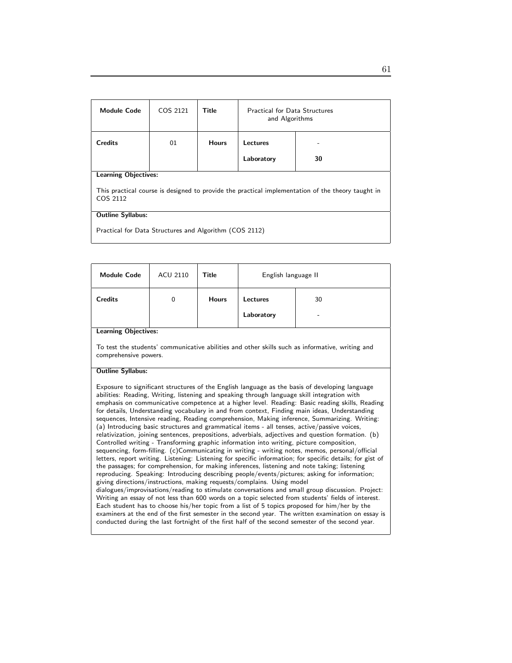| <b>Module Code</b>                                                                                            | COS 2121 | Title        | <b>Practical for Data Structures</b><br>and Algorithms |    |  |
|---------------------------------------------------------------------------------------------------------------|----------|--------------|--------------------------------------------------------|----|--|
| <b>Credits</b>                                                                                                | 01       | <b>Hours</b> | Lectures                                               |    |  |
|                                                                                                               |          |              | Laboratory                                             | 30 |  |
| <b>Learning Objectives:</b>                                                                                   |          |              |                                                        |    |  |
| This practical course is designed to provide the practical implementation of the theory taught in<br>COS 2112 |          |              |                                                        |    |  |
| <b>Outline Syllabus:</b>                                                                                      |          |              |                                                        |    |  |
| Practical for Data Structures and Algorithm (COS 2112)                                                        |          |              |                                                        |    |  |

| <b>Module Code</b>                                                                                                                                                                                                                                                                                                                                                                                                                                                                                                                                                                                                                                                                                                                                                                                                                                                                                                                                                                                                                                                                                                                                                                                                                                                                                                                                                                                                                                                                                                                                                                                                                                                                                                                                                                                               | <b>ACU 2110</b>                                                                                                          | Title        | English language II |    |  |  |
|------------------------------------------------------------------------------------------------------------------------------------------------------------------------------------------------------------------------------------------------------------------------------------------------------------------------------------------------------------------------------------------------------------------------------------------------------------------------------------------------------------------------------------------------------------------------------------------------------------------------------------------------------------------------------------------------------------------------------------------------------------------------------------------------------------------------------------------------------------------------------------------------------------------------------------------------------------------------------------------------------------------------------------------------------------------------------------------------------------------------------------------------------------------------------------------------------------------------------------------------------------------------------------------------------------------------------------------------------------------------------------------------------------------------------------------------------------------------------------------------------------------------------------------------------------------------------------------------------------------------------------------------------------------------------------------------------------------------------------------------------------------------------------------------------------------|--------------------------------------------------------------------------------------------------------------------------|--------------|---------------------|----|--|--|
| <b>Credits</b>                                                                                                                                                                                                                                                                                                                                                                                                                                                                                                                                                                                                                                                                                                                                                                                                                                                                                                                                                                                                                                                                                                                                                                                                                                                                                                                                                                                                                                                                                                                                                                                                                                                                                                                                                                                                   | $\Omega$                                                                                                                 | <b>Hours</b> | <b>Lectures</b>     | 30 |  |  |
|                                                                                                                                                                                                                                                                                                                                                                                                                                                                                                                                                                                                                                                                                                                                                                                                                                                                                                                                                                                                                                                                                                                                                                                                                                                                                                                                                                                                                                                                                                                                                                                                                                                                                                                                                                                                                  |                                                                                                                          |              | Laboratory          |    |  |  |
| <b>Learning Objectives:</b>                                                                                                                                                                                                                                                                                                                                                                                                                                                                                                                                                                                                                                                                                                                                                                                                                                                                                                                                                                                                                                                                                                                                                                                                                                                                                                                                                                                                                                                                                                                                                                                                                                                                                                                                                                                      |                                                                                                                          |              |                     |    |  |  |
|                                                                                                                                                                                                                                                                                                                                                                                                                                                                                                                                                                                                                                                                                                                                                                                                                                                                                                                                                                                                                                                                                                                                                                                                                                                                                                                                                                                                                                                                                                                                                                                                                                                                                                                                                                                                                  | To test the students' communicative abilities and other skills such as informative, writing and<br>comprehensive powers. |              |                     |    |  |  |
| <b>Outline Syllabus:</b>                                                                                                                                                                                                                                                                                                                                                                                                                                                                                                                                                                                                                                                                                                                                                                                                                                                                                                                                                                                                                                                                                                                                                                                                                                                                                                                                                                                                                                                                                                                                                                                                                                                                                                                                                                                         |                                                                                                                          |              |                     |    |  |  |
| Exposure to significant structures of the English language as the basis of developing language<br>abilities: Reading, Writing, listening and speaking through language skill integration with<br>emphasis on communicative competence at a higher level. Reading: Basic reading skills, Reading<br>for details, Understanding vocabulary in and from context, Finding main ideas, Understanding<br>sequences, Intensive reading, Reading comprehension, Making inference, Summarizing. Writing:<br>(a) Introducing basic structures and grammatical items - all tenses, active/passive voices,<br>relativization, joining sentences, prepositions, adverbials, adjectives and question formation. (b)<br>Controlled writing - Transforming graphic information into writing, picture composition,<br>sequencing, form-filling. (c)Communicating in writing - writing notes, memos, personal/official<br>letters, report writing. Listening: Listening for specific information; for specific details; for gist of<br>the passages; for comprehension, for making inferences, listening and note taking; listening<br>reproducing. Speaking: Introducing describing people/events/pictures; asking for information;<br>giving directions/instructions, making requests/complains. Using model<br>dialogues/improvisations/reading to stimulate conversations and small group discussion. Project:<br>Writing an essay of not less than 600 words on a topic selected from students' fields of interest.<br>Each student has to choose his/her topic from a list of 5 topics proposed for him/her by the<br>examiners at the end of the first semester in the second year. The written examination on essay is<br>conducted during the last fortnight of the first half of the second semester of the second year. |                                                                                                                          |              |                     |    |  |  |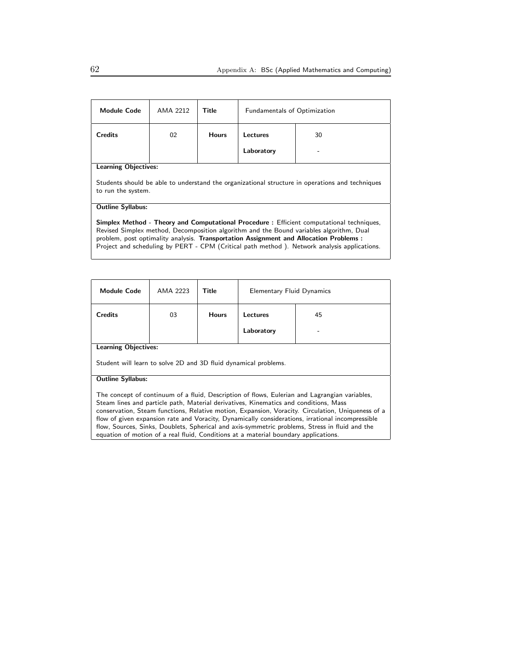| AMA 2212                                                                                                                                                                                                                                                                                                                                                                      | Title        | <b>Fundamentals of Optimization</b> |    |  |  |
|-------------------------------------------------------------------------------------------------------------------------------------------------------------------------------------------------------------------------------------------------------------------------------------------------------------------------------------------------------------------------------|--------------|-------------------------------------|----|--|--|
| 02                                                                                                                                                                                                                                                                                                                                                                            | <b>Hours</b> | Lectures                            | 30 |  |  |
|                                                                                                                                                                                                                                                                                                                                                                               |              | Laboratory                          |    |  |  |
| <b>Learning Objectives:</b>                                                                                                                                                                                                                                                                                                                                                   |              |                                     |    |  |  |
| Students should be able to understand the organizational structure in operations and techniques<br>to run the system.                                                                                                                                                                                                                                                         |              |                                     |    |  |  |
|                                                                                                                                                                                                                                                                                                                                                                               |              |                                     |    |  |  |
| Simplex Method - Theory and Computational Procedure : Efficient computational techniques,<br>Revised Simplex method, Decomposition algorithm and the Bound variables algorithm, Dual<br>problem, post optimality analysis. Transportation Assignment and Allocation Problems :<br>Project and scheduling by PERT - CPM (Critical path method). Network analysis applications. |              |                                     |    |  |  |
|                                                                                                                                                                                                                                                                                                                                                                               |              |                                     |    |  |  |

| <b>Module Code</b>                                                                                                                                                                                                                                                                                                                                                                                                                                                                                                                                                                      | AMA 2223 | Title        | <b>Elementary Fluid Dynamics</b> |    |
|-----------------------------------------------------------------------------------------------------------------------------------------------------------------------------------------------------------------------------------------------------------------------------------------------------------------------------------------------------------------------------------------------------------------------------------------------------------------------------------------------------------------------------------------------------------------------------------------|----------|--------------|----------------------------------|----|
| <b>Credits</b>                                                                                                                                                                                                                                                                                                                                                                                                                                                                                                                                                                          | 03       | <b>Hours</b> | <b>Lectures</b>                  | 45 |
|                                                                                                                                                                                                                                                                                                                                                                                                                                                                                                                                                                                         |          |              | Laboratory                       |    |
| <b>Learning Objectives:</b>                                                                                                                                                                                                                                                                                                                                                                                                                                                                                                                                                             |          |              |                                  |    |
| Student will learn to solve 2D and 3D fluid dynamical problems.                                                                                                                                                                                                                                                                                                                                                                                                                                                                                                                         |          |              |                                  |    |
| <b>Outline Syllabus:</b>                                                                                                                                                                                                                                                                                                                                                                                                                                                                                                                                                                |          |              |                                  |    |
| The concept of continuum of a fluid, Description of flows, Eulerian and Lagrangian variables,<br>Steam lines and particle path, Material derivatives, Kinematics and conditions, Mass<br>conservation, Steam functions, Relative motion, Expansion, Voracity. Circulation, Uniqueness of a<br>flow of given expansion rate and Voracity, Dynamically considerations, irrational incompressible<br>flow, Sources, Sinks, Doublets, Spherical and axis-symmetric problems, Stress in fluid and the<br>equation of motion of a real fluid, Conditions at a material boundary applications. |          |              |                                  |    |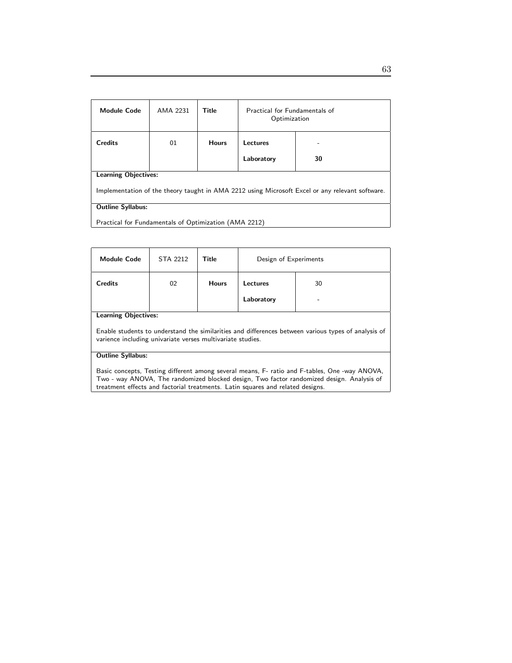| <b>Module Code</b>                                                                                                             | AMA 2231 | <b>Title</b> | Practical for Fundamentals of<br>Optimization |    |  |
|--------------------------------------------------------------------------------------------------------------------------------|----------|--------------|-----------------------------------------------|----|--|
| <b>Credits</b>                                                                                                                 | 01       | <b>Hours</b> | Lectures<br>Laboratory                        | 30 |  |
| <b>Learning Objectives:</b><br>Implementation of the theory taught in AMA 2212 using Microsoft Excel or any relevant software. |          |              |                                               |    |  |
| <b>Outline Syllabus:</b><br>Practical for Fundamentals of Optimization (AMA 2212)                                              |          |              |                                               |    |  |

| <b>Module Code</b>                                                                                                                                                                                                                                                           | STA 2212 | Title        | Design of Experiments |    |  |
|------------------------------------------------------------------------------------------------------------------------------------------------------------------------------------------------------------------------------------------------------------------------------|----------|--------------|-----------------------|----|--|
| <b>Credits</b>                                                                                                                                                                                                                                                               | 02       | <b>Hours</b> | Lectures              | 30 |  |
|                                                                                                                                                                                                                                                                              |          |              | Laboratory            |    |  |
| <b>Learning Objectives:</b>                                                                                                                                                                                                                                                  |          |              |                       |    |  |
| Enable students to understand the similarities and differences between various types of analysis of<br>varience including univariate verses multivariate studies.                                                                                                            |          |              |                       |    |  |
| <b>Outline Syllabus:</b>                                                                                                                                                                                                                                                     |          |              |                       |    |  |
| Basic concepts, Testing different among several means, F- ratio and F-tables, One -way ANOVA,<br>Two - way ANOVA, The randomized blocked design, Two factor randomized design. Analysis of<br>treatment effects and factorial treatments. Latin squares and related designs. |          |              |                       |    |  |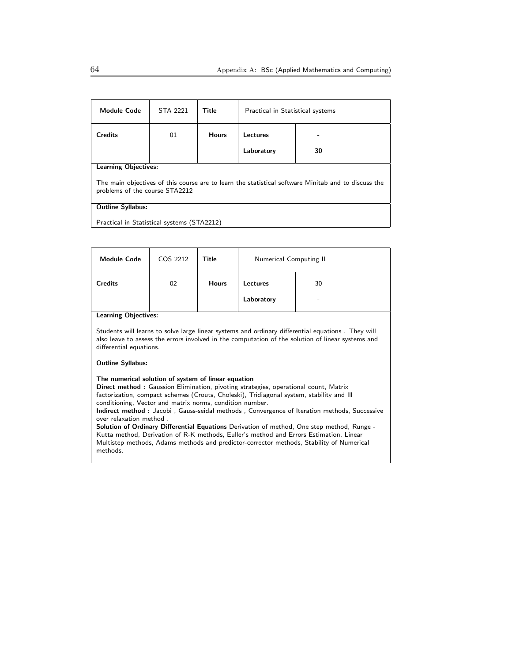| <b>Module Code</b>                                                                                                                    | <b>STA 2221</b> | Title        | Practical in Statistical systems |    |  |
|---------------------------------------------------------------------------------------------------------------------------------------|-----------------|--------------|----------------------------------|----|--|
| <b>Credits</b>                                                                                                                        | 01              | <b>Hours</b> | Lectures                         |    |  |
|                                                                                                                                       |                 |              | Laboratory                       | 30 |  |
| <b>Learning Objectives:</b>                                                                                                           |                 |              |                                  |    |  |
| The main objectives of this course are to learn the statistical software Minitab and to discuss the<br>problems of the course STA2212 |                 |              |                                  |    |  |
| <b>Outline Syllabus:</b>                                                                                                              |                 |              |                                  |    |  |
| Practical in Statistical systems (STA2212)                                                                                            |                 |              |                                  |    |  |

| <b>Module Code</b>                                                                                                                                                                                                                                                                                                                                                                                                                                                                                                                                                                                                                                                                                                                        | COS 2212 | Title        | Numerical Computing II |    |  |  |
|-------------------------------------------------------------------------------------------------------------------------------------------------------------------------------------------------------------------------------------------------------------------------------------------------------------------------------------------------------------------------------------------------------------------------------------------------------------------------------------------------------------------------------------------------------------------------------------------------------------------------------------------------------------------------------------------------------------------------------------------|----------|--------------|------------------------|----|--|--|
| <b>Credits</b>                                                                                                                                                                                                                                                                                                                                                                                                                                                                                                                                                                                                                                                                                                                            | 02       | <b>Hours</b> | Lectures               | 30 |  |  |
|                                                                                                                                                                                                                                                                                                                                                                                                                                                                                                                                                                                                                                                                                                                                           |          |              | Laboratory             |    |  |  |
| <b>Learning Objectives:</b>                                                                                                                                                                                                                                                                                                                                                                                                                                                                                                                                                                                                                                                                                                               |          |              |                        |    |  |  |
| Students will learns to solve large linear systems and ordinary differential equations. They will<br>also leave to assess the errors involved in the computation of the solution of linear systems and<br>differential equations.                                                                                                                                                                                                                                                                                                                                                                                                                                                                                                         |          |              |                        |    |  |  |
| <b>Outline Syllabus:</b>                                                                                                                                                                                                                                                                                                                                                                                                                                                                                                                                                                                                                                                                                                                  |          |              |                        |    |  |  |
| The numerical solution of system of linear equation<br><b>Direct method:</b> Gaussion Elimination, pivoting strategies, operational count, Matrix<br>factorization, compact schemes (Crouts, Choleski), Tridiagonal system, stability and Ill<br>conditioning, Vector and matrix norms, condition number.<br>Indirect method: Jacobi, Gauss-seidal methods, Convergence of Iteration methods, Successive<br>over relaxation method<br><b>Solution of Ordinary Differential Equations</b> Derivation of method, One step method, Runge -<br>Kutta method, Derivation of R-K methods, Euller's method and Errors Estimation, Linear<br>Multistep methods, Adams methods and predictor-corrector methods, Stability of Numerical<br>methods. |          |              |                        |    |  |  |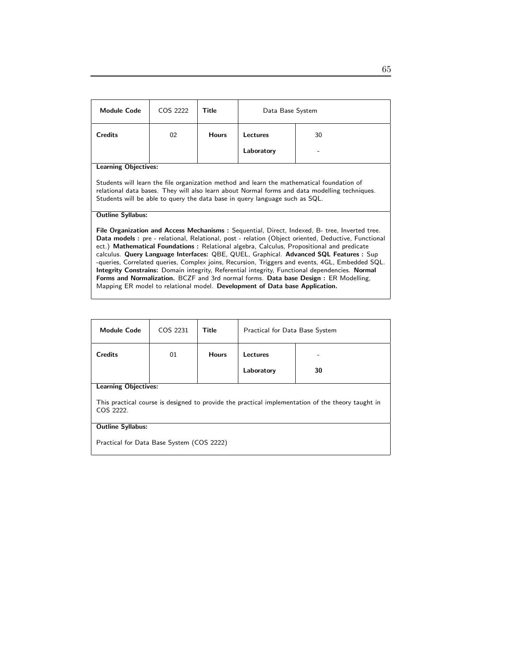| <b>Module Code</b>                                                                                                                                                                                                                                                                                                                                                                                                                                                                                                                                                                                                                                                                                                                                                             | COS 2222 | Title        | Data Base System |    |  |
|--------------------------------------------------------------------------------------------------------------------------------------------------------------------------------------------------------------------------------------------------------------------------------------------------------------------------------------------------------------------------------------------------------------------------------------------------------------------------------------------------------------------------------------------------------------------------------------------------------------------------------------------------------------------------------------------------------------------------------------------------------------------------------|----------|--------------|------------------|----|--|
|                                                                                                                                                                                                                                                                                                                                                                                                                                                                                                                                                                                                                                                                                                                                                                                |          |              |                  |    |  |
| <b>Credits</b>                                                                                                                                                                                                                                                                                                                                                                                                                                                                                                                                                                                                                                                                                                                                                                 | 02       | <b>Hours</b> | Lectures         | 30 |  |
|                                                                                                                                                                                                                                                                                                                                                                                                                                                                                                                                                                                                                                                                                                                                                                                |          |              | Laboratory       |    |  |
| <b>Learning Objectives:</b>                                                                                                                                                                                                                                                                                                                                                                                                                                                                                                                                                                                                                                                                                                                                                    |          |              |                  |    |  |
| Students will learn the file organization method and learn the mathematical foundation of<br>relational data bases. They will also learn about Normal forms and data modelling techniques.<br>Students will be able to query the data base in query language such as SQL.                                                                                                                                                                                                                                                                                                                                                                                                                                                                                                      |          |              |                  |    |  |
| <b>Outline Syllabus:</b>                                                                                                                                                                                                                                                                                                                                                                                                                                                                                                                                                                                                                                                                                                                                                       |          |              |                  |    |  |
| File Organization and Access Mechanisms: Sequential, Direct, Indexed, B- tree, Inverted tree.<br>Data models : pre - relational, Relational, post - relation (Object oriented, Deductive, Functional<br>ect.) Mathematical Foundations: Relational algebra, Calculus, Propositional and predicate<br>calculus. Query Language Interfaces: QBE, QUEL, Graphical. Advanced SQL Features : Sup<br>-queries, Correlated queries, Complex joins, Recursion, Triggers and events, 4GL, Embedded SQL.<br><b>Integrity Constrains:</b> Domain integrity, Referential integrity, Functional dependencies. Normal<br>Forms and Normalization. BCZF and 3rd normal forms. Data base Design : ER Modelling,<br>Mapping ER model to relational model. Development of Data base Application. |          |              |                  |    |  |

| <b>Module Code</b>                                                                                             | COS 2231 | Title        | Practical for Data Base System |    |
|----------------------------------------------------------------------------------------------------------------|----------|--------------|--------------------------------|----|
| <b>Credits</b>                                                                                                 | 01       | <b>Hours</b> | Lectures                       |    |
|                                                                                                                |          |              | Laboratory                     | 30 |
| <b>Learning Objectives:</b>                                                                                    |          |              |                                |    |
| This practical course is designed to provide the practical implementation of the theory taught in<br>COS 2222. |          |              |                                |    |
| <b>Outline Syllabus:</b>                                                                                       |          |              |                                |    |
| Practical for Data Base System (COS 2222)                                                                      |          |              |                                |    |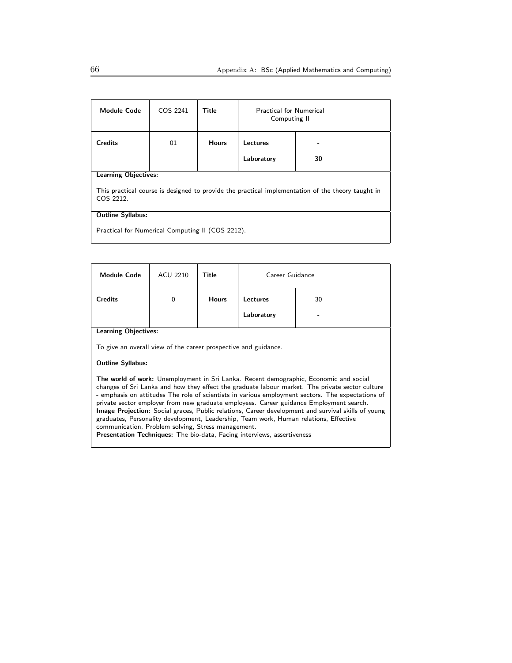| <b>Module Code</b>                                                                                             | COS 2241 | Title        | <b>Practical for Numerical</b><br>Computing II |    |
|----------------------------------------------------------------------------------------------------------------|----------|--------------|------------------------------------------------|----|
| <b>Credits</b>                                                                                                 | 01       | <b>Hours</b> | Lectures                                       |    |
|                                                                                                                |          |              | Laboratory                                     | 30 |
| <b>Learning Objectives:</b>                                                                                    |          |              |                                                |    |
| This practical course is designed to provide the practical implementation of the theory taught in<br>COS 2212. |          |              |                                                |    |
| <b>Outline Syllabus:</b>                                                                                       |          |              |                                                |    |
| Practical for Numerical Computing II (COS 2212).                                                               |          |              |                                                |    |

| <b>Module Code</b>                                                                                                                                                                                                                                                                                                                                                                                                                                                                                                                                                                                                                                                                                                                     | <b>ACU 2210</b> | Title        | Career Guidance |    |  |
|----------------------------------------------------------------------------------------------------------------------------------------------------------------------------------------------------------------------------------------------------------------------------------------------------------------------------------------------------------------------------------------------------------------------------------------------------------------------------------------------------------------------------------------------------------------------------------------------------------------------------------------------------------------------------------------------------------------------------------------|-----------------|--------------|-----------------|----|--|
| <b>Credits</b>                                                                                                                                                                                                                                                                                                                                                                                                                                                                                                                                                                                                                                                                                                                         | $\Omega$        | <b>Hours</b> | <b>Lectures</b> | 30 |  |
|                                                                                                                                                                                                                                                                                                                                                                                                                                                                                                                                                                                                                                                                                                                                        |                 |              | Laboratory      |    |  |
| <b>Learning Objectives:</b>                                                                                                                                                                                                                                                                                                                                                                                                                                                                                                                                                                                                                                                                                                            |                 |              |                 |    |  |
| To give an overall view of the career prospective and guidance.                                                                                                                                                                                                                                                                                                                                                                                                                                                                                                                                                                                                                                                                        |                 |              |                 |    |  |
| <b>Outline Syllabus:</b>                                                                                                                                                                                                                                                                                                                                                                                                                                                                                                                                                                                                                                                                                                               |                 |              |                 |    |  |
| The world of work: Unemployment in Sri Lanka. Recent demographic, Economic and social<br>changes of Sri Lanka and how they effect the graduate labour market. The private sector culture<br>- emphasis on attitudes The role of scientists in various employment sectors. The expectations of<br>private sector employer from new graduate employees. Career guidance Employment search.<br><b>Image Projection:</b> Social graces, Public relations, Career development and survival skills of young<br>graduates, Personality development, Leadership, Team work, Human relations, Effective<br>communication, Problem solving, Stress management.<br><b>Presentation Techniques:</b> The bio-data, Facing interviews, assertiveness |                 |              |                 |    |  |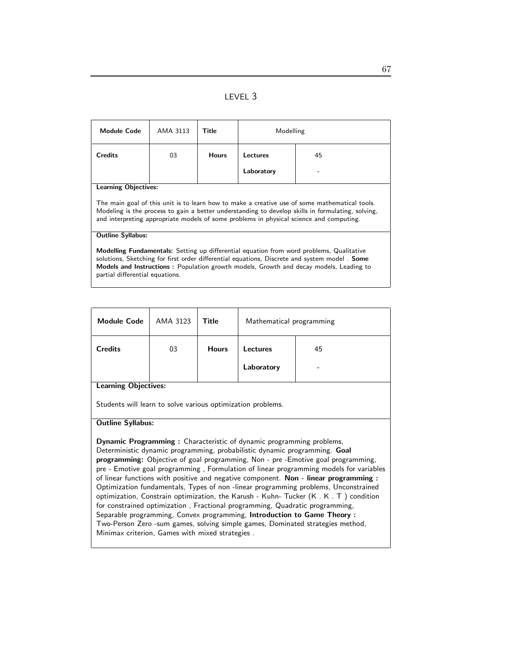LEVEL 3

| <b>Module Code</b>                                                                                                                                                                                                                                                                                                                         | AMA 3113 | Title        | Modelling  |    |
|--------------------------------------------------------------------------------------------------------------------------------------------------------------------------------------------------------------------------------------------------------------------------------------------------------------------------------------------|----------|--------------|------------|----|
| <b>Credits</b>                                                                                                                                                                                                                                                                                                                             | 03       | <b>Hours</b> | Lectures   | 45 |
|                                                                                                                                                                                                                                                                                                                                            |          |              | Laboratory |    |
| <b>Learning Objectives:</b>                                                                                                                                                                                                                                                                                                                |          |              |            |    |
| The main goal of this unit is to learn how to make a creative use of some mathematical tools.<br>Modeling is the process to gain a better understanding to develop skills in formulating, solving,<br>and interpreting appropriate models of some problems in physical science and computing.                                              |          |              |            |    |
| <b>Outline Syllabus:</b>                                                                                                                                                                                                                                                                                                                   |          |              |            |    |
| <b>Modelling Fundamentals:</b> Setting up differential equation from word problems, Qualitative<br>solutions, Sketching for first order differential equations, Discrete and system model. <b>Some</b><br><b>Models and Instructions:</b> Population growth models, Growth and decay models, Leading to<br>partial differential equations. |          |              |            |    |

| <b>Module Code</b>                                                                                                                                                                                                                                                                                                                                                                                                                   | AMA 3123 | Title        | Mathematical programming |    |
|--------------------------------------------------------------------------------------------------------------------------------------------------------------------------------------------------------------------------------------------------------------------------------------------------------------------------------------------------------------------------------------------------------------------------------------|----------|--------------|--------------------------|----|
| <b>Credits</b>                                                                                                                                                                                                                                                                                                                                                                                                                       | 03       | <b>Hours</b> | Lectures                 | 45 |
|                                                                                                                                                                                                                                                                                                                                                                                                                                      |          |              | Laboratory               |    |
| <b>Learning Objectives:</b>                                                                                                                                                                                                                                                                                                                                                                                                          |          |              |                          |    |
| Students will learn to solve various optimization problems.                                                                                                                                                                                                                                                                                                                                                                          |          |              |                          |    |
| <b>Outline Syllabus:</b>                                                                                                                                                                                                                                                                                                                                                                                                             |          |              |                          |    |
| <b>Dynamic Programming:</b> Characteristic of dynamic programming problems,<br>Deterministic dynamic programming, probabilistic dynamic programming. <b>Goal</b><br>programming: Objective of goal programming, Non - pre -Emotive goal programming,<br>pre - Emotive goal programming, Formulation of linear programming models for variables<br>of linear functions with positive and negative component. Non. linear programming: |          |              |                          |    |

of linear functions with positive and negative component. **Non - linear programming** : Optimization fundamentals, Types of non -linear programming problems, Unconstrained optimization, Constrain optimization, the Karush - Kuhn- Tucker (K . K . T ) condition for constrained optimization , Fractional programming, Quadratic programming, Separable programming, Convex programming, Introduction to Game Theory : Two-Person Zero -sum games, solving simple games, Dominated strategies method, Minimax criterion, Games with mixed strategies .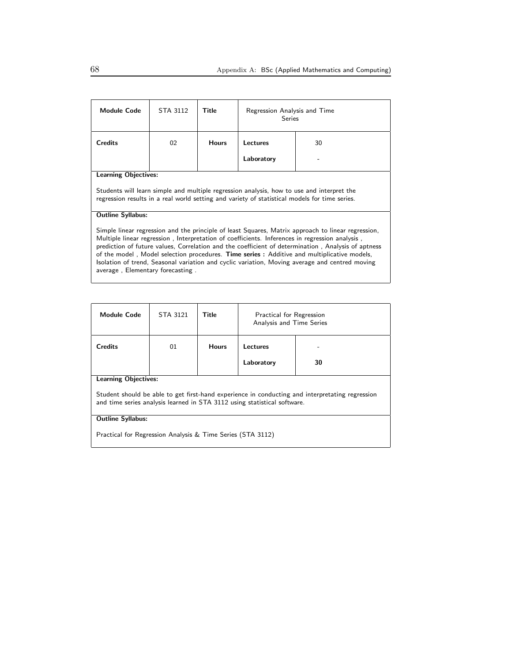| <b>Module Code</b>                                                                                                                                                                                                                                                                                                                                                                                                                                                                                                                             | STA 3112 | Title        | Regression Analysis and Time<br>Series |    |
|------------------------------------------------------------------------------------------------------------------------------------------------------------------------------------------------------------------------------------------------------------------------------------------------------------------------------------------------------------------------------------------------------------------------------------------------------------------------------------------------------------------------------------------------|----------|--------------|----------------------------------------|----|
| <b>Credits</b>                                                                                                                                                                                                                                                                                                                                                                                                                                                                                                                                 | 02       | <b>Hours</b> | <b>Lectures</b>                        | 30 |
|                                                                                                                                                                                                                                                                                                                                                                                                                                                                                                                                                |          |              | Laboratory                             |    |
| <b>Learning Objectives:</b>                                                                                                                                                                                                                                                                                                                                                                                                                                                                                                                    |          |              |                                        |    |
| Students will learn simple and multiple regression analysis, how to use and interpret the<br>regression results in a real world setting and variety of statistical models for time series.                                                                                                                                                                                                                                                                                                                                                     |          |              |                                        |    |
| <b>Outline Syllabus:</b>                                                                                                                                                                                                                                                                                                                                                                                                                                                                                                                       |          |              |                                        |    |
| Simple linear regression and the principle of least Squares, Matrix approach to linear regression,<br>Multiple linear regression, Interpretation of coefficients. Inferences in regression analysis,<br>prediction of future values, Correlation and the coefficient of determination, Analysis of aptness<br>of the model, Model selection procedures. Time series: Additive and multiplicative models,<br>Isolation of trend, Seasonal variation and cyclic variation, Moving average and centred moving<br>average, Elementary forecasting. |          |              |                                        |    |

| <b>Module Code</b>                                                                                                                                                          | STA 3121 | Title        | Practical for Regression<br>Analysis and Time Series |    |  |
|-----------------------------------------------------------------------------------------------------------------------------------------------------------------------------|----------|--------------|------------------------------------------------------|----|--|
| <b>Credits</b>                                                                                                                                                              | 01       | <b>Hours</b> | Lectures                                             |    |  |
|                                                                                                                                                                             |          |              | Laboratory                                           | 30 |  |
| <b>Learning Objectives:</b>                                                                                                                                                 |          |              |                                                      |    |  |
| Student should be able to get first-hand experience in conducting and interpretating regression<br>and time series analysis learned in STA 3112 using statistical software. |          |              |                                                      |    |  |
| <b>Outline Syllabus:</b>                                                                                                                                                    |          |              |                                                      |    |  |
| Practical for Regression Analysis & Time Series (STA 3112)                                                                                                                  |          |              |                                                      |    |  |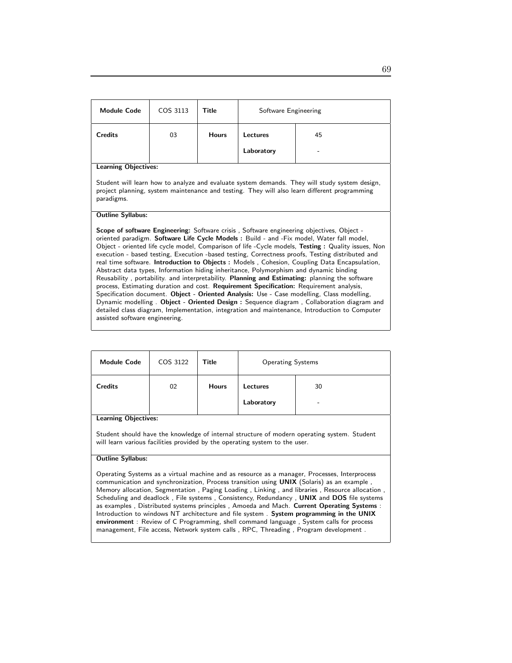| <b>Module Code</b>                                                                                                                                                                            | COS 3113 | Title        | Software Engineering |    |  |
|-----------------------------------------------------------------------------------------------------------------------------------------------------------------------------------------------|----------|--------------|----------------------|----|--|
| <b>Credits</b>                                                                                                                                                                                | 03       | <b>Hours</b> | Lectures             | 45 |  |
|                                                                                                                                                                                               |          |              | Laboratory           |    |  |
| <b>Learning Objectives:</b>                                                                                                                                                                   |          |              |                      |    |  |
| Student will learn how to analyze and evaluate system demands. They will study system design,<br>project planning, system maintenance and testing. They will also learn different programming |          |              |                      |    |  |

#### Outline Syllabus:

paradigms.

Scope of software Engineering: Software crisis, Software engineering objectives, Object oriented paradigm. Software Life Cycle Models : Build - and -Fix model, Water fall model, Object - oriented life cycle model, Comparison of life -Cycle models, Testing : Quality issues, Non execution - based testing, Execution -based testing, Correctness proofs, Testing distributed and real time software. Introduction to Objects : Models , Cohesion, Coupling Data Encapsulation, Abstract data types, Information hiding inheritance, Polymorphism and dynamic binding Reusability , portability. and interpretability. Planning and Estimating: planning the software process, Estimating duration and cost. Requirement Specification: Requirement analysis, Specification document. Object - Oriented Analysis: Use - Case modelling, Class modelling, Dynamic modelling . Object - Oriented Design : Sequence diagram , Collaboration diagram and detailed class diagram, Implementation, integration and maintenance, Introduction to Computer assisted software engineering.

| <b>Module Code</b>          | COS 3122 | <b>Title</b> | <b>Operating Systems</b> |                                |  |
|-----------------------------|----------|--------------|--------------------------|--------------------------------|--|
| <b>Credits</b>              | 02       | <b>Hours</b> | Lectures<br>Laboratory   | 30<br>$\overline{\phantom{a}}$ |  |
| <b>Learning Objectives:</b> |          |              |                          |                                |  |

Student should have the knowledge of internal structure of modern operating system. Student will learn various facilities provided by the operating system to the user.

#### Outline Syllabus:

Operating Systems as a virtual machine and as resource as a manager, Processes, Interprocess communication and synchronization, Process transition using UNIX (Solaris) as an example , Memory allocation, Segmentation , Paging Loading , Linking , and libraries , Resource allocation , Scheduling and deadlock , File systems , Consistency, Redundancy , UNIX and DOS file systems as examples , Distributed systems principles , Amoeda and Mach. Current Operating Systems : Introduction to windows NT architecture and file system . System programming in the UNIX environment : Review of C Programming, shell command language , System calls for process management, File access, Network system calls , RPC, Threading , Program development .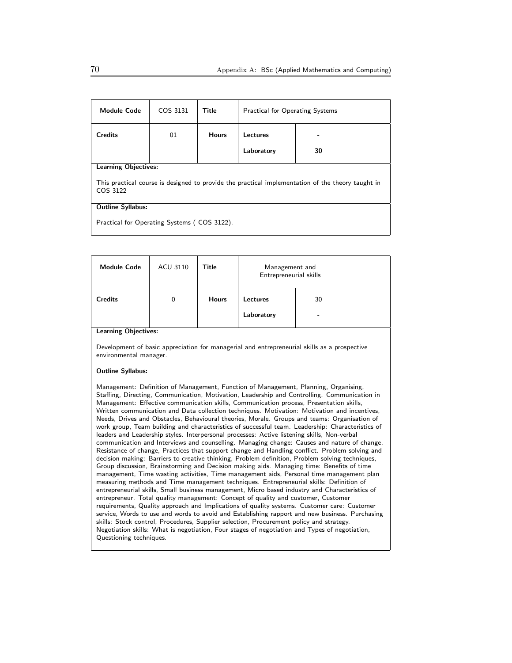| <b>Module Code</b>                                                                                            | COS 3131 | Title        | <b>Practical for Operating Systems</b> |    |  |
|---------------------------------------------------------------------------------------------------------------|----------|--------------|----------------------------------------|----|--|
| <b>Credits</b>                                                                                                | 01       | <b>Hours</b> | Lectures                               |    |  |
|                                                                                                               |          |              | Laboratory                             | 30 |  |
| <b>Learning Objectives:</b>                                                                                   |          |              |                                        |    |  |
| This practical course is designed to provide the practical implementation of the theory taught in<br>COS 3122 |          |              |                                        |    |  |
| <b>Outline Syllabus:</b>                                                                                      |          |              |                                        |    |  |
| Practical for Operating Systems (COS 3122).                                                                   |          |              |                                        |    |  |

| <b>Module Code</b>                                                                                                                                                                                                                                                                                                                                                                                                                                                                                                                                                                                                                                                                                                                                                                                                                                                                                                                                                                                                                                                                                                                                                                                                                                                                                                                                                                                                                                                                                                                                                                                                                                                                                                                                                                                                                                                                       | <b>ACU 3110</b> | Title        | Management and<br>Entrepreneurial skills |                                                                                              |  |
|------------------------------------------------------------------------------------------------------------------------------------------------------------------------------------------------------------------------------------------------------------------------------------------------------------------------------------------------------------------------------------------------------------------------------------------------------------------------------------------------------------------------------------------------------------------------------------------------------------------------------------------------------------------------------------------------------------------------------------------------------------------------------------------------------------------------------------------------------------------------------------------------------------------------------------------------------------------------------------------------------------------------------------------------------------------------------------------------------------------------------------------------------------------------------------------------------------------------------------------------------------------------------------------------------------------------------------------------------------------------------------------------------------------------------------------------------------------------------------------------------------------------------------------------------------------------------------------------------------------------------------------------------------------------------------------------------------------------------------------------------------------------------------------------------------------------------------------------------------------------------------------|-----------------|--------------|------------------------------------------|----------------------------------------------------------------------------------------------|--|
| <b>Credits</b>                                                                                                                                                                                                                                                                                                                                                                                                                                                                                                                                                                                                                                                                                                                                                                                                                                                                                                                                                                                                                                                                                                                                                                                                                                                                                                                                                                                                                                                                                                                                                                                                                                                                                                                                                                                                                                                                           | $\mathbf 0$     | <b>Hours</b> | <b>Lectures</b>                          | 30                                                                                           |  |
|                                                                                                                                                                                                                                                                                                                                                                                                                                                                                                                                                                                                                                                                                                                                                                                                                                                                                                                                                                                                                                                                                                                                                                                                                                                                                                                                                                                                                                                                                                                                                                                                                                                                                                                                                                                                                                                                                          |                 |              | Laboratory                               |                                                                                              |  |
| <b>Learning Objectives:</b>                                                                                                                                                                                                                                                                                                                                                                                                                                                                                                                                                                                                                                                                                                                                                                                                                                                                                                                                                                                                                                                                                                                                                                                                                                                                                                                                                                                                                                                                                                                                                                                                                                                                                                                                                                                                                                                              |                 |              |                                          |                                                                                              |  |
| environmental manager.                                                                                                                                                                                                                                                                                                                                                                                                                                                                                                                                                                                                                                                                                                                                                                                                                                                                                                                                                                                                                                                                                                                                                                                                                                                                                                                                                                                                                                                                                                                                                                                                                                                                                                                                                                                                                                                                   |                 |              |                                          | Development of basic appreciation for managerial and entrepreneurial skills as a prospective |  |
| <b>Outline Syllabus:</b>                                                                                                                                                                                                                                                                                                                                                                                                                                                                                                                                                                                                                                                                                                                                                                                                                                                                                                                                                                                                                                                                                                                                                                                                                                                                                                                                                                                                                                                                                                                                                                                                                                                                                                                                                                                                                                                                 |                 |              |                                          |                                                                                              |  |
| Management: Definition of Management, Function of Management, Planning, Organising,<br>Staffing, Directing, Communication, Motivation, Leadership and Controlling. Communication in<br>Management: Effective communication skills, Communication process, Presentation skills,<br>Written communication and Data collection techniques. Motivation: Motivation and incentives,<br>Needs, Drives and Obstacles, Behavioural theories, Morale. Groups and teams: Organisation of<br>work group, Team building and characteristics of successful team. Leadership: Characteristics of<br>leaders and Leadership styles. Interpersonal processes: Active listening skills, Non-verbal<br>communication and Interviews and counselling. Managing change: Causes and nature of change,<br>Resistance of change, Practices that support change and Handling conflict. Problem solving and<br>decision making: Barriers to creative thinking, Problem definition, Problem solving techniques,<br>Group discussion, Brainstorming and Decision making aids. Managing time: Benefits of time<br>management, Time wasting activities, Time management aids, Personal time management plan<br>measuring methods and Time management techniques. Entrepreneurial skills: Definition of<br>entrepreneurial skills, Small business management, Micro based industry and Characteristics of<br>entrepreneur. Total quality management: Concept of quality and customer, Customer<br>requirements, Quality approach and Implications of quality systems. Customer care: Customer<br>service, Words to use and words to avoid and Establishing rapport and new business. Purchasing<br>skills: Stock control, Procedures, Supplier selection, Procurement policy and strategy.<br>Negotiation skills: What is negotiation, Four stages of negotiation and Types of negotiation,<br>Questioning techniques. |                 |              |                                          |                                                                                              |  |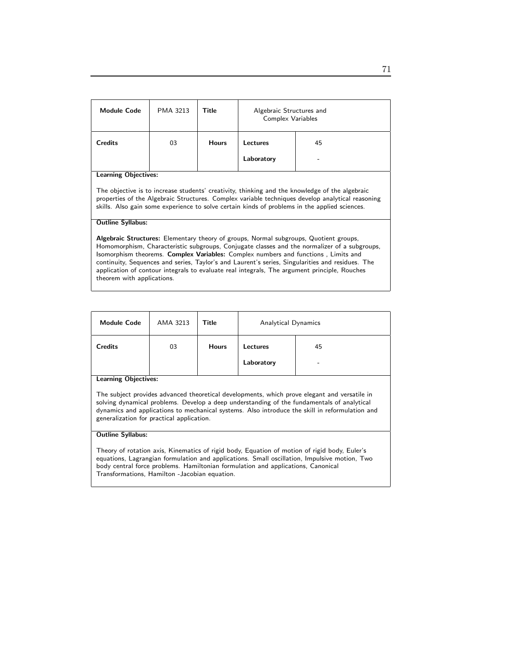| <b>Module Code</b>                                                                                                                                                                                                                                                                                                                 | PMA 3213 | Title        | Algebraic Structures and<br><b>Complex Variables</b> |    |  |
|------------------------------------------------------------------------------------------------------------------------------------------------------------------------------------------------------------------------------------------------------------------------------------------------------------------------------------|----------|--------------|------------------------------------------------------|----|--|
| <b>Credits</b>                                                                                                                                                                                                                                                                                                                     | 03       | <b>Hours</b> | Lectures<br>Laboratory                               | 45 |  |
| <b>Learning Objectives:</b><br>The objective is to increase students' creativity, thinking and the knowledge of the algebraic<br>properties of the Algebraic Structures. Complex variable techniques develop analytical reasoning<br>skills. Also gain some experience to solve certain kinds of problems in the applied sciences. |          |              |                                                      |    |  |

#### Outline Syllabus:

Algebraic Structures: Elementary theory of groups, Normal subgroups, Quotient groups, Homomorphism, Characteristic subgroups, Conjugate classes and the normalizer of a subgroups, Isomorphism theorems. Complex Variables: Complex numbers and functions , Limits and continuity, Sequences and series, Taylor's and Laurent's series, Singularities and residues. The application of contour integrals to evaluate real integrals, The argument principle, Rouches theorem with applications.

| <b>Module Code</b> | AMA 3213 | Title        | Analytical Dynamics    |         |
|--------------------|----------|--------------|------------------------|---------|
| <b>Credits</b>     | 03       | <b>Hours</b> | Lectures<br>Laboratory | 45<br>- |

Learning Objectives:

The subject provides advanced theoretical developments, which prove elegant and versatile in solving dynamical problems. Develop a deep understanding of the fundamentals of analytical dynamics and applications to mechanical systems. Also introduce the skill in reformulation and generalization for practical application.

#### Outline Syllabus:

Theory of rotation axis, Kinematics of rigid body, Equation of motion of rigid body, Euler's equations, Lagrangian formulation and applications. Small oscillation, Impulsive motion, Two body central force problems. Hamiltonian formulation and applications, Canonical Transformations, Hamilton -Jacobian equation.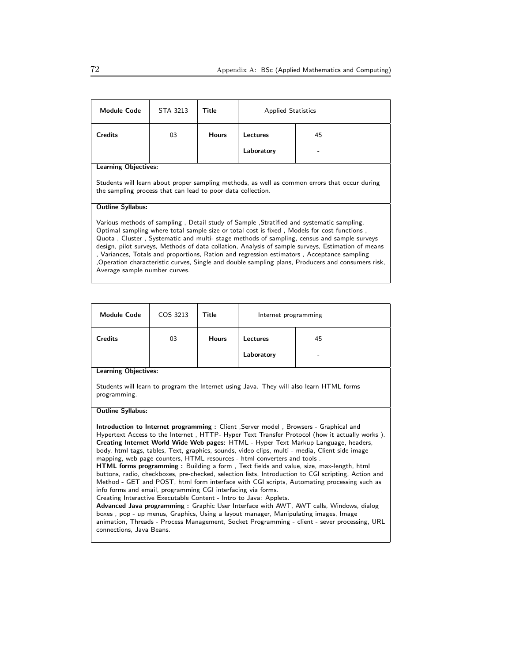| <b>Module Code</b>                                                                                                                                                                                                                                                                                                                                                                                                                                                                                                                                                                                                           | STA 3213 | Title        | <b>Applied Statistics</b> |    |
|------------------------------------------------------------------------------------------------------------------------------------------------------------------------------------------------------------------------------------------------------------------------------------------------------------------------------------------------------------------------------------------------------------------------------------------------------------------------------------------------------------------------------------------------------------------------------------------------------------------------------|----------|--------------|---------------------------|----|
| <b>Credits</b>                                                                                                                                                                                                                                                                                                                                                                                                                                                                                                                                                                                                               | 03       | <b>Hours</b> | Lectures                  | 45 |
|                                                                                                                                                                                                                                                                                                                                                                                                                                                                                                                                                                                                                              |          |              | Laboratory                |    |
| <b>Learning Objectives:</b>                                                                                                                                                                                                                                                                                                                                                                                                                                                                                                                                                                                                  |          |              |                           |    |
| Students will learn about proper sampling methods, as well as common errors that occur during<br>the sampling process that can lead to poor data collection.                                                                                                                                                                                                                                                                                                                                                                                                                                                                 |          |              |                           |    |
| <b>Outline Syllabus:</b>                                                                                                                                                                                                                                                                                                                                                                                                                                                                                                                                                                                                     |          |              |                           |    |
| Various methods of sampling, Detail study of Sample, Stratified and systematic sampling,<br>Optimal sampling where total sample size or total cost is fixed, Models for cost functions,<br>Quota, Cluster, Systematic and multi-stage methods of sampling, census and sample surveys<br>design, pilot surveys, Methods of data collation, Analysis of sample surveys, Estimation of means<br>, Variances, Totals and proportions, Ration and regression estimators, Acceptance sampling<br>Operation characteristic curves, Single and double sampling plans, Producers and consumers risk,<br>Average sample number curves. |          |              |                           |    |

| <b>Module Code</b>                                                                                                                                                                                                                                                                                                                                                                                                                                                                                                                                                                                                                                                                                                                                                                                                                                                                                                                                                                                                                                                                                                                                                                                                | COS 3213 | Title        | Internet programming |    |  |
|-------------------------------------------------------------------------------------------------------------------------------------------------------------------------------------------------------------------------------------------------------------------------------------------------------------------------------------------------------------------------------------------------------------------------------------------------------------------------------------------------------------------------------------------------------------------------------------------------------------------------------------------------------------------------------------------------------------------------------------------------------------------------------------------------------------------------------------------------------------------------------------------------------------------------------------------------------------------------------------------------------------------------------------------------------------------------------------------------------------------------------------------------------------------------------------------------------------------|----------|--------------|----------------------|----|--|
| <b>Credits</b>                                                                                                                                                                                                                                                                                                                                                                                                                                                                                                                                                                                                                                                                                                                                                                                                                                                                                                                                                                                                                                                                                                                                                                                                    | 03       | <b>Hours</b> | <b>Lectures</b>      | 45 |  |
|                                                                                                                                                                                                                                                                                                                                                                                                                                                                                                                                                                                                                                                                                                                                                                                                                                                                                                                                                                                                                                                                                                                                                                                                                   |          |              | Laboratory           |    |  |
| <b>Learning Objectives:</b>                                                                                                                                                                                                                                                                                                                                                                                                                                                                                                                                                                                                                                                                                                                                                                                                                                                                                                                                                                                                                                                                                                                                                                                       |          |              |                      |    |  |
| Students will learn to program the Internet using Java. They will also learn HTML forms<br>programming.                                                                                                                                                                                                                                                                                                                                                                                                                                                                                                                                                                                                                                                                                                                                                                                                                                                                                                                                                                                                                                                                                                           |          |              |                      |    |  |
| <b>Outline Syllabus:</b>                                                                                                                                                                                                                                                                                                                                                                                                                                                                                                                                                                                                                                                                                                                                                                                                                                                                                                                                                                                                                                                                                                                                                                                          |          |              |                      |    |  |
| Introduction to Internet programming: Client, Server model, Browsers - Graphical and<br>Hypertext Access to the Internet, HTTP- Hyper Text Transfer Protocol (how it actually works).<br>Creating Internet World Wide Web pages: HTML - Hyper Text Markup Language, headers,<br>body, html tags, tables, Text, graphics, sounds, video clips, multi - media, Client side image<br>mapping, web page counters, HTML resources - html converters and tools.<br><b>HTML forms programming:</b> Building a form, Text fields and value, size, max-length, html<br>buttons, radio, checkboxes, pre-checked, selection lists, Introduction to CGI scripting, Action and<br>Method - GET and POST, html form interface with CGI scripts, Automating processing such as<br>info forms and email, programming CGI interfacing via forms.<br>Creating Interactive Executable Content - Intro to Java: Applets.<br>Advanced Java programming: Graphic User Interface with AWT, AWT calls, Windows, dialog<br>boxes, pop - up menus, Graphics, Using a layout manager, Manipulating images, Image<br>animation, Threads - Process Management, Socket Programming - client - sever processing, URL<br>connections, Java Beans. |          |              |                      |    |  |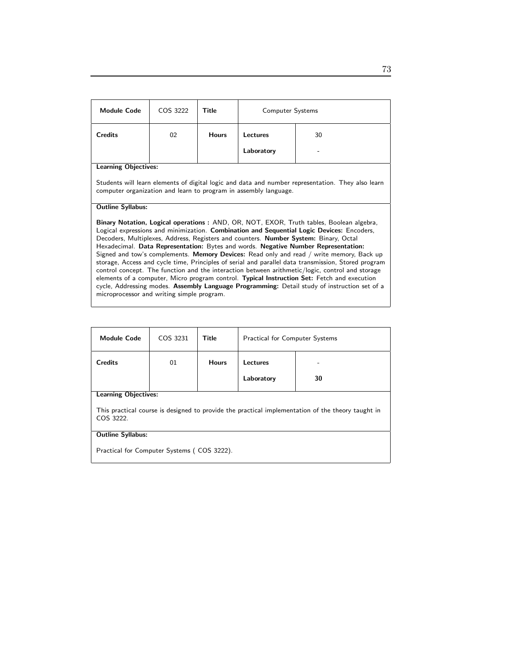| <b>Module Code</b>                                                                                                                                                                                                                                                                                                                                                                                                                                                                                                                                                                                                                                                                                                                                                                                                                                                                                                           | COS 3222                                                                                                                                                              | Title        | <b>Computer Systems</b> |    |  |
|------------------------------------------------------------------------------------------------------------------------------------------------------------------------------------------------------------------------------------------------------------------------------------------------------------------------------------------------------------------------------------------------------------------------------------------------------------------------------------------------------------------------------------------------------------------------------------------------------------------------------------------------------------------------------------------------------------------------------------------------------------------------------------------------------------------------------------------------------------------------------------------------------------------------------|-----------------------------------------------------------------------------------------------------------------------------------------------------------------------|--------------|-------------------------|----|--|
| <b>Credits</b>                                                                                                                                                                                                                                                                                                                                                                                                                                                                                                                                                                                                                                                                                                                                                                                                                                                                                                               | 02                                                                                                                                                                    | <b>Hours</b> | Lectures                | 30 |  |
|                                                                                                                                                                                                                                                                                                                                                                                                                                                                                                                                                                                                                                                                                                                                                                                                                                                                                                                              |                                                                                                                                                                       |              | Laboratory              |    |  |
| <b>Learning Objectives:</b>                                                                                                                                                                                                                                                                                                                                                                                                                                                                                                                                                                                                                                                                                                                                                                                                                                                                                                  |                                                                                                                                                                       |              |                         |    |  |
|                                                                                                                                                                                                                                                                                                                                                                                                                                                                                                                                                                                                                                                                                                                                                                                                                                                                                                                              | Students will learn elements of digital logic and data and number representation. They also learn<br>computer organization and learn to program in assembly language. |              |                         |    |  |
| <b>Outline Syllabus:</b>                                                                                                                                                                                                                                                                                                                                                                                                                                                                                                                                                                                                                                                                                                                                                                                                                                                                                                     |                                                                                                                                                                       |              |                         |    |  |
| Binary Notation, Logical operations: AND, OR, NOT, EXOR, Truth tables, Boolean algebra,<br>Logical expressions and minimization. Combination and Sequential Logic Devices: Encoders,<br>Decoders, Multiplexes, Address, Registers and counters. <b>Number System:</b> Binary, Octal<br>Hexadecimal. Data Representation: Bytes and words. Negative Number Representation:<br>Signed and tow's complements. Memory Devices: Read only and read / write memory, Back up<br>storage, Access and cycle time, Principles of serial and parallel data transmission, Stored program<br>control concept. The function and the interaction between arithmetic/logic, control and storage<br>elements of a computer, Micro program control. Typical Instruction Set: Fetch and execution<br>cycle, Addressing modes. Assembly Language Programming: Detail study of instruction set of a<br>microprocessor and writing simple program. |                                                                                                                                                                       |              |                         |    |  |

| <b>Module Code</b>                                                                                             | COS 3231 | Title        | <b>Practical for Computer Systems</b> |    |  |
|----------------------------------------------------------------------------------------------------------------|----------|--------------|---------------------------------------|----|--|
| <b>Credits</b>                                                                                                 | 01       | <b>Hours</b> | Lectures                              |    |  |
|                                                                                                                |          |              | Laboratory                            | 30 |  |
| <b>Learning Objectives:</b>                                                                                    |          |              |                                       |    |  |
| This practical course is designed to provide the practical implementation of the theory taught in<br>COS 3222. |          |              |                                       |    |  |
| <b>Outline Syllabus:</b>                                                                                       |          |              |                                       |    |  |
| Practical for Computer Systems (COS 3222).                                                                     |          |              |                                       |    |  |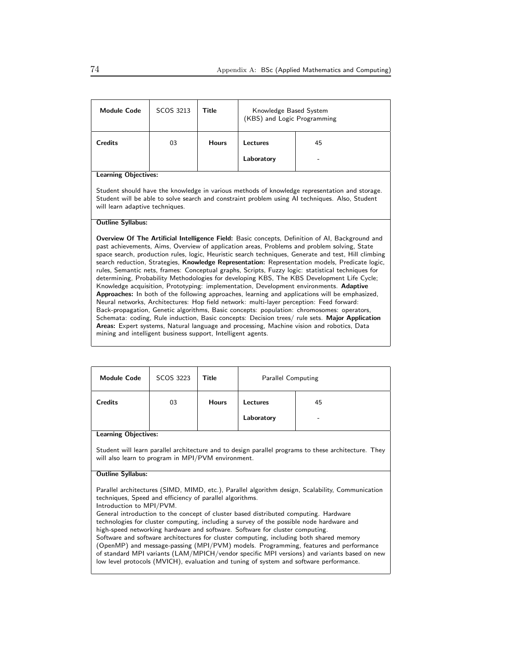| <b>Module Code</b>                                                                                                                                                                                                                                                                                                                                                                                                                                                                                                                                                                                                                                                                                                                                                                                                                                                                                                                                                                                                                                                                                                                                                                                                                                                      | SCOS 3213                                                                                                                                                                                                                          | <b>Title</b> | Knowledge Based System<br>(KBS) and Logic Programming |    |  |
|-------------------------------------------------------------------------------------------------------------------------------------------------------------------------------------------------------------------------------------------------------------------------------------------------------------------------------------------------------------------------------------------------------------------------------------------------------------------------------------------------------------------------------------------------------------------------------------------------------------------------------------------------------------------------------------------------------------------------------------------------------------------------------------------------------------------------------------------------------------------------------------------------------------------------------------------------------------------------------------------------------------------------------------------------------------------------------------------------------------------------------------------------------------------------------------------------------------------------------------------------------------------------|------------------------------------------------------------------------------------------------------------------------------------------------------------------------------------------------------------------------------------|--------------|-------------------------------------------------------|----|--|
| <b>Credits</b>                                                                                                                                                                                                                                                                                                                                                                                                                                                                                                                                                                                                                                                                                                                                                                                                                                                                                                                                                                                                                                                                                                                                                                                                                                                          | 03                                                                                                                                                                                                                                 | <b>Hours</b> | Lectures                                              | 45 |  |
|                                                                                                                                                                                                                                                                                                                                                                                                                                                                                                                                                                                                                                                                                                                                                                                                                                                                                                                                                                                                                                                                                                                                                                                                                                                                         |                                                                                                                                                                                                                                    |              | Laboratory                                            |    |  |
| <b>Learning Objectives:</b>                                                                                                                                                                                                                                                                                                                                                                                                                                                                                                                                                                                                                                                                                                                                                                                                                                                                                                                                                                                                                                                                                                                                                                                                                                             |                                                                                                                                                                                                                                    |              |                                                       |    |  |
|                                                                                                                                                                                                                                                                                                                                                                                                                                                                                                                                                                                                                                                                                                                                                                                                                                                                                                                                                                                                                                                                                                                                                                                                                                                                         | Student should have the knowledge in various methods of knowledge representation and storage.<br>Student will be able to solve search and constraint problem using AI techniques. Also, Student<br>will learn adaptive techniques. |              |                                                       |    |  |
| <b>Outline Syllabus:</b>                                                                                                                                                                                                                                                                                                                                                                                                                                                                                                                                                                                                                                                                                                                                                                                                                                                                                                                                                                                                                                                                                                                                                                                                                                                |                                                                                                                                                                                                                                    |              |                                                       |    |  |
| <b>Overview Of The Artificial Intelligence Field:</b> Basic concepts, Definition of AI, Background and<br>past achievements, Aims, Overview of application areas, Problems and problem solving, State<br>space search, production rules, logic, Heuristic search techniques, Generate and test, Hill climbing<br>search reduction, Strategies, Knowledge Representation: Representation models, Predicate logic,<br>rules, Semantic nets, frames: Conceptual graphs, Scripts, Fuzzy logic: statistical techniques for<br>determining, Probability Methodologies for developing KBS, The KBS Development Life Cycle;<br>Knowledge acquisition, Prototyping: implementation, Development environments. Adaptive<br>Approaches: In both of the following approaches, learning and applications will be emphasized,<br>Neural networks, Architectures: Hop field network: multi-layer perception: Feed forward:<br>Back-propagation, Genetic algorithms, Basic concepts: population: chromosomes: operators,<br>Schemata: coding, Rule induction, Basic concepts: Decision trees/ rule sets. Major Application<br>Areas: Expert systems, Natural language and processing, Machine vision and robotics, Data<br>mining and intelligent business support, Intelligent agents. |                                                                                                                                                                                                                                    |              |                                                       |    |  |

| <b>Module Code</b>                                                                                                                                         | SCOS 3223                   | Title        | <b>Parallel Computing</b> |    |  |  |
|------------------------------------------------------------------------------------------------------------------------------------------------------------|-----------------------------|--------------|---------------------------|----|--|--|
| <b>Credits</b>                                                                                                                                             | 03                          | <b>Hours</b> | Lectures                  | 45 |  |  |
|                                                                                                                                                            |                             |              | Laboratory                |    |  |  |
|                                                                                                                                                            | <b>Learning Objectives:</b> |              |                           |    |  |  |
| Student will learn parallel architecture and to design parallel programs to these architecture. They<br>will also learn to program in MPI/PVM environment. |                             |              |                           |    |  |  |
| <b>Outline Syllabus:</b>                                                                                                                                   |                             |              |                           |    |  |  |
| Parallel architectures (SIMD, MIMD, etc.), Parallel algorithm design, Scalability, Communication                                                           |                             |              |                           |    |  |  |

techniques, Speed and efficiency of parallel algorithms.

Introduction to MPI/PVM.

General introduction to the concept of cluster based distributed computing. Hardware technologies for cluster computing, including a survey of the possible node hardware and high-speed networking hardware and software. Software for cluster computing. Software and software architectures for cluster computing, including both shared memory (OpenMP) and message-passing (MPI/PVM) models. Programming, features and performance of standard MPI variants (LAM/MPICH/vendor specific MPI versions) and variants based on new low level protocols (MVICH), evaluation and tuning of system and software performance.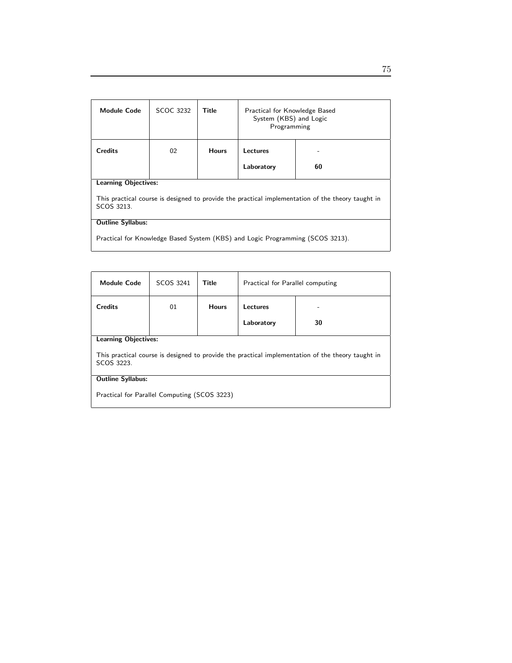| <b>Module Code</b>                                                                                              | <b>SCOC 3232</b> | Title        | Practical for Knowledge Based<br>System (KBS) and Logic<br>Programming |    |
|-----------------------------------------------------------------------------------------------------------------|------------------|--------------|------------------------------------------------------------------------|----|
| <b>Credits</b>                                                                                                  | 02               | <b>Hours</b> | Lectures                                                               |    |
|                                                                                                                 |                  |              | Laboratory                                                             | 60 |
| <b>Learning Objectives:</b>                                                                                     |                  |              |                                                                        |    |
| This practical course is designed to provide the practical implementation of the theory taught in<br>SCOS 3213. |                  |              |                                                                        |    |
| <b>Outline Syllabus:</b>                                                                                        |                  |              |                                                                        |    |
| Practical for Knowledge Based System (KBS) and Logic Programming (SCOS 3213).                                   |                  |              |                                                                        |    |

| <b>Module Code</b>                                                                                              | SCOS 3241                   | Title        | Practical for Parallel computing |    |  |
|-----------------------------------------------------------------------------------------------------------------|-----------------------------|--------------|----------------------------------|----|--|
| <b>Credits</b>                                                                                                  | 01                          | <b>Hours</b> | Lectures                         |    |  |
|                                                                                                                 |                             |              | Laboratory                       | 30 |  |
|                                                                                                                 | <b>Learning Objectives:</b> |              |                                  |    |  |
| This practical course is designed to provide the practical implementation of the theory taught in<br>SCOS 3223. |                             |              |                                  |    |  |
| <b>Outline Syllabus:</b>                                                                                        |                             |              |                                  |    |  |
| Practical for Parallel Computing (SCOS 3223)                                                                    |                             |              |                                  |    |  |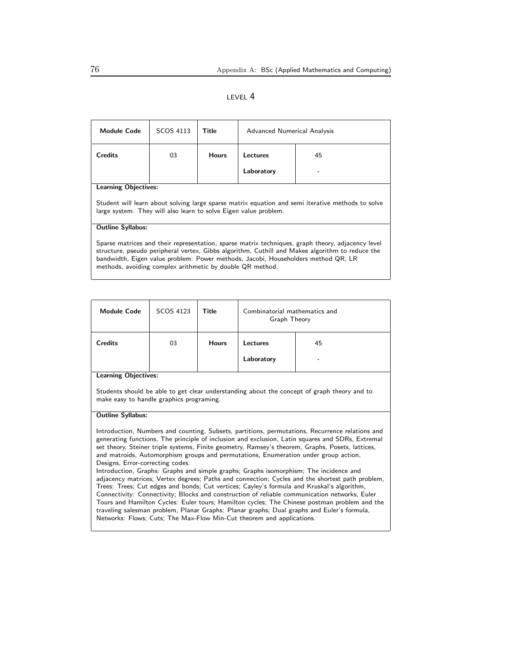#### LEVEL 4

| <b>Module Code</b>                                                                                                                                                                                                                                                                                                                                     | SCOS 4113 | Title        | Advanced Numerical Analysis |    |  |
|--------------------------------------------------------------------------------------------------------------------------------------------------------------------------------------------------------------------------------------------------------------------------------------------------------------------------------------------------------|-----------|--------------|-----------------------------|----|--|
| <b>Credits</b>                                                                                                                                                                                                                                                                                                                                         | 03        | <b>Hours</b> | Lectures                    | 45 |  |
|                                                                                                                                                                                                                                                                                                                                                        |           |              | Laboratory                  |    |  |
| <b>Learning Objectives:</b>                                                                                                                                                                                                                                                                                                                            |           |              |                             |    |  |
| Student will learn about solving large sparse matrix equation and semi iterative methods to solve<br>large system. They will also learn to solve Eigen value problem.                                                                                                                                                                                  |           |              |                             |    |  |
| <b>Outline Syllabus:</b>                                                                                                                                                                                                                                                                                                                               |           |              |                             |    |  |
| Sparse matrices and their representation, sparse matrix techniques, graph theory, adjacency level<br>structure, pseudo peripheral vertex, Gibbs algorithm, Cuthill and Makee algorithm to reduce the<br>bandwidth, Eigen value problem: Power methods, Jacobi, Householders method QR, LR<br>methods, avoiding complex arithmetic by double QR method. |           |              |                             |    |  |

| <b>Module Code</b> | SCOS 4123 | Title        | Combinatorial mathematics and<br>Graph Theory |                                |
|--------------------|-----------|--------------|-----------------------------------------------|--------------------------------|
| <b>Credits</b>     | 03        | <b>Hours</b> | Lectures<br>Laboratory                        | 45<br>$\overline{\phantom{a}}$ |
|                    |           |              |                                               |                                |

Learning Objectives:

Students should be able to get clear understanding about the concept of graph theory and to make easy to handle graphics programing.

#### Outline Syllabus:

Introduction, Numbers and counting, Subsets, partitions, permutations, Recurrence relations and generating functions, The principle of inclusion and exclusion, Latin squares and SDRs, Extremal set theory, Steiner triple systems, Finite geometry, Ramsey's theorem, Graphs, Posets, lattices, and matroids, Automorphism groups and permutations, Enumeration under group action, Designs, Error-correcting codes.

Introduction, Graphs: Graphs and simple graphs; Graphs isomorphism; The incidence and adjacency matrices; Vertex degrees; Paths and connection; Cycles and the shortest path problem, Trees: Trees; Cut edges and bonds; Cut vertices; Cayley's formula and Kruskal's algorithm, Connectivity: Connectivity; Blocks and construction of reliable communication networks, Euler Tours and Hamilton Cycles: Euler tours; Hamilton cycles; The Chinese postman problem and the traveling salesman problem, Planar Graphs: Planar graphs; Dual graphs and Euler's formula, Networks: Flows; Cuts; The Max-Flow Min-Cut theorem and applications.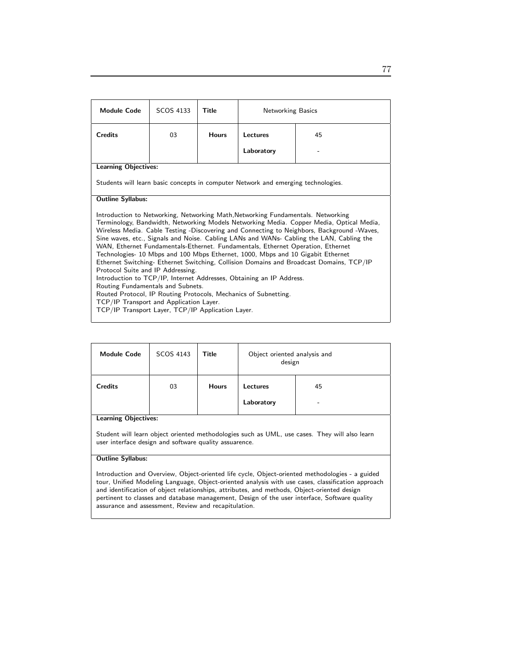| Module Code                                                                                                                                                                                                                                                                                                                                                                                                                                                                                                                                                                                                                                                                                                                                                                                                                                                                                                                                                  | SCOS 4133                                                                         | Title        | <b>Networking Basics</b> |    |  |  |
|--------------------------------------------------------------------------------------------------------------------------------------------------------------------------------------------------------------------------------------------------------------------------------------------------------------------------------------------------------------------------------------------------------------------------------------------------------------------------------------------------------------------------------------------------------------------------------------------------------------------------------------------------------------------------------------------------------------------------------------------------------------------------------------------------------------------------------------------------------------------------------------------------------------------------------------------------------------|-----------------------------------------------------------------------------------|--------------|--------------------------|----|--|--|
| <b>Credits</b>                                                                                                                                                                                                                                                                                                                                                                                                                                                                                                                                                                                                                                                                                                                                                                                                                                                                                                                                               | 03                                                                                | <b>Hours</b> | Lectures                 | 45 |  |  |
|                                                                                                                                                                                                                                                                                                                                                                                                                                                                                                                                                                                                                                                                                                                                                                                                                                                                                                                                                              |                                                                                   |              | Laboratory               |    |  |  |
| <b>Learning Objectives:</b>                                                                                                                                                                                                                                                                                                                                                                                                                                                                                                                                                                                                                                                                                                                                                                                                                                                                                                                                  |                                                                                   |              |                          |    |  |  |
|                                                                                                                                                                                                                                                                                                                                                                                                                                                                                                                                                                                                                                                                                                                                                                                                                                                                                                                                                              | Students will learn basic concepts in computer Network and emerging technologies. |              |                          |    |  |  |
| <b>Outline Syllabus:</b>                                                                                                                                                                                                                                                                                                                                                                                                                                                                                                                                                                                                                                                                                                                                                                                                                                                                                                                                     |                                                                                   |              |                          |    |  |  |
| Introduction to Networking, Networking Math, Networking Fundamentals. Networking<br>Terminology, Bandwidth, Networking Models Networking Media. Copper Media, Optical Media,<br>Wireless Media. Cable Testing -Discovering and Connecting to Neighbors, Background -Waves,<br>Sine waves, etc., Signals and Noise. Cabling LANs and WANs- Cabling the LAN, Cabling the<br>WAN, Ethernet Fundamentals-Ethernet. Fundamentals, Ethernet Operation, Ethernet<br>Technologies- 10 Mbps and 100 Mbps Ethernet, 1000, Mbps and 10 Gigabit Ethernet<br>Ethernet Switching- Ethernet Switching, Collision Domains and Broadcast Domains, TCP/IP<br>Protocol Suite and IP Addressing.<br>Introduction to TCP/IP, Internet Addresses, Obtaining an IP Address.<br>Routing Fundamentals and Subnets.<br>Routed Protocol, IP Routing Protocols, Mechanics of Subnetting.<br>TCP/IP Transport and Application Layer.<br>TCP/IP Transport Layer, TCP/IP Application Layer. |                                                                                   |              |                          |    |  |  |

| <b>Module Code</b>                                                                                                                                                                     | SCOS 4143 | Title        | Object oriented analysis and<br>design |    |  |
|----------------------------------------------------------------------------------------------------------------------------------------------------------------------------------------|-----------|--------------|----------------------------------------|----|--|
| <b>Credits</b>                                                                                                                                                                         | 03        | <b>Hours</b> | Lectures<br>Laboratory                 | 45 |  |
| <b>Learning Objectives:</b><br>Student will learn object oriented methodologies such as UML, use cases. They will also learn<br>user interface design and software quality assuarence. |           |              |                                        |    |  |

#### Outline Syllabus:

Introduction and Overview, Object-oriented life cycle, Object-oriented methodologies - a guided tour, Unified Modeling Language, Object-oriented analysis with use cases, classification approach and identification of object relationships, attributes, and methods, Object-oriented design pertinent to classes and database management, Design of the user interface, Software quality assurance and assessment, Review and recapitulation.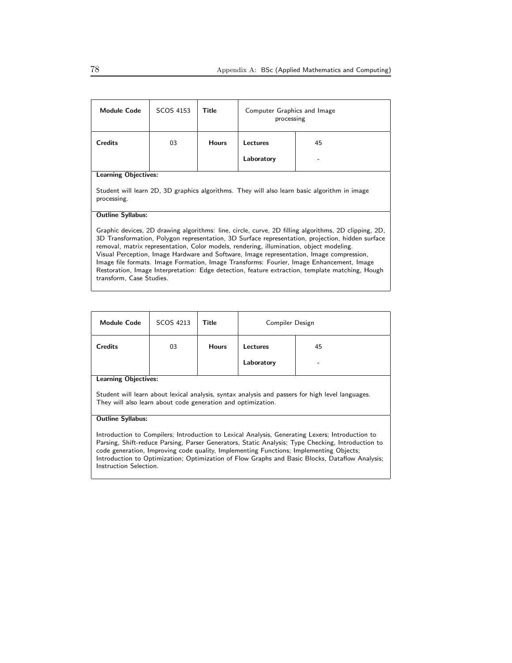| <b>Module Code</b>                                                                                                                                                                                                                                                                                                                                                                                                                                                                                                                                                                                                         | SCOS 4153 | Title        | Computer Graphics and Image<br>processing |    |  |
|----------------------------------------------------------------------------------------------------------------------------------------------------------------------------------------------------------------------------------------------------------------------------------------------------------------------------------------------------------------------------------------------------------------------------------------------------------------------------------------------------------------------------------------------------------------------------------------------------------------------------|-----------|--------------|-------------------------------------------|----|--|
| <b>Credits</b>                                                                                                                                                                                                                                                                                                                                                                                                                                                                                                                                                                                                             | 03        | <b>Hours</b> | Lectures                                  | 45 |  |
|                                                                                                                                                                                                                                                                                                                                                                                                                                                                                                                                                                                                                            |           |              | Laboratory                                |    |  |
| <b>Learning Objectives:</b>                                                                                                                                                                                                                                                                                                                                                                                                                                                                                                                                                                                                |           |              |                                           |    |  |
| Student will learn 2D, 3D graphics algorithms. They will also learn basic algorithm in image<br>processing.                                                                                                                                                                                                                                                                                                                                                                                                                                                                                                                |           |              |                                           |    |  |
| <b>Outline Syllabus:</b>                                                                                                                                                                                                                                                                                                                                                                                                                                                                                                                                                                                                   |           |              |                                           |    |  |
| Graphic devices, 2D drawing algorithms: line, circle, curve, 2D filling algorithms, 2D clipping, 2D,<br>3D Transformation, Polygon representation, 3D Surface representation, projection, hidden surface<br>removal, matrix representation, Color models, rendering, illumination, object modeling.<br>Visual Perception, Image Hardware and Software, Image representation, Image compression,<br>Image file formats. Image Formation, Image Transforms: Fourier, Image Enhancement, Image<br>Restoration, Image Interpretation: Edge detection, feature extraction, template matching, Hough<br>transform, Case Studies. |           |              |                                           |    |  |

| <b>Module Code</b>          | SCOS 4213 | <b>Title</b> | Compiler Design               |    |  |
|-----------------------------|-----------|--------------|-------------------------------|----|--|
| <b>Credits</b>              | 03        | <b>Hours</b> | <b>Lectures</b><br>Laboratory | 45 |  |
| <b>Learning Objectives:</b> |           |              |                               |    |  |

Student will learn about lexical analysis, syntax analysis and passers for high level languages. They will also learn about code generation and optimization.

#### Outline Syllabus:

Introduction to Compilers; Introduction to Lexical Analysis, Generating Lexers; Introduction to Parsing, Shift-reduce Parsing, Parser Generators, Static Analysis; Type Checking, Introduction to code generation, Improving code quality, Implementing Functions; Implementing Objects; Introduction to Optimization; Optimization of Flow Graphs and Basic Blocks, Dataflow Analysis; Instruction Selection.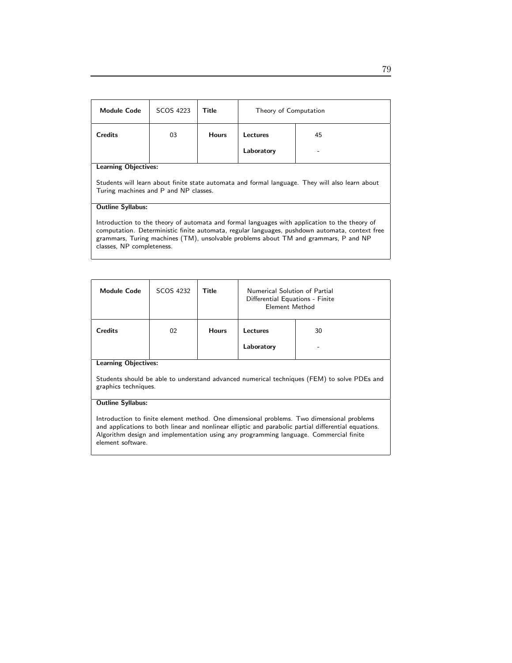| <b>Module Code</b>                                                                                                                                                                                                                                                                                                  | SCOS 4223 | Title        | Theory of Computation |    |  |
|---------------------------------------------------------------------------------------------------------------------------------------------------------------------------------------------------------------------------------------------------------------------------------------------------------------------|-----------|--------------|-----------------------|----|--|
| <b>Credits</b>                                                                                                                                                                                                                                                                                                      | 03        | <b>Hours</b> | Lectures              | 45 |  |
|                                                                                                                                                                                                                                                                                                                     |           |              | Laboratory            |    |  |
| <b>Learning Objectives:</b>                                                                                                                                                                                                                                                                                         |           |              |                       |    |  |
| Students will learn about finite state automata and formal language. They will also learn about<br>Turing machines and P and NP classes.                                                                                                                                                                            |           |              |                       |    |  |
| <b>Outline Syllabus:</b>                                                                                                                                                                                                                                                                                            |           |              |                       |    |  |
| Introduction to the theory of automata and formal languages with application to the theory of<br>computation. Deterministic finite automata, regular languages, pushdown automata, context free<br>grammars, Turing machines (TM), unsolvable problems about TM and grammars, P and NP<br>classes, NP completeness. |           |              |                       |    |  |

| <b>Module Code</b>                                                                                 | SCOS 4232 | Title        | Numerical Solution of Partial<br>Differential Equations - Finite<br>Element Method |         |
|----------------------------------------------------------------------------------------------------|-----------|--------------|------------------------------------------------------------------------------------|---------|
| <b>Credits</b><br>$\mathbf{r}$ and $\mathbf{r}$ and $\mathbf{r}$ and $\mathbf{r}$ and $\mathbf{r}$ | 02        | <b>Hours</b> | Lectures<br>Laboratory                                                             | 30<br>- |

Students should be able to understand advanced numerical techniques (FEM) to solve PDEs and graphics techniques.

#### Outline Syllabus:

Introduction to finite element method. One dimensional problems. Two dimensional problems and applications to both linear and nonlinear elliptic and parabolic partial differential equations. Algorithm design and implementation using any programming language. Commercial finite element software.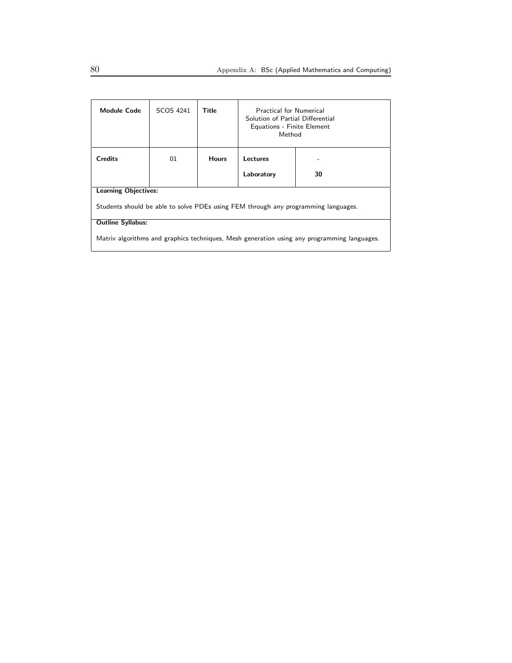| <b>Module Code</b>                                                                          | SCOS 4241 | Title        | <b>Practical for Numerical</b><br>Solution of Partial Differential<br>Equations - Finite Element<br>Method |    |  |
|---------------------------------------------------------------------------------------------|-----------|--------------|------------------------------------------------------------------------------------------------------------|----|--|
| <b>Credits</b>                                                                              | 01        | <b>Hours</b> | Lectures<br>Laboratory                                                                                     | 30 |  |
| <b>Learning Objectives:</b>                                                                 |           |              |                                                                                                            |    |  |
| Students should be able to solve PDEs using FEM through any programming languages.          |           |              |                                                                                                            |    |  |
| <b>Outline Syllabus:</b>                                                                    |           |              |                                                                                                            |    |  |
| Matrix algorithms and graphics techniques, Mesh generation using any programming languages. |           |              |                                                                                                            |    |  |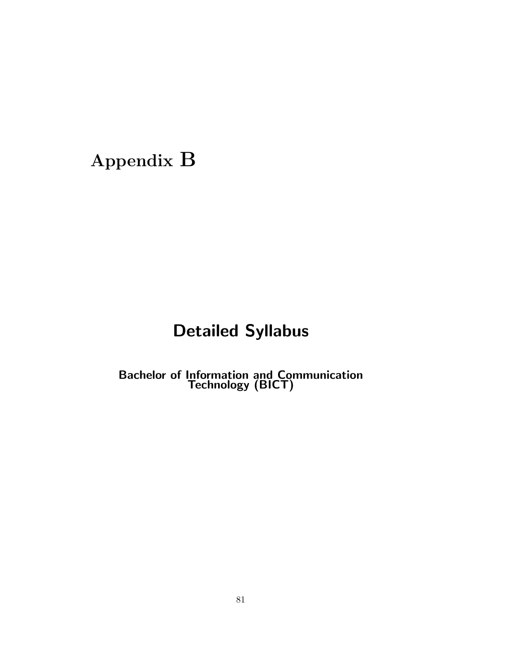# Appendix B

## Detailed Syllabus

Bachelor of Information and Communication Technology (BICT)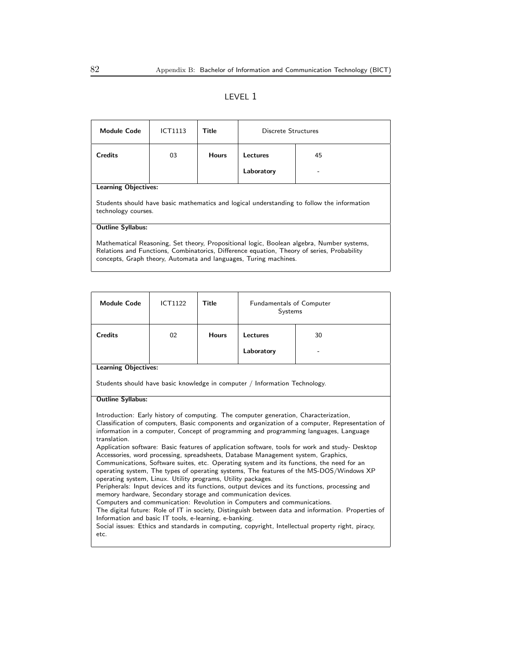### LEVEL 1

| <b>Module Code</b>                                                                                                                                                                                                                                          | ICT1113 | Title        | Discrete Structures |  |  |
|-------------------------------------------------------------------------------------------------------------------------------------------------------------------------------------------------------------------------------------------------------------|---------|--------------|---------------------|--|--|
| Credits                                                                                                                                                                                                                                                     | 03      | <b>Hours</b> | Lectures<br>45      |  |  |
|                                                                                                                                                                                                                                                             |         |              | Laboratory          |  |  |
| <b>Learning Objectives:</b>                                                                                                                                                                                                                                 |         |              |                     |  |  |
| Students should have basic mathematics and logical understanding to follow the information<br>technology courses.                                                                                                                                           |         |              |                     |  |  |
| <b>Outline Syllabus:</b>                                                                                                                                                                                                                                    |         |              |                     |  |  |
| Mathematical Reasoning, Set theory, Propositional logic, Boolean algebra, Number systems,<br>Relations and Functions, Combinatorics, Difference equation, Theory of series, Probability<br>concepts, Graph theory, Automata and languages, Turing machines. |         |              |                     |  |  |

| <b>Module Code</b>                                                                                                                                                                                                                                                                                                                                                                                                                                                                                                                                                                                                                                                                                                                                                                                                                                                                                                                                                                                                                                                                                                                                                                                                                                                           | <b>ICT1122</b> | Title        | Fundamentals of Computer<br><b>Systems</b>                                 |  |  |
|------------------------------------------------------------------------------------------------------------------------------------------------------------------------------------------------------------------------------------------------------------------------------------------------------------------------------------------------------------------------------------------------------------------------------------------------------------------------------------------------------------------------------------------------------------------------------------------------------------------------------------------------------------------------------------------------------------------------------------------------------------------------------------------------------------------------------------------------------------------------------------------------------------------------------------------------------------------------------------------------------------------------------------------------------------------------------------------------------------------------------------------------------------------------------------------------------------------------------------------------------------------------------|----------------|--------------|----------------------------------------------------------------------------|--|--|
| <b>Credits</b>                                                                                                                                                                                                                                                                                                                                                                                                                                                                                                                                                                                                                                                                                                                                                                                                                                                                                                                                                                                                                                                                                                                                                                                                                                                               | 02             | <b>Hours</b> | Lectures<br>30                                                             |  |  |
|                                                                                                                                                                                                                                                                                                                                                                                                                                                                                                                                                                                                                                                                                                                                                                                                                                                                                                                                                                                                                                                                                                                                                                                                                                                                              |                |              | Laboratory                                                                 |  |  |
| <b>Learning Objectives:</b>                                                                                                                                                                                                                                                                                                                                                                                                                                                                                                                                                                                                                                                                                                                                                                                                                                                                                                                                                                                                                                                                                                                                                                                                                                                  |                |              |                                                                            |  |  |
|                                                                                                                                                                                                                                                                                                                                                                                                                                                                                                                                                                                                                                                                                                                                                                                                                                                                                                                                                                                                                                                                                                                                                                                                                                                                              |                |              | Students should have basic knowledge in computer / Information Technology. |  |  |
| <b>Outline Syllabus:</b>                                                                                                                                                                                                                                                                                                                                                                                                                                                                                                                                                                                                                                                                                                                                                                                                                                                                                                                                                                                                                                                                                                                                                                                                                                                     |                |              |                                                                            |  |  |
| Introduction: Early history of computing. The computer generation, Characterization,<br>Classification of computers, Basic components and organization of a computer, Representation of<br>information in a computer, Concept of programming and programming languages, Language<br>translation.<br>Application software: Basic features of application software, tools for work and study- Desktop<br>Accessories, word processing, spreadsheets, Database Management system, Graphics,<br>Communications, Software suites, etc. Operating system and its functions, the need for an<br>operating system, The types of operating systems, The features of the MS-DOS/Windows XP<br>operating system, Linux. Utility programs, Utility packages.<br>Peripherals: Input devices and its functions, output devices and its functions, processing and<br>memory hardware, Secondary storage and communication devices.<br>Computers and communication: Revolution in Computers and communications.<br>The digital future: Role of IT in society, Distinguish between data and information. Properties of<br>Information and basic IT tools, e-learning, e-banking.<br>Social issues: Ethics and standards in computing, copyright, Intellectual property right, piracy,<br>etc. |                |              |                                                                            |  |  |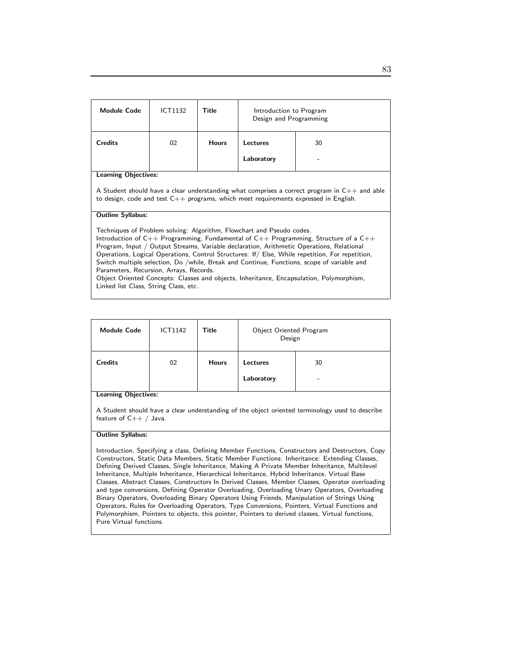| <b>Module Code</b>                                                                                                                                                                                                                                                                                                                                                                                                                                                                                                                                                                                                                                                                    | ICT1132                                                                                                                                                                                                                       | Title        | Introduction to Program<br>Design and Programming |    |  |
|---------------------------------------------------------------------------------------------------------------------------------------------------------------------------------------------------------------------------------------------------------------------------------------------------------------------------------------------------------------------------------------------------------------------------------------------------------------------------------------------------------------------------------------------------------------------------------------------------------------------------------------------------------------------------------------|-------------------------------------------------------------------------------------------------------------------------------------------------------------------------------------------------------------------------------|--------------|---------------------------------------------------|----|--|
| <b>Credits</b>                                                                                                                                                                                                                                                                                                                                                                                                                                                                                                                                                                                                                                                                        | 02                                                                                                                                                                                                                            | <b>Hours</b> | Lectures                                          | 30 |  |
|                                                                                                                                                                                                                                                                                                                                                                                                                                                                                                                                                                                                                                                                                       |                                                                                                                                                                                                                               |              | Laboratory                                        |    |  |
|                                                                                                                                                                                                                                                                                                                                                                                                                                                                                                                                                                                                                                                                                       | <b>Learning Objectives:</b><br>A Student should have a clear understanding what comprises a correct program in $C_{++}$ and able<br>to design, code and test $C_{++}$ programs, which meet requirements expressed in English. |              |                                                   |    |  |
| <b>Outline Syllabus:</b><br>Techniques of Problem solving: Algorithm, Flowchart and Pseudo codes.<br>Introduction of $C_{++}$ Programming, Fundamental of $C_{++}$ Programming, Structure of a $C_{++}$<br>Program, Input / Output Streams, Variable declaration, Arithmetic Operations, Relational<br>Operations, Logical Operations, Control Structures: If / Else, While repetition, For repetition,<br>Switch multiple selection, Do /while, Break and Continue, Functions, scope of variable and<br>Parameters, Recursion, Arrays, Records.<br>Object Oriented Concepts: Classes and objects, Inheritance, Encapsulation, Polymorphism,<br>Linked list Class, String Class, etc. |                                                                                                                                                                                                                               |              |                                                   |    |  |

| <b>Module Code</b> | <b>ICT1142</b> | Title        | Object Oriented Program<br>Design |         |
|--------------------|----------------|--------------|-----------------------------------|---------|
| <b>Credits</b>     | 02             | <b>Hours</b> | Lectures<br>Laboratory            | 30<br>- |

A Student should have a clear understanding of the object oriented terminology used to describe feature of C++ / Java.

#### Outline Syllabus:

Introduction, Specifying a class, Defining Member Functions, Constructors and Destructors, Copy Constructors, Static Data Members, Static Member Functions: Inheritance: Extending Classes, Defining Derived Classes, Single Inheritance, Making A Private Member Inheritance, Multilevel Inheritance, Multiple Inheritance, Hierarchical Inheritance, Hybrid Inheritance, Virtual Base Classes, Abstract Classes, Constructors In Derived Classes, Member Classes, Operator overloading and type conversions, Defining Operator Overloading, Overloading Unary Operators, Overloading Binary Operators, Overloading Binary Operators Using Friends, Manipulation of Strings Using Operators, Rules for Overloading Operators, Type Conversions, Pointers, Virtual Functions and Polymorphism, Pointers to objects, this pointer, Pointers to derived classes, Virtual functions, Pure Virtual functions.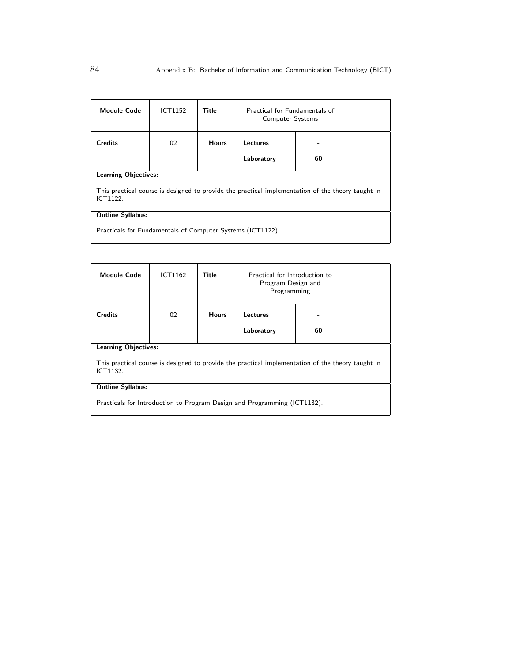| <b>Module Code</b>                                                                                            | ICT1152 | Title        | Practical for Fundamentals of<br><b>Computer Systems</b> |    |
|---------------------------------------------------------------------------------------------------------------|---------|--------------|----------------------------------------------------------|----|
| <b>Credits</b>                                                                                                | 02      | <b>Hours</b> | Lectures<br>-                                            |    |
|                                                                                                               |         |              | Laboratory                                               | 60 |
| <b>Learning Objectives:</b>                                                                                   |         |              |                                                          |    |
| This practical course is designed to provide the practical implementation of the theory taught in<br>ICT1122. |         |              |                                                          |    |
| <b>Outline Syllabus:</b>                                                                                      |         |              |                                                          |    |
| Practicals for Fundamentals of Computer Systems (ICT1122).                                                    |         |              |                                                          |    |

| <b>Module Code</b>                                                                                            | ICT1162 | Title        | Practical for Introduction to<br>Program Design and<br>Programming |    |  |
|---------------------------------------------------------------------------------------------------------------|---------|--------------|--------------------------------------------------------------------|----|--|
| <b>Credits</b>                                                                                                | 02      | <b>Hours</b> | Lectures                                                           |    |  |
|                                                                                                               |         |              | Laboratory                                                         | 60 |  |
| <b>Learning Objectives:</b>                                                                                   |         |              |                                                                    |    |  |
| This practical course is designed to provide the practical implementation of the theory taught in<br>ICT1132. |         |              |                                                                    |    |  |
| <b>Outline Syllabus:</b>                                                                                      |         |              |                                                                    |    |  |
| Practicals for Introduction to Program Design and Programming (ICT1132).                                      |         |              |                                                                    |    |  |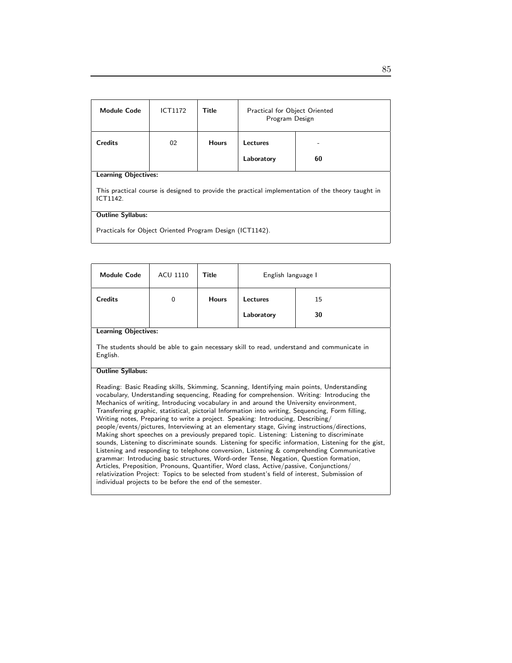| <b>Module Code</b>                                                                                            | <b>ICT1172</b> | Title        | Practical for Object Oriented<br>Program Design |    |  |
|---------------------------------------------------------------------------------------------------------------|----------------|--------------|-------------------------------------------------|----|--|
| <b>Credits</b>                                                                                                | 02             | <b>Hours</b> | Lectures                                        |    |  |
|                                                                                                               |                |              | Laboratory                                      | 60 |  |
| <b>Learning Objectives:</b>                                                                                   |                |              |                                                 |    |  |
| This practical course is designed to provide the practical implementation of the theory taught in<br>ICT1142. |                |              |                                                 |    |  |
| <b>Outline Syllabus:</b>                                                                                      |                |              |                                                 |    |  |
| Practicals for Object Oriented Program Design (ICT1142).                                                      |                |              |                                                 |    |  |

| <b>Module Code</b>                                                                                                                                                                                                                                                                                                                                                                                                                                                                                                                                                                                                                                                                                                                                                                                                                                                                                                                                                                                                                                                                                                                                                                                                               | ACU 1110    | Title        | English language I |    |  |
|----------------------------------------------------------------------------------------------------------------------------------------------------------------------------------------------------------------------------------------------------------------------------------------------------------------------------------------------------------------------------------------------------------------------------------------------------------------------------------------------------------------------------------------------------------------------------------------------------------------------------------------------------------------------------------------------------------------------------------------------------------------------------------------------------------------------------------------------------------------------------------------------------------------------------------------------------------------------------------------------------------------------------------------------------------------------------------------------------------------------------------------------------------------------------------------------------------------------------------|-------------|--------------|--------------------|----|--|
| <b>Credits</b>                                                                                                                                                                                                                                                                                                                                                                                                                                                                                                                                                                                                                                                                                                                                                                                                                                                                                                                                                                                                                                                                                                                                                                                                                   | $\mathbf 0$ | <b>Hours</b> | <b>Lectures</b>    | 15 |  |
|                                                                                                                                                                                                                                                                                                                                                                                                                                                                                                                                                                                                                                                                                                                                                                                                                                                                                                                                                                                                                                                                                                                                                                                                                                  |             |              | Laboratory         | 30 |  |
| <b>Learning Objectives:</b>                                                                                                                                                                                                                                                                                                                                                                                                                                                                                                                                                                                                                                                                                                                                                                                                                                                                                                                                                                                                                                                                                                                                                                                                      |             |              |                    |    |  |
| The students should be able to gain necessary skill to read, understand and communicate in<br>English.                                                                                                                                                                                                                                                                                                                                                                                                                                                                                                                                                                                                                                                                                                                                                                                                                                                                                                                                                                                                                                                                                                                           |             |              |                    |    |  |
| <b>Outline Syllabus:</b>                                                                                                                                                                                                                                                                                                                                                                                                                                                                                                                                                                                                                                                                                                                                                                                                                                                                                                                                                                                                                                                                                                                                                                                                         |             |              |                    |    |  |
| Reading: Basic Reading skills, Skimming, Scanning, Identifying main points, Understanding<br>vocabulary, Understanding sequencing, Reading for comprehension. Writing: Introducing the<br>Mechanics of writing, Introducing vocabulary in and around the University environment,<br>Transferring graphic, statistical, pictorial Information into writing, Sequencing, Form filling,<br>Writing notes, Preparing to write a project. Speaking: Introducing, Describing/<br>people/events/pictures, Interviewing at an elementary stage, Giving instructions/directions,<br>Making short speeches on a previously prepared topic. Listening: Listening to discriminate<br>sounds, Listening to discriminate sounds. Listening for specific information, Listening for the gist,<br>Listening and responding to telephone conversion, Listening $\&$ comprehending Communicative<br>grammar: Introducing basic structures, Word-order Tense, Negation, Question formation,<br>Articles, Preposition, Pronouns, Quantifier, Word class, Active/passive, Conjunctions/<br>relativization Project: Topics to be selected from student's field of interest, Submission of<br>individual projects to be before the end of the semester. |             |              |                    |    |  |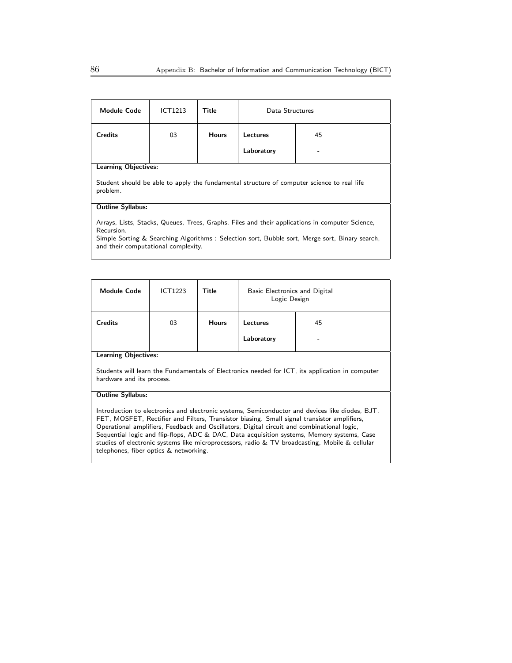| <b>Module Code</b>                                                                                                                                  | ICT1213 | Title        | Data Structures |    |
|-----------------------------------------------------------------------------------------------------------------------------------------------------|---------|--------------|-----------------|----|
| <b>Credits</b>                                                                                                                                      | 03      | <b>Hours</b> | Lectures        | 45 |
|                                                                                                                                                     |         |              | Laboratory      |    |
| <b>Learning Objectives:</b><br>Student should be able to apply the fundamental structure of computer science to real life<br>problem.               |         |              |                 |    |
| <b>Outline Syllabus:</b><br>Arrays, Lists, Stacks, Queues, Trees, Graphs, Files and their applications in computer Science,                         |         |              |                 |    |
| Recursion.<br>Simple Sorting & Searching Algorithms: Selection sort, Bubble sort, Merge sort, Binary search,<br>and their computational complexity. |         |              |                 |    |

| <b>Module Code</b> | <b>ICT1223</b> | Title        | Basic Electronics and Digital<br>Logic Design |         |  |
|--------------------|----------------|--------------|-----------------------------------------------|---------|--|
| <b>Credits</b>     | 03             | <b>Hours</b> | Lectures<br>Laboratory                        | 45<br>- |  |
| earning Objectives |                |              |                                               |         |  |

Students will learn the Fundamentals of Electronics needed for ICT, its application in computer hardware and its process.

#### Outline Syllabus:

Introduction to electronics and electronic systems, Semiconductor and devices like diodes, BJT, FET, MOSFET, Rectifier and Filters, Transistor biasing. Small signal transistor amplifiers, Operational amplifiers, Feedback and Oscillators, Digital circuit and combinational logic, Sequential logic and flip-flops, ADC & DAC, Data acquisition systems, Memory systems, Case studies of electronic systems like microprocessors, radio & TV broadcasting, Mobile & cellular telephones, fiber optics & networking.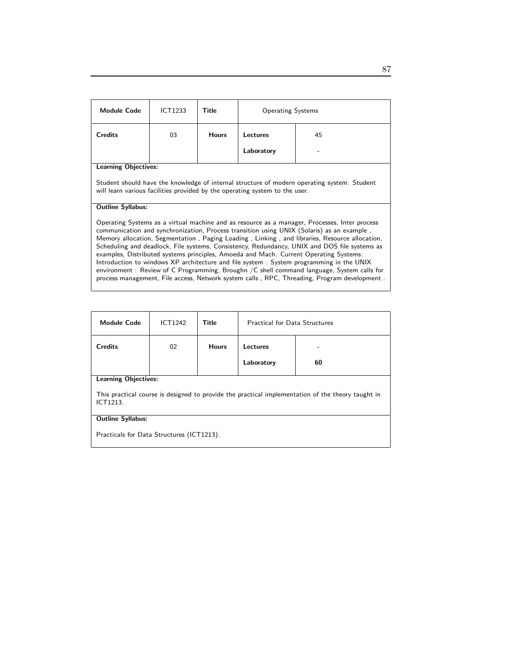| <b>Module Code</b>                                                                                                                                                                                                                                                                                                                                                                                                                                                                                                                                                                                                                                                                                                                                                                                       | <b>ICT1233</b> | Title        | <b>Operating Systems</b> |    |
|----------------------------------------------------------------------------------------------------------------------------------------------------------------------------------------------------------------------------------------------------------------------------------------------------------------------------------------------------------------------------------------------------------------------------------------------------------------------------------------------------------------------------------------------------------------------------------------------------------------------------------------------------------------------------------------------------------------------------------------------------------------------------------------------------------|----------------|--------------|--------------------------|----|
| <b>Credits</b>                                                                                                                                                                                                                                                                                                                                                                                                                                                                                                                                                                                                                                                                                                                                                                                           | 03             | <b>Hours</b> | <b>Lectures</b>          | 45 |
|                                                                                                                                                                                                                                                                                                                                                                                                                                                                                                                                                                                                                                                                                                                                                                                                          |                |              | Laboratory               |    |
| <b>Learning Objectives:</b><br>Student should have the knowledge of internal structure of modern operating system. Student<br>will learn various facilities provided by the operating system to the user.                                                                                                                                                                                                                                                                                                                                                                                                                                                                                                                                                                                                |                |              |                          |    |
| <b>Outline Syllabus:</b><br>Operating Systems as a virtual machine and as resource as a manager, Processes, Inter process<br>communication and synchronization, Process transition using UNIX (Solaris) as an example,<br>Memory allocation, Segmentation, Paging Loading, Linking, and libraries, Resource allocation,<br>Scheduling and deadlock, File systems, Consistency, Redundancy, UNIX and DOS file systems as<br>examples, Distributed systems principles, Amoeda and Mach. Current Operating Systems:<br>Introduction to windows XP architecture and file system. System programming in the UNIX<br>environment : Review of C Programming, Broughn /C shell command language, System calls for<br>process management, File access, Network system calls, RPC, Threading, Program development. |                |              |                          |    |

| <b>Module Code</b>                                                                                            | <b>ICT1242</b>              | Title        | <b>Practical for Data Structures</b> |    |  |  |
|---------------------------------------------------------------------------------------------------------------|-----------------------------|--------------|--------------------------------------|----|--|--|
| <b>Credits</b>                                                                                                | 02                          | <b>Hours</b> | Lectures                             |    |  |  |
|                                                                                                               |                             |              | Laboratory                           | 60 |  |  |
|                                                                                                               | <b>Learning Objectives:</b> |              |                                      |    |  |  |
| This practical course is designed to provide the practical implementation of the theory taught in<br>ICT1213. |                             |              |                                      |    |  |  |
| <b>Outline Syllabus:</b>                                                                                      |                             |              |                                      |    |  |  |
| Practicals for Data Structures (ICT1213).                                                                     |                             |              |                                      |    |  |  |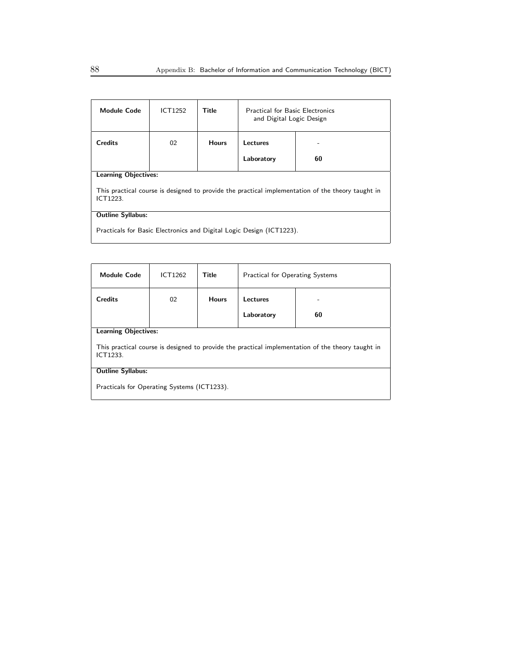| <b>Module Code</b>                                                                                            | ICT1252 | Title        | <b>Practical for Basic Electronics</b><br>and Digital Logic Design |    |  |
|---------------------------------------------------------------------------------------------------------------|---------|--------------|--------------------------------------------------------------------|----|--|
| <b>Credits</b>                                                                                                | 02      | <b>Hours</b> | Lectures                                                           |    |  |
|                                                                                                               |         |              | Laboratory                                                         | 60 |  |
| <b>Learning Objectives:</b>                                                                                   |         |              |                                                                    |    |  |
| This practical course is designed to provide the practical implementation of the theory taught in<br>ICT1223. |         |              |                                                                    |    |  |
| <b>Outline Syllabus:</b>                                                                                      |         |              |                                                                    |    |  |
| Practicals for Basic Electronics and Digital Logic Design (ICT1223).                                          |         |              |                                                                    |    |  |

| <b>Module Code</b>                                                                                            | ICT1262 | Title        | <b>Practical for Operating Systems</b> |    |  |
|---------------------------------------------------------------------------------------------------------------|---------|--------------|----------------------------------------|----|--|
| <b>Credits</b>                                                                                                | 02      | <b>Hours</b> | Lectures                               |    |  |
|                                                                                                               |         |              | Laboratory                             | 60 |  |
| <b>Learning Objectives:</b>                                                                                   |         |              |                                        |    |  |
| This practical course is designed to provide the practical implementation of the theory taught in<br>ICT1233. |         |              |                                        |    |  |
| <b>Outline Syllabus:</b>                                                                                      |         |              |                                        |    |  |
| Practicals for Operating Systems (ICT1233).                                                                   |         |              |                                        |    |  |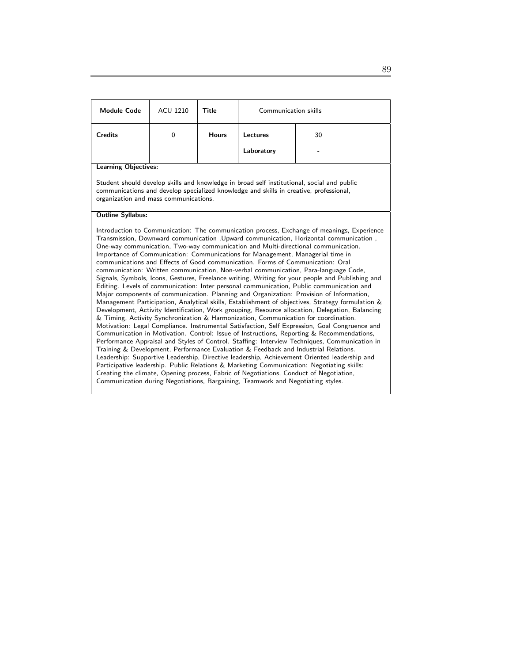| <b>Module Code</b>                                                                                                                                                                                                                                                                                                                                                                                                                                                                                                                                                                                                                                                                                                                                                                                                                                                                                                                                                                                                                                                                                                                                                                                                                                                                                                                                                                                                                                                                                                                                                                                                                                                                                                                                                                                                                                                                            | <b>ACU 1210</b>                                                                                                                                                                                                               | Title        | Communication skills |    |  |  |
|-----------------------------------------------------------------------------------------------------------------------------------------------------------------------------------------------------------------------------------------------------------------------------------------------------------------------------------------------------------------------------------------------------------------------------------------------------------------------------------------------------------------------------------------------------------------------------------------------------------------------------------------------------------------------------------------------------------------------------------------------------------------------------------------------------------------------------------------------------------------------------------------------------------------------------------------------------------------------------------------------------------------------------------------------------------------------------------------------------------------------------------------------------------------------------------------------------------------------------------------------------------------------------------------------------------------------------------------------------------------------------------------------------------------------------------------------------------------------------------------------------------------------------------------------------------------------------------------------------------------------------------------------------------------------------------------------------------------------------------------------------------------------------------------------------------------------------------------------------------------------------------------------|-------------------------------------------------------------------------------------------------------------------------------------------------------------------------------------------------------------------------------|--------------|----------------------|----|--|--|
| <b>Credits</b>                                                                                                                                                                                                                                                                                                                                                                                                                                                                                                                                                                                                                                                                                                                                                                                                                                                                                                                                                                                                                                                                                                                                                                                                                                                                                                                                                                                                                                                                                                                                                                                                                                                                                                                                                                                                                                                                                | $\mathbf 0$                                                                                                                                                                                                                   | <b>Hours</b> | Lectures             | 30 |  |  |
|                                                                                                                                                                                                                                                                                                                                                                                                                                                                                                                                                                                                                                                                                                                                                                                                                                                                                                                                                                                                                                                                                                                                                                                                                                                                                                                                                                                                                                                                                                                                                                                                                                                                                                                                                                                                                                                                                               |                                                                                                                                                                                                                               |              | Laboratory           |    |  |  |
| <b>Learning Objectives:</b>                                                                                                                                                                                                                                                                                                                                                                                                                                                                                                                                                                                                                                                                                                                                                                                                                                                                                                                                                                                                                                                                                                                                                                                                                                                                                                                                                                                                                                                                                                                                                                                                                                                                                                                                                                                                                                                                   |                                                                                                                                                                                                                               |              |                      |    |  |  |
|                                                                                                                                                                                                                                                                                                                                                                                                                                                                                                                                                                                                                                                                                                                                                                                                                                                                                                                                                                                                                                                                                                                                                                                                                                                                                                                                                                                                                                                                                                                                                                                                                                                                                                                                                                                                                                                                                               | Student should develop skills and knowledge in broad self institutional, social and public<br>communications and develop specialized knowledge and skills in creative, professional,<br>organization and mass communications. |              |                      |    |  |  |
| <b>Outline Syllabus:</b>                                                                                                                                                                                                                                                                                                                                                                                                                                                                                                                                                                                                                                                                                                                                                                                                                                                                                                                                                                                                                                                                                                                                                                                                                                                                                                                                                                                                                                                                                                                                                                                                                                                                                                                                                                                                                                                                      |                                                                                                                                                                                                                               |              |                      |    |  |  |
| Introduction to Communication: The communication process, Exchange of meanings, Experience<br>Transmission, Downward communication , Upward communication, Horizontal communication,<br>One-way communication, Two-way communication and Multi-directional communication.<br>Importance of Communication: Communications for Management, Managerial time in<br>communications and Effects of Good communication. Forms of Communication: Oral<br>communication: Written communication, Non-verbal communication, Para-language Code,<br>Signals, Symbols, Icons, Gestures, Freelance writing, Writing for your people and Publishing and<br>Editing. Levels of communication: Inter personal communication, Public communication and<br>Major components of communication. Planning and Organization: Provision of Information,<br>Management Participation, Analytical skills, Establishment of objectives, Strategy formulation &<br>Development, Activity Identification, Work grouping, Resource allocation, Delegation, Balancing<br>& Timing, Activity Synchronization & Harmonization, Communication for coordination.<br>Motivation: Legal Compliance. Instrumental Satisfaction, Self Expression, Goal Congruence and<br>Communication in Motivation. Control: Issue of Instructions, Reporting & Recommendations,<br>Performance Appraisal and Styles of Control. Staffing: Interview Techniques, Communication in<br>Training & Development, Performance Evaluation & Feedback and Industrial Relations.<br>Leadership: Supportive Leadership, Directive leadership, Achievement Oriented leadership and<br>Participative leadership. Public Relations & Marketing Communication: Negotiating skills:<br>Creating the climate, Opening process, Fabric of Negotiations, Conduct of Negotiation,<br>Communication during Negotiations, Bargaining, Teamwork and Negotiating styles. |                                                                                                                                                                                                                               |              |                      |    |  |  |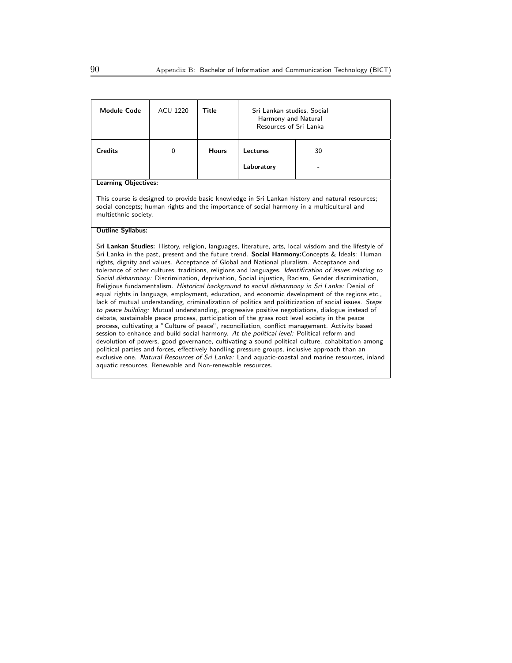| <b>Module Code</b>                                                                                                                                                                                                                                                                                                                                                                                                                                                                                                                                                                                                                                                                                                                                                                                                                                                                                                                                                                                                                                                                                                                                                                                                                                                                                                                                                                                                                                                                                                                                                                                  | <b>ACU 1220</b> | Title        | Sri Lankan studies, Social<br>Harmony and Natural<br>Resources of Sri Lanka |                                                                                                                                                                                              |  |
|-----------------------------------------------------------------------------------------------------------------------------------------------------------------------------------------------------------------------------------------------------------------------------------------------------------------------------------------------------------------------------------------------------------------------------------------------------------------------------------------------------------------------------------------------------------------------------------------------------------------------------------------------------------------------------------------------------------------------------------------------------------------------------------------------------------------------------------------------------------------------------------------------------------------------------------------------------------------------------------------------------------------------------------------------------------------------------------------------------------------------------------------------------------------------------------------------------------------------------------------------------------------------------------------------------------------------------------------------------------------------------------------------------------------------------------------------------------------------------------------------------------------------------------------------------------------------------------------------------|-----------------|--------------|-----------------------------------------------------------------------------|----------------------------------------------------------------------------------------------------------------------------------------------------------------------------------------------|--|
| <b>Credits</b>                                                                                                                                                                                                                                                                                                                                                                                                                                                                                                                                                                                                                                                                                                                                                                                                                                                                                                                                                                                                                                                                                                                                                                                                                                                                                                                                                                                                                                                                                                                                                                                      | $\mathbf 0$     | <b>Hours</b> | <b>Lectures</b>                                                             | 30                                                                                                                                                                                           |  |
|                                                                                                                                                                                                                                                                                                                                                                                                                                                                                                                                                                                                                                                                                                                                                                                                                                                                                                                                                                                                                                                                                                                                                                                                                                                                                                                                                                                                                                                                                                                                                                                                     |                 |              | Laboratory                                                                  |                                                                                                                                                                                              |  |
| <b>Learning Objectives:</b>                                                                                                                                                                                                                                                                                                                                                                                                                                                                                                                                                                                                                                                                                                                                                                                                                                                                                                                                                                                                                                                                                                                                                                                                                                                                                                                                                                                                                                                                                                                                                                         |                 |              |                                                                             |                                                                                                                                                                                              |  |
| multiethnic society.                                                                                                                                                                                                                                                                                                                                                                                                                                                                                                                                                                                                                                                                                                                                                                                                                                                                                                                                                                                                                                                                                                                                                                                                                                                                                                                                                                                                                                                                                                                                                                                |                 |              |                                                                             | This course is designed to provide basic knowledge in Sri Lankan history and natural resources;<br>social concepts; human rights and the importance of social harmony in a multicultural and |  |
| <b>Outline Syllabus:</b>                                                                                                                                                                                                                                                                                                                                                                                                                                                                                                                                                                                                                                                                                                                                                                                                                                                                                                                                                                                                                                                                                                                                                                                                                                                                                                                                                                                                                                                                                                                                                                            |                 |              |                                                                             |                                                                                                                                                                                              |  |
| Sri Lankan Studies: History, religion, languages, literature, arts, local wisdom and the lifestyle of<br>Sri Lanka in the past, present and the future trend. Social Harmony: Concepts & Ideals: Human<br>rights, dignity and values. Acceptance of Global and National pluralism. Acceptance and<br>tolerance of other cultures, traditions, religions and languages. Identification of issues relating to<br>Social disharmony: Discrimination, deprivation, Social injustice, Racism, Gender discrimination,<br>Religious fundamentalism. Historical background to social disharmony in Sri Lanka: Denial of<br>equal rights in language, employment, education, and economic development of the regions etc.,<br>lack of mutual understanding, criminalization of politics and politicization of social issues. Steps<br>to peace building: Mutual understanding, progressive positive negotiations, dialogue instead of<br>debate, sustainable peace process, participation of the grass root level society in the peace<br>process, cultivating a "Culture of peace", reconciliation, conflict management. Activity based<br>session to enhance and build social harmony. At the political level: Political reform and<br>devolution of powers, good governance, cultivating a sound political culture, cohabitation among<br>political parties and forces, effectively handling pressure groups, inclusive approach than an<br>exclusive one. Natural Resources of Sri Lanka: Land aquatic-coastal and marine resources, inland<br>aquatic resources, Renewable and Non-renewable resources. |                 |              |                                                                             |                                                                                                                                                                                              |  |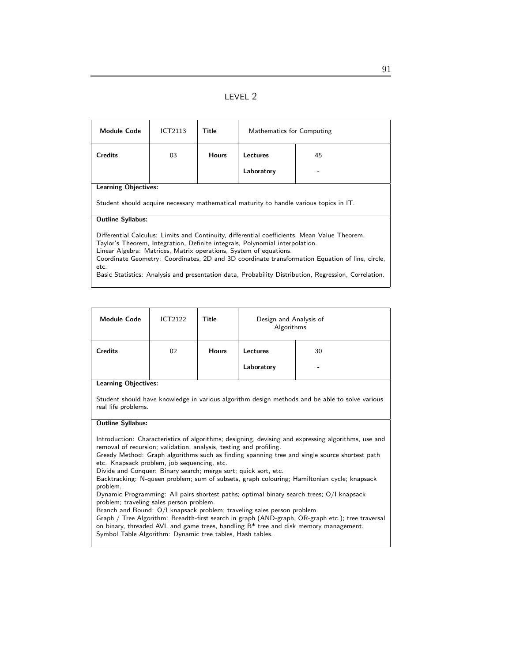|--|--|

| <b>Module Code</b>                                                                                                                                                                                                                                                                                                                                                                                                                                                   | ICT2113                                                                                | Title        | Mathematics for Computing |    |  |  |
|----------------------------------------------------------------------------------------------------------------------------------------------------------------------------------------------------------------------------------------------------------------------------------------------------------------------------------------------------------------------------------------------------------------------------------------------------------------------|----------------------------------------------------------------------------------------|--------------|---------------------------|----|--|--|
| <b>Credits</b>                                                                                                                                                                                                                                                                                                                                                                                                                                                       | 03                                                                                     | <b>Hours</b> | <b>Lectures</b>           | 45 |  |  |
|                                                                                                                                                                                                                                                                                                                                                                                                                                                                      |                                                                                        |              | Laboratory                |    |  |  |
|                                                                                                                                                                                                                                                                                                                                                                                                                                                                      | <b>Learning Objectives:</b>                                                            |              |                           |    |  |  |
|                                                                                                                                                                                                                                                                                                                                                                                                                                                                      | Student should acquire necessary mathematical maturity to handle various topics in IT. |              |                           |    |  |  |
| <b>Outline Syllabus:</b>                                                                                                                                                                                                                                                                                                                                                                                                                                             |                                                                                        |              |                           |    |  |  |
| Differential Calculus: Limits and Continuity, differential coefficients, Mean Value Theorem,<br>Taylor's Theorem, Integration, Definite integrals, Polynomial interpolation.<br>Linear Algebra: Matrices, Matrix operations, System of equations.<br>Coordinate Geometry: Coordinates, 2D and 3D coordinate transformation Equation of line, circle,<br>etc.<br>Basic Statistics: Analysis and presentation data, Probability Distribution, Regression, Correlation. |                                                                                        |              |                           |    |  |  |

| <b>Module Code</b> | <b>ICT2122</b> | Title        | Design and Analysis of<br>Algorithms |         |
|--------------------|----------------|--------------|--------------------------------------|---------|
| <b>Credits</b>     | 02             | <b>Hours</b> | <b>Lectures</b><br>Laboratory        | 30<br>- |

Student should have knowledge in various algorithm design methods and be able to solve various real life problems.

#### Outline Syllabus:

Introduction: Characteristics of algorithms; designing, devising and expressing algorithms, use and removal of recursion; validation, analysis, testing and profiling.

Greedy Method: Graph algorithms such as finding spanning tree and single source shortest path etc. Knapsack problem, job sequencing, etc.

Divide and Conquer: Binary search; merge sort; quick sort, etc.

Backtracking: N-queen problem; sum of subsets, graph colouring; Hamiltonian cycle; knapsack problem.

Dynamic Programming: All pairs shortest paths; optimal binary search trees; O/I knapsack problem; traveling sales person problem.

Branch and Bound: O/I knapsack problem; traveling sales person problem.

Graph / Tree Algorithm: Breadth-first search in graph (AND-graph, OR-graph etc.); tree traversal on binary, threaded AVL and game trees, handling B\* tree and disk memory management. Symbol Table Algorithm: Dynamic tree tables, Hash tables.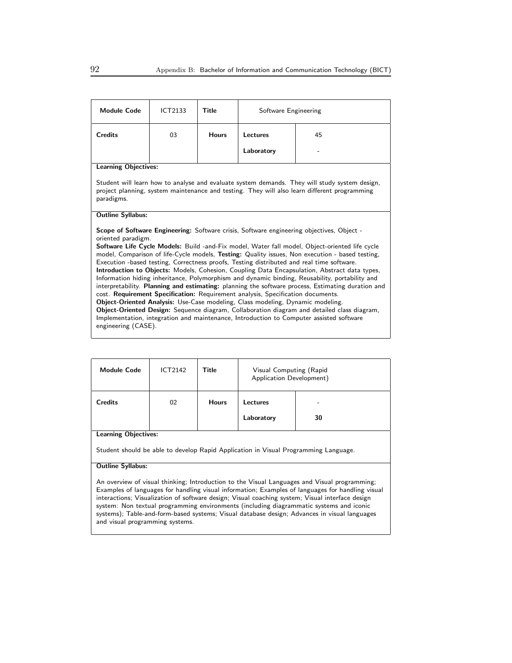| <b>Module Code</b>                                                                                                                                                                                                                                                                                                                                                                                                                                                                                                                                                                                                                                                                                                                                                                                                                                                                                                                                                                                                                                                                                                    | ICT2133 | Title        | Software Engineering |    |  |
|-----------------------------------------------------------------------------------------------------------------------------------------------------------------------------------------------------------------------------------------------------------------------------------------------------------------------------------------------------------------------------------------------------------------------------------------------------------------------------------------------------------------------------------------------------------------------------------------------------------------------------------------------------------------------------------------------------------------------------------------------------------------------------------------------------------------------------------------------------------------------------------------------------------------------------------------------------------------------------------------------------------------------------------------------------------------------------------------------------------------------|---------|--------------|----------------------|----|--|
| <b>Credits</b>                                                                                                                                                                                                                                                                                                                                                                                                                                                                                                                                                                                                                                                                                                                                                                                                                                                                                                                                                                                                                                                                                                        | 03      | <b>Hours</b> | Lectures             | 45 |  |
|                                                                                                                                                                                                                                                                                                                                                                                                                                                                                                                                                                                                                                                                                                                                                                                                                                                                                                                                                                                                                                                                                                                       |         |              | Laboratory           |    |  |
| <b>Learning Objectives:</b>                                                                                                                                                                                                                                                                                                                                                                                                                                                                                                                                                                                                                                                                                                                                                                                                                                                                                                                                                                                                                                                                                           |         |              |                      |    |  |
| Student will learn how to analyse and evaluate system demands. They will study system design,<br>project planning, system maintenance and testing. They will also learn different programming<br>paradigms.                                                                                                                                                                                                                                                                                                                                                                                                                                                                                                                                                                                                                                                                                                                                                                                                                                                                                                           |         |              |                      |    |  |
| <b>Outline Syllabus:</b>                                                                                                                                                                                                                                                                                                                                                                                                                                                                                                                                                                                                                                                                                                                                                                                                                                                                                                                                                                                                                                                                                              |         |              |                      |    |  |
| <b>Scope of Software Engineering:</b> Software crisis, Software engineering objectives, Object -<br>oriented paradigm.<br>Software Life Cycle Models: Build -and-Fix model, Water fall model, Object-oriented life cycle<br>model, Comparison of life-Cycle models, Testing: Quality issues, Non execution - based testing,<br>Execution -based testing, Correctness proofs, Testing distributed and real time software.<br>Introduction to Objects: Models, Cohesion, Coupling Data Encapsulation, Abstract data types,<br>Information hiding inheritance, Polymorphism and dynamic binding, Reusability, portability and<br>interpretability. Planning and estimating: planning the software process, Estimating duration and<br>cost. Requirement Specification: Requirement analysis, Specification documents.<br>Object-Oriented Analysis: Use-Case modeling, Class modeling, Dynamic modeling.<br>Object-Oriented Design: Sequence diagram, Collaboration diagram and detailed class diagram,<br>Implementation, integration and maintenance, Introduction to Computer assisted software<br>engineering (CASE). |         |              |                      |    |  |

| <b>Module Code</b>                                                                                                 | <b>ICT2142</b> | <b>Title</b> | Visual Computing (Rapid<br>Application Development) |    |  |
|--------------------------------------------------------------------------------------------------------------------|----------------|--------------|-----------------------------------------------------|----|--|
| <b>Credits</b>                                                                                                     | 02             | <b>Hours</b> | Lectures<br>Laboratory                              | 30 |  |
| <b>Learning Objectives:</b><br>Student should be able to develop Rapid Application in Visual Programming Language. |                |              |                                                     |    |  |
| <b>Outline Syllabus:</b>                                                                                           |                |              |                                                     |    |  |

An overview of visual thinking; Introduction to the Visual Languages and Visual programming; Examples of languages for handling visual information; Examples of languages for handling visual interactions; Visualization of software design; Visual coaching system; Visual interface design system: Non textual programming environments (including diagrammatic systems and iconic systems); Table-and-form-based systems; Visual database design; Advances in visual languages and visual programming systems.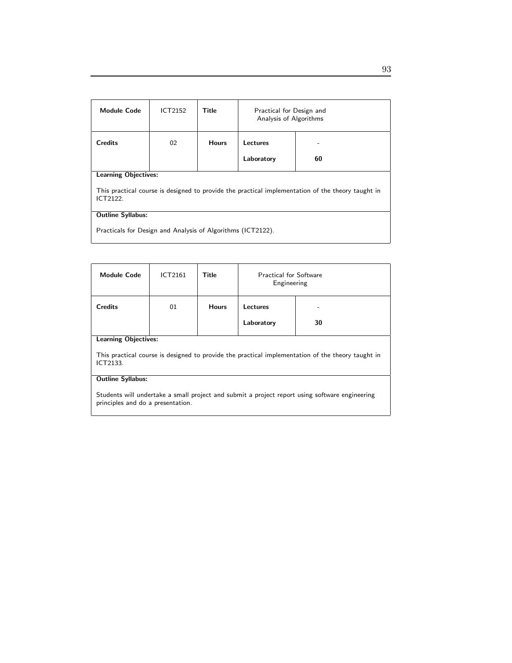| <b>Module Code</b>                                                                                            | ICT2152                     | Title        | Practical for Design and<br>Analysis of Algorithms |    |  |  |
|---------------------------------------------------------------------------------------------------------------|-----------------------------|--------------|----------------------------------------------------|----|--|--|
| <b>Credits</b>                                                                                                | 02                          | <b>Hours</b> | Lectures                                           |    |  |  |
|                                                                                                               |                             |              | Laboratory                                         | 60 |  |  |
|                                                                                                               | <b>Learning Objectives:</b> |              |                                                    |    |  |  |
| This practical course is designed to provide the practical implementation of the theory taught in<br>ICT2122. |                             |              |                                                    |    |  |  |
| <b>Outline Syllabus:</b>                                                                                      |                             |              |                                                    |    |  |  |
| Practicals for Design and Analysis of Algorithms (ICT2122).                                                   |                             |              |                                                    |    |  |  |

| <b>Module Code</b>                                                                                                                  | ICT2161 | Title        | <b>Practical for Software</b><br>Engineering |    |  |
|-------------------------------------------------------------------------------------------------------------------------------------|---------|--------------|----------------------------------------------|----|--|
| <b>Credits</b>                                                                                                                      | 01      | <b>Hours</b> | Lectures                                     |    |  |
|                                                                                                                                     |         |              | Laboratory                                   | 30 |  |
| <b>Learning Objectives:</b>                                                                                                         |         |              |                                              |    |  |
| This practical course is designed to provide the practical implementation of the theory taught in<br>ICT2133.                       |         |              |                                              |    |  |
| <b>Outline Syllabus:</b>                                                                                                            |         |              |                                              |    |  |
| Students will undertake a small project and submit a project report using software engineering<br>principles and do a presentation. |         |              |                                              |    |  |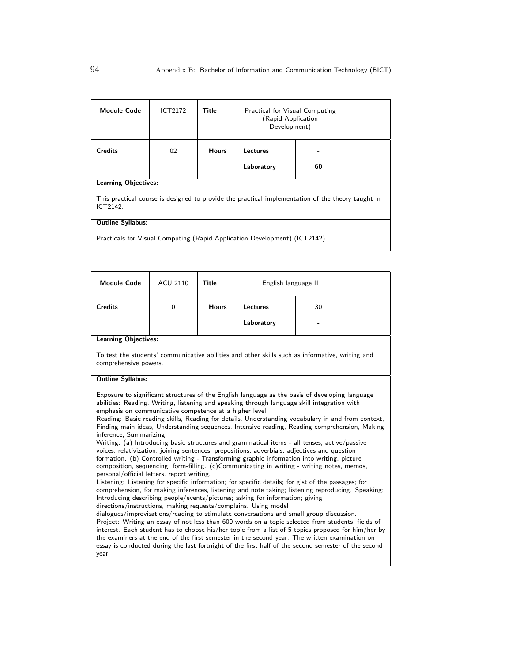| <b>Module Code</b>                                                                                            | ICT2172 | Title        | <b>Practical for Visual Computing</b><br>(Rapid Application<br>Development) |    |  |
|---------------------------------------------------------------------------------------------------------------|---------|--------------|-----------------------------------------------------------------------------|----|--|
| <b>Credits</b>                                                                                                | 02      | <b>Hours</b> | Lectures                                                                    |    |  |
|                                                                                                               |         |              | Laboratory                                                                  | 60 |  |
| <b>Learning Objectives:</b>                                                                                   |         |              |                                                                             |    |  |
| This practical course is designed to provide the practical implementation of the theory taught in<br>ICT2142. |         |              |                                                                             |    |  |
| <b>Outline Syllabus:</b>                                                                                      |         |              |                                                                             |    |  |
| Practicals for Visual Computing (Rapid Application Development) (ICT2142).                                    |         |              |                                                                             |    |  |

| <b>Module Code</b>                                                                                                                                                                                                                                                                                                                                                                                                                                                                                                                                                                                                                                                                                                                                                                                                                                                                                                                                                                                                                                                                                                                                                                                                                                                                                                                                                                                                                                                                                                                                                                                                                                                                                                                                                                                                        | <b>ACU 2110</b> | Title        | English language II |                                                                                                 |  |
|---------------------------------------------------------------------------------------------------------------------------------------------------------------------------------------------------------------------------------------------------------------------------------------------------------------------------------------------------------------------------------------------------------------------------------------------------------------------------------------------------------------------------------------------------------------------------------------------------------------------------------------------------------------------------------------------------------------------------------------------------------------------------------------------------------------------------------------------------------------------------------------------------------------------------------------------------------------------------------------------------------------------------------------------------------------------------------------------------------------------------------------------------------------------------------------------------------------------------------------------------------------------------------------------------------------------------------------------------------------------------------------------------------------------------------------------------------------------------------------------------------------------------------------------------------------------------------------------------------------------------------------------------------------------------------------------------------------------------------------------------------------------------------------------------------------------------|-----------------|--------------|---------------------|-------------------------------------------------------------------------------------------------|--|
| <b>Credits</b>                                                                                                                                                                                                                                                                                                                                                                                                                                                                                                                                                                                                                                                                                                                                                                                                                                                                                                                                                                                                                                                                                                                                                                                                                                                                                                                                                                                                                                                                                                                                                                                                                                                                                                                                                                                                            | $\mathbf 0$     | <b>Hours</b> | Lectures            | 30                                                                                              |  |
|                                                                                                                                                                                                                                                                                                                                                                                                                                                                                                                                                                                                                                                                                                                                                                                                                                                                                                                                                                                                                                                                                                                                                                                                                                                                                                                                                                                                                                                                                                                                                                                                                                                                                                                                                                                                                           |                 |              | Laboratory          |                                                                                                 |  |
| <b>Learning Objectives:</b>                                                                                                                                                                                                                                                                                                                                                                                                                                                                                                                                                                                                                                                                                                                                                                                                                                                                                                                                                                                                                                                                                                                                                                                                                                                                                                                                                                                                                                                                                                                                                                                                                                                                                                                                                                                               |                 |              |                     |                                                                                                 |  |
| comprehensive powers.                                                                                                                                                                                                                                                                                                                                                                                                                                                                                                                                                                                                                                                                                                                                                                                                                                                                                                                                                                                                                                                                                                                                                                                                                                                                                                                                                                                                                                                                                                                                                                                                                                                                                                                                                                                                     |                 |              |                     | To test the students' communicative abilities and other skills such as informative, writing and |  |
| <b>Outline Syllabus:</b>                                                                                                                                                                                                                                                                                                                                                                                                                                                                                                                                                                                                                                                                                                                                                                                                                                                                                                                                                                                                                                                                                                                                                                                                                                                                                                                                                                                                                                                                                                                                                                                                                                                                                                                                                                                                  |                 |              |                     |                                                                                                 |  |
| Exposure to significant structures of the English language as the basis of developing language<br>abilities: Reading, Writing, listening and speaking through language skill integration with<br>emphasis on communicative competence at a higher level.<br>Reading: Basic reading skills, Reading for details, Understanding vocabulary in and from context,<br>Finding main ideas, Understanding sequences, Intensive reading, Reading comprehension, Making<br>inference, Summarizing.<br>Writing: (a) Introducing basic structures and grammatical items - all tenses, active/passive<br>voices, relativization, joining sentences, prepositions, adverbials, adjectives and question<br>formation. (b) Controlled writing - Transforming graphic information into writing, picture<br>composition, sequencing, form-filling. (c)Communicating in writing - writing notes, memos,<br>personal/official letters, report writing.<br>Listening: Listening for specific information; for specific details; for gist of the passages; for<br>comprehension, for making inferences, listening and note taking; listening reproducing. Speaking:<br>Introducing describing people/events/pictures; asking for information; giving<br>directions/instructions, making requests/complains. Using model<br>dialogues/improvisations/reading to stimulate conversations and small group discussion.<br>Project: Writing an essay of not less than 600 words on a topic selected from students' fields of<br>interest. Each student has to choose his/her topic from a list of 5 topics proposed for him/her by<br>the examiners at the end of the first semester in the second year. The written examination on<br>essay is conducted during the last fortnight of the first half of the second semester of the second<br>year. |                 |              |                     |                                                                                                 |  |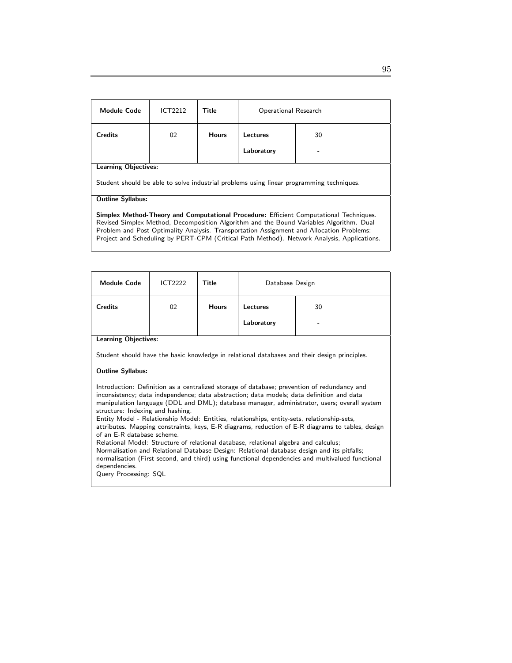| <b>Module Code</b>                                                                                                                                                                | ICT2212 | Title        | Operational Research |    |  |
|-----------------------------------------------------------------------------------------------------------------------------------------------------------------------------------|---------|--------------|----------------------|----|--|
| <b>Credits</b>                                                                                                                                                                    | 02      | <b>Hours</b> | Lectures             | 30 |  |
|                                                                                                                                                                                   |         |              | Laboratory           |    |  |
| <b>Learning Objectives:</b>                                                                                                                                                       |         |              |                      |    |  |
| Student should be able to solve industrial problems using linear programming techniques.                                                                                          |         |              |                      |    |  |
| <b>Outline Syllabus:</b>                                                                                                                                                          |         |              |                      |    |  |
| Simplex Method-Theory and Computational Procedure: Efficient Computational Techniques.<br>Revised Simpley Method, Decomposition Algorithm and the Round Variables Algorithm. Dual |         |              |                      |    |  |

Revised Simplex Method, Decomposition Algorithm and the Bound Variables Algorithm. Dual Problem and Post Optimality Analysis. Transportation Assignment and Allocation Problems: Project and Scheduling by PERT-CPM (Critical Path Method). Network Analysis, Applications.

| <b>Credits</b>                                                                                                                                                                                                                                                                                                                                                                                                                                                                                                                                                                                                                                                                                                                                                                                                                                                                                   | 02 | <b>Hours</b> |            |    |  |
|--------------------------------------------------------------------------------------------------------------------------------------------------------------------------------------------------------------------------------------------------------------------------------------------------------------------------------------------------------------------------------------------------------------------------------------------------------------------------------------------------------------------------------------------------------------------------------------------------------------------------------------------------------------------------------------------------------------------------------------------------------------------------------------------------------------------------------------------------------------------------------------------------|----|--------------|------------|----|--|
|                                                                                                                                                                                                                                                                                                                                                                                                                                                                                                                                                                                                                                                                                                                                                                                                                                                                                                  |    |              | Lectures   | 30 |  |
|                                                                                                                                                                                                                                                                                                                                                                                                                                                                                                                                                                                                                                                                                                                                                                                                                                                                                                  |    |              | Laboratory |    |  |
| <b>Learning Objectives:</b>                                                                                                                                                                                                                                                                                                                                                                                                                                                                                                                                                                                                                                                                                                                                                                                                                                                                      |    |              |            |    |  |
| Student should have the basic knowledge in relational databases and their design principles.                                                                                                                                                                                                                                                                                                                                                                                                                                                                                                                                                                                                                                                                                                                                                                                                     |    |              |            |    |  |
| <b>Outline Syllabus:</b>                                                                                                                                                                                                                                                                                                                                                                                                                                                                                                                                                                                                                                                                                                                                                                                                                                                                         |    |              |            |    |  |
| Introduction: Definition as a centralized storage of database; prevention of redundancy and<br>inconsistency; data independence; data abstraction; data models; data definition and data<br>manipulation language (DDL and DML); database manager, administrator, users; overall system<br>structure: Indexing and hashing.<br>Entity Model - Relationship Model: Entities, relationships, entity-sets, relationship-sets,<br>attributes. Mapping constraints, keys, E-R diagrams, reduction of E-R diagrams to tables, design<br>of an E-R database scheme.<br>Relational Model: Structure of relational database, relational algebra and calculus;<br>Normalisation and Relational Database Design: Relational database design and its pitfalls;<br>normalisation (First second, and third) using functional dependencies and multivalued functional<br>dependencies.<br>Query Processing: SQL |    |              |            |    |  |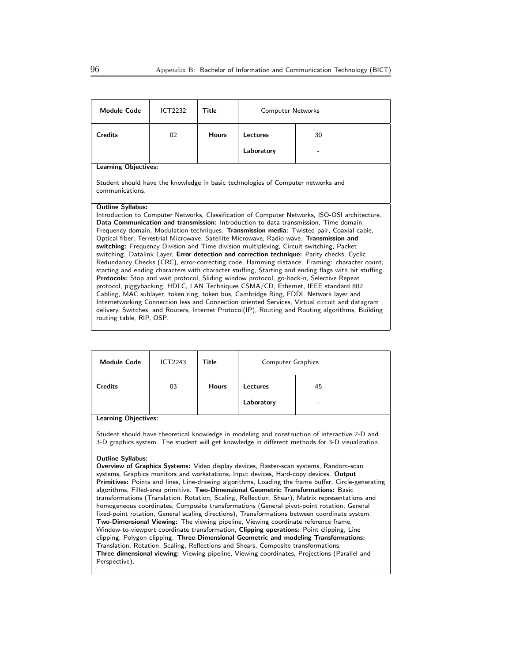| <b>Module Code</b>                                                                                                                                                                      | ICT2232 | Title        | <b>Computer Networks</b> |                                                                                                                                                                                      |  |  |
|-----------------------------------------------------------------------------------------------------------------------------------------------------------------------------------------|---------|--------------|--------------------------|--------------------------------------------------------------------------------------------------------------------------------------------------------------------------------------|--|--|
| <b>Credits</b>                                                                                                                                                                          | 02      | <b>Hours</b> | Lectures                 | 30                                                                                                                                                                                   |  |  |
|                                                                                                                                                                                         |         |              | Laboratory               |                                                                                                                                                                                      |  |  |
| <b>Learning Objectives:</b>                                                                                                                                                             |         |              |                          |                                                                                                                                                                                      |  |  |
| Student should have the knowledge in basic technologies of Computer networks and<br>communications.                                                                                     |         |              |                          |                                                                                                                                                                                      |  |  |
| <b>Outline Syllabus:</b>                                                                                                                                                                |         |              |                          |                                                                                                                                                                                      |  |  |
|                                                                                                                                                                                         |         |              |                          | Introduction to Computer Networks, Classification of Computer Networks, ISO-OSI architecture.                                                                                        |  |  |
|                                                                                                                                                                                         |         |              |                          | Data Communication and transmission: Introduction to data transmission, Time domain,                                                                                                 |  |  |
|                                                                                                                                                                                         |         |              |                          | Frequency domain, Modulation techniques. Transmission media: Twisted pair, Coaxial cable,<br>Optical fiber, Terrestrial Microwave, Satellite Microwave, Radio wave. Transmission and |  |  |
|                                                                                                                                                                                         |         |              |                          | switching: Frequency Division and Time division multiplexing, Circuit switching, Packet                                                                                              |  |  |
|                                                                                                                                                                                         |         |              |                          | switching. Datalink Layer, Error detection and correction technique: Parity checks, Cyclic                                                                                           |  |  |
|                                                                                                                                                                                         |         |              |                          | Redundancy Checks (CRC), error-correcting code, Hamming distance. Framing: character count,                                                                                          |  |  |
|                                                                                                                                                                                         |         |              |                          | starting and ending characters with character stuffing, Starting and ending flags with bit stuffing.                                                                                 |  |  |
| Protocols: Stop and wait protocol, Sliding window protocol, go-back-n, Selective Repeat                                                                                                 |         |              |                          |                                                                                                                                                                                      |  |  |
| protocol, piggybacking, HDLC, LAN Techniques CSMA/CD, Ethernet, IEEE standard 802,                                                                                                      |         |              |                          |                                                                                                                                                                                      |  |  |
| Cabling, MAC sublayer, token ring, token bus, Cambridge Ring, FDDI. Network layer and<br>Internetworking Connection less and Connection oriented Services, Virtual circuit and datagram |         |              |                          |                                                                                                                                                                                      |  |  |
|                                                                                                                                                                                         |         |              |                          | delivery, Switches, and Routers, Internet Protocol(IP), Routing and Routing algorithms, Building                                                                                     |  |  |
| routing table, RIP, OSP.                                                                                                                                                                |         |              |                          |                                                                                                                                                                                      |  |  |

| <b>Module Code</b>                                                                                                                                                                                                                                                                                                                                                                                                                                                                                                                                                                                                                                                                                                                                                                                                                                                                                                                                                                                                                                                                | ICT2243 | Title        | <b>Computer Graphics</b> |                                                                                              |  |  |
|-----------------------------------------------------------------------------------------------------------------------------------------------------------------------------------------------------------------------------------------------------------------------------------------------------------------------------------------------------------------------------------------------------------------------------------------------------------------------------------------------------------------------------------------------------------------------------------------------------------------------------------------------------------------------------------------------------------------------------------------------------------------------------------------------------------------------------------------------------------------------------------------------------------------------------------------------------------------------------------------------------------------------------------------------------------------------------------|---------|--------------|--------------------------|----------------------------------------------------------------------------------------------|--|--|
| <b>Credits</b>                                                                                                                                                                                                                                                                                                                                                                                                                                                                                                                                                                                                                                                                                                                                                                                                                                                                                                                                                                                                                                                                    | 03      | <b>Hours</b> | Lectures                 | 45                                                                                           |  |  |
|                                                                                                                                                                                                                                                                                                                                                                                                                                                                                                                                                                                                                                                                                                                                                                                                                                                                                                                                                                                                                                                                                   |         |              | Laboratory               |                                                                                              |  |  |
| <b>Learning Objectives:</b>                                                                                                                                                                                                                                                                                                                                                                                                                                                                                                                                                                                                                                                                                                                                                                                                                                                                                                                                                                                                                                                       |         |              |                          |                                                                                              |  |  |
| Student should have theoretical knowledge in modeling and construction of interactive 2-D and<br>3-D graphics system. The student will get knowledge in different methods for 3-D visualization.                                                                                                                                                                                                                                                                                                                                                                                                                                                                                                                                                                                                                                                                                                                                                                                                                                                                                  |         |              |                          |                                                                                              |  |  |
| <b>Outline Syllabus:</b>                                                                                                                                                                                                                                                                                                                                                                                                                                                                                                                                                                                                                                                                                                                                                                                                                                                                                                                                                                                                                                                          |         |              |                          |                                                                                              |  |  |
|                                                                                                                                                                                                                                                                                                                                                                                                                                                                                                                                                                                                                                                                                                                                                                                                                                                                                                                                                                                                                                                                                   |         |              |                          | <b>Overview of Graphics Systems:</b> Video display devices, Raster-scan systems, Random-scan |  |  |
| systems, Graphics monitors and workstations, Input devices, Hard-copy devices. Output<br>Primitives: Points and lines, Line-drawing algorithms, Loading the frame buffer, Circle-generating<br>algorithms, Filled-area primitive. Two-Dimensional Geometric Transformations: Basic<br>transformations (Translation, Rotation, Scaling, Reflection, Shear), Matrix representations and<br>homogeneous coordinates, Composite transformations (General pivot-point rotation, General<br>fixed-point rotation, General scaling directions), Transformations between coordinate system.<br><b>Two-Dimensional Viewing:</b> The viewing pipeline, Viewing coordinate reference frame,<br>Window-to-viewport coordinate transformation, Clipping operations: Point clipping, Line<br>clipping, Polygon clipping. Three-Dimensional Geometric and modeling Transformations:<br>Translation, Rotation, Scaling, Reflections and Shears, Composite transformations.<br><b>Three-dimensional viewing:</b> Viewing pipeline, Viewing coordinates, Projections (Parallel and<br>Perspective). |         |              |                          |                                                                                              |  |  |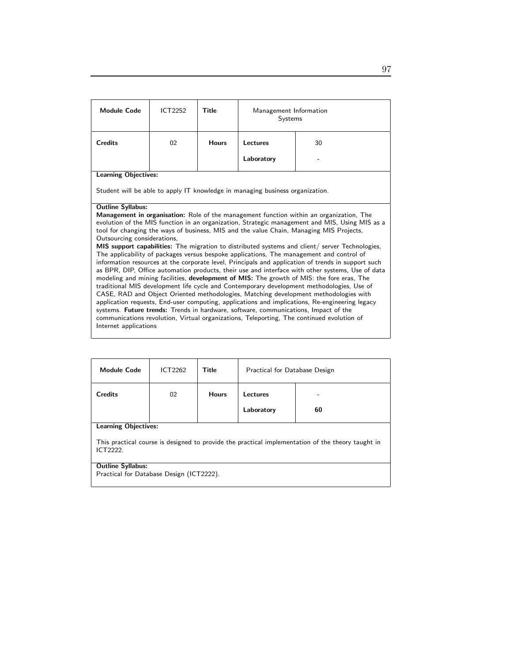| <b>Module Code</b>                                                                                                                                                                                                                                                                                                                                                                                                                                                                                                                                                                                                                                                                                                                                                                                                                                                                                                                                                                                                                                                                                                                                                                                                                                                                                                                                               | ICT2252 | <b>Title</b> | Management Information<br>Systems                                             |    |  |  |
|------------------------------------------------------------------------------------------------------------------------------------------------------------------------------------------------------------------------------------------------------------------------------------------------------------------------------------------------------------------------------------------------------------------------------------------------------------------------------------------------------------------------------------------------------------------------------------------------------------------------------------------------------------------------------------------------------------------------------------------------------------------------------------------------------------------------------------------------------------------------------------------------------------------------------------------------------------------------------------------------------------------------------------------------------------------------------------------------------------------------------------------------------------------------------------------------------------------------------------------------------------------------------------------------------------------------------------------------------------------|---------|--------------|-------------------------------------------------------------------------------|----|--|--|
| <b>Credits</b>                                                                                                                                                                                                                                                                                                                                                                                                                                                                                                                                                                                                                                                                                                                                                                                                                                                                                                                                                                                                                                                                                                                                                                                                                                                                                                                                                   | 02      | <b>Hours</b> | Lectures                                                                      | 30 |  |  |
|                                                                                                                                                                                                                                                                                                                                                                                                                                                                                                                                                                                                                                                                                                                                                                                                                                                                                                                                                                                                                                                                                                                                                                                                                                                                                                                                                                  |         |              | Laboratory                                                                    |    |  |  |
| <b>Learning Objectives:</b>                                                                                                                                                                                                                                                                                                                                                                                                                                                                                                                                                                                                                                                                                                                                                                                                                                                                                                                                                                                                                                                                                                                                                                                                                                                                                                                                      |         |              |                                                                               |    |  |  |
|                                                                                                                                                                                                                                                                                                                                                                                                                                                                                                                                                                                                                                                                                                                                                                                                                                                                                                                                                                                                                                                                                                                                                                                                                                                                                                                                                                  |         |              | Student will be able to apply IT knowledge in managing business organization. |    |  |  |
| <b>Outline Syllabus:</b><br><b>Management in organisation:</b> Role of the management function within an organization, The<br>evolution of the MIS function in an organization, Strategic management and MIS, Using MIS as a<br>tool for changing the ways of business, MIS and the value Chain, Managing MIS Projects,<br>Outsourcing considerations,<br>MIS support capabilities: The migration to distributed systems and client/ server Technologies,<br>The applicability of packages versus bespoke applications, The management and control of<br>information resources at the corporate level, Principals and application of trends in support such<br>as BPR, DIP, Office automation products, their use and interface with other systems, Use of data<br>modeling and mining facilities, development of MIS: The growth of MIS: the fore eras, The<br>traditional MIS development life cycle and Contemporary development methodologies, Use of<br>CASE, RAD and Object Oriented methodologies, Matching development methodologies with<br>application requests, End-user computing, applications and implications, Re-engineering legacy<br>systems. Future trends: Trends in hardware, software, communications, Impact of the<br>communications revolution, Virtual organizations, Teleporting, The continued evolution of<br>Internet applications |         |              |                                                                               |    |  |  |

| <b>Module Code</b>                                                                                            | ICT2262 | Title        | Practical for Database Design |    |  |
|---------------------------------------------------------------------------------------------------------------|---------|--------------|-------------------------------|----|--|
| <b>Credits</b>                                                                                                | 02      | <b>Hours</b> | Lectures                      |    |  |
|                                                                                                               |         |              | Laboratory                    | 60 |  |
| <b>Learning Objectives:</b>                                                                                   |         |              |                               |    |  |
| This practical course is designed to provide the practical implementation of the theory taught in<br>ICT2222. |         |              |                               |    |  |
| <b>Outline Syllabus:</b><br>Practical for Database Design (ICT2222).                                          |         |              |                               |    |  |
|                                                                                                               |         |              |                               |    |  |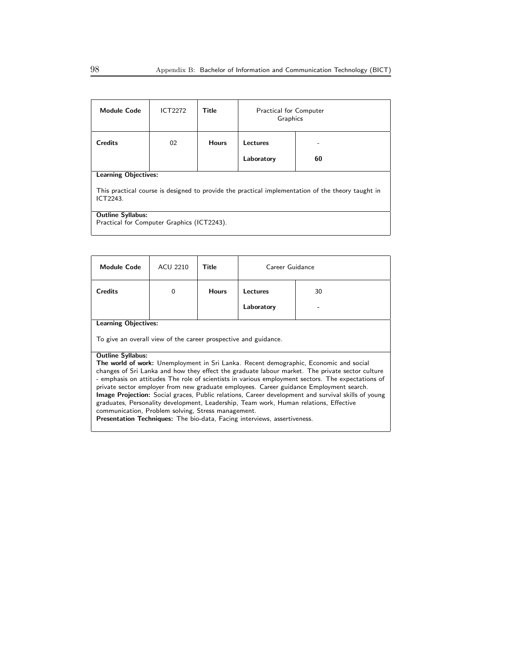| <b>Module Code</b>                                                                                            | <b>ICT2272</b> | Title        | <b>Practical for Computer</b><br>Graphics |    |  |
|---------------------------------------------------------------------------------------------------------------|----------------|--------------|-------------------------------------------|----|--|
| <b>Credits</b>                                                                                                | 02             | <b>Hours</b> | Lectures                                  |    |  |
|                                                                                                               |                |              | Laboratory                                | 60 |  |
| <b>Learning Objectives:</b>                                                                                   |                |              |                                           |    |  |
| This practical course is designed to provide the practical implementation of the theory taught in<br>ICT2243. |                |              |                                           |    |  |
| <b>Outline Syllabus:</b>                                                                                      |                |              |                                           |    |  |
| Practical for Computer Graphics (ICT2243).                                                                    |                |              |                                           |    |  |
|                                                                                                               |                |              |                                           |    |  |

| Module Code                                                                                                                                                                                                                                                                                                                                                                                                                                                                                                                                                                                                                                                                                                                                                                | ACU 2210 | Title        | Career Guidance |    |  |
|----------------------------------------------------------------------------------------------------------------------------------------------------------------------------------------------------------------------------------------------------------------------------------------------------------------------------------------------------------------------------------------------------------------------------------------------------------------------------------------------------------------------------------------------------------------------------------------------------------------------------------------------------------------------------------------------------------------------------------------------------------------------------|----------|--------------|-----------------|----|--|
| <b>Credits</b>                                                                                                                                                                                                                                                                                                                                                                                                                                                                                                                                                                                                                                                                                                                                                             | $\Omega$ | <b>Hours</b> | Lectures        | 30 |  |
|                                                                                                                                                                                                                                                                                                                                                                                                                                                                                                                                                                                                                                                                                                                                                                            |          |              | Laboratory      |    |  |
| <b>Learning Objectives:</b>                                                                                                                                                                                                                                                                                                                                                                                                                                                                                                                                                                                                                                                                                                                                                |          |              |                 |    |  |
| To give an overall view of the career prospective and guidance.                                                                                                                                                                                                                                                                                                                                                                                                                                                                                                                                                                                                                                                                                                            |          |              |                 |    |  |
| <b>Outline Syllabus:</b><br><b>The world of work:</b> Unemployment in Sri Lanka. Recent demographic, Economic and social<br>changes of Sri Lanka and how they effect the graduate labour market. The private sector culture<br>- emphasis on attitudes The role of scientists in various employment sectors. The expectations of<br>private sector employer from new graduate employees. Career guidance Employment search.<br><b>Image Projection:</b> Social graces, Public relations, Career development and survival skills of young<br>graduates, Personality development, Leadership, Team work, Human relations, Effective<br>communication, Problem solving, Stress management.<br><b>Presentation Techniques:</b> The bio-data, Facing interviews, assertiveness. |          |              |                 |    |  |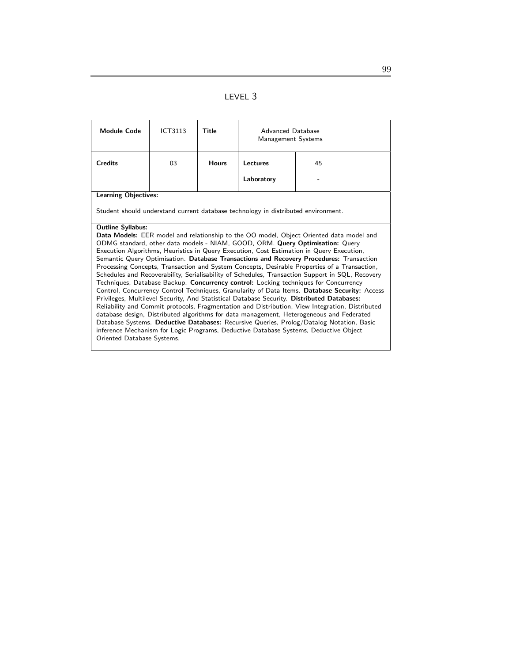| <b>Module Code</b>                                                                                                                                                               | <b>ICT3113</b>                                                                                                                                                                          | Title        | Advanced Database<br><b>Management Systems</b> |                                                                                                                                                                           |  |  |
|----------------------------------------------------------------------------------------------------------------------------------------------------------------------------------|-----------------------------------------------------------------------------------------------------------------------------------------------------------------------------------------|--------------|------------------------------------------------|---------------------------------------------------------------------------------------------------------------------------------------------------------------------------|--|--|
| <b>Credits</b>                                                                                                                                                                   | 03                                                                                                                                                                                      | <b>Hours</b> | Lectures                                       | 45                                                                                                                                                                        |  |  |
|                                                                                                                                                                                  |                                                                                                                                                                                         |              | Laboratory                                     |                                                                                                                                                                           |  |  |
| <b>Learning Objectives:</b>                                                                                                                                                      |                                                                                                                                                                                         |              |                                                |                                                                                                                                                                           |  |  |
|                                                                                                                                                                                  | Student should understand current database technology in distributed environment.                                                                                                       |              |                                                |                                                                                                                                                                           |  |  |
| <b>Outline Syllabus:</b>                                                                                                                                                         |                                                                                                                                                                                         |              |                                                |                                                                                                                                                                           |  |  |
|                                                                                                                                                                                  |                                                                                                                                                                                         |              |                                                | Data Models: EER model and relationship to the OO model, Object Oriented data model and                                                                                   |  |  |
|                                                                                                                                                                                  |                                                                                                                                                                                         |              |                                                | ODMG standard, other data models - NIAM, GOOD, ORM. Query Optimisation: Query<br>Execution Algorithms, Heuristics in Query Execution, Cost Estimation in Query Execution, |  |  |
|                                                                                                                                                                                  |                                                                                                                                                                                         |              |                                                |                                                                                                                                                                           |  |  |
|                                                                                                                                                                                  | Semantic Query Optimisation. Database Transactions and Recovery Procedures: Transaction<br>Processing Concepts, Transaction and System Concepts, Desirable Properties of a Transaction, |              |                                                |                                                                                                                                                                           |  |  |
| Schedules and Recoverability, Serialisability of Schedules, Transaction Support in SQL, Recovery                                                                                 |                                                                                                                                                                                         |              |                                                |                                                                                                                                                                           |  |  |
| Techniques, Database Backup. Concurrency control: Locking techniques for Concurrency                                                                                             |                                                                                                                                                                                         |              |                                                |                                                                                                                                                                           |  |  |
| Control, Concurrency Control Techniques, Granularity of Data Items. Database Security: Access                                                                                    |                                                                                                                                                                                         |              |                                                |                                                                                                                                                                           |  |  |
| Privileges, Multilevel Security, And Statistical Database Security. Distributed Databases:                                                                                       |                                                                                                                                                                                         |              |                                                |                                                                                                                                                                           |  |  |
| Reliability and Commit protocols, Fragmentation and Distribution, View Integration, Distributed                                                                                  |                                                                                                                                                                                         |              |                                                |                                                                                                                                                                           |  |  |
| database design, Distributed algorithms for data management, Heterogeneous and Federated                                                                                         |                                                                                                                                                                                         |              |                                                |                                                                                                                                                                           |  |  |
| Database Systems. Deductive Databases: Recursive Queries, Prolog/Datalog Notation, Basic<br>inference Mechanism for Logic Programs, Deductive Database Systems, Deductive Object |                                                                                                                                                                                         |              |                                                |                                                                                                                                                                           |  |  |
| Oriented Database Systems.                                                                                                                                                       |                                                                                                                                                                                         |              |                                                |                                                                                                                                                                           |  |  |
|                                                                                                                                                                                  |                                                                                                                                                                                         |              |                                                |                                                                                                                                                                           |  |  |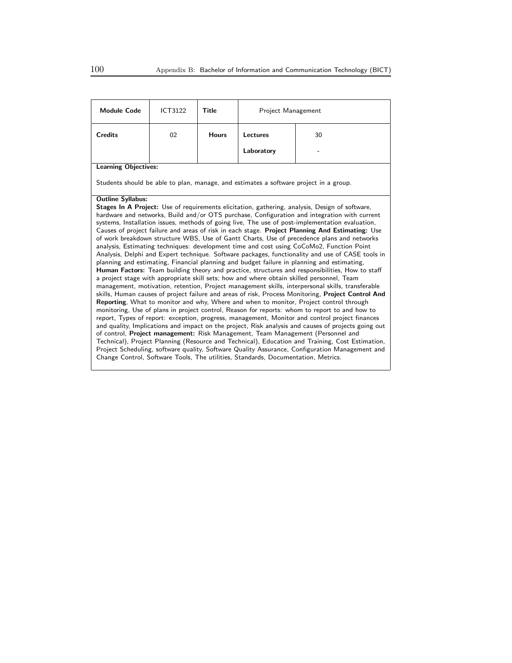| <b>Module Code</b>                                                                                  | ICT3122 | Title        | Project Management                                                                    |                                                                                                       |  |  |
|-----------------------------------------------------------------------------------------------------|---------|--------------|---------------------------------------------------------------------------------------|-------------------------------------------------------------------------------------------------------|--|--|
| <b>Credits</b>                                                                                      | 02      | <b>Hours</b> | <b>Lectures</b>                                                                       | 30                                                                                                    |  |  |
|                                                                                                     |         |              | Laboratory                                                                            |                                                                                                       |  |  |
| <b>Learning Objectives:</b>                                                                         |         |              |                                                                                       |                                                                                                       |  |  |
|                                                                                                     |         |              | Students should be able to plan, manage, and estimates a software project in a group. |                                                                                                       |  |  |
| <b>Outline Syllabus:</b>                                                                            |         |              |                                                                                       |                                                                                                       |  |  |
|                                                                                                     |         |              |                                                                                       | <b>Stages In A Project:</b> Use of requirements elicitation, gathering, analysis, Design of software, |  |  |
|                                                                                                     |         |              |                                                                                       | hardware and networks, Build and/or OTS purchase, Configuration and integration with current          |  |  |
|                                                                                                     |         |              |                                                                                       | systems, Installation issues, methods of going live, The use of post-implementation evaluation,       |  |  |
|                                                                                                     |         |              |                                                                                       | Causes of project failure and areas of risk in each stage. Project Planning And Estimating: Use       |  |  |
|                                                                                                     |         |              |                                                                                       | of work breakdown structure WBS, Use of Gantt Charts, Use of precedence plans and networks            |  |  |
|                                                                                                     |         |              |                                                                                       | analysis, Estimating techniques: development time and cost using CoCoMo2, Function Point              |  |  |
|                                                                                                     |         |              |                                                                                       | Analysis, Delphi and Expert technique. Software packages, functionality and use of CASE tools in      |  |  |
|                                                                                                     |         |              |                                                                                       | planning and estimating, Financial planning and budget failure in planning and estimating,            |  |  |
|                                                                                                     |         |              |                                                                                       | Human Factors: Team building theory and practice, structures and responsibilities, How to staff       |  |  |
|                                                                                                     |         |              |                                                                                       | a project stage with appropriate skill sets; how and where obtain skilled personnel, Team             |  |  |
|                                                                                                     |         |              |                                                                                       | management, motivation, retention, Project management skills, interpersonal skills, transferable      |  |  |
| skills, Human causes of project failure and areas of risk, Process Monitoring, Project Control And  |         |              |                                                                                       |                                                                                                       |  |  |
| Reporting, What to monitor and why, Where and when to monitor, Project control through              |         |              |                                                                                       |                                                                                                       |  |  |
| monitoring, Use of plans in project control, Reason for reports: whom to report to and how to       |         |              |                                                                                       |                                                                                                       |  |  |
| report, Types of report: exception, progress, management, Monitor and control project finances      |         |              |                                                                                       |                                                                                                       |  |  |
| and quality, Implications and impact on the project, Risk analysis and causes of projects going out |         |              |                                                                                       |                                                                                                       |  |  |
|                                                                                                     |         |              |                                                                                       | of control, <b>Project management:</b> Risk Management, Team Management (Personnel and                |  |  |
|                                                                                                     |         |              |                                                                                       | Technical), Project Planning (Resource and Technical), Education and Training, Cost Estimation,       |  |  |
| Project Scheduling, software quality, Software Quality Assurance, Configuration Management and      |         |              |                                                                                       |                                                                                                       |  |  |
| Change Control, Software Tools, The utilities, Standards, Documentation, Metrics.                   |         |              |                                                                                       |                                                                                                       |  |  |
|                                                                                                     |         |              |                                                                                       |                                                                                                       |  |  |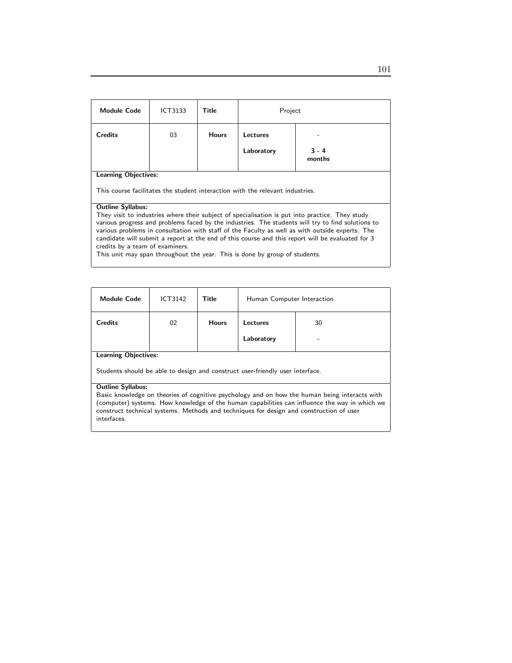| <b>Module Code</b>                                                                                                                                                                                                                                                                                                                                                                                                                                                                                                                                       | ICT3133 | Title        | Project                |                   |  |
|----------------------------------------------------------------------------------------------------------------------------------------------------------------------------------------------------------------------------------------------------------------------------------------------------------------------------------------------------------------------------------------------------------------------------------------------------------------------------------------------------------------------------------------------------------|---------|--------------|------------------------|-------------------|--|
| <b>Credits</b>                                                                                                                                                                                                                                                                                                                                                                                                                                                                                                                                           | 03      | <b>Hours</b> | Lectures<br>Laboratory | $3 - 4$<br>months |  |
| <b>Learning Objectives:</b><br>This course facilitates the student interaction with the relevant industries.                                                                                                                                                                                                                                                                                                                                                                                                                                             |         |              |                        |                   |  |
| <b>Outline Syllabus:</b><br>They visit to industries where their subject of specialisation is put into practice. They study<br>various progress and problems faced by the industries. The students will try to find solutions to<br>various problems in consultation with staff of the Faculty as well as with outside experts. The<br>candidate will submit a report at the end of this course and this report will be evaluated for 3<br>credits by a team of examiners.<br>This unit may span throughout the year. This is done by group of students. |         |              |                        |                   |  |

| <b>Module Code</b>          | <b>ICT3142</b> | <b>Title</b> | Human Computer Interaction |         |
|-----------------------------|----------------|--------------|----------------------------|---------|
| <b>Credits</b>              | 02             | <b>Hours</b> | Lectures<br>Laboratory     | 30<br>- |
| <b>Learning Objectives:</b> |                |              |                            |         |

Students should be able to design and construct user-friendly user interface.

#### Outline Syllabus:

Basic knowledge on theories of cognitive psychology and on how the human being interacts with (computer) systems. How knowledge of the human capabilities can influence the way in which we construct technical systems. Methods and techniques for design and construction of user interfaces.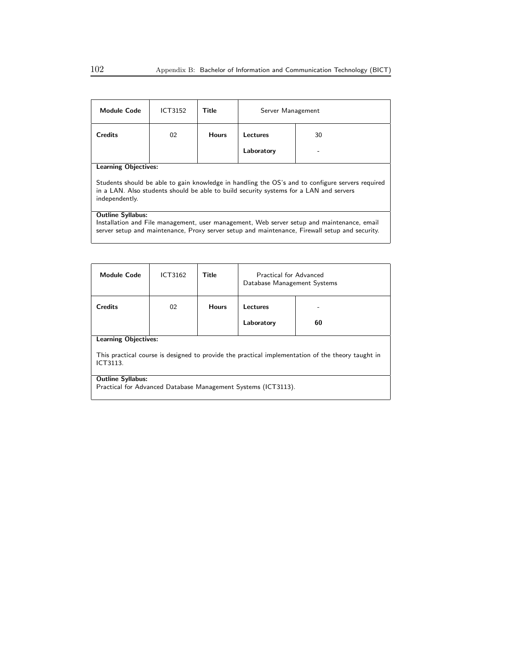| Module Code                                                                                                                                                                                                              | ICT3152 | Title        | Server Management |    |
|--------------------------------------------------------------------------------------------------------------------------------------------------------------------------------------------------------------------------|---------|--------------|-------------------|----|
| <b>Credits</b>                                                                                                                                                                                                           | 02      | <b>Hours</b> | Lectures          | 30 |
|                                                                                                                                                                                                                          |         |              | Laboratory        |    |
| <b>Learning Objectives:</b>                                                                                                                                                                                              |         |              |                   |    |
| Students should be able to gain knowledge in handling the OS's and to configure servers required<br>in a LAN. Also students should be able to build security systems for a LAN and servers<br>independently.             |         |              |                   |    |
| <b>Outline Syllabus:</b><br>Installation and File management, user management, Web server setup and maintenance, email<br>server setup and maintenance, Proxy server setup and maintenance, Firewall setup and security. |         |              |                   |    |

| <b>Module Code</b>                                                                                                                           | ICT3162 | Title        | Practical for Advanced<br>Database Management Systems |    |  |
|----------------------------------------------------------------------------------------------------------------------------------------------|---------|--------------|-------------------------------------------------------|----|--|
| <b>Credits</b>                                                                                                                               | 02      | <b>Hours</b> | Lectures<br>Laboratory                                | 60 |  |
| <b>Learning Objectives:</b><br>This practical course is designed to provide the practical implementation of the theory taught in<br>ICT3113. |         |              |                                                       |    |  |
| <b>Outline Syllabus:</b><br>Practical for Advanced Database Management Systems (ICT3113).                                                    |         |              |                                                       |    |  |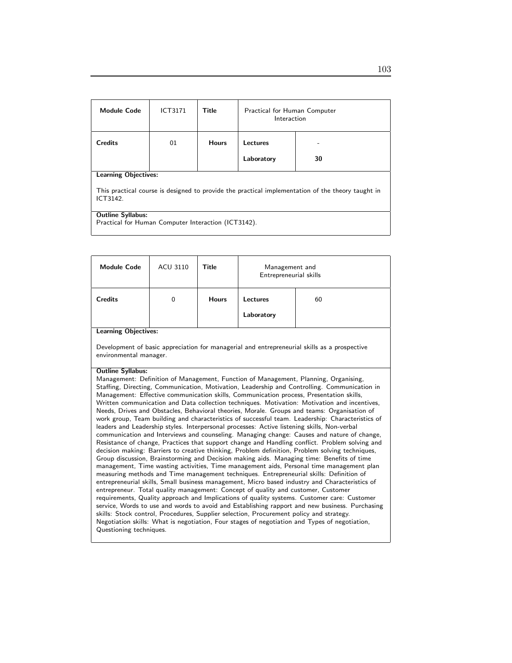| <b>Module Code</b>                                                                                            | <b>ICT3171</b> | <b>Title</b> | Practical for Human Computer<br>Interaction |    |  |
|---------------------------------------------------------------------------------------------------------------|----------------|--------------|---------------------------------------------|----|--|
| <b>Credits</b>                                                                                                | 01             | <b>Hours</b> | Lectures                                    |    |  |
|                                                                                                               |                |              | Laboratory                                  | 30 |  |
| <b>Learning Objectives:</b>                                                                                   |                |              |                                             |    |  |
| This practical course is designed to provide the practical implementation of the theory taught in<br>ICT3142. |                |              |                                             |    |  |
| <b>Outline Syllabus:</b>                                                                                      |                |              |                                             |    |  |
| Practical for Human Computer Interaction (ICT3142).                                                           |                |              |                                             |    |  |

| <b>Module Code</b>                                                                                                                                                                                                                                                                                                                                                                                                                                                                                                                                                                                                                                                                                                                                                                                                                                                                                                                                                                                                                                                                                                                                                                                                                                                                                                                                                                                                                                                                                                                                                                                                                                                                                                                                                                                                                                                                                                | <b>ACU 3110</b> | Title        | Management and<br>Entrepreneurial skills |                                                                                              |  |
|-------------------------------------------------------------------------------------------------------------------------------------------------------------------------------------------------------------------------------------------------------------------------------------------------------------------------------------------------------------------------------------------------------------------------------------------------------------------------------------------------------------------------------------------------------------------------------------------------------------------------------------------------------------------------------------------------------------------------------------------------------------------------------------------------------------------------------------------------------------------------------------------------------------------------------------------------------------------------------------------------------------------------------------------------------------------------------------------------------------------------------------------------------------------------------------------------------------------------------------------------------------------------------------------------------------------------------------------------------------------------------------------------------------------------------------------------------------------------------------------------------------------------------------------------------------------------------------------------------------------------------------------------------------------------------------------------------------------------------------------------------------------------------------------------------------------------------------------------------------------------------------------------------------------|-----------------|--------------|------------------------------------------|----------------------------------------------------------------------------------------------|--|
| <b>Credits</b>                                                                                                                                                                                                                                                                                                                                                                                                                                                                                                                                                                                                                                                                                                                                                                                                                                                                                                                                                                                                                                                                                                                                                                                                                                                                                                                                                                                                                                                                                                                                                                                                                                                                                                                                                                                                                                                                                                    | $\Omega$        | <b>Hours</b> | Lectures                                 | 60                                                                                           |  |
|                                                                                                                                                                                                                                                                                                                                                                                                                                                                                                                                                                                                                                                                                                                                                                                                                                                                                                                                                                                                                                                                                                                                                                                                                                                                                                                                                                                                                                                                                                                                                                                                                                                                                                                                                                                                                                                                                                                   |                 |              | Laboratory                               |                                                                                              |  |
| <b>Learning Objectives:</b>                                                                                                                                                                                                                                                                                                                                                                                                                                                                                                                                                                                                                                                                                                                                                                                                                                                                                                                                                                                                                                                                                                                                                                                                                                                                                                                                                                                                                                                                                                                                                                                                                                                                                                                                                                                                                                                                                       |                 |              |                                          |                                                                                              |  |
|                                                                                                                                                                                                                                                                                                                                                                                                                                                                                                                                                                                                                                                                                                                                                                                                                                                                                                                                                                                                                                                                                                                                                                                                                                                                                                                                                                                                                                                                                                                                                                                                                                                                                                                                                                                                                                                                                                                   |                 |              |                                          | Development of basic appreciation for managerial and entrepreneurial skills as a prospective |  |
| environmental manager.<br><b>Outline Syllabus:</b><br>Management: Definition of Management, Function of Management, Planning, Organising,<br>Staffing, Directing, Communication, Motivation, Leadership and Controlling. Communication in<br>Management: Effective communication skills, Communication process, Presentation skills,<br>Written communication and Data collection techniques. Motivation: Motivation and incentives,<br>Needs, Drives and Obstacles, Behavioral theories, Morale. Groups and teams: Organisation of<br>work group, Team building and characteristics of successful team. Leadership: Characteristics of<br>leaders and Leadership styles. Interpersonal processes: Active listening skills, Non-verbal<br>communication and Interviews and counseling. Managing change: Causes and nature of change,<br>Resistance of change, Practices that support change and Handling conflict. Problem solving and<br>decision making: Barriers to creative thinking, Problem definition, Problem solving techniques,<br>Group discussion, Brainstorming and Decision making aids. Managing time: Benefits of time<br>management, Time wasting activities, Time management aids, Personal time management plan<br>measuring methods and Time management techniques. Entrepreneurial skills: Definition of<br>entrepreneurial skills, Small business management, Micro based industry and Characteristics of<br>entrepreneur. Total quality management: Concept of quality and customer, Customer<br>requirements, Quality approach and Implications of quality systems. Customer care: Customer<br>service, Words to use and words to avoid and Establishing rapport and new business. Purchasing<br>skills: Stock control, Procedures, Supplier selection, Procurement policy and strategy.<br>Negotiation skills: What is negotiation, Four stages of negotiation and Types of negotiation, |                 |              |                                          |                                                                                              |  |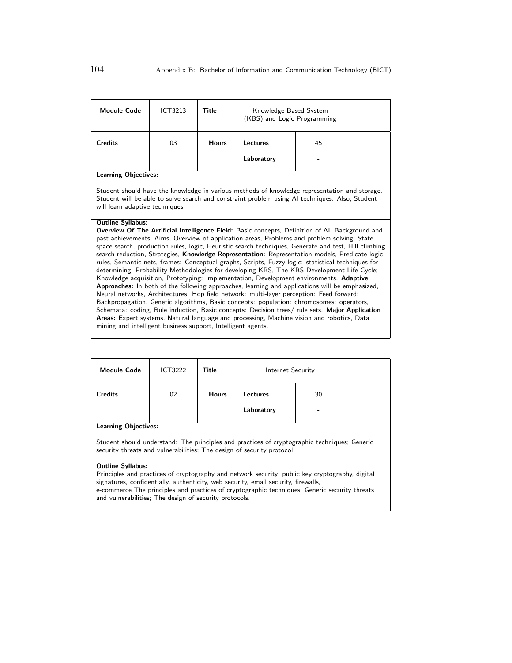| <b>Module Code</b>                                                                                                                                                                                                                                                                                                                                                                                                                                                                                                                                                                                                                                                                                                                                                                                                                                                                                                                                                                                                                                                                                                                                                                                                                                                                                 | ICT3213 | <b>Title</b> | Knowledge Based System<br>(KBS) and Logic Programming |    |  |
|----------------------------------------------------------------------------------------------------------------------------------------------------------------------------------------------------------------------------------------------------------------------------------------------------------------------------------------------------------------------------------------------------------------------------------------------------------------------------------------------------------------------------------------------------------------------------------------------------------------------------------------------------------------------------------------------------------------------------------------------------------------------------------------------------------------------------------------------------------------------------------------------------------------------------------------------------------------------------------------------------------------------------------------------------------------------------------------------------------------------------------------------------------------------------------------------------------------------------------------------------------------------------------------------------|---------|--------------|-------------------------------------------------------|----|--|
| <b>Credits</b>                                                                                                                                                                                                                                                                                                                                                                                                                                                                                                                                                                                                                                                                                                                                                                                                                                                                                                                                                                                                                                                                                                                                                                                                                                                                                     | 03      | <b>Hours</b> | Lectures                                              | 45 |  |
|                                                                                                                                                                                                                                                                                                                                                                                                                                                                                                                                                                                                                                                                                                                                                                                                                                                                                                                                                                                                                                                                                                                                                                                                                                                                                                    |         |              | Laboratory                                            |    |  |
| <b>Learning Objectives:</b><br>Student should have the knowledge in various methods of knowledge representation and storage.<br>Student will be able to solve search and constraint problem using AI techniques. Also, Student<br>will learn adaptive techniques.                                                                                                                                                                                                                                                                                                                                                                                                                                                                                                                                                                                                                                                                                                                                                                                                                                                                                                                                                                                                                                  |         |              |                                                       |    |  |
| <b>Outline Syllabus:</b><br><b>Overview Of The Artificial Intelligence Field:</b> Basic concepts, Definition of AI, Background and<br>past achievements, Aims, Overview of application areas, Problems and problem solving, State<br>space search, production rules, logic, Heuristic search techniques, Generate and test, Hill climbing<br>search reduction, Strategies, Knowledge Representation: Representation models, Predicate logic,<br>rules, Semantic nets, frames: Conceptual graphs, Scripts, Fuzzy logic: statistical techniques for<br>determining, Probability Methodologies for developing KBS, The KBS Development Life Cycle;<br>Knowledge acquisition, Prototyping: implementation, Development environments. Adaptive<br>Approaches: In both of the following approaches, learning and applications will be emphasized,<br>Neural networks, Architectures: Hop field network: multi-layer perception: Feed forward:<br>Backpropagation, Genetic algorithms, Basic concepts: population: chromosomes: operators,<br>Schemata: coding, Rule induction, Basic concepts: Decision trees/ rule sets. Major Application<br>Areas: Expert systems, Natural language and processing, Machine vision and robotics, Data<br>mining and intelligent business support, Intelligent agents. |         |              |                                                       |    |  |

| <b>Module Code</b>                                                                                                                                                                                                                                                                                                                               | ICT3222 | Title        | Internet Security |  |  |
|--------------------------------------------------------------------------------------------------------------------------------------------------------------------------------------------------------------------------------------------------------------------------------------------------------------------------------------------------|---------|--------------|-------------------|--|--|
| <b>Credits</b>                                                                                                                                                                                                                                                                                                                                   | 02      | <b>Hours</b> | 30<br>Lectures    |  |  |
|                                                                                                                                                                                                                                                                                                                                                  |         |              | Laboratory        |  |  |
| <b>Learning Objectives:</b>                                                                                                                                                                                                                                                                                                                      |         |              |                   |  |  |
| Student should understand: The principles and practices of cryptographic techniques; Generic<br>security threats and vulnerabilities; The design of security protocol.                                                                                                                                                                           |         |              |                   |  |  |
| <b>Outline Syllabus:</b>                                                                                                                                                                                                                                                                                                                         |         |              |                   |  |  |
| Principles and practices of cryptography and network security; public key cryptography, digital<br>signatures, confidentially, authenticity, web security, email security, firewalls,<br>e-commerce The principles and practices of cryptographic techniques; Generic security threats<br>and vulnerabilities; The design of security protocols. |         |              |                   |  |  |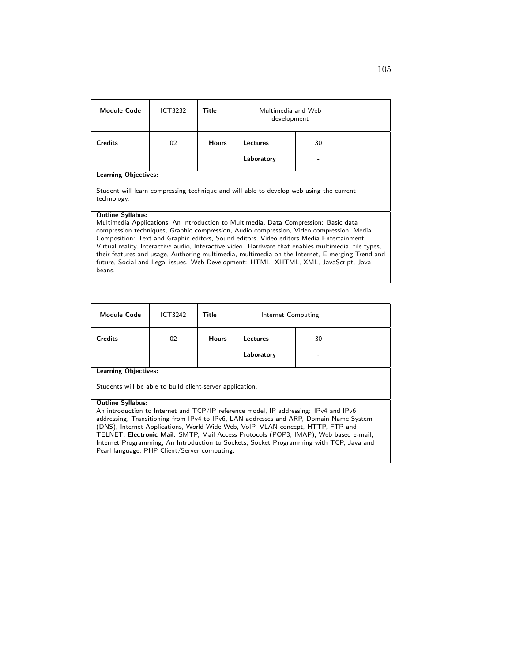| Module Code                                                                                                                                                                                                                                                                                                                                                                                                                                                                                                                                                                                                           | ICT3232 | Title        | Multimedia and Web<br>development |    |  |
|-----------------------------------------------------------------------------------------------------------------------------------------------------------------------------------------------------------------------------------------------------------------------------------------------------------------------------------------------------------------------------------------------------------------------------------------------------------------------------------------------------------------------------------------------------------------------------------------------------------------------|---------|--------------|-----------------------------------|----|--|
| <b>Credits</b>                                                                                                                                                                                                                                                                                                                                                                                                                                                                                                                                                                                                        | 02      | <b>Hours</b> | Lectures                          | 30 |  |
|                                                                                                                                                                                                                                                                                                                                                                                                                                                                                                                                                                                                                       |         |              | Laboratory                        |    |  |
| <b>Learning Objectives:</b><br>Student will learn compressing technique and will able to develop web using the current<br>technology.                                                                                                                                                                                                                                                                                                                                                                                                                                                                                 |         |              |                                   |    |  |
| <b>Outline Syllabus:</b><br>Multimedia Applications, An Introduction to Multimedia, Data Compression: Basic data<br>compression techniques, Graphic compression, Audio compression, Video compression, Media<br>Composition: Text and Graphic editors, Sound editors, Video editors Media Entertainment:<br>Virtual reality, Interactive audio, Interactive video. Hardware that enables multimedia, file types,<br>their features and usage, Authoring multimedia, multimedia on the Internet, E merging Trend and<br>future, Social and Legal issues. Web Development: HTML, XHTML, XML, JavaScript, Java<br>beans. |         |              |                                   |    |  |

| <b>Module Code</b>                                                                                                                                                             | <b>ICT3242</b> | Title        | Internet Computing |    |  |
|--------------------------------------------------------------------------------------------------------------------------------------------------------------------------------|----------------|--------------|--------------------|----|--|
| <b>Credits</b>                                                                                                                                                                 | 02             | <b>Hours</b> | Lectures           | 30 |  |
|                                                                                                                                                                                |                |              | Laboratory         |    |  |
| <b>Learning Objectives:</b>                                                                                                                                                    |                |              |                    |    |  |
| Students will be able to build client-server application.                                                                                                                      |                |              |                    |    |  |
| <b>Outline Syllabus:</b>                                                                                                                                                       |                |              |                    |    |  |
| An introduction to Internet and TCP/IP reference model, IP addressing: IPv4 and IPv6<br>addressing, Transitioning from IPv4 to IPv6, LAN addresses and ARP, Domain Name System |                |              |                    |    |  |

(DNS), Internet Applications, World Wide Web, VoIP, VLAN concept, HTTP, FTP and TELNET, Electronic Mail: SMTP, Mail Access Protocols (POP3, IMAP), Web based e-mail; Internet Programming, An Introduction to Sockets, Socket Programming with TCP, Java and Pearl language, PHP Client/Server computing.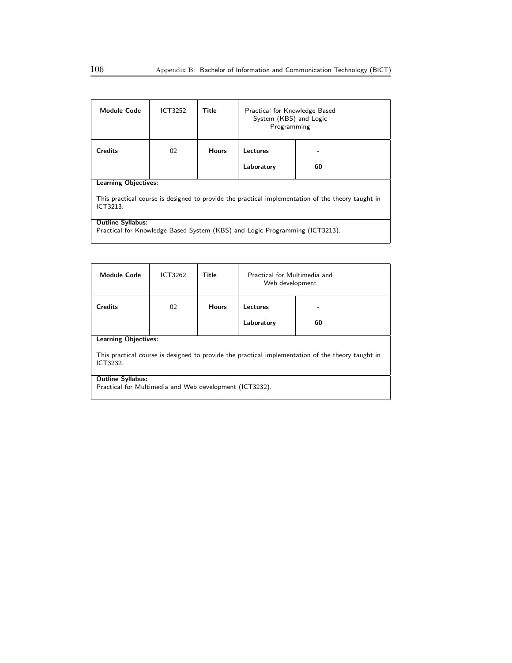| <b>Module Code</b>                                                                                                                           | ICT3252 | Title        | Practical for Knowledge Based<br>System (KBS) and Logic<br>Programming |    |  |
|----------------------------------------------------------------------------------------------------------------------------------------------|---------|--------------|------------------------------------------------------------------------|----|--|
| <b>Credits</b>                                                                                                                               | 02      | <b>Hours</b> | Lectures                                                               |    |  |
|                                                                                                                                              |         |              | Laboratory                                                             | 60 |  |
| <b>Learning Objectives:</b><br>This practical course is designed to provide the practical implementation of the theory taught in<br>ICT3213. |         |              |                                                                        |    |  |
| <b>Outline Syllabus:</b><br>Practical for Knowledge Based System (KBS) and Logic Programming (ICT3213).                                      |         |              |                                                                        |    |  |

| <b>Module Code</b>                                                                                            | ICT3262                                                 | Title        | Practical for Multimedia and<br>Web development |    |  |  |
|---------------------------------------------------------------------------------------------------------------|---------------------------------------------------------|--------------|-------------------------------------------------|----|--|--|
| Credits                                                                                                       | 02                                                      | <b>Hours</b> | Lectures                                        |    |  |  |
|                                                                                                               |                                                         |              | Laboratory                                      | 60 |  |  |
| <b>Learning Objectives:</b>                                                                                   |                                                         |              |                                                 |    |  |  |
| This practical course is designed to provide the practical implementation of the theory taught in<br>ICT3232. |                                                         |              |                                                 |    |  |  |
| <b>Outline Syllabus:</b>                                                                                      |                                                         |              |                                                 |    |  |  |
|                                                                                                               | Practical for Multimedia and Web development (ICT3232). |              |                                                 |    |  |  |
|                                                                                                               |                                                         |              |                                                 |    |  |  |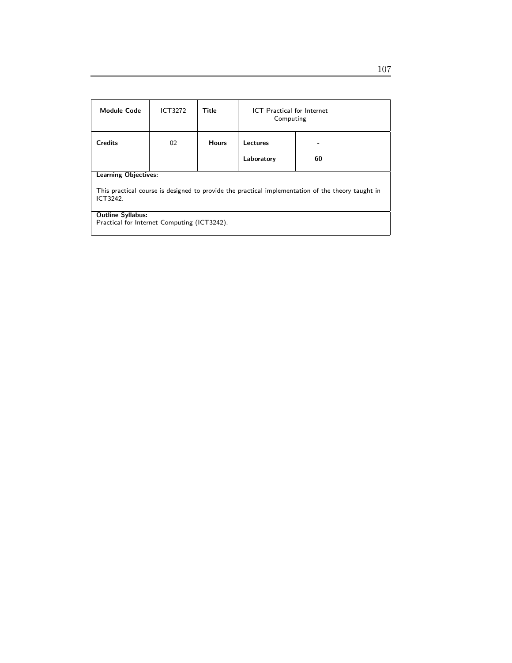| <b>Module Code</b>                                                                                            | <b>ICT3272</b> | Title        | <b>ICT</b> Practical for Internet<br>Computing |    |  |
|---------------------------------------------------------------------------------------------------------------|----------------|--------------|------------------------------------------------|----|--|
| <b>Credits</b>                                                                                                | 02             | <b>Hours</b> | Lectures                                       |    |  |
|                                                                                                               |                |              | Laboratory                                     | 60 |  |
| <b>Learning Objectives:</b>                                                                                   |                |              |                                                |    |  |
| This practical course is designed to provide the practical implementation of the theory taught in<br>ICT3242. |                |              |                                                |    |  |
| <b>Outline Syllabus:</b>                                                                                      |                |              |                                                |    |  |
| Practical for Internet Computing (ICT3242).                                                                   |                |              |                                                |    |  |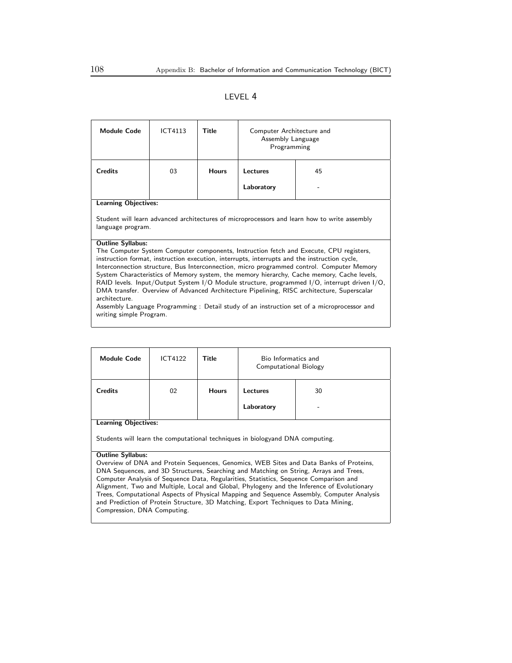### LEVEL 4

| <b>Module Code</b>                                                                                                                                                                                                                                                                                                                                                                                                                                                                                                                                                                                                                                                                                                                                   | ICT4113 | Title        | Computer Architecture and<br>Assembly Language<br>Programming |                                                                                              |  |
|------------------------------------------------------------------------------------------------------------------------------------------------------------------------------------------------------------------------------------------------------------------------------------------------------------------------------------------------------------------------------------------------------------------------------------------------------------------------------------------------------------------------------------------------------------------------------------------------------------------------------------------------------------------------------------------------------------------------------------------------------|---------|--------------|---------------------------------------------------------------|----------------------------------------------------------------------------------------------|--|
| <b>Credits</b>                                                                                                                                                                                                                                                                                                                                                                                                                                                                                                                                                                                                                                                                                                                                       | 03      | <b>Hours</b> | Lectures<br>45                                                |                                                                                              |  |
|                                                                                                                                                                                                                                                                                                                                                                                                                                                                                                                                                                                                                                                                                                                                                      |         |              | Laboratory                                                    |                                                                                              |  |
| <b>Learning Objectives:</b>                                                                                                                                                                                                                                                                                                                                                                                                                                                                                                                                                                                                                                                                                                                          |         |              |                                                               |                                                                                              |  |
| language program.                                                                                                                                                                                                                                                                                                                                                                                                                                                                                                                                                                                                                                                                                                                                    |         |              |                                                               | Student will learn advanced architectures of microprocessors and learn how to write assembly |  |
| <b>Outline Syllabus:</b><br>The Computer System Computer components, Instruction fetch and Execute, CPU registers,<br>instruction format, instruction execution, interrupts, interrupts and the instruction cycle,<br>Interconnection structure, Bus Interconnection, micro programmed control. Computer Memory<br>System Characteristics of Memory system, the memory hierarchy, Cache memory, Cache levels,<br>RAID levels. Input/Output System I/O Module structure, programmed I/O, interrupt driven I/O,<br>DMA transfer. Overview of Advanced Architecture Pipelining, RISC architecture, Superscalar<br>architecture.<br>Assembly Language Programming: Detail study of an instruction set of a microprocessor and<br>writing simple Program. |         |              |                                                               |                                                                                              |  |

| <b>Module Code</b>                                                                                                                                                                                                                                                                                                                                                                                                                                                                            | ICT4122 | Title        | Bio Informatics and<br><b>Computational Biology</b> |    |  |
|-----------------------------------------------------------------------------------------------------------------------------------------------------------------------------------------------------------------------------------------------------------------------------------------------------------------------------------------------------------------------------------------------------------------------------------------------------------------------------------------------|---------|--------------|-----------------------------------------------------|----|--|
| <b>Credits</b>                                                                                                                                                                                                                                                                                                                                                                                                                                                                                | 02      | <b>Hours</b> | Lectures                                            | 30 |  |
|                                                                                                                                                                                                                                                                                                                                                                                                                                                                                               |         |              | Laboratory                                          |    |  |
| <b>Learning Objectives:</b>                                                                                                                                                                                                                                                                                                                                                                                                                                                                   |         |              |                                                     |    |  |
| Students will learn the computational techniques in biologyand DNA computing.                                                                                                                                                                                                                                                                                                                                                                                                                 |         |              |                                                     |    |  |
| <b>Outline Syllabus:</b>                                                                                                                                                                                                                                                                                                                                                                                                                                                                      |         |              |                                                     |    |  |
| Overview of DNA and Protein Sequences, Genomics, WEB Sites and Data Banks of Proteins,<br>$\mathbf{1} \cap \mathbf{0}$ $\mathbf{0}$ $\mathbf{0}$ $\mathbf{1} \cap \mathbf{0}$ $\mathbf{0}$ $\mathbf{1} \cap \mathbf{1}$ $\mathbf{1} \cap \mathbf{1}$ $\mathbf{1} \cap \mathbf{1}$ $\mathbf{1} \cap \mathbf{1}$ $\mathbf{1} \cap \mathbf{1}$ $\mathbf{1} \cap \mathbf{1}$ $\mathbf{1} \cap \mathbf{1}$ $\mathbf{1} \cap \mathbf{1}$ $\mathbf{1} \cap \mathbf{1}$ $\mathbf{1}$<br><b>DAIA C</b> |         |              |                                                     |    |  |

DNA Sequences, and 3D Structures, Searching and Matching on String, Arrays and Trees, Computer Analysis of Sequence Data, Regularities, Statistics, Sequence Comparison and Alignment, Two and Multiple, Local and Global, Phylogeny and the Inference of Evolutionary Trees, Computational Aspects of Physical Mapping and Sequence Assembly, Computer Analysis and Prediction of Protein Structure, 3D Matching, Export Techniques to Data Mining, Compression, DNA Computing.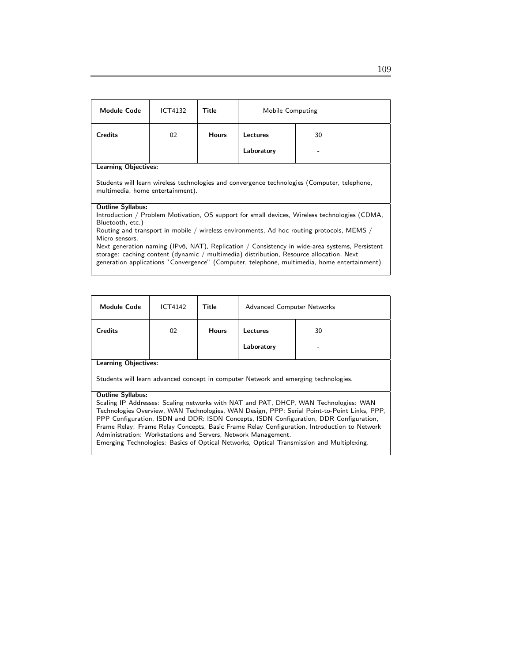| Module Code                                                                                                                                                                                                                                                                                                                                                                                                                                                                                                                                               | ICT4132 | Title        | Mobile Computing |    |  |
|-----------------------------------------------------------------------------------------------------------------------------------------------------------------------------------------------------------------------------------------------------------------------------------------------------------------------------------------------------------------------------------------------------------------------------------------------------------------------------------------------------------------------------------------------------------|---------|--------------|------------------|----|--|
| <b>Credits</b>                                                                                                                                                                                                                                                                                                                                                                                                                                                                                                                                            | 02      | <b>Hours</b> | Lectures         | 30 |  |
|                                                                                                                                                                                                                                                                                                                                                                                                                                                                                                                                                           |         |              | Laboratory       |    |  |
| <b>Learning Objectives:</b><br>Students will learn wireless technologies and convergence technologies (Computer, telephone,<br>multimedia, home entertainment).                                                                                                                                                                                                                                                                                                                                                                                           |         |              |                  |    |  |
| <b>Outline Syllabus:</b><br>Introduction / Problem Motivation, OS support for small devices, Wireless technologies (CDMA,<br>Bluetooth, etc.)<br>Routing and transport in mobile / wireless environments, Ad hoc routing protocols, MEMS /<br>Micro sensors.<br>Next generation naming (IPv6, NAT), Replication / Consistency in wide-area systems, Persistent<br>storage: caching content (dynamic / multimedia) distribution, Resource allocation, Next<br>generation applications "Convergence" (Computer, telephone, multimedia, home entertainment). |         |              |                  |    |  |

| <b>Module Code</b>          | <b>ICT4142</b> | <b>Title</b> | Advanced Computer Networks |    |
|-----------------------------|----------------|--------------|----------------------------|----|
| <b>Credits</b>              | 02             | <b>Hours</b> | Lectures                   | 30 |
|                             |                |              | Laboratory                 | -  |
| <b>Learning Objectives:</b> |                |              |                            |    |

Students will learn advanced concept in computer Network and emerging technologies.

#### Outline Syllabus:

Scaling IP Addresses: Scaling networks with NAT and PAT, DHCP, WAN Technologies: WAN Technologies Overview, WAN Technologies, WAN Design, PPP: Serial Point-to-Point Links, PPP, PPP Configuration, ISDN and DDR: ISDN Concepts, ISDN Configuration, DDR Configuration, Frame Relay: Frame Relay Concepts, Basic Frame Relay Configuration, Introduction to Network Administration: Workstations and Servers, Network Management. Emerging Technologies: Basics of Optical Networks, Optical Transmission and Multiplexing.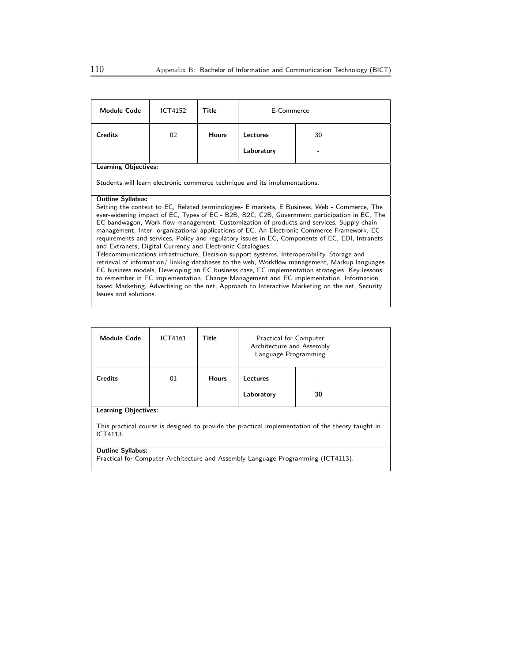| <b>Module Code</b>                                                                                                                                                                                                                                                                                                                                                                                                                                                                                                                                                                                                                                                                                                                                                                                                                                                                                                                                                                                                                                                                                        | ICT4152 | Title        | E-Commerce      |    |  |
|-----------------------------------------------------------------------------------------------------------------------------------------------------------------------------------------------------------------------------------------------------------------------------------------------------------------------------------------------------------------------------------------------------------------------------------------------------------------------------------------------------------------------------------------------------------------------------------------------------------------------------------------------------------------------------------------------------------------------------------------------------------------------------------------------------------------------------------------------------------------------------------------------------------------------------------------------------------------------------------------------------------------------------------------------------------------------------------------------------------|---------|--------------|-----------------|----|--|
| <b>Credits</b>                                                                                                                                                                                                                                                                                                                                                                                                                                                                                                                                                                                                                                                                                                                                                                                                                                                                                                                                                                                                                                                                                            | 02      | <b>Hours</b> | <b>Lectures</b> | 30 |  |
|                                                                                                                                                                                                                                                                                                                                                                                                                                                                                                                                                                                                                                                                                                                                                                                                                                                                                                                                                                                                                                                                                                           |         |              | Laboratory      |    |  |
| <b>Learning Objectives:</b>                                                                                                                                                                                                                                                                                                                                                                                                                                                                                                                                                                                                                                                                                                                                                                                                                                                                                                                                                                                                                                                                               |         |              |                 |    |  |
| Students will learn electronic commerce technique and its implementations.                                                                                                                                                                                                                                                                                                                                                                                                                                                                                                                                                                                                                                                                                                                                                                                                                                                                                                                                                                                                                                |         |              |                 |    |  |
| <b>Outline Syllabus:</b><br>Setting the context to EC, Related terminologies- E markets, E Business, Web - Commerce, The<br>ever-widening impact of EC, Types of EC - B2B, B2C, C2B, Government participation in EC, The<br>EC bandwagon, Work-flow management, Customization of products and services, Supply chain<br>management, Inter- organizational applications of EC, An Electronic Commerce Framework, EC<br>requirements and services, Policy and regulatory issues in EC, Components of EC, EDI, Intranets<br>and Extranets, Digital Currency and Electronic Catalogues,<br>Telecommunications infrastructure, Decision support systems, Interoperability, Storage and<br>retrieval of information/ linking databases to the web, Workflow management, Markup languages<br>EC business models, Developing an EC business case, EC implementation strategies, Key lessons<br>to remember in EC implementation, Change Management and EC implementation, Information<br>based Marketing, Advertising on the net, Approach to Interactive Marketing on the net, Security<br>Issues and solutions. |         |              |                 |    |  |

| <b>Module Code</b>                                                                                                                           | ICT4161 | Title        | <b>Practical for Computer</b><br>Architecture and Assembly<br>Language Programming |  |  |
|----------------------------------------------------------------------------------------------------------------------------------------------|---------|--------------|------------------------------------------------------------------------------------|--|--|
| <b>Credits</b>                                                                                                                               | 01      | <b>Hours</b> | Lectures<br>30<br>Laboratory                                                       |  |  |
| <b>Learning Objectives:</b><br>This practical course is designed to provide the practical implementation of the theory taught in<br>ICT4113. |         |              |                                                                                    |  |  |
| <b>Outline Syllabus:</b><br>Practical for Computer Architecture and Assembly Language Programming (ICT4113).                                 |         |              |                                                                                    |  |  |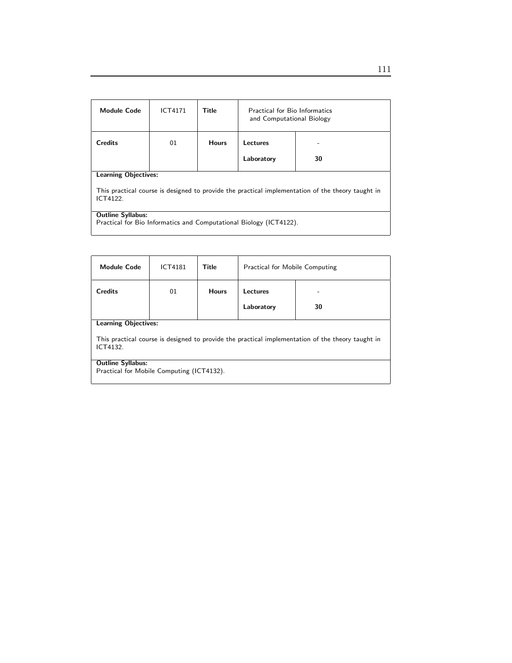| <b>Module Code</b>                                                                                                                           | <b>ICT4171</b> | Title        | <b>Practical for Bio Informatics</b><br>and Computational Biology |    |  |
|----------------------------------------------------------------------------------------------------------------------------------------------|----------------|--------------|-------------------------------------------------------------------|----|--|
| <b>Credits</b>                                                                                                                               | 01             | <b>Hours</b> | Lectures                                                          |    |  |
|                                                                                                                                              |                |              | Laboratory                                                        | 30 |  |
| <b>Learning Objectives:</b><br>This practical course is designed to provide the practical implementation of the theory taught in<br>ICT4122. |                |              |                                                                   |    |  |
| <b>Outline Syllabus:</b><br>Practical for Bio Informatics and Computational Biology (ICT4122).                                               |                |              |                                                                   |    |  |

| <b>Module Code</b>                                                                                            | <b>ICT4181</b>              | Title        | <b>Practical for Mobile Computing</b> |    |  |  |
|---------------------------------------------------------------------------------------------------------------|-----------------------------|--------------|---------------------------------------|----|--|--|
| <b>Credits</b>                                                                                                | 01                          | <b>Hours</b> | Lectures                              |    |  |  |
|                                                                                                               |                             |              | Laboratory                            | 30 |  |  |
|                                                                                                               | <b>Learning Objectives:</b> |              |                                       |    |  |  |
| This practical course is designed to provide the practical implementation of the theory taught in<br>ICT4132. |                             |              |                                       |    |  |  |
| <b>Outline Syllabus:</b>                                                                                      |                             |              |                                       |    |  |  |
| Practical for Mobile Computing (ICT4132).                                                                     |                             |              |                                       |    |  |  |
|                                                                                                               |                             |              |                                       |    |  |  |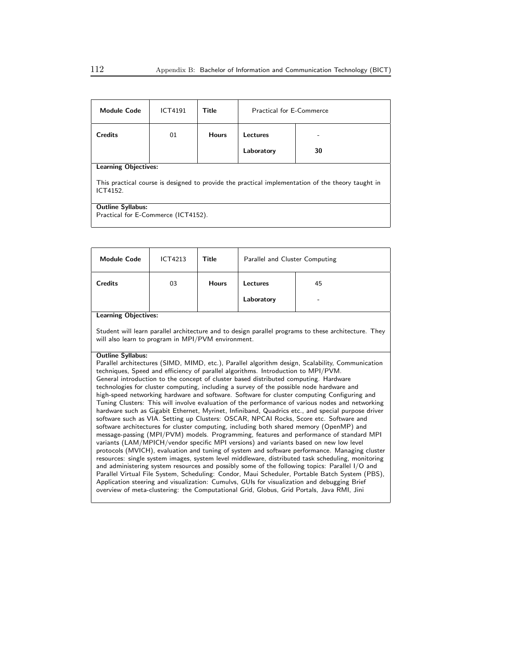| <b>Module Code</b>                                                                                            | <b>ICT4191</b>              | Title        | <b>Practical for E-Commerce</b> |    |  |  |
|---------------------------------------------------------------------------------------------------------------|-----------------------------|--------------|---------------------------------|----|--|--|
| <b>Credits</b>                                                                                                | 01                          | <b>Hours</b> | Lectures                        |    |  |  |
|                                                                                                               |                             |              | Laboratory                      | 30 |  |  |
|                                                                                                               | <b>Learning Objectives:</b> |              |                                 |    |  |  |
| This practical course is designed to provide the practical implementation of the theory taught in<br>ICT4152. |                             |              |                                 |    |  |  |
| <b>Outline Syllabus:</b>                                                                                      |                             |              |                                 |    |  |  |
| Practical for E-Commerce (ICT4152).                                                                           |                             |              |                                 |    |  |  |
|                                                                                                               |                             |              |                                 |    |  |  |

| <b>Module Code</b>                                                                                                                                                                                                                                                                                                                                                                                                                                                                                                                                                                                                                                                                                                                                                                                                                                                                                                                                                                                                                                                                                                                                                                                                                                                                                                                                                                                                                                                                                                                                                                                                                                                                           | ICT4213                                                                                                                                                    | Title        | Parallel and Cluster Computing |    |  |  |
|----------------------------------------------------------------------------------------------------------------------------------------------------------------------------------------------------------------------------------------------------------------------------------------------------------------------------------------------------------------------------------------------------------------------------------------------------------------------------------------------------------------------------------------------------------------------------------------------------------------------------------------------------------------------------------------------------------------------------------------------------------------------------------------------------------------------------------------------------------------------------------------------------------------------------------------------------------------------------------------------------------------------------------------------------------------------------------------------------------------------------------------------------------------------------------------------------------------------------------------------------------------------------------------------------------------------------------------------------------------------------------------------------------------------------------------------------------------------------------------------------------------------------------------------------------------------------------------------------------------------------------------------------------------------------------------------|------------------------------------------------------------------------------------------------------------------------------------------------------------|--------------|--------------------------------|----|--|--|
| <b>Credits</b>                                                                                                                                                                                                                                                                                                                                                                                                                                                                                                                                                                                                                                                                                                                                                                                                                                                                                                                                                                                                                                                                                                                                                                                                                                                                                                                                                                                                                                                                                                                                                                                                                                                                               | 03                                                                                                                                                         | <b>Hours</b> | <b>Lectures</b>                | 45 |  |  |
|                                                                                                                                                                                                                                                                                                                                                                                                                                                                                                                                                                                                                                                                                                                                                                                                                                                                                                                                                                                                                                                                                                                                                                                                                                                                                                                                                                                                                                                                                                                                                                                                                                                                                              |                                                                                                                                                            |              | Laboratory                     |    |  |  |
| <b>Learning Objectives:</b>                                                                                                                                                                                                                                                                                                                                                                                                                                                                                                                                                                                                                                                                                                                                                                                                                                                                                                                                                                                                                                                                                                                                                                                                                                                                                                                                                                                                                                                                                                                                                                                                                                                                  |                                                                                                                                                            |              |                                |    |  |  |
|                                                                                                                                                                                                                                                                                                                                                                                                                                                                                                                                                                                                                                                                                                                                                                                                                                                                                                                                                                                                                                                                                                                                                                                                                                                                                                                                                                                                                                                                                                                                                                                                                                                                                              | Student will learn parallel architecture and to design parallel programs to these architecture. They<br>will also learn to program in MPI/PVM environment. |              |                                |    |  |  |
| <b>Outline Syllabus:</b><br>Parallel architectures (SIMD, MIMD, etc.), Parallel algorithm design, Scalability, Communication<br>techniques, Speed and efficiency of parallel algorithms. Introduction to MPI/PVM.<br>General introduction to the concept of cluster based distributed computing. Hardware<br>technologies for cluster computing, including a survey of the possible node hardware and<br>high-speed networking hardware and software. Software for cluster computing Configuring and<br>Tuning Clusters: This will involve evaluation of the performance of various nodes and networking<br>hardware such as Gigabit Ethernet, Myrinet, Infiniband, Quadrics etc., and special purpose driver<br>software such as VIA. Setting up Clusters: OSCAR, NPCAI Rocks, Score etc. Software and<br>software architectures for cluster computing, including both shared memory (OpenMP) and<br>message-passing (MPI/PVM) models. Programming, features and performance of standard MPI<br>variants (LAM/MPICH/vendor specific MPI versions) and variants based on new low level<br>protocols (MVICH), evaluation and tuning of system and software performance. Managing cluster<br>resources: single system images, system level middleware, distributed task scheduling, monitoring<br>and administering system resources and possibly some of the following topics: Parallel I/O and<br>Parallel Virtual File System, Scheduling: Condor, Maui Scheduler, Portable Batch System (PBS),<br>Application steering and visualization: Cumulvs, GUIs for visualization and debugging Brief<br>overview of meta-clustering: the Computational Grid, Globus, Grid Portals, Java RMI, Jini |                                                                                                                                                            |              |                                |    |  |  |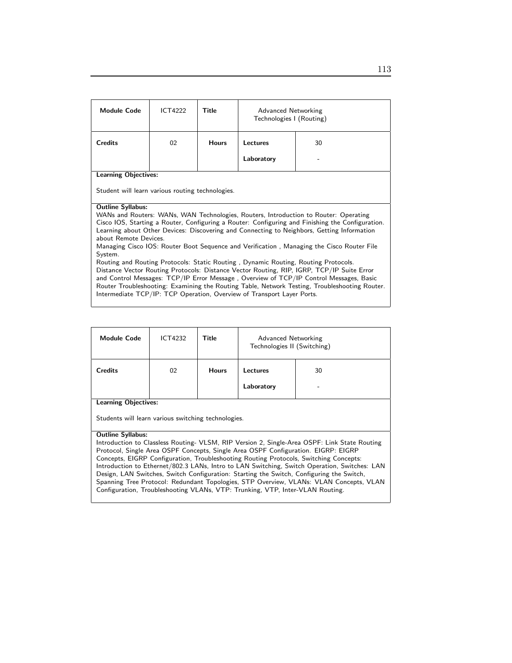| <b>Module Code</b>                                                                        | <b>ICT4222</b>                                                                                                                                                          | Title        | Advanced Networking<br>Technologies I (Routing) |                                                                                                                                                                                                |  |
|-------------------------------------------------------------------------------------------|-------------------------------------------------------------------------------------------------------------------------------------------------------------------------|--------------|-------------------------------------------------|------------------------------------------------------------------------------------------------------------------------------------------------------------------------------------------------|--|
| <b>Credits</b>                                                                            | 02                                                                                                                                                                      | <b>Hours</b> | Lectures<br>30                                  |                                                                                                                                                                                                |  |
|                                                                                           |                                                                                                                                                                         |              | Laboratory                                      |                                                                                                                                                                                                |  |
| <b>Learning Objectives:</b>                                                               |                                                                                                                                                                         |              |                                                 |                                                                                                                                                                                                |  |
| Student will learn various routing technologies.                                          |                                                                                                                                                                         |              |                                                 |                                                                                                                                                                                                |  |
| <b>Outline Syllabus:</b>                                                                  |                                                                                                                                                                         |              |                                                 |                                                                                                                                                                                                |  |
|                                                                                           |                                                                                                                                                                         |              |                                                 | WANs and Routers: WANs, WAN Technologies, Routers, Introduction to Router: Operating                                                                                                           |  |
|                                                                                           |                                                                                                                                                                         |              |                                                 | Cisco IOS, Starting a Router, Configuring a Router: Configuring and Finishing the Configuration.<br>Learning about Other Devices: Discovering and Connecting to Neighbors, Getting Information |  |
| about Remote Devices.                                                                     |                                                                                                                                                                         |              |                                                 |                                                                                                                                                                                                |  |
|                                                                                           |                                                                                                                                                                         |              |                                                 | Managing Cisco IOS: Router Boot Sequence and Verification, Managing the Cisco Router File                                                                                                      |  |
| System.                                                                                   |                                                                                                                                                                         |              |                                                 |                                                                                                                                                                                                |  |
| Routing and Routing Protocols: Static Routing, Dynamic Routing, Routing Protocols.        |                                                                                                                                                                         |              |                                                 |                                                                                                                                                                                                |  |
| Distance Vector Routing Protocols: Distance Vector Routing, RIP, IGRP, TCP/IP Suite Error |                                                                                                                                                                         |              |                                                 |                                                                                                                                                                                                |  |
|                                                                                           |                                                                                                                                                                         |              |                                                 | and Control Messages: TCP/IP Error Message, Overview of TCP/IP Control Messages, Basic                                                                                                         |  |
|                                                                                           | Router Troubleshooting: Examining the Routing Table, Network Testing, Troubleshooting Router.<br>Intermediate TCP/IP: TCP Operation, Overview of Transport Layer Ports. |              |                                                 |                                                                                                                                                                                                |  |

| <b>Module Code</b>                                                                    | <b>ICT4232</b>                                                                               | Title        | Advanced Networking<br>Technologies II (Switching) |                                                                                              |  |
|---------------------------------------------------------------------------------------|----------------------------------------------------------------------------------------------|--------------|----------------------------------------------------|----------------------------------------------------------------------------------------------|--|
| <b>Credits</b>                                                                        | 02                                                                                           | <b>Hours</b> | Lectures                                           | 30                                                                                           |  |
|                                                                                       |                                                                                              |              | Laboratory                                         |                                                                                              |  |
|                                                                                       | <b>Learning Objectives:</b>                                                                  |              |                                                    |                                                                                              |  |
| Students will learn various switching technologies.                                   |                                                                                              |              |                                                    |                                                                                              |  |
| <b>Outline Syllabus:</b>                                                              |                                                                                              |              |                                                    |                                                                                              |  |
|                                                                                       |                                                                                              |              |                                                    | Introduction to Classless Routing- VLSM, RIP Version 2, Single-Area OSPF: Link State Routing |  |
|                                                                                       |                                                                                              |              |                                                    | Protocol, Single Area OSPF Concepts, Single Area OSPF Configuration. EIGRP: EIGRP            |  |
| Concepts, EIGRP Configuration, Troubleshooting Routing Protocols, Switching Concepts: |                                                                                              |              |                                                    |                                                                                              |  |
|                                                                                       | Introduction to Ethernet/802.3 LANs, Intro to LAN Switching, Switch Operation, Switches: LAN |              |                                                    |                                                                                              |  |
|                                                                                       |                                                                                              |              |                                                    | Design, LAN Switches, Switch Configuration: Starting the Switch, Configuring the Switch,     |  |
|                                                                                       |                                                                                              |              |                                                    | Spanning Tree Protocol: Redundant Topologies, STP Overview, VLANs: VLAN Concepts, VLAN       |  |

Configuration, Troubleshooting VLANs, VTP: Trunking, VTP, Inter-VLAN Routing.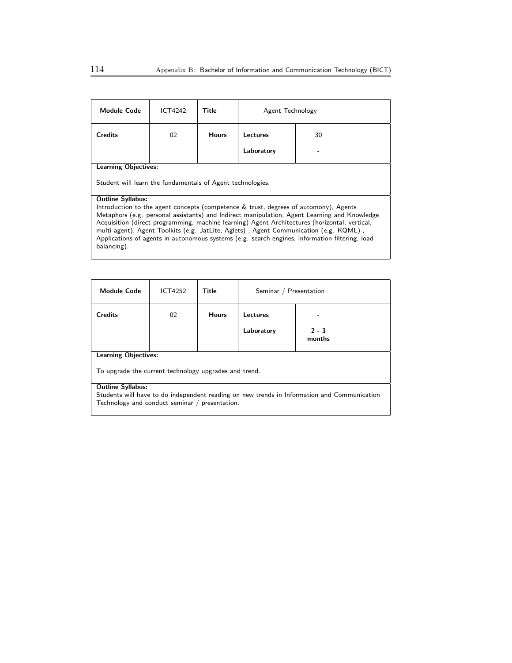| <b>Module Code</b>                                                                                                                                                                                                                                                                                                                                                                                                                                                                              | ICT4242 | Title        | Agent Technology |    |
|-------------------------------------------------------------------------------------------------------------------------------------------------------------------------------------------------------------------------------------------------------------------------------------------------------------------------------------------------------------------------------------------------------------------------------------------------------------------------------------------------|---------|--------------|------------------|----|
| <b>Credits</b>                                                                                                                                                                                                                                                                                                                                                                                                                                                                                  | 02      | <b>Hours</b> | Lectures         | 30 |
|                                                                                                                                                                                                                                                                                                                                                                                                                                                                                                 |         |              | Laboratory       |    |
| <b>Learning Objectives:</b>                                                                                                                                                                                                                                                                                                                                                                                                                                                                     |         |              |                  |    |
| Student will learn the fundamentals of Agent technologies.                                                                                                                                                                                                                                                                                                                                                                                                                                      |         |              |                  |    |
| <b>Outline Syllabus:</b>                                                                                                                                                                                                                                                                                                                                                                                                                                                                        |         |              |                  |    |
| Introduction to the agent concepts (competence & trust, degrees of automony), Agents<br>Metaphors (e.g. personal assistants) and Indirect manipulation, Agent Learning and Knowledge<br>Acquisition (direct programming, machine learning) Agent Architectures (horizontal, vertical,<br>multi-agent), Agent Toolkits (e.g. JatLite, Aglets), Agent Communication (e.g. KQML),<br>Applications of agents in autonomous systems (e.g. search engines, information filtering, load<br>balancing). |         |              |                  |    |

| <b>Module Code</b>                                                                          | ICT4252 | Title        | Seminar / Presentation |                   |  |
|---------------------------------------------------------------------------------------------|---------|--------------|------------------------|-------------------|--|
| Credits                                                                                     | 02      | <b>Hours</b> | Lectures               |                   |  |
|                                                                                             |         |              | Laboratory             | $2 - 3$<br>months |  |
| <b>Learning Objectives:</b>                                                                 |         |              |                        |                   |  |
| To upgrade the current technology upgrades and trend.                                       |         |              |                        |                   |  |
| <b>Outline Syllabus:</b>                                                                    |         |              |                        |                   |  |
| Students will have to do independent reading on new trends in Information and Communication |         |              |                        |                   |  |
| Technology and conduct seminar / presentation.                                              |         |              |                        |                   |  |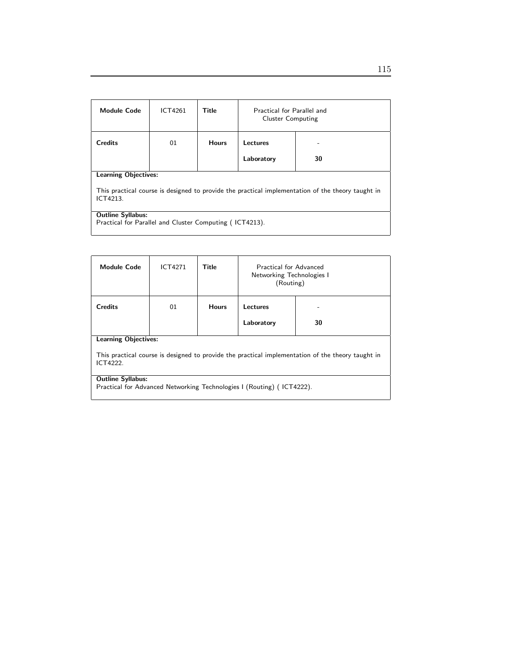| <b>Module Code</b>                                                                                            | ICT4261                     | <b>Title</b> | Practical for Parallel and<br><b>Cluster Computing</b> |    |  |  |
|---------------------------------------------------------------------------------------------------------------|-----------------------------|--------------|--------------------------------------------------------|----|--|--|
| <b>Credits</b>                                                                                                | 01                          | <b>Hours</b> | Lectures                                               |    |  |  |
|                                                                                                               |                             |              | Laboratory                                             | 30 |  |  |
|                                                                                                               | <b>Learning Objectives:</b> |              |                                                        |    |  |  |
| This practical course is designed to provide the practical implementation of the theory taught in<br>ICT4213. |                             |              |                                                        |    |  |  |
| <b>Outline Syllabus:</b>                                                                                      |                             |              |                                                        |    |  |  |
| Practical for Parallel and Cluster Computing (ICT4213).                                                       |                             |              |                                                        |    |  |  |

| <b>Module Code</b>                                                                                            | <b>ICT4271</b> | Title        | Practical for Advanced<br>Networking Technologies I<br>(Routing) |    |  |
|---------------------------------------------------------------------------------------------------------------|----------------|--------------|------------------------------------------------------------------|----|--|
| <b>Credits</b>                                                                                                | 01             | <b>Hours</b> | Lectures                                                         | ۰  |  |
|                                                                                                               |                |              | Laboratory                                                       | 30 |  |
| <b>Learning Objectives:</b>                                                                                   |                |              |                                                                  |    |  |
| This practical course is designed to provide the practical implementation of the theory taught in<br>ICT4222. |                |              |                                                                  |    |  |
| <b>Outline Syllabus:</b><br>Practical for Advanced Networking Technologies I (Routing) (ICT4222).             |                |              |                                                                  |    |  |
|                                                                                                               |                |              |                                                                  |    |  |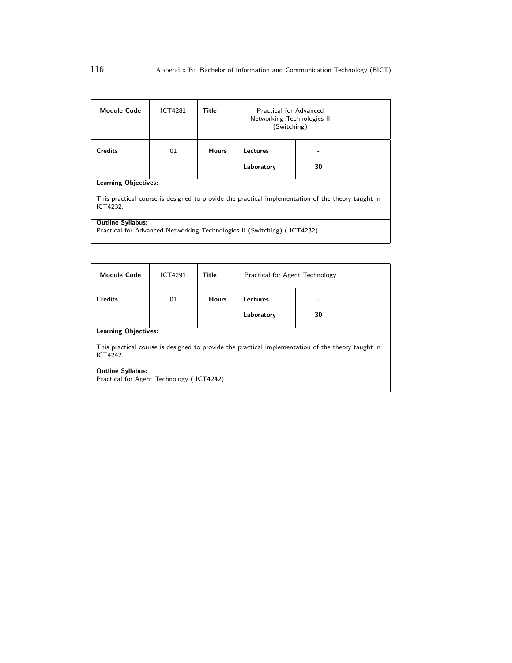| <b>Module Code</b>                                                                                            | ICT4281 | Title        | Practical for Advanced<br>Networking Technologies II<br>(Switching) |    |  |
|---------------------------------------------------------------------------------------------------------------|---------|--------------|---------------------------------------------------------------------|----|--|
| <b>Credits</b>                                                                                                | 01      | <b>Hours</b> | Lectures                                                            |    |  |
|                                                                                                               |         |              | Laboratory                                                          | 30 |  |
| <b>Learning Objectives:</b>                                                                                   |         |              |                                                                     |    |  |
| This practical course is designed to provide the practical implementation of the theory taught in<br>ICT4232. |         |              |                                                                     |    |  |
| <b>Outline Syllabus:</b>                                                                                      |         |              |                                                                     |    |  |
| Practical for Advanced Networking Technologies II (Switching) (ICT4232).                                      |         |              |                                                                     |    |  |

| <b>Module Code</b>                                                                                            | <b>ICT4291</b> | Title        | Practical for Agent Technology |    |  |
|---------------------------------------------------------------------------------------------------------------|----------------|--------------|--------------------------------|----|--|
| <b>Credits</b>                                                                                                | 01             | <b>Hours</b> | Lectures<br>۰                  |    |  |
|                                                                                                               |                |              | Laboratory                     | 30 |  |
| <b>Learning Objectives:</b>                                                                                   |                |              |                                |    |  |
| This practical course is designed to provide the practical implementation of the theory taught in<br>ICT4242. |                |              |                                |    |  |
| <b>Outline Syllabus:</b>                                                                                      |                |              |                                |    |  |
| Practical for Agent Technology (ICT4242).                                                                     |                |              |                                |    |  |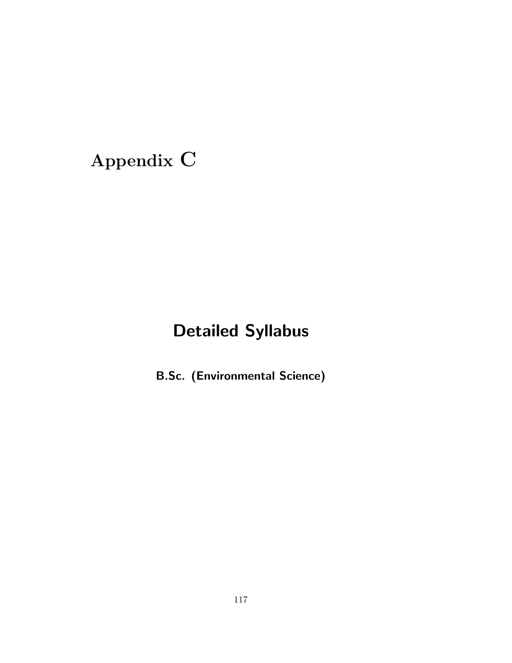# Appendix C

# Detailed Syllabus

B.Sc. (Environmental Science)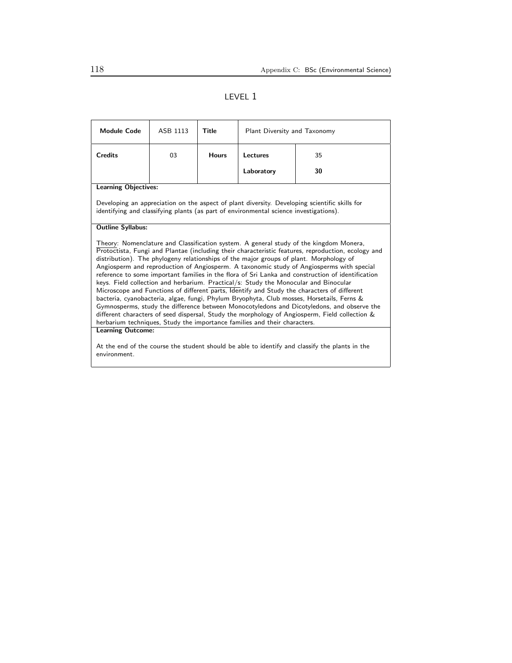## LEVEL 1

| <b>Module Code</b>                                                                                                                                                                                                                                                                                                                                                                                                                                                                                                                                                                                                                                                                                                                                                                                                                                                                                                                                                                                                                                                                                                                                                                                     | ASB 1113 | Title        | Plant Diversity and Taxonomy |    |  |  |
|--------------------------------------------------------------------------------------------------------------------------------------------------------------------------------------------------------------------------------------------------------------------------------------------------------------------------------------------------------------------------------------------------------------------------------------------------------------------------------------------------------------------------------------------------------------------------------------------------------------------------------------------------------------------------------------------------------------------------------------------------------------------------------------------------------------------------------------------------------------------------------------------------------------------------------------------------------------------------------------------------------------------------------------------------------------------------------------------------------------------------------------------------------------------------------------------------------|----------|--------------|------------------------------|----|--|--|
| <b>Credits</b>                                                                                                                                                                                                                                                                                                                                                                                                                                                                                                                                                                                                                                                                                                                                                                                                                                                                                                                                                                                                                                                                                                                                                                                         | 03       | <b>Hours</b> | <b>Lectures</b><br>35        |    |  |  |
|                                                                                                                                                                                                                                                                                                                                                                                                                                                                                                                                                                                                                                                                                                                                                                                                                                                                                                                                                                                                                                                                                                                                                                                                        |          |              | Laboratory                   | 30 |  |  |
| <b>Learning Objectives:</b>                                                                                                                                                                                                                                                                                                                                                                                                                                                                                                                                                                                                                                                                                                                                                                                                                                                                                                                                                                                                                                                                                                                                                                            |          |              |                              |    |  |  |
| Developing an appreciation on the aspect of plant diversity. Developing scientific skills for<br>identifying and classifying plants (as part of environmental science investigations).                                                                                                                                                                                                                                                                                                                                                                                                                                                                                                                                                                                                                                                                                                                                                                                                                                                                                                                                                                                                                 |          |              |                              |    |  |  |
| <b>Outline Syllabus:</b>                                                                                                                                                                                                                                                                                                                                                                                                                                                                                                                                                                                                                                                                                                                                                                                                                                                                                                                                                                                                                                                                                                                                                                               |          |              |                              |    |  |  |
| Theory: Nomenclature and Classification system. A general study of the kingdom Monera,<br>Protoctista, Fungi and Plantae (including their characteristic features, reproduction, ecology and<br>distribution). The phylogeny relationships of the major groups of plant. Morphology of<br>Angiosperm and reproduction of Angiosperm. A taxonomic study of Angiosperms with special<br>reference to some important families in the flora of Sri Lanka and construction of identification<br>keys. Field collection and herbarium. Practical/s: Study the Monocular and Binocular<br>Microscope and Functions of different parts, Identify and Study the characters of different<br>bacteria, cyanobacteria, algae, fungi, Phylum Bryophyta, Club mosses, Horsetails, Ferns &<br>Gymnosperms, study the difference between Monocotyledons and Dicotyledons, and observe the<br>different characters of seed dispersal, Study the morphology of Angiosperm, Field collection &<br>herbarium techniques, Study the importance families and their characters.<br><b>Learning Outcome:</b><br>At the end of the course the student should be able to identify and classify the plants in the<br>environment. |          |              |                              |    |  |  |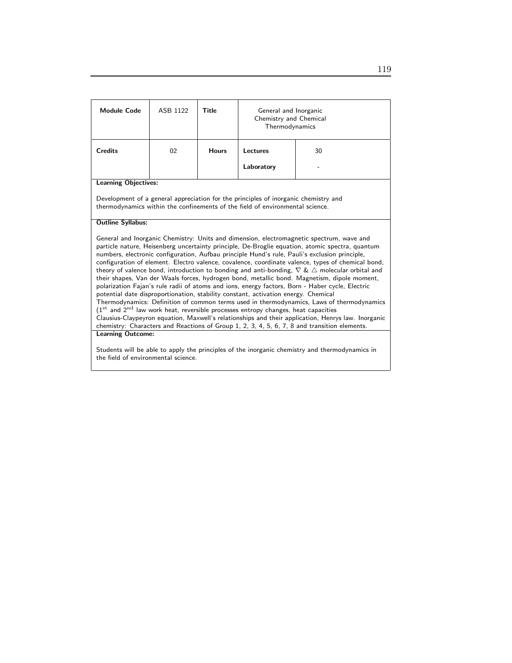| <b>Module Code</b>                                                                                                                                                                                                                                                                                                                                                                                                                                                                                                                                                                                                                                                                                                                                                                                                                                                                                                                                                                                                                                                                                                                                                                                                                 | ASB 1122 | <b>Title</b> | General and Inorganic<br>Chemistry and Chemical<br>Thermodynamics |    |  |  |
|------------------------------------------------------------------------------------------------------------------------------------------------------------------------------------------------------------------------------------------------------------------------------------------------------------------------------------------------------------------------------------------------------------------------------------------------------------------------------------------------------------------------------------------------------------------------------------------------------------------------------------------------------------------------------------------------------------------------------------------------------------------------------------------------------------------------------------------------------------------------------------------------------------------------------------------------------------------------------------------------------------------------------------------------------------------------------------------------------------------------------------------------------------------------------------------------------------------------------------|----------|--------------|-------------------------------------------------------------------|----|--|--|
| <b>Credits</b>                                                                                                                                                                                                                                                                                                                                                                                                                                                                                                                                                                                                                                                                                                                                                                                                                                                                                                                                                                                                                                                                                                                                                                                                                     | 02       | <b>Hours</b> | Lectures                                                          | 30 |  |  |
|                                                                                                                                                                                                                                                                                                                                                                                                                                                                                                                                                                                                                                                                                                                                                                                                                                                                                                                                                                                                                                                                                                                                                                                                                                    |          |              | Laboratory                                                        |    |  |  |
| <b>Learning Objectives:</b>                                                                                                                                                                                                                                                                                                                                                                                                                                                                                                                                                                                                                                                                                                                                                                                                                                                                                                                                                                                                                                                                                                                                                                                                        |          |              |                                                                   |    |  |  |
| Development of a general appreciation for the principles of inorganic chemistry and<br>thermodynamics within the confinements of the field of environmental science.                                                                                                                                                                                                                                                                                                                                                                                                                                                                                                                                                                                                                                                                                                                                                                                                                                                                                                                                                                                                                                                               |          |              |                                                                   |    |  |  |
| <b>Outline Syllabus:</b>                                                                                                                                                                                                                                                                                                                                                                                                                                                                                                                                                                                                                                                                                                                                                                                                                                                                                                                                                                                                                                                                                                                                                                                                           |          |              |                                                                   |    |  |  |
| General and Inorganic Chemistry: Units and dimension, electromagnetic spectrum, wave and<br>particle nature, Heisenberg uncertainty principle, De-Broglie equation, atomic spectra, quantum<br>numbers, electronic configuration, Aufbau principle Hund's rule, Pauli's exclusion principle,<br>configuration of element. Electro valence, covalence, coordinate valence, types of chemical bond,<br>theory of valence bond, introduction to bonding and anti-bonding, $\nabla \& \triangle$ molecular orbital and<br>their shapes, Van der Waals forces, hydrogen bond, metallic bond. Magnetism, dipole moment,<br>polarization Fajan's rule radii of atoms and ions, energy factors, Born - Haber cycle, Electric<br>potential date disproportionation, stability constant, activation energy. Chemical<br>Thermodynamics: Definition of common terms used in thermodynamics, Laws of thermodynamics<br>$(1st$ and $2nd$ law work heat, reversible processes entropy changes, heat capacities<br>Clausius-Claypeyron equation, Maxwell's relationships and their application, Henrys law. Inorganic<br>chemistry: Characters and Reactions of Group 1, 2, 3, 4, 5, 6, 7, 8 and transition elements.<br><b>Learning Outcome:</b> |          |              |                                                                   |    |  |  |
|                                                                                                                                                                                                                                                                                                                                                                                                                                                                                                                                                                                                                                                                                                                                                                                                                                                                                                                                                                                                                                                                                                                                                                                                                                    |          |              |                                                                   |    |  |  |
| Students will be able to apply the principles of the inorganic chemistry and thermodynamics in<br>the field of environmental science.                                                                                                                                                                                                                                                                                                                                                                                                                                                                                                                                                                                                                                                                                                                                                                                                                                                                                                                                                                                                                                                                                              |          |              |                                                                   |    |  |  |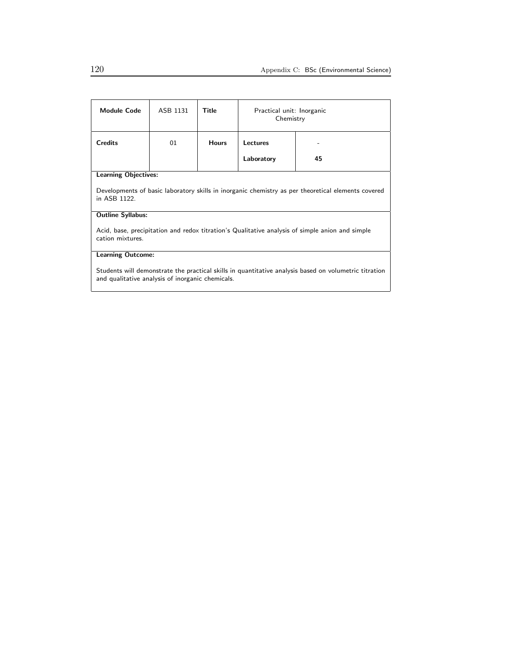| <b>Module Code</b>                                                                                                                                        | ASB 1131 | Title        | Practical unit: Inorganic<br>Chemistry |    |  |
|-----------------------------------------------------------------------------------------------------------------------------------------------------------|----------|--------------|----------------------------------------|----|--|
| <b>Credits</b>                                                                                                                                            | 01       | <b>Hours</b> | Lectures                               |    |  |
|                                                                                                                                                           |          |              | Laboratory                             | 45 |  |
| <b>Learning Objectives:</b>                                                                                                                               |          |              |                                        |    |  |
| Developments of basic laboratory skills in inorganic chemistry as per theoretical elements covered<br>in ASB 1122.                                        |          |              |                                        |    |  |
| <b>Outline Syllabus:</b>                                                                                                                                  |          |              |                                        |    |  |
| Acid, base, precipitation and redox titration's Qualitative analysis of simple anion and simple<br>cation mixtures.                                       |          |              |                                        |    |  |
| <b>Learning Outcome:</b>                                                                                                                                  |          |              |                                        |    |  |
| Students will demonstrate the practical skills in quantitative analysis based on volumetric titration<br>and qualitative analysis of inorganic chemicals. |          |              |                                        |    |  |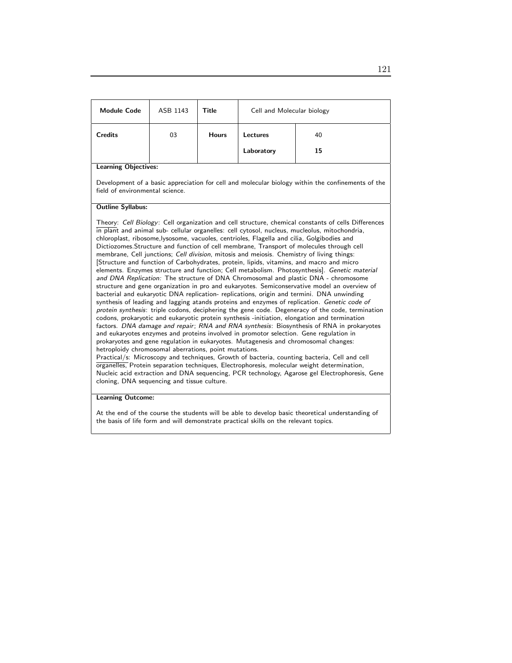| <b>Module Code</b>                                                                                                                                                                                                                                                                                                                                                                                                                                                                                                                                                                                                                                                                                                                                                                                                                                                                                                                                                                                                                                                                                                                                                                                                                                                                                                                                                                                                                                                                                                                                                                                                                                                                                                                                                                                                                                                                                                                                                    | ASB 1143 | Title        | Cell and Molecular biology |                                                                                                   |  |
|-----------------------------------------------------------------------------------------------------------------------------------------------------------------------------------------------------------------------------------------------------------------------------------------------------------------------------------------------------------------------------------------------------------------------------------------------------------------------------------------------------------------------------------------------------------------------------------------------------------------------------------------------------------------------------------------------------------------------------------------------------------------------------------------------------------------------------------------------------------------------------------------------------------------------------------------------------------------------------------------------------------------------------------------------------------------------------------------------------------------------------------------------------------------------------------------------------------------------------------------------------------------------------------------------------------------------------------------------------------------------------------------------------------------------------------------------------------------------------------------------------------------------------------------------------------------------------------------------------------------------------------------------------------------------------------------------------------------------------------------------------------------------------------------------------------------------------------------------------------------------------------------------------------------------------------------------------------------------|----------|--------------|----------------------------|---------------------------------------------------------------------------------------------------|--|
| <b>Credits</b>                                                                                                                                                                                                                                                                                                                                                                                                                                                                                                                                                                                                                                                                                                                                                                                                                                                                                                                                                                                                                                                                                                                                                                                                                                                                                                                                                                                                                                                                                                                                                                                                                                                                                                                                                                                                                                                                                                                                                        | 03       | <b>Hours</b> | Lectures                   | 40                                                                                                |  |
|                                                                                                                                                                                                                                                                                                                                                                                                                                                                                                                                                                                                                                                                                                                                                                                                                                                                                                                                                                                                                                                                                                                                                                                                                                                                                                                                                                                                                                                                                                                                                                                                                                                                                                                                                                                                                                                                                                                                                                       |          |              | Laboratory                 | 15                                                                                                |  |
| <b>Learning Objectives:</b>                                                                                                                                                                                                                                                                                                                                                                                                                                                                                                                                                                                                                                                                                                                                                                                                                                                                                                                                                                                                                                                                                                                                                                                                                                                                                                                                                                                                                                                                                                                                                                                                                                                                                                                                                                                                                                                                                                                                           |          |              |                            |                                                                                                   |  |
| field of environmental science.                                                                                                                                                                                                                                                                                                                                                                                                                                                                                                                                                                                                                                                                                                                                                                                                                                                                                                                                                                                                                                                                                                                                                                                                                                                                                                                                                                                                                                                                                                                                                                                                                                                                                                                                                                                                                                                                                                                                       |          |              |                            | Development of a basic appreciation for cell and molecular biology within the confinements of the |  |
| <b>Outline Syllabus:</b>                                                                                                                                                                                                                                                                                                                                                                                                                                                                                                                                                                                                                                                                                                                                                                                                                                                                                                                                                                                                                                                                                                                                                                                                                                                                                                                                                                                                                                                                                                                                                                                                                                                                                                                                                                                                                                                                                                                                              |          |              |                            |                                                                                                   |  |
| Theory: Cell Biology: Cell organization and cell structure, chemical constants of cells Differences<br>in plant and animal sub- cellular organelles: cell cytosol, nucleus, mucleolus, mitochondria,<br>chloroplast, ribosome, lysosome, vacuoles, centrioles, Flagella and cilia, Golgibodies and<br>Dictiozomes. Structure and function of cell membrane, Transport of molecules through cell<br>membrane, Cell junctions; Cell division, mitosis and meiosis. Chemistry of living things:<br>[Structure and function of Carbohydrates, protein, lipids, vitamins, and macro and micro<br>elements. Enzymes structure and function; Cell metabolism. Photosynthesis]. Genetic material<br>and DNA Replication: The structure of DNA Chromosomal and plastic DNA - chromosome<br>structure and gene organization in pro and eukaryotes. Semiconservative model an overview of<br>bacterial and eukaryotic DNA replication- replications, origin and termini. DNA unwinding<br>synthesis of leading and lagging atands proteins and enzymes of replication. Genetic code of<br>protein synthesis: triple codons, deciphering the gene code. Degeneracy of the code, termination<br>codons, prokaryotic and eukaryotic protein synthesis -initiation, elongation and termination<br>factors. DNA damage and repair; RNA and RNA synthesis: Biosynthesis of RNA in prokaryotes<br>and eukaryotes enzymes and proteins involved in promotor selection. Gene regulation in<br>prokaryotes and gene regulation in eukaryotes. Mutagenesis and chromosomal changes:<br>hetroploidy chromosomal aberrations, point mutations.<br>Practical/s: Microscopy and techniques, Growth of bacteria, counting bacteria, Cell and cell<br>organelles, Protein separation techniques, Electrophoresis, molecular weight determination,<br>Nucleic acid extraction and DNA sequencing, PCR technology, Agarose gel Electrophoresis, Gene<br>cloning, DNA sequencing and tissue culture. |          |              |                            |                                                                                                   |  |

### Learning Outcome:

At the end of the course the students will be able to develop basic theoretical understanding of the basis of life form and will demonstrate practical skills on the relevant topics.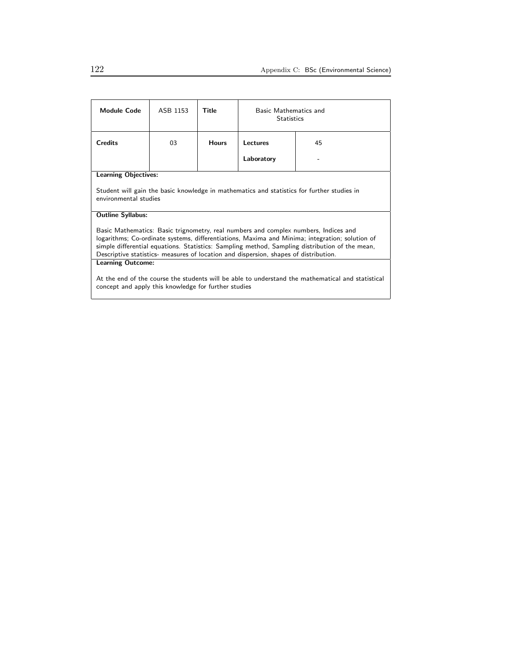| <b>Module Code</b>                                                                                                                                                                                                                                                                                                                                                              | ASB 1153 | Title        | Basic Mathematics and<br><b>Statistics</b> |  |
|---------------------------------------------------------------------------------------------------------------------------------------------------------------------------------------------------------------------------------------------------------------------------------------------------------------------------------------------------------------------------------|----------|--------------|--------------------------------------------|--|
| <b>Credits</b>                                                                                                                                                                                                                                                                                                                                                                  | 03       | <b>Hours</b> | Lectures<br>45                             |  |
|                                                                                                                                                                                                                                                                                                                                                                                 |          |              | Laboratory                                 |  |
| <b>Learning Objectives:</b>                                                                                                                                                                                                                                                                                                                                                     |          |              |                                            |  |
| Student will gain the basic knowledge in mathematics and statistics for further studies in<br>environmental studies                                                                                                                                                                                                                                                             |          |              |                                            |  |
| <b>Outline Syllabus:</b>                                                                                                                                                                                                                                                                                                                                                        |          |              |                                            |  |
| Basic Mathematics: Basic trignometry, real numbers and complex numbers, Indices and<br>logarithms; Co-ordinate systems, differentiations, Maxima and Minima; integration; solution of<br>simple differential equations. Statistics: Sampling method, Sampling distribution of the mean,<br>Descriptive statistics- measures of location and dispersion, shapes of distribution. |          |              |                                            |  |
| <b>Learning Outcome:</b>                                                                                                                                                                                                                                                                                                                                                        |          |              |                                            |  |
| At the end of the course the students will be able to understand the mathematical and statistical<br>concept and apply this knowledge for further studies                                                                                                                                                                                                                       |          |              |                                            |  |

I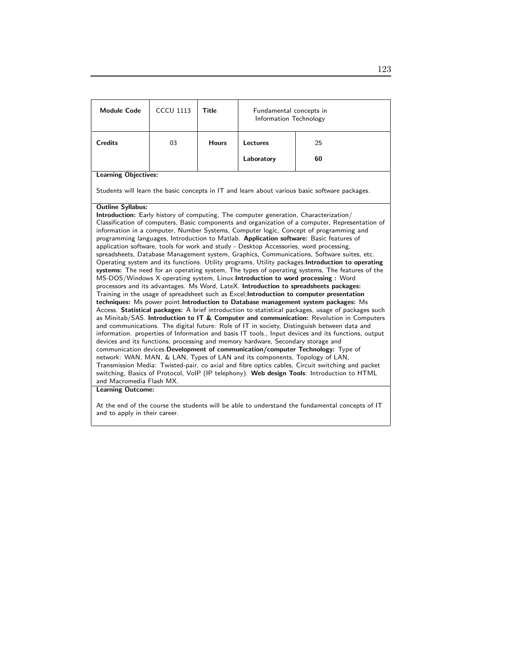| <b>Module Code</b>                                                                                                                                                                                                                                                                                                                                                                                                                                                                                                                                                                                                                                                                                                                                                                                                                                                                                                                                                                                                                                                                                                                                                                                                                                                                                                                                                                                                                                                                                                                                                                                                                                                                                                                                                                                                                                                                                                                                                                                                                                                      | <b>CCCU 1113</b> | Title        | Fundamental concepts in<br>Information Technology |                                                                                               |  |  |
|-------------------------------------------------------------------------------------------------------------------------------------------------------------------------------------------------------------------------------------------------------------------------------------------------------------------------------------------------------------------------------------------------------------------------------------------------------------------------------------------------------------------------------------------------------------------------------------------------------------------------------------------------------------------------------------------------------------------------------------------------------------------------------------------------------------------------------------------------------------------------------------------------------------------------------------------------------------------------------------------------------------------------------------------------------------------------------------------------------------------------------------------------------------------------------------------------------------------------------------------------------------------------------------------------------------------------------------------------------------------------------------------------------------------------------------------------------------------------------------------------------------------------------------------------------------------------------------------------------------------------------------------------------------------------------------------------------------------------------------------------------------------------------------------------------------------------------------------------------------------------------------------------------------------------------------------------------------------------------------------------------------------------------------------------------------------------|------------------|--------------|---------------------------------------------------|-----------------------------------------------------------------------------------------------|--|--|
| <b>Credits</b>                                                                                                                                                                                                                                                                                                                                                                                                                                                                                                                                                                                                                                                                                                                                                                                                                                                                                                                                                                                                                                                                                                                                                                                                                                                                                                                                                                                                                                                                                                                                                                                                                                                                                                                                                                                                                                                                                                                                                                                                                                                          | 03               | <b>Hours</b> | Lectures<br>25                                    |                                                                                               |  |  |
|                                                                                                                                                                                                                                                                                                                                                                                                                                                                                                                                                                                                                                                                                                                                                                                                                                                                                                                                                                                                                                                                                                                                                                                                                                                                                                                                                                                                                                                                                                                                                                                                                                                                                                                                                                                                                                                                                                                                                                                                                                                                         |                  |              | Laboratory                                        | 60                                                                                            |  |  |
| <b>Learning Objectives:</b>                                                                                                                                                                                                                                                                                                                                                                                                                                                                                                                                                                                                                                                                                                                                                                                                                                                                                                                                                                                                                                                                                                                                                                                                                                                                                                                                                                                                                                                                                                                                                                                                                                                                                                                                                                                                                                                                                                                                                                                                                                             |                  |              |                                                   |                                                                                               |  |  |
|                                                                                                                                                                                                                                                                                                                                                                                                                                                                                                                                                                                                                                                                                                                                                                                                                                                                                                                                                                                                                                                                                                                                                                                                                                                                                                                                                                                                                                                                                                                                                                                                                                                                                                                                                                                                                                                                                                                                                                                                                                                                         |                  |              |                                                   | Students will learn the basic concepts in IT and learn about various basic software packages. |  |  |
| <b>Outline Syllabus:</b><br><b>Introduction:</b> Early history of computing, The computer generation, Characterization/<br>Classification of computers, Basic components and organization of a computer, Representation of<br>information in a computer, Number Systems, Computer logic, Concept of programming and<br>programming languages, Introduction to Matlab. Application software: Basic features of<br>application software, tools for work and study - Desktop Accessories, word processing,<br>spreadsheets, Database Management system, Graphics, Communications, Software suites, etc.<br>Operating system and its functions. Utility programs, Utility packages. Introduction to operating<br>systems: The need for an operating system, The types of operating systems, The features of the<br>MS-DOS/Windows X operating system, Linux.Introduction to word processing : Word<br>processors and its advantages. Ms Word, LateX. Introduction to spreadsheets packages:<br>Training in the usage of spreadsheet such as Excel; Introduction to computer presentation<br>techniques: Ms power point Introduction to Database management system packages: Ms<br>Access. Statistical packages: A brief introduction to statistical packages, usage of packages such<br>as Minitab/SAS. Introduction to IT & Computer and communication: Revolution in Computers<br>and communications. The digital future: Role of IT in society, Distinguish between data and<br>information. properties of Information and basis IT tools., Input devices and its functions, output<br>devices and its functions, processing and memory hardware, Secondary storage and<br>communication devices. Development of communication/computer Technology: Type of<br>network: WAN, MAN, & LAN, Types of LAN and its components, Topology of LAN,<br>Transmission Media: Twisted-pair, co axial and fibre optics cables, Circuit switching and packet<br>switching, Basics of Protocol, VoIP (IP telephony). Web design Tools: Introduction to HTML<br>and Macromedia Flash MX. |                  |              |                                                   |                                                                                               |  |  |
| <b>Learning Outcome:</b>                                                                                                                                                                                                                                                                                                                                                                                                                                                                                                                                                                                                                                                                                                                                                                                                                                                                                                                                                                                                                                                                                                                                                                                                                                                                                                                                                                                                                                                                                                                                                                                                                                                                                                                                                                                                                                                                                                                                                                                                                                                |                  |              |                                                   |                                                                                               |  |  |
| At the end of the course the students will be able to understand the fundamental concents of $\mathsf{I} \mathsf{T}$                                                                                                                                                                                                                                                                                                                                                                                                                                                                                                                                                                                                                                                                                                                                                                                                                                                                                                                                                                                                                                                                                                                                                                                                                                                                                                                                                                                                                                                                                                                                                                                                                                                                                                                                                                                                                                                                                                                                                    |                  |              |                                                   |                                                                                               |  |  |

At the end of the course the students will be able to understand the fundamental concepts of IT and to apply in their career.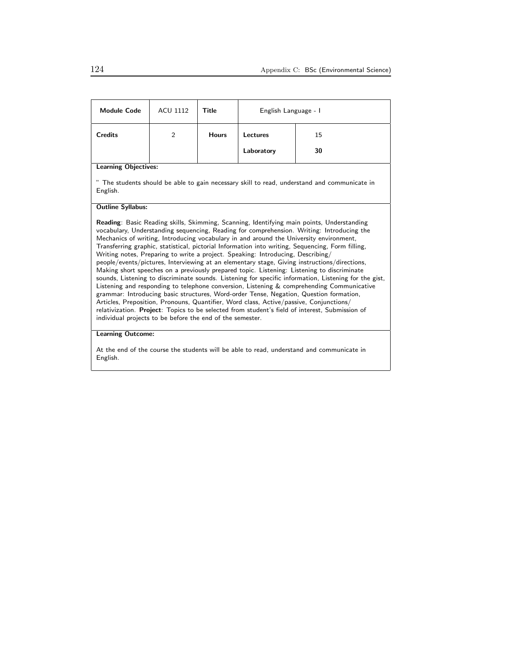| <b>Module Code</b>                                                                                                                                                                                                                                                                                                                                                                                                                                                                                                                                                                                                                                                                                                                                                                                                                                                                                                                                                                                                                                                                                                                                                                                                                                                        | ACU 1112 | Title        | English Language - I  |    |  |  |
|---------------------------------------------------------------------------------------------------------------------------------------------------------------------------------------------------------------------------------------------------------------------------------------------------------------------------------------------------------------------------------------------------------------------------------------------------------------------------------------------------------------------------------------------------------------------------------------------------------------------------------------------------------------------------------------------------------------------------------------------------------------------------------------------------------------------------------------------------------------------------------------------------------------------------------------------------------------------------------------------------------------------------------------------------------------------------------------------------------------------------------------------------------------------------------------------------------------------------------------------------------------------------|----------|--------------|-----------------------|----|--|--|
| <b>Credits</b>                                                                                                                                                                                                                                                                                                                                                                                                                                                                                                                                                                                                                                                                                                                                                                                                                                                                                                                                                                                                                                                                                                                                                                                                                                                            | 2        | <b>Hours</b> | <b>Lectures</b><br>15 |    |  |  |
|                                                                                                                                                                                                                                                                                                                                                                                                                                                                                                                                                                                                                                                                                                                                                                                                                                                                                                                                                                                                                                                                                                                                                                                                                                                                           |          |              | Laboratory            | 30 |  |  |
| <b>Learning Objectives:</b>                                                                                                                                                                                                                                                                                                                                                                                                                                                                                                                                                                                                                                                                                                                                                                                                                                                                                                                                                                                                                                                                                                                                                                                                                                               |          |              |                       |    |  |  |
| The students should be able to gain necessary skill to read, understand and communicate in<br>English.                                                                                                                                                                                                                                                                                                                                                                                                                                                                                                                                                                                                                                                                                                                                                                                                                                                                                                                                                                                                                                                                                                                                                                    |          |              |                       |    |  |  |
| <b>Outline Syllabus:</b>                                                                                                                                                                                                                                                                                                                                                                                                                                                                                                                                                                                                                                                                                                                                                                                                                                                                                                                                                                                                                                                                                                                                                                                                                                                  |          |              |                       |    |  |  |
| <b>Reading:</b> Basic Reading skills, Skimming, Scanning, Identifying main points, Understanding<br>vocabulary, Understanding sequencing, Reading for comprehension. Writing: Introducing the<br>Mechanics of writing, Introducing vocabulary in and around the University environment,<br>Transferring graphic, statistical, pictorial Information into writing, Sequencing, Form filling,<br>Writing notes, Preparing to write a project. Speaking: Introducing, Describing/<br>people/events/pictures, Interviewing at an elementary stage, Giving instructions/directions,<br>Making short speeches on a previously prepared topic. Listening: Listening to discriminate<br>sounds, Listening to discriminate sounds. Listening for specific information, Listening for the gist,<br>Listening and responding to telephone conversion, Listening & comprehending Communicative<br>grammar: Introducing basic structures, Word-order Tense, Negation, Question formation,<br>Articles, Preposition, Pronouns, Quantifier, Word class, Active/passive, Conjunctions/<br>relativization. <b>Project</b> : Topics to be selected from student's field of interest, Submission of<br>individual projects to be before the end of the semester.<br><b>Learning Outcome:</b> |          |              |                       |    |  |  |

At the end of the course the students will be able to read, understand and communicate in English.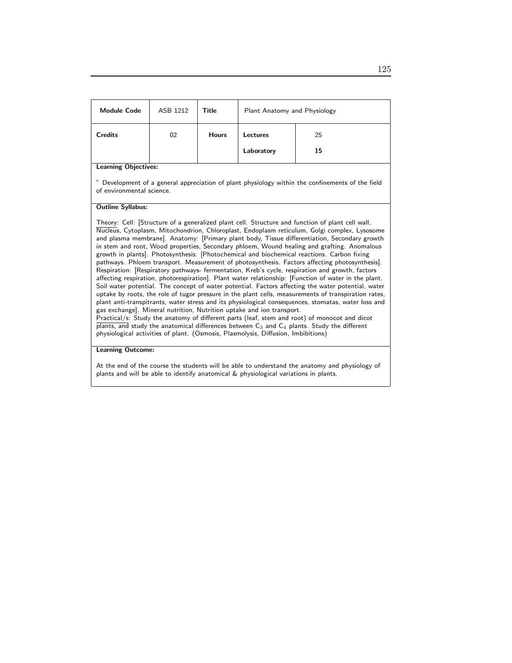| <b>Credits</b><br>02<br><b>Hours</b><br>Lectures<br>25<br>Laboratory<br>15<br><b>Learning Objectives:</b><br>Development of a general appreciation of plant physiology within the confinements of the field<br>of environmental science.<br><b>Outline Syllabus:</b><br>Theory: Cell: [Structure of a generalized plant cell. Structure and function of plant cell wall,<br>Nucleus, Cytoplasm, Mitochondrion, Chloroplast, Endoplasm reticulum, Golgi complex, Lysosome<br>and plasma membrane]. Anatomy: [Primary plant body, Tissue differentiation, Secondary growth<br>in stem and root, Wood properties, Secondary phloem, Wound healing and grafting. Anomalous<br>growth in plants]. Photosynthesis: [Photochemical and biochemical reactions. Carbon fixing<br>pathways. Phloem transport. Measurement of photosynthesis. Factors affecting photosynthesis].<br>Respiration: [Respiratory pathways- fermentation, Kreb's cycle, respiration and growth, factors<br>affecting respiration, photorespiration]. Plant water relationship: [Function of water in the plant.<br>Soil water potential. The concept of water potential. Factors affecting the water potential, water<br>uptake by roots, the role of tugor pressure in the plant cells, measurements of transpiration rates,<br>plant anti-transpitrants, water stress and its physiological consequences, stomatas, water loss and<br>gas exchange]. Mineral nutrition, Nutrition uptake and ion transport.<br>Practical/s: Study the anatomy of different parts (leaf, stem and root) of monocot and dicot<br>plants, and study the anatomical differences between $C_3$ and $C_4$ plants. Study the different<br>physiological activities of plant. (Osmosis, Plasmolysis, Diffusion, Imbibitions) | <b>Module Code</b> | ASB 1212 | Title | Plant Anatomy and Physiology |  |  |
|-------------------------------------------------------------------------------------------------------------------------------------------------------------------------------------------------------------------------------------------------------------------------------------------------------------------------------------------------------------------------------------------------------------------------------------------------------------------------------------------------------------------------------------------------------------------------------------------------------------------------------------------------------------------------------------------------------------------------------------------------------------------------------------------------------------------------------------------------------------------------------------------------------------------------------------------------------------------------------------------------------------------------------------------------------------------------------------------------------------------------------------------------------------------------------------------------------------------------------------------------------------------------------------------------------------------------------------------------------------------------------------------------------------------------------------------------------------------------------------------------------------------------------------------------------------------------------------------------------------------------------------------------------------------------------------------------------------------------------------------------------------------------|--------------------|----------|-------|------------------------------|--|--|
|                                                                                                                                                                                                                                                                                                                                                                                                                                                                                                                                                                                                                                                                                                                                                                                                                                                                                                                                                                                                                                                                                                                                                                                                                                                                                                                                                                                                                                                                                                                                                                                                                                                                                                                                                                         |                    |          |       |                              |  |  |
|                                                                                                                                                                                                                                                                                                                                                                                                                                                                                                                                                                                                                                                                                                                                                                                                                                                                                                                                                                                                                                                                                                                                                                                                                                                                                                                                                                                                                                                                                                                                                                                                                                                                                                                                                                         |                    |          |       |                              |  |  |
|                                                                                                                                                                                                                                                                                                                                                                                                                                                                                                                                                                                                                                                                                                                                                                                                                                                                                                                                                                                                                                                                                                                                                                                                                                                                                                                                                                                                                                                                                                                                                                                                                                                                                                                                                                         |                    |          |       |                              |  |  |
|                                                                                                                                                                                                                                                                                                                                                                                                                                                                                                                                                                                                                                                                                                                                                                                                                                                                                                                                                                                                                                                                                                                                                                                                                                                                                                                                                                                                                                                                                                                                                                                                                                                                                                                                                                         |                    |          |       |                              |  |  |
|                                                                                                                                                                                                                                                                                                                                                                                                                                                                                                                                                                                                                                                                                                                                                                                                                                                                                                                                                                                                                                                                                                                                                                                                                                                                                                                                                                                                                                                                                                                                                                                                                                                                                                                                                                         |                    |          |       |                              |  |  |
| <b>Learning Outcome:</b>                                                                                                                                                                                                                                                                                                                                                                                                                                                                                                                                                                                                                                                                                                                                                                                                                                                                                                                                                                                                                                                                                                                                                                                                                                                                                                                                                                                                                                                                                                                                                                                                                                                                                                                                                |                    |          |       |                              |  |  |

At the end of the course the students will be able to understand the anatomy and physiology of plants and will be able to identify anatomical & physiological variations in plants.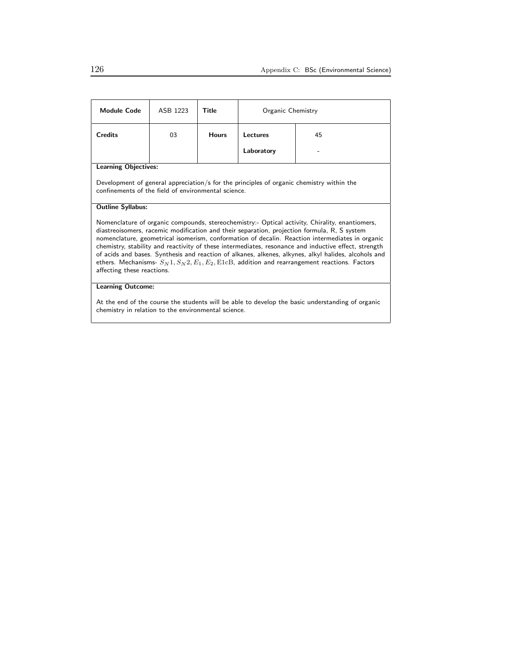| <b>Module Code</b>                                                                                                                                                                                                                                                                                                                                                                                                                                                                                                                                                                                                                                              | ASB 1223 | Title        | Organic Chemistry |    |  |
|-----------------------------------------------------------------------------------------------------------------------------------------------------------------------------------------------------------------------------------------------------------------------------------------------------------------------------------------------------------------------------------------------------------------------------------------------------------------------------------------------------------------------------------------------------------------------------------------------------------------------------------------------------------------|----------|--------------|-------------------|----|--|
| <b>Credits</b>                                                                                                                                                                                                                                                                                                                                                                                                                                                                                                                                                                                                                                                  | 03       | <b>Hours</b> | Lectures          | 45 |  |
|                                                                                                                                                                                                                                                                                                                                                                                                                                                                                                                                                                                                                                                                 |          |              | Laboratory        |    |  |
| <b>Learning Objectives:</b>                                                                                                                                                                                                                                                                                                                                                                                                                                                                                                                                                                                                                                     |          |              |                   |    |  |
| Development of general appreciation/s for the principles of organic chemistry within the<br>confinements of the field of environmental science                                                                                                                                                                                                                                                                                                                                                                                                                                                                                                                  |          |              |                   |    |  |
| <b>Outline Syllabus:</b>                                                                                                                                                                                                                                                                                                                                                                                                                                                                                                                                                                                                                                        |          |              |                   |    |  |
| Nomenclature of organic compounds, stereochemistry:- Optical activity, Chirality, enantiomers,<br>diastreoisomers, racemic modification and their separation, projection formula, R, S system<br>nomenclature, geometrical isomerism, conformation of decalin. Reaction intermediates in organic<br>chemistry, stability and reactivity of these intermediates, resonance and inductive effect, strength<br>of acids and bases. Synthesis and reaction of alkanes, alkenes, alkynes, alkyl halides, alcohols and<br>ethers. Mechanisms- $S_N$ 1, $S_N$ 2, $E_1$ , $E_2$ , E1 $c$ B, addition and rearrangement reactions. Factors<br>affecting these reactions. |          |              |                   |    |  |
| <b>Learning Outcome:</b>                                                                                                                                                                                                                                                                                                                                                                                                                                                                                                                                                                                                                                        |          |              |                   |    |  |

At the end of the course the students will be able to develop the basic understanding of organic chemistry in relation to the environmental science.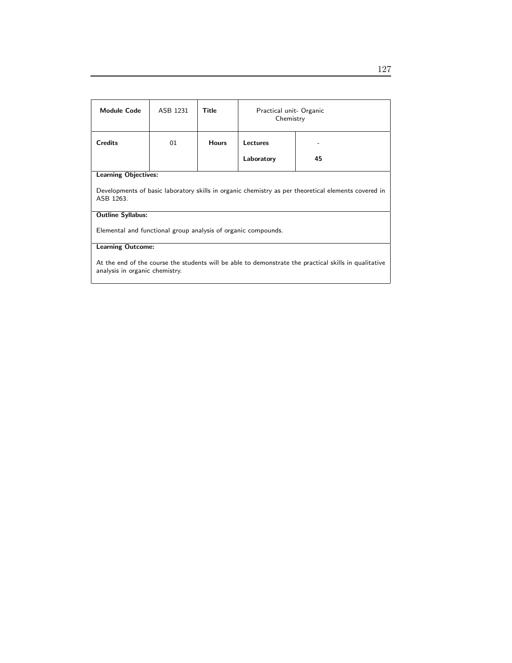| Module Code                                                                                                                             | ASB 1231 | Title        | Practical unit- Organic<br>Chemistry |    |
|-----------------------------------------------------------------------------------------------------------------------------------------|----------|--------------|--------------------------------------|----|
| <b>Credits</b>                                                                                                                          | 01       | <b>Hours</b> | Lectures                             |    |
|                                                                                                                                         |          |              | Laboratory                           | 45 |
| <b>Learning Objectives:</b>                                                                                                             |          |              |                                      |    |
| Developments of basic laboratory skills in organic chemistry as per theoretical elements covered in<br>ASB 1263.                        |          |              |                                      |    |
| <b>Outline Syllabus:</b>                                                                                                                |          |              |                                      |    |
| Elemental and functional group analysis of organic compounds.                                                                           |          |              |                                      |    |
| <b>Learning Outcome:</b>                                                                                                                |          |              |                                      |    |
| At the end of the course the students will be able to demonstrate the practical skills in qualitative<br>analysis in organic chemistry. |          |              |                                      |    |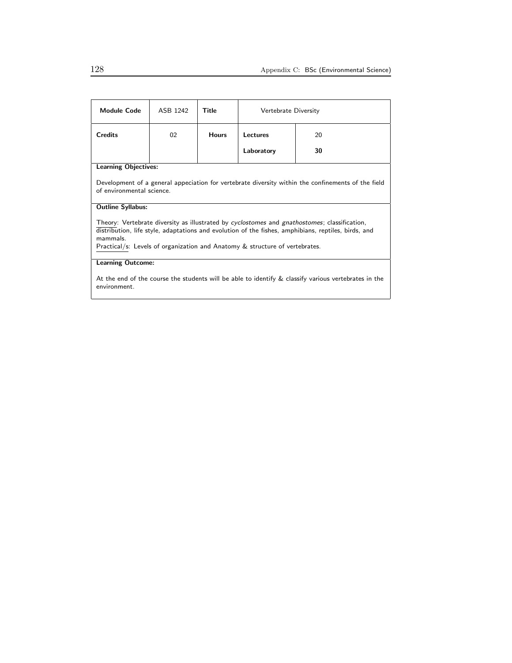| <b>Module Code</b>                                                                                                                                                                                                                                                                             | ASB 1242 | Title        | Vertebrate Diversity |    |  |
|------------------------------------------------------------------------------------------------------------------------------------------------------------------------------------------------------------------------------------------------------------------------------------------------|----------|--------------|----------------------|----|--|
| <b>Credits</b>                                                                                                                                                                                                                                                                                 | 02       | <b>Hours</b> | Lectures             | 20 |  |
|                                                                                                                                                                                                                                                                                                |          |              | Laboratory           | 30 |  |
| <b>Learning Objectives:</b>                                                                                                                                                                                                                                                                    |          |              |                      |    |  |
| Development of a general appeciation for vertebrate diversity within the confinements of the field<br>of environmental science.                                                                                                                                                                |          |              |                      |    |  |
| <b>Outline Syllabus:</b>                                                                                                                                                                                                                                                                       |          |              |                      |    |  |
| Theory: Vertebrate diversity as illustrated by cyclostomes and gnathostomes; classification,<br>distribution, life style, adaptations and evolution of the fishes, amphibians, reptiles, birds, and<br>mammals.<br>Practical/s: Levels of organization and Anatomy & structure of vertebrates. |          |              |                      |    |  |
| <b>Learning Outcome:</b>                                                                                                                                                                                                                                                                       |          |              |                      |    |  |
| At the end of the course the students will be able to identify $\&$ classify various vertebrates in the<br>environment.                                                                                                                                                                        |          |              |                      |    |  |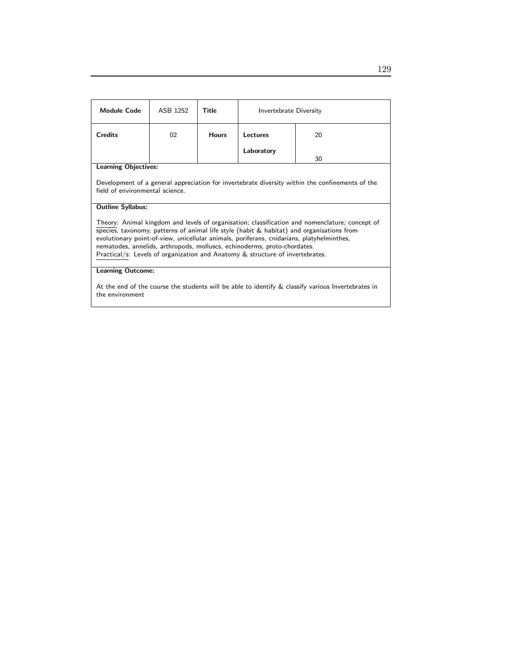| <b>Module Code</b>                                                                                                                                                                                                                                                                                                                                                                                                                                       | ASB 1252 | Title        | Invertebrate Diversity |    |  |
|----------------------------------------------------------------------------------------------------------------------------------------------------------------------------------------------------------------------------------------------------------------------------------------------------------------------------------------------------------------------------------------------------------------------------------------------------------|----------|--------------|------------------------|----|--|
| <b>Credits</b>                                                                                                                                                                                                                                                                                                                                                                                                                                           | 02       | <b>Hours</b> | Lectures               | 20 |  |
|                                                                                                                                                                                                                                                                                                                                                                                                                                                          |          |              | Laboratory             | 30 |  |
| <b>Learning Objectives:</b>                                                                                                                                                                                                                                                                                                                                                                                                                              |          |              |                        |    |  |
| Development of a general appreciation for invertebrate diversity within the confinements of the<br>field of environmental science.                                                                                                                                                                                                                                                                                                                       |          |              |                        |    |  |
| <b>Outline Syllabus:</b>                                                                                                                                                                                                                                                                                                                                                                                                                                 |          |              |                        |    |  |
| Theory: Animal kingdom and levels of organisation; classification and nomenclature; concept of<br>species, taxonomy, patterns of animal life style (habit $\&$ habitat) and organisations from<br>evolutionary point-of-view, unicellular animals, poriferans, cnidarians, platyhelminthes,<br>nematodes, annelids, arthropods, molluscs, echinoderms, proto-chordates.<br>Practical/s: Levels of organization and Anatomy & structure of invertebrates. |          |              |                        |    |  |
| <b>Learning Outcome:</b>                                                                                                                                                                                                                                                                                                                                                                                                                                 |          |              |                        |    |  |
| At the end of the course the students will be able to identify & classify various Invertebrates in<br>the environment                                                                                                                                                                                                                                                                                                                                    |          |              |                        |    |  |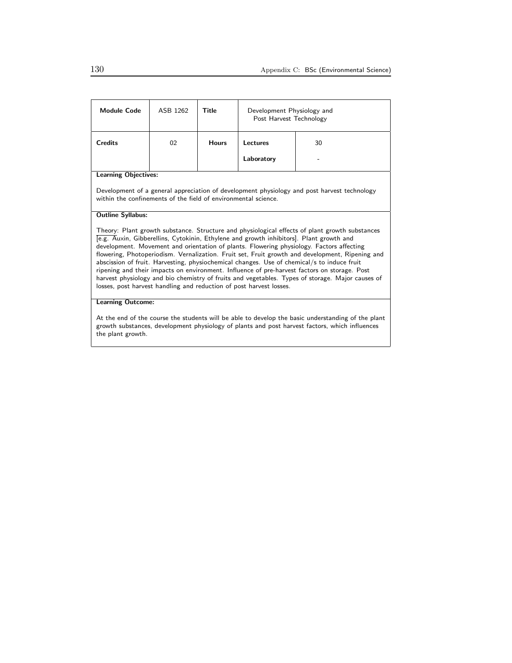| <b>Module Code</b>                                                                                                                                                                                                                                                                                                                                                                                                                                                                                                                                                                                                                                                                                                                                                | ASB 1262 | Title        | Development Physiology and<br>Post Harvest Technology |    |  |
|-------------------------------------------------------------------------------------------------------------------------------------------------------------------------------------------------------------------------------------------------------------------------------------------------------------------------------------------------------------------------------------------------------------------------------------------------------------------------------------------------------------------------------------------------------------------------------------------------------------------------------------------------------------------------------------------------------------------------------------------------------------------|----------|--------------|-------------------------------------------------------|----|--|
| <b>Credits</b>                                                                                                                                                                                                                                                                                                                                                                                                                                                                                                                                                                                                                                                                                                                                                    | 02       | <b>Hours</b> | Lectures                                              | 30 |  |
|                                                                                                                                                                                                                                                                                                                                                                                                                                                                                                                                                                                                                                                                                                                                                                   |          |              | Laboratory                                            |    |  |
| <b>Learning Objectives:</b>                                                                                                                                                                                                                                                                                                                                                                                                                                                                                                                                                                                                                                                                                                                                       |          |              |                                                       |    |  |
| Development of a general appreciation of development physiology and post harvest technology<br>within the confinements of the field of environmental science.                                                                                                                                                                                                                                                                                                                                                                                                                                                                                                                                                                                                     |          |              |                                                       |    |  |
| <b>Outline Syllabus:</b>                                                                                                                                                                                                                                                                                                                                                                                                                                                                                                                                                                                                                                                                                                                                          |          |              |                                                       |    |  |
| Theory: Plant growth substance. Structure and physiological effects of plant growth substances<br>[e.g. Auxin, Gibberellins, Cytokinin, Ethylene and growth inhibitors]. Plant growth and<br>development. Movement and orientation of plants. Flowering physiology. Factors affecting<br>flowering, Photoperiodism. Vernalization. Fruit set, Fruit growth and development, Ripening and<br>abscission of fruit. Harvesting, physiochemical changes. Use of chemical/s to induce fruit<br>ripening and their impacts on environment. Influence of pre-harvest factors on storage. Post<br>harvest physiology and bio chemistry of fruits and vegetables. Types of storage. Major causes of<br>losses, post harvest handling and reduction of post harvest losses. |          |              |                                                       |    |  |
| <b>Learning Outcome:</b>                                                                                                                                                                                                                                                                                                                                                                                                                                                                                                                                                                                                                                                                                                                                          |          |              |                                                       |    |  |
| At the end of the course the students will be able to develop the basic understanding of the plant                                                                                                                                                                                                                                                                                                                                                                                                                                                                                                                                                                                                                                                                |          |              |                                                       |    |  |

At the end of the course the students will be able to develop the basic understanding of the plant growth substances, development physiology of plants and post harvest factors, which influences the plant growth.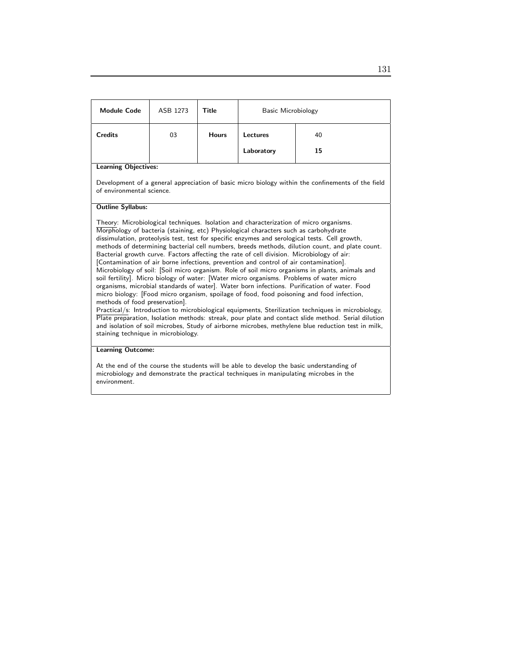| <b>Module Code</b>                                                                                                                                                                                                                                                                                                                                                                                                                                                                                                                                                                                                                                                                                                                                                                                                                                                                                                                                                                                                                                                                                                                                                                                                                                                                                                                                               | ASB 1273 | Title        | Basic Microbiology |    |  |
|------------------------------------------------------------------------------------------------------------------------------------------------------------------------------------------------------------------------------------------------------------------------------------------------------------------------------------------------------------------------------------------------------------------------------------------------------------------------------------------------------------------------------------------------------------------------------------------------------------------------------------------------------------------------------------------------------------------------------------------------------------------------------------------------------------------------------------------------------------------------------------------------------------------------------------------------------------------------------------------------------------------------------------------------------------------------------------------------------------------------------------------------------------------------------------------------------------------------------------------------------------------------------------------------------------------------------------------------------------------|----------|--------------|--------------------|----|--|
| <b>Credits</b>                                                                                                                                                                                                                                                                                                                                                                                                                                                                                                                                                                                                                                                                                                                                                                                                                                                                                                                                                                                                                                                                                                                                                                                                                                                                                                                                                   | 03       | <b>Hours</b> | Lectures           | 40 |  |
|                                                                                                                                                                                                                                                                                                                                                                                                                                                                                                                                                                                                                                                                                                                                                                                                                                                                                                                                                                                                                                                                                                                                                                                                                                                                                                                                                                  |          |              | Laboratory         | 15 |  |
| <b>Learning Objectives:</b>                                                                                                                                                                                                                                                                                                                                                                                                                                                                                                                                                                                                                                                                                                                                                                                                                                                                                                                                                                                                                                                                                                                                                                                                                                                                                                                                      |          |              |                    |    |  |
| Development of a general appreciation of basic micro biology within the confinements of the field<br>of environmental science                                                                                                                                                                                                                                                                                                                                                                                                                                                                                                                                                                                                                                                                                                                                                                                                                                                                                                                                                                                                                                                                                                                                                                                                                                    |          |              |                    |    |  |
| <b>Outline Syllabus:</b>                                                                                                                                                                                                                                                                                                                                                                                                                                                                                                                                                                                                                                                                                                                                                                                                                                                                                                                                                                                                                                                                                                                                                                                                                                                                                                                                         |          |              |                    |    |  |
| Theory: Microbiological techniques. Isolation and characterization of micro organisms.<br>Morphology of bacteria (staining, etc) Physiological characters such as carbohydrate<br>dissimulation, proteolysis test, test for specific enzymes and serological tests. Cell growth,<br>methods of determining bacterial cell numbers, breeds methods, dilution count, and plate count.<br>Bacterial growth curve. Factors affecting the rate of cell division. Microbiology of air:<br>[Contamination of air borne infections, prevention and control of air contamination].<br>Microbiology of soil: [Soil micro organism. Role of soil micro organisms in plants, animals and<br>soil fertility]. Micro biology of water: [Water micro organisms. Problems of water micro<br>organisms, microbial standards of water]. Water born infections. Purification of water. Food<br>micro biology: [Food micro organism, spoilage of food, food poisoning and food infection,<br>methods of food preservation].<br>Practical/s: Introduction to microbiological equipments, Sterilization techniques in microbiology,<br>Plate preparation, Isolation methods: streak, pour plate and contact slide method. Serial dilution<br>and isolation of soil microbes, Study of airborne microbes, methylene blue reduction test in milk,<br>staining technique in microbiology. |          |              |                    |    |  |
| <b>Learning Outcome:</b><br>At the end of the course the students will be able to develop the basic understanding of<br>microbiology and demonstrate the practical techniques in manipulating microbes in the<br>environment.                                                                                                                                                                                                                                                                                                                                                                                                                                                                                                                                                                                                                                                                                                                                                                                                                                                                                                                                                                                                                                                                                                                                    |          |              |                    |    |  |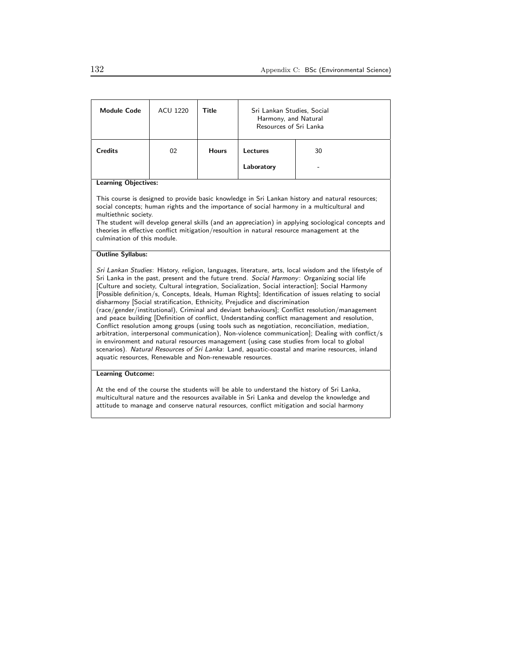| <b>Module Code</b>                                                                                                                                                                                                                                                                                                                                                                                                                                                                                                                                                                                                                                                                                                                                                                                                                                                                                                                                                                                                                                                                                                                                            | <b>ACU 1220</b> | Title        | Sri Lankan Studies, Social<br>Harmony, and Natural<br>Resources of Sri Lanka |    |  |
|---------------------------------------------------------------------------------------------------------------------------------------------------------------------------------------------------------------------------------------------------------------------------------------------------------------------------------------------------------------------------------------------------------------------------------------------------------------------------------------------------------------------------------------------------------------------------------------------------------------------------------------------------------------------------------------------------------------------------------------------------------------------------------------------------------------------------------------------------------------------------------------------------------------------------------------------------------------------------------------------------------------------------------------------------------------------------------------------------------------------------------------------------------------|-----------------|--------------|------------------------------------------------------------------------------|----|--|
| <b>Credits</b>                                                                                                                                                                                                                                                                                                                                                                                                                                                                                                                                                                                                                                                                                                                                                                                                                                                                                                                                                                                                                                                                                                                                                | 02              | <b>Hours</b> | Lectures                                                                     | 30 |  |
|                                                                                                                                                                                                                                                                                                                                                                                                                                                                                                                                                                                                                                                                                                                                                                                                                                                                                                                                                                                                                                                                                                                                                               |                 |              | Laboratory                                                                   |    |  |
| <b>Learning Objectives:</b>                                                                                                                                                                                                                                                                                                                                                                                                                                                                                                                                                                                                                                                                                                                                                                                                                                                                                                                                                                                                                                                                                                                                   |                 |              |                                                                              |    |  |
| This course is designed to provide basic knowledge in Sri Lankan history and natural resources;<br>social concepts; human rights and the importance of social harmony in a multicultural and<br>multiethnic society.<br>The student will develop general skills (and an appreciation) in applying sociological concepts and<br>theories in effective conflict mitigation/resoultion in natural resource management at the<br>culmination of this module.                                                                                                                                                                                                                                                                                                                                                                                                                                                                                                                                                                                                                                                                                                      |                 |              |                                                                              |    |  |
| <b>Outline Syllabus:</b>                                                                                                                                                                                                                                                                                                                                                                                                                                                                                                                                                                                                                                                                                                                                                                                                                                                                                                                                                                                                                                                                                                                                      |                 |              |                                                                              |    |  |
| Sri Lankan Studies: History, religion, languages, literature, arts, local wisdom and the lifestyle of<br>Sri Lanka in the past, present and the future trend. Social Harmony: Organizing social life<br>[Culture and society, Cultural integration, Socialization, Social interaction]; Social Harmony<br>[Possible definition/s, Concepts, Ideals, Human Rights]; Identification of issues relating to social<br>disharmony [Social stratification, Ethnicity, Prejudice and discrimination<br>(race/gender/institutional), Criminal and deviant behaviours]; Conflict resolution/management<br>and peace building [Definition of conflict, Understanding conflict management and resolution,<br>Conflict resolution among groups (using tools such as negotiation, reconciliation, mediation,<br>arbitration, interpersonal communication), Non-violence communication]; Dealing with conflict/s<br>in environment and natural resources management (using case studies from local to global<br>scenarios). Natural Resources of Sri Lanka: Land, aquatic-coastal and marine resources, inland<br>aquatic resources, Renewable and Non-renewable resources. |                 |              |                                                                              |    |  |
| <b>Learning Outcome:</b>                                                                                                                                                                                                                                                                                                                                                                                                                                                                                                                                                                                                                                                                                                                                                                                                                                                                                                                                                                                                                                                                                                                                      |                 |              |                                                                              |    |  |

At the end of the course the students will be able to understand the history of Sri Lanka, multicultural nature and the resources available in Sri Lanka and develop the knowledge and attitude to manage and conserve natural resources, conflict mitigation and social harmony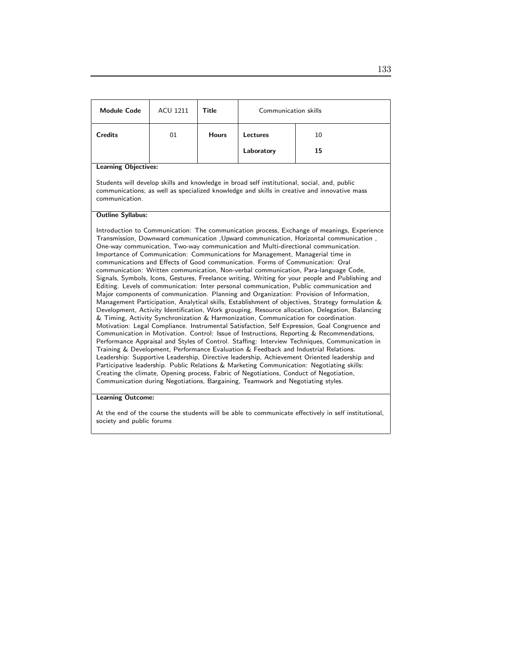| <b>Module Code</b>                                                                                                                                                                                                                                                                                                                                                                                                                                                                                                                                                                                                                                                                                                                                                                                                                                                                                                                                                                                                                                                                                                                                                                                                                                                                                                                                                                                                                                                                                                                                                                                                                                                                                                                                                                                                                                                                            | <b>ACU 1211</b> | Title        | Communication skills |    |  |
|-----------------------------------------------------------------------------------------------------------------------------------------------------------------------------------------------------------------------------------------------------------------------------------------------------------------------------------------------------------------------------------------------------------------------------------------------------------------------------------------------------------------------------------------------------------------------------------------------------------------------------------------------------------------------------------------------------------------------------------------------------------------------------------------------------------------------------------------------------------------------------------------------------------------------------------------------------------------------------------------------------------------------------------------------------------------------------------------------------------------------------------------------------------------------------------------------------------------------------------------------------------------------------------------------------------------------------------------------------------------------------------------------------------------------------------------------------------------------------------------------------------------------------------------------------------------------------------------------------------------------------------------------------------------------------------------------------------------------------------------------------------------------------------------------------------------------------------------------------------------------------------------------|-----------------|--------------|----------------------|----|--|
| <b>Credits</b>                                                                                                                                                                                                                                                                                                                                                                                                                                                                                                                                                                                                                                                                                                                                                                                                                                                                                                                                                                                                                                                                                                                                                                                                                                                                                                                                                                                                                                                                                                                                                                                                                                                                                                                                                                                                                                                                                | 01              | <b>Hours</b> | Lectures             | 10 |  |
|                                                                                                                                                                                                                                                                                                                                                                                                                                                                                                                                                                                                                                                                                                                                                                                                                                                                                                                                                                                                                                                                                                                                                                                                                                                                                                                                                                                                                                                                                                                                                                                                                                                                                                                                                                                                                                                                                               |                 |              | Laboratory           | 15 |  |
| <b>Learning Objectives:</b>                                                                                                                                                                                                                                                                                                                                                                                                                                                                                                                                                                                                                                                                                                                                                                                                                                                                                                                                                                                                                                                                                                                                                                                                                                                                                                                                                                                                                                                                                                                                                                                                                                                                                                                                                                                                                                                                   |                 |              |                      |    |  |
| Students will develop skills and knowledge in broad self institutional, social, and, public<br>communications; as well as specialized knowledge and skills in creative and innovative mass<br>communication.                                                                                                                                                                                                                                                                                                                                                                                                                                                                                                                                                                                                                                                                                                                                                                                                                                                                                                                                                                                                                                                                                                                                                                                                                                                                                                                                                                                                                                                                                                                                                                                                                                                                                  |                 |              |                      |    |  |
| <b>Outline Syllabus:</b>                                                                                                                                                                                                                                                                                                                                                                                                                                                                                                                                                                                                                                                                                                                                                                                                                                                                                                                                                                                                                                                                                                                                                                                                                                                                                                                                                                                                                                                                                                                                                                                                                                                                                                                                                                                                                                                                      |                 |              |                      |    |  |
| Introduction to Communication: The communication process, Exchange of meanings, Experience<br>Transmission, Downward communication , Upward communication, Horizontal communication,<br>One-way communication, Two-way communication and Multi-directional communication.<br>Importance of Communication: Communications for Management, Managerial time in<br>communications and Effects of Good communication. Forms of Communication: Oral<br>communication: Written communication, Non-verbal communication, Para-language Code,<br>Signals, Symbols, Icons, Gestures, Freelance writing, Writing for your people and Publishing and<br>Editing. Levels of communication: Inter personal communication, Public communication and<br>Major components of communication. Planning and Organization: Provision of Information,<br>Management Participation, Analytical skills, Establishment of objectives, Strategy formulation &<br>Development, Activity Identification, Work grouping, Resource allocation, Delegation, Balancing<br>& Timing, Activity Synchronization & Harmonization, Communication for coordination.<br>Motivation: Legal Compliance. Instrumental Satisfaction, Self Expression, Goal Congruence and<br>Communication in Motivation. Control: Issue of Instructions, Reporting & Recommendations,<br>Performance Appraisal and Styles of Control. Staffing: Interview Techniques, Communication in<br>Training & Development, Performance Evaluation & Feedback and Industrial Relations.<br>Leadership: Supportive Leadership, Directive leadership, Achievement Oriented leadership and<br>Participative leadership. Public Relations & Marketing Communication: Negotiating skills:<br>Creating the climate, Opening process, Fabric of Negotiations, Conduct of Negotiation,<br>Communication during Negotiations, Bargaining, Teamwork and Negotiating styles. |                 |              |                      |    |  |

### Learning Outcome:

At the end of the course the students will be able to communicate effectively in self institutional, society and public forums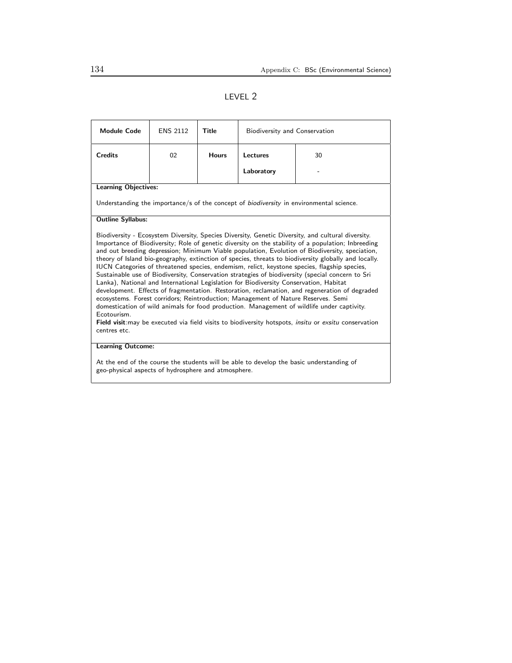## LEVEL 2

| <b>Module Code</b>                                                                                                                                                                                                                                                                                                                                                                                                                                                                                                                                                                                                                                                                                                                                                                                                                                                                                                                                                                                                                                                                                                                               | <b>ENS 2112</b> | Title        | Biodiversity and Conservation |                                                                                                |  |
|--------------------------------------------------------------------------------------------------------------------------------------------------------------------------------------------------------------------------------------------------------------------------------------------------------------------------------------------------------------------------------------------------------------------------------------------------------------------------------------------------------------------------------------------------------------------------------------------------------------------------------------------------------------------------------------------------------------------------------------------------------------------------------------------------------------------------------------------------------------------------------------------------------------------------------------------------------------------------------------------------------------------------------------------------------------------------------------------------------------------------------------------------|-----------------|--------------|-------------------------------|------------------------------------------------------------------------------------------------|--|
| <b>Credits</b>                                                                                                                                                                                                                                                                                                                                                                                                                                                                                                                                                                                                                                                                                                                                                                                                                                                                                                                                                                                                                                                                                                                                   | 02              | <b>Hours</b> | <b>Lectures</b>               | 30                                                                                             |  |
|                                                                                                                                                                                                                                                                                                                                                                                                                                                                                                                                                                                                                                                                                                                                                                                                                                                                                                                                                                                                                                                                                                                                                  |                 |              | Laboratory                    |                                                                                                |  |
| <b>Learning Objectives:</b>                                                                                                                                                                                                                                                                                                                                                                                                                                                                                                                                                                                                                                                                                                                                                                                                                                                                                                                                                                                                                                                                                                                      |                 |              |                               |                                                                                                |  |
|                                                                                                                                                                                                                                                                                                                                                                                                                                                                                                                                                                                                                                                                                                                                                                                                                                                                                                                                                                                                                                                                                                                                                  |                 |              |                               | Understanding the importance/s of the concept of <i>biodiversity</i> in environmental science. |  |
| <b>Outline Syllabus:</b>                                                                                                                                                                                                                                                                                                                                                                                                                                                                                                                                                                                                                                                                                                                                                                                                                                                                                                                                                                                                                                                                                                                         |                 |              |                               |                                                                                                |  |
| Biodiversity - Ecosystem Diversity, Species Diversity, Genetic Diversity, and cultural diversity.<br>Importance of Biodiversity; Role of genetic diversity on the stability of a population; Inbreeding<br>and out breeding depression; Minimum Viable population, Evolution of Biodiversity, speciation,<br>theory of Island bio-geography, extinction of species, threats to biodiversity globally and locally.<br>IUCN Categories of threatened species, endemism, relict, keystone species, flagship species,<br>Sustainable use of Biodiversity, Conservation strategies of biodiversity (special concern to Sri<br>Lanka), National and International Legislation for Biodiversity Conservation, Habitat<br>development. Effects of fragmentation. Restoration, reclamation, and regeneration of degraded<br>ecosystems. Forest corridors; Reintroduction; Management of Nature Reserves. Semi<br>domestication of wild animals for food production. Management of wildlife under captivity.<br>Frotourism<br>Field visit: may be executed via field visits to biodiversity hotspots, <i>insitu</i> or exsitu conservation<br>centres etc. |                 |              |                               |                                                                                                |  |
| <b>Learning Outcome:</b>                                                                                                                                                                                                                                                                                                                                                                                                                                                                                                                                                                                                                                                                                                                                                                                                                                                                                                                                                                                                                                                                                                                         |                 |              |                               |                                                                                                |  |
| At the end of the course the students will be able to develop the basic understanding of<br>geo-physical aspects of hydrosphere and atmosphere.                                                                                                                                                                                                                                                                                                                                                                                                                                                                                                                                                                                                                                                                                                                                                                                                                                                                                                                                                                                                  |                 |              |                               |                                                                                                |  |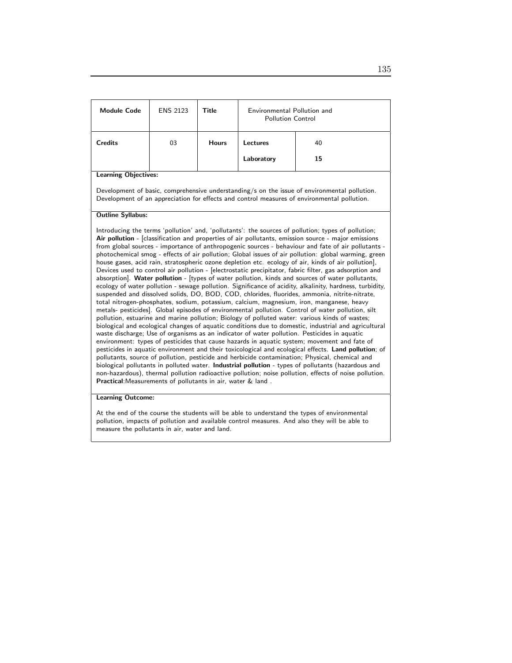| <b>Module Code</b>          | <b>ENS 2123</b> | Title        | Environmental Pollution and<br><b>Pollution Control</b> |          |
|-----------------------------|-----------------|--------------|---------------------------------------------------------|----------|
| <b>Credits</b>              | 03              | <b>Hours</b> | Lectures<br>Laboratory                                  | 40<br>15 |
| <b>Learning Objectives:</b> |                 |              |                                                         |          |

Development of basic, comprehensive understanding/s on the issue of environmental pollution. Development of an appreciation for effects and control measures of environmental pollution.

#### Outline Syllabus:

Introducing the terms 'pollution' and, 'pollutants': the sources of pollution; types of pollution; Air pollution - [classification and properties of air pollutants, emission source - major emissions from global sources - importance of anthropogenic sources - behaviour and fate of air pollutants photochemical smog - effects of air pollution; Global issues of air pollution: global warming, green house gases, acid rain, stratospheric ozone depletion etc. ecology of air, kinds of air pollution], Devices used to control air pollution - [electrostatic precipitator, fabric filter, gas adsorption and absorption]. Water pollution - [types of water pollution, kinds and sources of water pollutants, ecology of water pollution - sewage pollution. Significance of acidity, alkalinity, hardness, turbidity, suspended and dissolved solids, DO, BOD, COD, chlorides, fluorides, ammonia, nitrite-nitrate, total nitrogen-phosphates, sodium, potassium, calcium, magnesium, iron, manganese, heavy metals- pesticides]. Global episodes of environmental pollution. Control of water pollution, silt pollution, estuarine and marine pollution; Biology of polluted water: various kinds of wastes; biological and ecological changes of aquatic conditions due to domestic, industrial and agricultural waste discharge; Use of organisms as an indicator of water pollution. Pesticides in aquatic environment: types of pesticides that cause hazards in aquatic system; movement and fate of pesticides in aquatic environment and their toxicological and ecological effects. Land pollution; of pollutants, source of pollution, pesticide and herbicide contamination; Physical, chemical and biological pollutants in polluted water. Industrial pollution - types of pollutants (hazardous and non-hazardous), thermal pollution radioactive pollution; noise pollution, effects of noise pollution. Practical:Measurements of pollutants in air, water & land .

#### Learning Outcome:

At the end of the course the students will be able to understand the types of environmental pollution, impacts of pollution and available control measures. And also they will be able to measure the pollutants in air, water and land.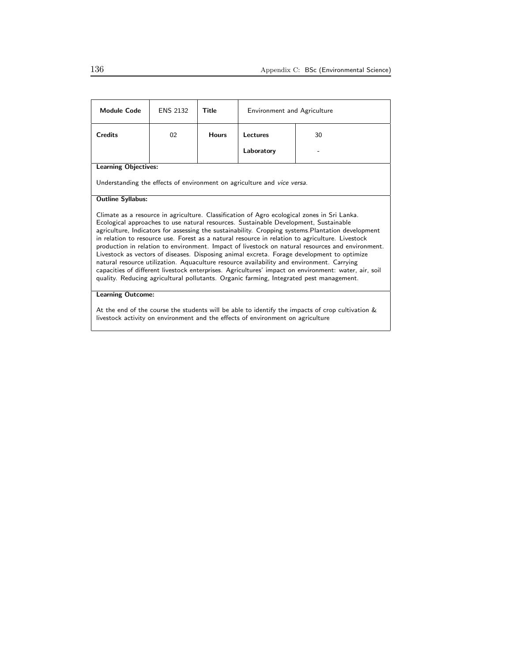| <b>Module Code</b>                                                                                                                                                                                                                                                                                                                                                                                                                                                                                                                                                                                                                                                                                                                                                                                                                                                                             | <b>ENS 2132</b> | Title        | <b>Environment and Agriculture</b> |    |  |
|------------------------------------------------------------------------------------------------------------------------------------------------------------------------------------------------------------------------------------------------------------------------------------------------------------------------------------------------------------------------------------------------------------------------------------------------------------------------------------------------------------------------------------------------------------------------------------------------------------------------------------------------------------------------------------------------------------------------------------------------------------------------------------------------------------------------------------------------------------------------------------------------|-----------------|--------------|------------------------------------|----|--|
| <b>Credits</b>                                                                                                                                                                                                                                                                                                                                                                                                                                                                                                                                                                                                                                                                                                                                                                                                                                                                                 | 02              | <b>Hours</b> | Lectures                           | 30 |  |
|                                                                                                                                                                                                                                                                                                                                                                                                                                                                                                                                                                                                                                                                                                                                                                                                                                                                                                |                 |              | Laboratory                         |    |  |
| <b>Learning Objectives:</b>                                                                                                                                                                                                                                                                                                                                                                                                                                                                                                                                                                                                                                                                                                                                                                                                                                                                    |                 |              |                                    |    |  |
| Understanding the effects of environment on agriculture and vice versa.                                                                                                                                                                                                                                                                                                                                                                                                                                                                                                                                                                                                                                                                                                                                                                                                                        |                 |              |                                    |    |  |
| <b>Outline Syllabus:</b>                                                                                                                                                                                                                                                                                                                                                                                                                                                                                                                                                                                                                                                                                                                                                                                                                                                                       |                 |              |                                    |    |  |
| Climate as a resource in agriculture. Classification of Agro ecological zones in Sri Lanka.<br>Ecological approaches to use natural resources. Sustainable Development, Sustainable<br>agriculture, Indicators for assessing the sustainability. Cropping systems. Plantation development<br>in relation to resource use. Forest as a natural resource in relation to agriculture. Livestock<br>production in relation to environment. Impact of livestock on natural resources and environment.<br>Livestock as vectors of diseases. Disposing animal excreta. Forage development to optimize<br>natural resource utilization. Aquaculture resource availability and environment. Carrying<br>capacities of different livestock enterprises. Agricultures' impact on environment: water, air, soil<br>quality. Reducing agricultural pollutants. Organic farming, Integrated pest management. |                 |              |                                    |    |  |
| <b>Learning Outcome:</b>                                                                                                                                                                                                                                                                                                                                                                                                                                                                                                                                                                                                                                                                                                                                                                                                                                                                       |                 |              |                                    |    |  |

At the end of the course the students will be able to identify the impacts of crop cultivation & livestock activity on environment and the effects of environment on agriculture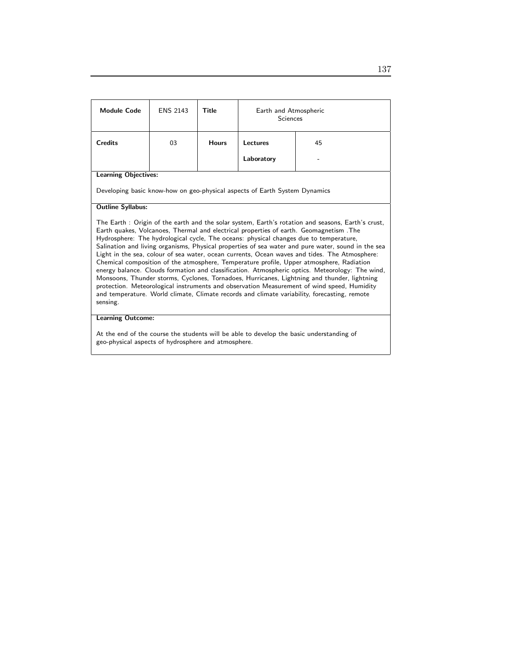| <b>Module Code</b>                                                                                                                                                                                                                                                                                                                                                                                                                                                                                                                                                                                                                                                                                                                                                                                                                                                                                                                                                                                   | <b>ENS 2143</b> | Title        | Earth and Atmospheric<br>Sciences |    |  |
|------------------------------------------------------------------------------------------------------------------------------------------------------------------------------------------------------------------------------------------------------------------------------------------------------------------------------------------------------------------------------------------------------------------------------------------------------------------------------------------------------------------------------------------------------------------------------------------------------------------------------------------------------------------------------------------------------------------------------------------------------------------------------------------------------------------------------------------------------------------------------------------------------------------------------------------------------------------------------------------------------|-----------------|--------------|-----------------------------------|----|--|
| <b>Credits</b>                                                                                                                                                                                                                                                                                                                                                                                                                                                                                                                                                                                                                                                                                                                                                                                                                                                                                                                                                                                       | 03              | <b>Hours</b> | Lectures                          | 45 |  |
|                                                                                                                                                                                                                                                                                                                                                                                                                                                                                                                                                                                                                                                                                                                                                                                                                                                                                                                                                                                                      |                 |              | Laboratory                        |    |  |
| <b>Learning Objectives:</b>                                                                                                                                                                                                                                                                                                                                                                                                                                                                                                                                                                                                                                                                                                                                                                                                                                                                                                                                                                          |                 |              |                                   |    |  |
| Developing basic know-how on geo-physical aspects of Earth System Dynamics                                                                                                                                                                                                                                                                                                                                                                                                                                                                                                                                                                                                                                                                                                                                                                                                                                                                                                                           |                 |              |                                   |    |  |
| <b>Outline Syllabus:</b>                                                                                                                                                                                                                                                                                                                                                                                                                                                                                                                                                                                                                                                                                                                                                                                                                                                                                                                                                                             |                 |              |                                   |    |  |
| The Earth: Origin of the earth and the solar system, Earth's rotation and seasons, Earth's crust,<br>Earth quakes, Volcanoes, Thermal and electrical properties of earth. Geomagnetism . The<br>Hydrosphere: The hydrological cycle, The oceans: physical changes due to temperature,<br>Salination and living organisms, Physical properties of sea water and pure water, sound in the sea<br>Light in the sea, colour of sea water, ocean currents, Ocean waves and tides. The Atmosphere:<br>Chemical composition of the atmosphere, Temperature profile, Upper atmosphere, Radiation<br>energy balance. Clouds formation and classification. Atmospheric optics. Meteorology: The wind,<br>Monsoons, Thunder storms, Cyclones, Tornadoes, Hurricanes, Lightning and thunder, lightning<br>protection. Meteorological instruments and observation Measurement of wind speed, Humidity<br>and temperature. World climate, Climate records and climate variability, forecasting, remote<br>sensing. |                 |              |                                   |    |  |
| <b>Learning Outcome:</b>                                                                                                                                                                                                                                                                                                                                                                                                                                                                                                                                                                                                                                                                                                                                                                                                                                                                                                                                                                             |                 |              |                                   |    |  |
| At the end of the course the students will be able to develop the basic understanding of                                                                                                                                                                                                                                                                                                                                                                                                                                                                                                                                                                                                                                                                                                                                                                                                                                                                                                             |                 |              |                                   |    |  |

geo-physical aspects of hydrosphere and atmosphere.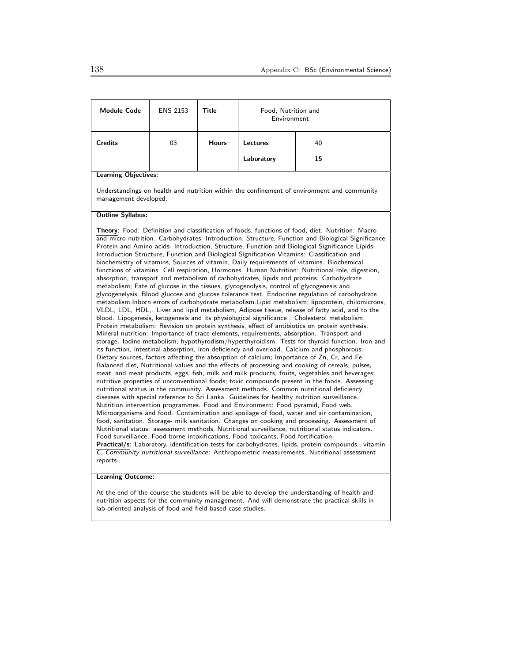| <b>Module Code</b>                                                                                                                                                                                                                                                                                                                                                                                                                                                                                                                                                                                                                                                                                                                                                                                                                                                                                                                                                                                                                                                                                                                                                                                                                                                                                                                                                                                                                                                                                                                                                                                                                                                                                                                                                                                                                                                                                                                                                                                                                                                                                                                                                                                                                                                                                                                                                                                                                                                                                                                                                                                                                                                                                                                                                                      | <b>ENS 2153</b> | Title        | Food, Nutrition and<br>Environment |                                                                                            |  |
|-----------------------------------------------------------------------------------------------------------------------------------------------------------------------------------------------------------------------------------------------------------------------------------------------------------------------------------------------------------------------------------------------------------------------------------------------------------------------------------------------------------------------------------------------------------------------------------------------------------------------------------------------------------------------------------------------------------------------------------------------------------------------------------------------------------------------------------------------------------------------------------------------------------------------------------------------------------------------------------------------------------------------------------------------------------------------------------------------------------------------------------------------------------------------------------------------------------------------------------------------------------------------------------------------------------------------------------------------------------------------------------------------------------------------------------------------------------------------------------------------------------------------------------------------------------------------------------------------------------------------------------------------------------------------------------------------------------------------------------------------------------------------------------------------------------------------------------------------------------------------------------------------------------------------------------------------------------------------------------------------------------------------------------------------------------------------------------------------------------------------------------------------------------------------------------------------------------------------------------------------------------------------------------------------------------------------------------------------------------------------------------------------------------------------------------------------------------------------------------------------------------------------------------------------------------------------------------------------------------------------------------------------------------------------------------------------------------------------------------------------------------------------------------------|-----------------|--------------|------------------------------------|--------------------------------------------------------------------------------------------|--|
| <b>Credits</b>                                                                                                                                                                                                                                                                                                                                                                                                                                                                                                                                                                                                                                                                                                                                                                                                                                                                                                                                                                                                                                                                                                                                                                                                                                                                                                                                                                                                                                                                                                                                                                                                                                                                                                                                                                                                                                                                                                                                                                                                                                                                                                                                                                                                                                                                                                                                                                                                                                                                                                                                                                                                                                                                                                                                                                          | 03              | <b>Hours</b> | Lectures                           | 40                                                                                         |  |
|                                                                                                                                                                                                                                                                                                                                                                                                                                                                                                                                                                                                                                                                                                                                                                                                                                                                                                                                                                                                                                                                                                                                                                                                                                                                                                                                                                                                                                                                                                                                                                                                                                                                                                                                                                                                                                                                                                                                                                                                                                                                                                                                                                                                                                                                                                                                                                                                                                                                                                                                                                                                                                                                                                                                                                                         |                 |              | Laboratory                         | 15                                                                                         |  |
| <b>Learning Objectives:</b>                                                                                                                                                                                                                                                                                                                                                                                                                                                                                                                                                                                                                                                                                                                                                                                                                                                                                                                                                                                                                                                                                                                                                                                                                                                                                                                                                                                                                                                                                                                                                                                                                                                                                                                                                                                                                                                                                                                                                                                                                                                                                                                                                                                                                                                                                                                                                                                                                                                                                                                                                                                                                                                                                                                                                             |                 |              |                                    |                                                                                            |  |
| management developed.                                                                                                                                                                                                                                                                                                                                                                                                                                                                                                                                                                                                                                                                                                                                                                                                                                                                                                                                                                                                                                                                                                                                                                                                                                                                                                                                                                                                                                                                                                                                                                                                                                                                                                                                                                                                                                                                                                                                                                                                                                                                                                                                                                                                                                                                                                                                                                                                                                                                                                                                                                                                                                                                                                                                                                   |                 |              |                                    | Understandings on health and nutrition within the confinement of environment and community |  |
| <b>Outline Syllabus:</b>                                                                                                                                                                                                                                                                                                                                                                                                                                                                                                                                                                                                                                                                                                                                                                                                                                                                                                                                                                                                                                                                                                                                                                                                                                                                                                                                                                                                                                                                                                                                                                                                                                                                                                                                                                                                                                                                                                                                                                                                                                                                                                                                                                                                                                                                                                                                                                                                                                                                                                                                                                                                                                                                                                                                                                |                 |              |                                    |                                                                                            |  |
| Theory: Food: Definition and classification of foods, functions of food, diet. Nutrition: Macro<br>and micro nutrition. Carbohydrates- Introduction, Structure, Function and Biological Significance<br>Protein and Amino acids- Introduction, Structure, Function and Biological Significance Lipids-<br>Introduction Structure, Function and Biological Signification Vitamins: Classification and<br>biochemistry of vitamins, Sources of vitamin, Daily requirements of vitamins. Biochemical<br>functions of vitamins. Cell respiration, Hormones. Human Nutrition: Nutritional role, digestion,<br>absorption, transport and metabolism of carbohydrates, lipids and proteins. Carbohydrate<br>metabolism; Fate of glucose in the tissues, glycogenolysis, control of glycogenesis and<br>glycogenelysis, Blood glucose and glucose tolerance test. Endocrine regulation of carbohydrate<br>metabolism. Inborn errors of carbohydrate metabolism. Lipid metabolism; lipoprotein, chilomicrons,<br>VLDL, LDL, HDL,. Liver and lipid metabolism, Adipose tissue, release of fatty acid, and to the<br>blood. Lipogenesis, ketogenesis and its physiological significance. Cholesterol metabolism.<br>Protein metabolism: Revision on protein synthesis, effect of antibiotics on protein synthesis.<br>Mineral nutrition: Importance of trace elements, requirements, absorption. Transport and<br>storage. Iodine metabolism, hypothyrodism/hyperthyroidism. Tests for thyroid function. Iron and<br>its function, intestinal absorption, iron deficiency and overload. Calcium and phosphorous:<br>Dietary sources, factors affecting the absorption of calcium; Importance of Zn, Cr, and Fe.<br>Balanced diet, Nutritional values and the effects of processing and cooking of cereals, pulses,<br>meat, and meat products, eggs, fish, milk and milk products, fruits, vegetables and beverages;<br>nutritive properties of unconventional foods; toxic compounds present in the foods. Assessing<br>nutritional status in the community. Assessment methods. Common nutritional deficiency<br>diseases with special reference to Sri Lanka. Guidelines for healthy nutrition surveillance.<br>Nutrition intervention programmes. Food and Environment: Food pyramid, Food web.<br>Microorganisms and food. Contamination and spoilage of food, water and air contamination,<br>food, sanitation. Storage- milk sanitation. Changes on cooking and processing. Assessment of<br>Nutritional status: assessment methods, Nutritional surveillance, nutritional status indicators.<br>Food surveillance, Food borne intoxifications, Food toxicants, Food fortification.<br>Practical/s: Laboratory, identification tests for carbohydrates, lipids, protein compounds., vitamin |                 |              |                                    |                                                                                            |  |

#### Learning Outcome:

At the end of the course the students will be able to develop the understanding of health and nutrition aspects for the community management. And will demonstrate the practical skills in lab-oriented analysis of food and field based case studies.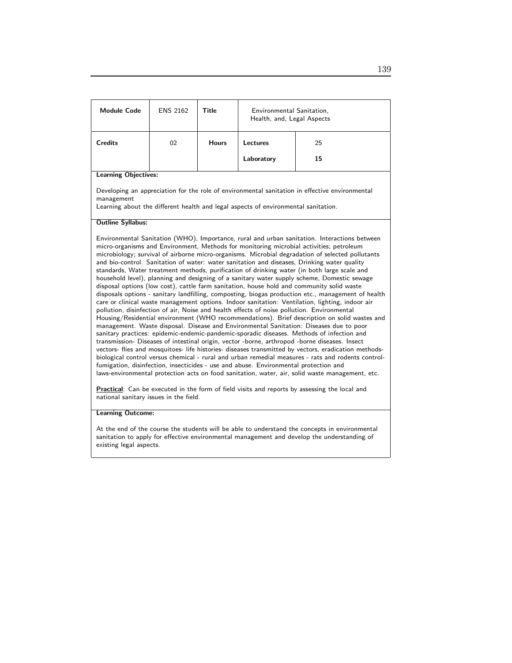| <b>Module Code</b>                                                                                                                                                                                                                                                                                                                                                                                                                                                                                                                                                                                                                                                                                                                                                                                                                                                                                                                                                                                                                                                                                                                                                                                                                                                                                                                                                                                                                                                                                                                                                                                                                                                                                                                                                                                                                                                                                                                                                                                                             | <b>ENS 2162</b> | <b>Title</b> | Environmental Sanitation,<br>Health, and, Legal Aspects |                                                                                                |  |
|--------------------------------------------------------------------------------------------------------------------------------------------------------------------------------------------------------------------------------------------------------------------------------------------------------------------------------------------------------------------------------------------------------------------------------------------------------------------------------------------------------------------------------------------------------------------------------------------------------------------------------------------------------------------------------------------------------------------------------------------------------------------------------------------------------------------------------------------------------------------------------------------------------------------------------------------------------------------------------------------------------------------------------------------------------------------------------------------------------------------------------------------------------------------------------------------------------------------------------------------------------------------------------------------------------------------------------------------------------------------------------------------------------------------------------------------------------------------------------------------------------------------------------------------------------------------------------------------------------------------------------------------------------------------------------------------------------------------------------------------------------------------------------------------------------------------------------------------------------------------------------------------------------------------------------------------------------------------------------------------------------------------------------|-----------------|--------------|---------------------------------------------------------|------------------------------------------------------------------------------------------------|--|
| <b>Credits</b>                                                                                                                                                                                                                                                                                                                                                                                                                                                                                                                                                                                                                                                                                                                                                                                                                                                                                                                                                                                                                                                                                                                                                                                                                                                                                                                                                                                                                                                                                                                                                                                                                                                                                                                                                                                                                                                                                                                                                                                                                 | 02              | <b>Hours</b> | Lectures                                                | 25                                                                                             |  |
|                                                                                                                                                                                                                                                                                                                                                                                                                                                                                                                                                                                                                                                                                                                                                                                                                                                                                                                                                                                                                                                                                                                                                                                                                                                                                                                                                                                                                                                                                                                                                                                                                                                                                                                                                                                                                                                                                                                                                                                                                                |                 |              | Laboratory                                              | 15                                                                                             |  |
| <b>Learning Objectives:</b>                                                                                                                                                                                                                                                                                                                                                                                                                                                                                                                                                                                                                                                                                                                                                                                                                                                                                                                                                                                                                                                                                                                                                                                                                                                                                                                                                                                                                                                                                                                                                                                                                                                                                                                                                                                                                                                                                                                                                                                                    |                 |              |                                                         |                                                                                                |  |
| management                                                                                                                                                                                                                                                                                                                                                                                                                                                                                                                                                                                                                                                                                                                                                                                                                                                                                                                                                                                                                                                                                                                                                                                                                                                                                                                                                                                                                                                                                                                                                                                                                                                                                                                                                                                                                                                                                                                                                                                                                     |                 |              |                                                         | Developing an appreciation for the role of environmental sanitation in effective environmental |  |
| <b>Outline Syllabus:</b>                                                                                                                                                                                                                                                                                                                                                                                                                                                                                                                                                                                                                                                                                                                                                                                                                                                                                                                                                                                                                                                                                                                                                                                                                                                                                                                                                                                                                                                                                                                                                                                                                                                                                                                                                                                                                                                                                                                                                                                                       |                 |              |                                                         |                                                                                                |  |
| Learning about the different health and legal aspects of environmental sanitation.<br>Environmental Sanitation (WHO), Importance, rural and urban sanitation. Interactions between<br>micro-organisms and Environment, Methods for monitoring microbial activities; petroleum<br>microbiology; survival of airborne micro-organisms. Microbial degradation of selected pollutants<br>and bio-control. Sanitation of water: water sanitation and diseases, Drinking water quality<br>standards, Water treatment methods, purification of drinking water (in both large scale and<br>household level), planning and designing of a sanitary water supply scheme, Domestic sewage<br>disposal options (low cost), cattle farm sanitation, house hold and community solid waste<br>disposals options - sanitary landfilling, composting, biogas production etc., management of health<br>care or clinical waste management options. Indoor sanitation: Ventilation, lighting, indoor air<br>pollution, disinfection of air, Noise and health effects of noise pollution. Environmental<br>Housing/Residential environment (WHO recommendations). Brief description on solid wastes and<br>management. Waste disposal. Disease and Environmental Sanitation: Diseases due to poor<br>sanitary practices: epidemic-endemic-pandemic-sporadic diseases. Methods of infection and<br>transmission- Diseases of intestinal origin, vector -borne, arthropod -borne diseases. Insect<br>vectors- flies and mosquitoes- life histories- diseases transmitted by vectors, eradication methods-<br>biological control versus chemical - rural and urban remedial measures - rats and rodents control-<br>fumigation, disinfection, insecticides - use and abuse. Environmental protection and<br>laws-environmental protection acts on food sanitation, water, air, solid waste management, etc.<br>Practical: Can be executed in the form of field visits and reports by assessing the local and<br>national sanitary issues in the field. |                 |              |                                                         |                                                                                                |  |
| <b>Learning Outcome:</b>                                                                                                                                                                                                                                                                                                                                                                                                                                                                                                                                                                                                                                                                                                                                                                                                                                                                                                                                                                                                                                                                                                                                                                                                                                                                                                                                                                                                                                                                                                                                                                                                                                                                                                                                                                                                                                                                                                                                                                                                       |                 |              |                                                         |                                                                                                |  |

At the end of the course the students will be able to understand the concepts in environmental sanitation to apply for effective environmental management and develop the understanding of existing legal aspects.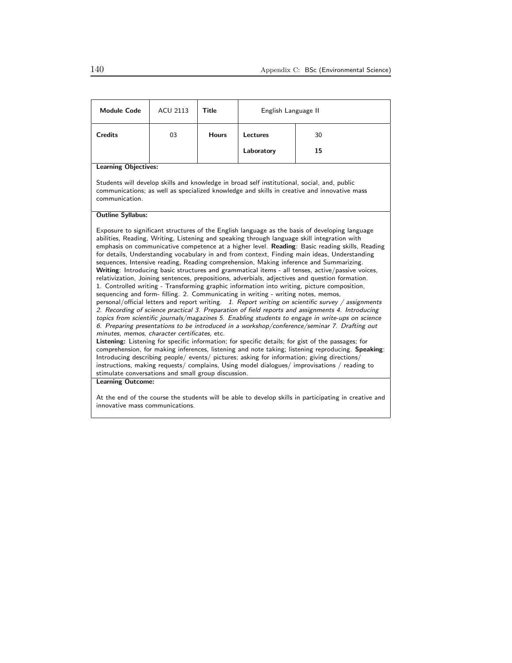| <b>Module Code</b>                                                                                                                                                                                                                                                                                                                                                                                                                                                                                                                                                                                                                                                                                                                                                                                                                                                                                                                                                                                                                                                                                                                                                                                                                                                                                                                                                                                                                                                                                                                                                                                                                                                                                                                                                                                                  | <b>ACU 2113</b> | <b>Title</b> | English Language II |    |  |
|---------------------------------------------------------------------------------------------------------------------------------------------------------------------------------------------------------------------------------------------------------------------------------------------------------------------------------------------------------------------------------------------------------------------------------------------------------------------------------------------------------------------------------------------------------------------------------------------------------------------------------------------------------------------------------------------------------------------------------------------------------------------------------------------------------------------------------------------------------------------------------------------------------------------------------------------------------------------------------------------------------------------------------------------------------------------------------------------------------------------------------------------------------------------------------------------------------------------------------------------------------------------------------------------------------------------------------------------------------------------------------------------------------------------------------------------------------------------------------------------------------------------------------------------------------------------------------------------------------------------------------------------------------------------------------------------------------------------------------------------------------------------------------------------------------------------|-----------------|--------------|---------------------|----|--|
| <b>Credits</b>                                                                                                                                                                                                                                                                                                                                                                                                                                                                                                                                                                                                                                                                                                                                                                                                                                                                                                                                                                                                                                                                                                                                                                                                                                                                                                                                                                                                                                                                                                                                                                                                                                                                                                                                                                                                      | 03              | <b>Hours</b> | Lectures            | 30 |  |
|                                                                                                                                                                                                                                                                                                                                                                                                                                                                                                                                                                                                                                                                                                                                                                                                                                                                                                                                                                                                                                                                                                                                                                                                                                                                                                                                                                                                                                                                                                                                                                                                                                                                                                                                                                                                                     |                 |              | Laboratory          | 15 |  |
| <b>Learning Objectives:</b>                                                                                                                                                                                                                                                                                                                                                                                                                                                                                                                                                                                                                                                                                                                                                                                                                                                                                                                                                                                                                                                                                                                                                                                                                                                                                                                                                                                                                                                                                                                                                                                                                                                                                                                                                                                         |                 |              |                     |    |  |
| Students will develop skills and knowledge in broad self institutional, social, and, public<br>communications; as well as specialized knowledge and skills in creative and innovative mass<br>communication.                                                                                                                                                                                                                                                                                                                                                                                                                                                                                                                                                                                                                                                                                                                                                                                                                                                                                                                                                                                                                                                                                                                                                                                                                                                                                                                                                                                                                                                                                                                                                                                                        |                 |              |                     |    |  |
| <b>Outline Syllabus:</b>                                                                                                                                                                                                                                                                                                                                                                                                                                                                                                                                                                                                                                                                                                                                                                                                                                                                                                                                                                                                                                                                                                                                                                                                                                                                                                                                                                                                                                                                                                                                                                                                                                                                                                                                                                                            |                 |              |                     |    |  |
| Exposure to significant structures of the English language as the basis of developing language<br>abilities, Reading, Writing, Listening and speaking through language skill integration with<br>emphasis on communicative competence at a higher level. Reading: Basic reading skills, Reading<br>for details, Understanding vocabulary in and from context, Finding main ideas, Understanding<br>sequences, Intensive reading, Reading comprehension, Making inference and Summarizing.<br>Writing: Introducing basic structures and grammatical items - all tenses, active/passive voices,<br>relativization, Joining sentences, prepositions, adverbials, adjectives and question formation.<br>1. Controlled writing - Transforming graphic information into writing, picture composition,<br>sequencing and form- filling. 2. Communicating in writing - writing notes, memos,<br>personal/official letters and report writing. 1. Report writing on scientific survey / assignments<br>2. Recording of science practical 3. Preparation of field reports and assignments 4. Introducing<br>topics from scientific journals/magazines 5. Enabling students to engage in write-ups on science<br>6. Preparing presentations to be introduced in a workshop/conference/seminar 7. Drafting out<br>minutes, memos, character certificates, etc.<br>Listening: Listening for specific information; for specific details; for gist of the passages; for<br>comprehension, for making inferences, listening and note taking; listening reproducing. Speaking:<br>Introducing describing people/ events/ pictures; asking for information; giving directions/<br>instructions, making requests/ complains, Using model dialogues/ improvisations / reading to<br>stimulate conversations and small group discussion. |                 |              |                     |    |  |
| <b>Learning Outcome:</b><br>At the end of the course the students will be able to develop skills in participating in creative and<br>innovative mass communications.                                                                                                                                                                                                                                                                                                                                                                                                                                                                                                                                                                                                                                                                                                                                                                                                                                                                                                                                                                                                                                                                                                                                                                                                                                                                                                                                                                                                                                                                                                                                                                                                                                                |                 |              |                     |    |  |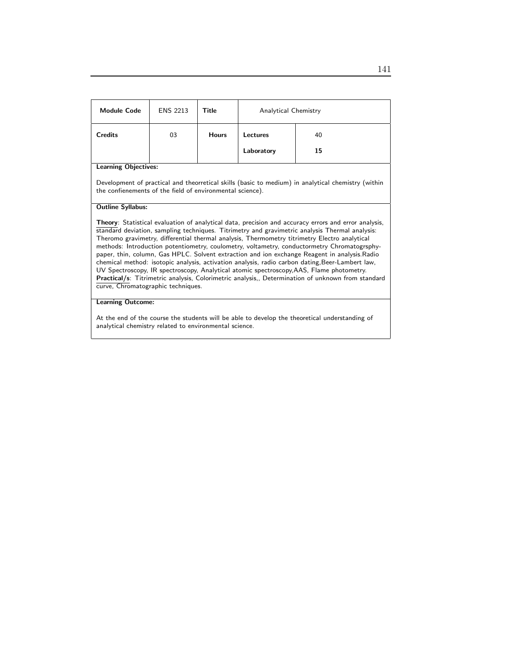| <b>Module Code</b>                                                                                                                                                                                                                                                                                                                                                                                                                                                                                                                                                                                                                                                                                                                                                                                                                               | <b>ENS 2213</b> | Title        | Analytical Chemistry |    |  |
|--------------------------------------------------------------------------------------------------------------------------------------------------------------------------------------------------------------------------------------------------------------------------------------------------------------------------------------------------------------------------------------------------------------------------------------------------------------------------------------------------------------------------------------------------------------------------------------------------------------------------------------------------------------------------------------------------------------------------------------------------------------------------------------------------------------------------------------------------|-----------------|--------------|----------------------|----|--|
| <b>Credits</b>                                                                                                                                                                                                                                                                                                                                                                                                                                                                                                                                                                                                                                                                                                                                                                                                                                   | 03              | <b>Hours</b> | Lectures             | 40 |  |
|                                                                                                                                                                                                                                                                                                                                                                                                                                                                                                                                                                                                                                                                                                                                                                                                                                                  |                 |              | Laboratory           | 15 |  |
| <b>Learning Objectives:</b>                                                                                                                                                                                                                                                                                                                                                                                                                                                                                                                                                                                                                                                                                                                                                                                                                      |                 |              |                      |    |  |
| Development of practical and theorretical skills (basic to medium) in analytical chemistry (within<br>the confienements of the field of environmental science).                                                                                                                                                                                                                                                                                                                                                                                                                                                                                                                                                                                                                                                                                  |                 |              |                      |    |  |
| <b>Outline Syllabus:</b>                                                                                                                                                                                                                                                                                                                                                                                                                                                                                                                                                                                                                                                                                                                                                                                                                         |                 |              |                      |    |  |
| Theory: Statistical evaluation of analytical data, precision and accuracy errors and error analysis,<br>standard deviation, sampling techniques. Titrimetry and gravimetric analysis Thermal analysis:<br>Theromo gravimetry, differential thermal analysis, Thermometry titrimetry Electro analytical<br>methods: Introduction potentiometry, coulometry, voltametry, conductormetry Chromatogrsphy-<br>paper, thin, column, Gas HPLC. Solvent extraction and ion exchange Reagent in analysis. Radio<br>chemical method: isotopic analysis, activation analysis, radio carbon dating, Beer-Lambert law,<br>UV Spectroscopy, IR spectroscopy, Analytical atomic spectroscopy, AAS, Flame photometry.<br>Practical/s: Titrimetric analysis, Colorimetric analysis,, Determination of unknown from standard<br>curve, Chromatographic techniques. |                 |              |                      |    |  |
| <b>Learning Outcome:</b>                                                                                                                                                                                                                                                                                                                                                                                                                                                                                                                                                                                                                                                                                                                                                                                                                         |                 |              |                      |    |  |
|                                                                                                                                                                                                                                                                                                                                                                                                                                                                                                                                                                                                                                                                                                                                                                                                                                                  |                 |              |                      |    |  |

At the end of the course the students will be able to develop the theoretical understanding of analytical chemistry related to environmental science.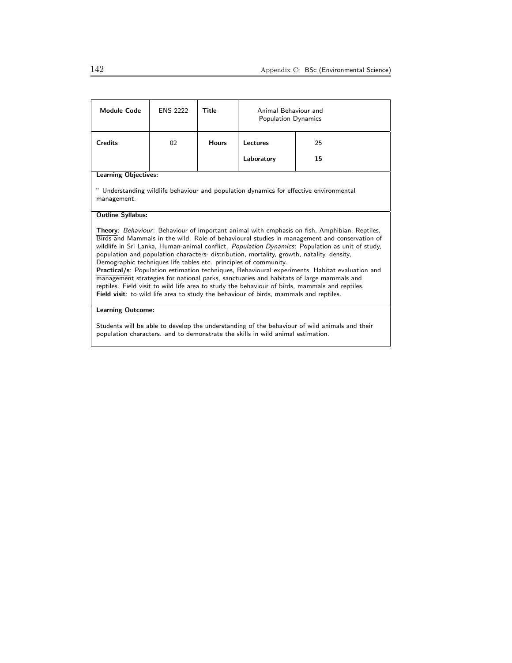| <b>Module Code</b>                                                                                                                                                                                                                                                                                                                                                                                                                                                                                                                                                                                                                                                                                                                                                                                                                                              | <b>ENS 2222</b> | Title        | Animal Behaviour and<br>Population Dynamics |    |
|-----------------------------------------------------------------------------------------------------------------------------------------------------------------------------------------------------------------------------------------------------------------------------------------------------------------------------------------------------------------------------------------------------------------------------------------------------------------------------------------------------------------------------------------------------------------------------------------------------------------------------------------------------------------------------------------------------------------------------------------------------------------------------------------------------------------------------------------------------------------|-----------------|--------------|---------------------------------------------|----|
| <b>Credits</b>                                                                                                                                                                                                                                                                                                                                                                                                                                                                                                                                                                                                                                                                                                                                                                                                                                                  | 02              | <b>Hours</b> | Lectures                                    | 25 |
|                                                                                                                                                                                                                                                                                                                                                                                                                                                                                                                                                                                                                                                                                                                                                                                                                                                                 |                 |              | Laboratory                                  | 15 |
| <b>Learning Objectives:</b>                                                                                                                                                                                                                                                                                                                                                                                                                                                                                                                                                                                                                                                                                                                                                                                                                                     |                 |              |                                             |    |
| " Understanding wildlife behaviour and population dynamics for effective environmental<br>management.                                                                                                                                                                                                                                                                                                                                                                                                                                                                                                                                                                                                                                                                                                                                                           |                 |              |                                             |    |
| <b>Outline Syllabus:</b>                                                                                                                                                                                                                                                                                                                                                                                                                                                                                                                                                                                                                                                                                                                                                                                                                                        |                 |              |                                             |    |
| <b>Theory:</b> Behaviour: Behaviour of important animal with emphasis on fish, Amphibian, Reptiles,<br>Birds and Mammals in the wild. Role of behavioural studies in management and conservation of<br>wildlife in Sri Lanka, Human-animal conflict. Population Dynamics: Population as unit of study,<br>population and population characters- distribution, mortality, growth, natality, density,<br>Demographic techniques life tables etc. principles of community.<br>Practical/s: Population estimation techniques, Behavioural experiments, Habitat evaluation and<br>management strategies for national parks, sanctuaries and habitats of large mammals and<br>reptiles. Field visit to wild life area to study the behaviour of birds, mammals and reptiles.<br>Field visit: to wild life area to study the behaviour of birds, mammals and reptiles. |                 |              |                                             |    |
| <b>Learning Outcome:</b>                                                                                                                                                                                                                                                                                                                                                                                                                                                                                                                                                                                                                                                                                                                                                                                                                                        |                 |              |                                             |    |
| Students will be able to develop the understanding of the behaviour of wild animals and their<br>population characters. and to demonstrate the skills in wild animal estimation.                                                                                                                                                                                                                                                                                                                                                                                                                                                                                                                                                                                                                                                                                |                 |              |                                             |    |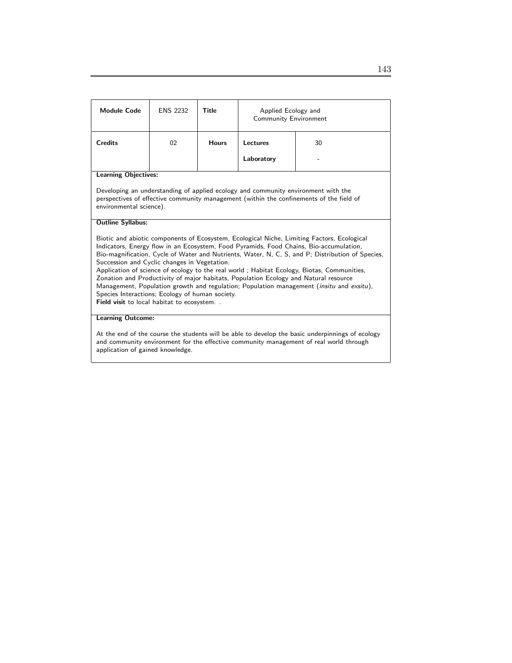| <b>Module Code</b>                                                                                                                                                                                                                                                                                                                                                                                                                                                                                                                                                                                                                                                                                                                                | <b>ENS 2232</b> | <b>Title</b> | Applied Ecology and<br>Community Environment |    |  |
|---------------------------------------------------------------------------------------------------------------------------------------------------------------------------------------------------------------------------------------------------------------------------------------------------------------------------------------------------------------------------------------------------------------------------------------------------------------------------------------------------------------------------------------------------------------------------------------------------------------------------------------------------------------------------------------------------------------------------------------------------|-----------------|--------------|----------------------------------------------|----|--|
| <b>Credits</b>                                                                                                                                                                                                                                                                                                                                                                                                                                                                                                                                                                                                                                                                                                                                    | 02              | <b>Hours</b> | Lectures                                     | 30 |  |
|                                                                                                                                                                                                                                                                                                                                                                                                                                                                                                                                                                                                                                                                                                                                                   |                 |              | Laboratory                                   |    |  |
| <b>Learning Objectives:</b>                                                                                                                                                                                                                                                                                                                                                                                                                                                                                                                                                                                                                                                                                                                       |                 |              |                                              |    |  |
| Developing an understanding of applied ecology and community environment with the<br>perspectives of effective community management (within the confinements of the field of<br>environmental science).                                                                                                                                                                                                                                                                                                                                                                                                                                                                                                                                           |                 |              |                                              |    |  |
| <b>Outline Syllabus:</b>                                                                                                                                                                                                                                                                                                                                                                                                                                                                                                                                                                                                                                                                                                                          |                 |              |                                              |    |  |
| Biotic and abiotic components of Ecosystem, Ecological Niche, Limiting Factors, Ecological<br>Indicators, Energy flow in an Ecosystem, Food Pyramids, Food Chains, Bio-accumulation,<br>Bio-magnification, Cycle of Water and Nutrients, Water, N, C, S, and P; Distribution of Species,<br>Succession and Cyclic changes in Vegetation.<br>Application of science of ecology to the real world; Habitat Ecology, Biotas, Communities,<br>Zonation and Productivity of major habitats, Population Ecology and Natural resource<br>Management, Population growth and regulation; Population management ( <i>insitu</i> and <i>exsitu</i> ),<br>Species Interactions; Ecology of human society.<br><b>Field visit to local habitat to ecosystem</b> |                 |              |                                              |    |  |
| <b>Learning Outcome:</b>                                                                                                                                                                                                                                                                                                                                                                                                                                                                                                                                                                                                                                                                                                                          |                 |              |                                              |    |  |
| At the end of the course the students will be able to develop the basic underpinnings of ecology<br>and community environment for the effective community management of real world through                                                                                                                                                                                                                                                                                                                                                                                                                                                                                                                                                        |                 |              |                                              |    |  |

application of gained knowledge.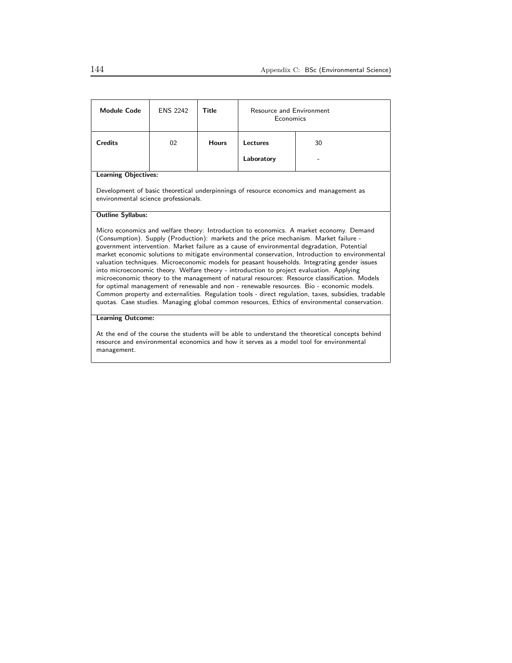| <b>Module Code</b>                                                                                                                                                                                                                                                                                                                                                                                                                                                                                                                                                                                                                                                                                                                                                                                                                                                                                                                                                                 | <b>ENS 2242</b> | Title        | <b>Resource and Environment</b><br>Economics |    |  |
|------------------------------------------------------------------------------------------------------------------------------------------------------------------------------------------------------------------------------------------------------------------------------------------------------------------------------------------------------------------------------------------------------------------------------------------------------------------------------------------------------------------------------------------------------------------------------------------------------------------------------------------------------------------------------------------------------------------------------------------------------------------------------------------------------------------------------------------------------------------------------------------------------------------------------------------------------------------------------------|-----------------|--------------|----------------------------------------------|----|--|
| <b>Credits</b>                                                                                                                                                                                                                                                                                                                                                                                                                                                                                                                                                                                                                                                                                                                                                                                                                                                                                                                                                                     | 02              | <b>Hours</b> | Lectures                                     | 30 |  |
|                                                                                                                                                                                                                                                                                                                                                                                                                                                                                                                                                                                                                                                                                                                                                                                                                                                                                                                                                                                    |                 |              | Laboratory                                   |    |  |
| <b>Learning Objectives:</b>                                                                                                                                                                                                                                                                                                                                                                                                                                                                                                                                                                                                                                                                                                                                                                                                                                                                                                                                                        |                 |              |                                              |    |  |
| Development of basic theoretical underpinnings of resource economics and management as<br>environmental science professionals.                                                                                                                                                                                                                                                                                                                                                                                                                                                                                                                                                                                                                                                                                                                                                                                                                                                     |                 |              |                                              |    |  |
| <b>Outline Syllabus:</b>                                                                                                                                                                                                                                                                                                                                                                                                                                                                                                                                                                                                                                                                                                                                                                                                                                                                                                                                                           |                 |              |                                              |    |  |
| Micro economics and welfare theory: Introduction to economics. A market economy. Demand<br>(Consumption). Supply (Production): markets and the price mechanism. Market failure -<br>government intervention. Market failure as a cause of environmental degradation, Potential<br>market economic solutions to mitigate environmental conservation, Introduction to environmental<br>valuation techniques. Microeconomic models for peasant households. Integrating gender issues<br>into microeconomic theory. Welfare theory - introduction to project evaluation. Applying<br>microeconomic theory to the management of natural resources: Resource classification. Models<br>for optimal management of renewable and non - renewable resources. Bio - economic models.<br>Common property and externalities. Regulation tools - direct regulation, taxes, subsidies, tradable<br>quotas. Case studies. Managing global common resources, Ethics of environmental conservation. |                 |              |                                              |    |  |
| <b>Learning Outcome:</b>                                                                                                                                                                                                                                                                                                                                                                                                                                                                                                                                                                                                                                                                                                                                                                                                                                                                                                                                                           |                 |              |                                              |    |  |
| At the end of the course the students will be able to understand the theoretical concepts behind<br>resource and environmental economics and how it serves as a model tool for environmental                                                                                                                                                                                                                                                                                                                                                                                                                                                                                                                                                                                                                                                                                                                                                                                       |                 |              |                                              |    |  |

management.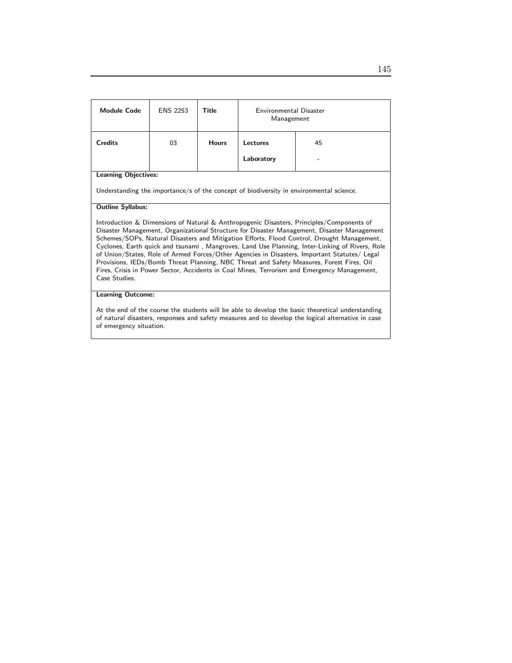| <b>Module Code</b>                                                                                                                                                                                                                                                                                                                                                                                                                                                                                                                                                                                                                                                                                 | <b>ENS 2253</b> | Title        | Environmental Disaster<br>Management |                                                                                         |
|----------------------------------------------------------------------------------------------------------------------------------------------------------------------------------------------------------------------------------------------------------------------------------------------------------------------------------------------------------------------------------------------------------------------------------------------------------------------------------------------------------------------------------------------------------------------------------------------------------------------------------------------------------------------------------------------------|-----------------|--------------|--------------------------------------|-----------------------------------------------------------------------------------------|
| <b>Credits</b>                                                                                                                                                                                                                                                                                                                                                                                                                                                                                                                                                                                                                                                                                     | 03              | <b>Hours</b> | Lectures                             | 45                                                                                      |
|                                                                                                                                                                                                                                                                                                                                                                                                                                                                                                                                                                                                                                                                                                    |                 |              | Laboratory                           |                                                                                         |
| <b>Learning Objectives:</b>                                                                                                                                                                                                                                                                                                                                                                                                                                                                                                                                                                                                                                                                        |                 |              |                                      |                                                                                         |
|                                                                                                                                                                                                                                                                                                                                                                                                                                                                                                                                                                                                                                                                                                    |                 |              |                                      | Understanding the importance/s of the concept of biodiversity in environmental science. |
| <b>Outline Syllabus:</b>                                                                                                                                                                                                                                                                                                                                                                                                                                                                                                                                                                                                                                                                           |                 |              |                                      |                                                                                         |
| Introduction & Dimensions of Natural & Anthropogenic Disasters, Principles/Components of<br>Disaster Management, Organizational Structure for Disaster Management, Disaster Management<br>Schemes/SOPs, Natural Disasters and Mitigation Efforts, Flood Control, Drought Management,<br>Cyclones, Earth quick and tsunami, Mangroves, Land Use Planning, Inter-Linking of Rivers, Role<br>of Union/States, Role of Armed Forces/Other Agencies in Disasters, Important Statutes/ Legal<br>Provisions, IEDs/Bomb Threat Planning, NBC Threat and Safety Measures, Forest Fires, Oil<br>Fires, Crisis in Power Sector, Accidents in Coal Mines, Terrorism and Emergency Management,<br>Case Studies. |                 |              |                                      |                                                                                         |
| <b>Learning Outcome:</b>                                                                                                                                                                                                                                                                                                                                                                                                                                                                                                                                                                                                                                                                           |                 |              |                                      |                                                                                         |
| At the end of the course the students will be able to develop the basic theoretical understanding<br>of natural disasters, responses and safety measures and to develop the logical alternative in case<br>of emergency situation.                                                                                                                                                                                                                                                                                                                                                                                                                                                                 |                 |              |                                      |                                                                                         |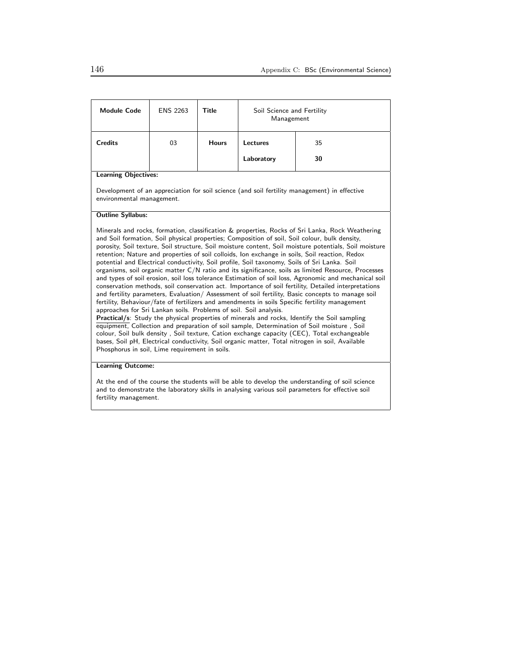| <b>Module Code</b>                                                                                                                                                                                                                                                                                                                                                                                                                                                                                                                                                                                                                                                                                                                                                                                                                                                                                                                                                                                                                                                                                                                                                                                                                                                                                                                                                                                                                                                                                                                                                | <b>ENS 2263</b> | Title        | Soil Science and Fertility<br>Management |                                                                                              |  |
|-------------------------------------------------------------------------------------------------------------------------------------------------------------------------------------------------------------------------------------------------------------------------------------------------------------------------------------------------------------------------------------------------------------------------------------------------------------------------------------------------------------------------------------------------------------------------------------------------------------------------------------------------------------------------------------------------------------------------------------------------------------------------------------------------------------------------------------------------------------------------------------------------------------------------------------------------------------------------------------------------------------------------------------------------------------------------------------------------------------------------------------------------------------------------------------------------------------------------------------------------------------------------------------------------------------------------------------------------------------------------------------------------------------------------------------------------------------------------------------------------------------------------------------------------------------------|-----------------|--------------|------------------------------------------|----------------------------------------------------------------------------------------------|--|
| <b>Credits</b>                                                                                                                                                                                                                                                                                                                                                                                                                                                                                                                                                                                                                                                                                                                                                                                                                                                                                                                                                                                                                                                                                                                                                                                                                                                                                                                                                                                                                                                                                                                                                    | 03              | <b>Hours</b> | Lectures<br>35                           |                                                                                              |  |
|                                                                                                                                                                                                                                                                                                                                                                                                                                                                                                                                                                                                                                                                                                                                                                                                                                                                                                                                                                                                                                                                                                                                                                                                                                                                                                                                                                                                                                                                                                                                                                   |                 |              | Laboratory                               | 30                                                                                           |  |
| <b>Learning Objectives:</b>                                                                                                                                                                                                                                                                                                                                                                                                                                                                                                                                                                                                                                                                                                                                                                                                                                                                                                                                                                                                                                                                                                                                                                                                                                                                                                                                                                                                                                                                                                                                       |                 |              |                                          |                                                                                              |  |
| environmental management.                                                                                                                                                                                                                                                                                                                                                                                                                                                                                                                                                                                                                                                                                                                                                                                                                                                                                                                                                                                                                                                                                                                                                                                                                                                                                                                                                                                                                                                                                                                                         |                 |              |                                          | Development of an appreciation for soil science (and soil fertility management) in effective |  |
| <b>Outline Syllabus:</b>                                                                                                                                                                                                                                                                                                                                                                                                                                                                                                                                                                                                                                                                                                                                                                                                                                                                                                                                                                                                                                                                                                                                                                                                                                                                                                                                                                                                                                                                                                                                          |                 |              |                                          |                                                                                              |  |
| Minerals and rocks, formation, classification & properties, Rocks of Sri Lanka, Rock Weathering<br>and Soil formation, Soil physical properties; Composition of soil, Soil colour, bulk density,<br>porosity, Soil texture, Soil structure, Soil moisture content, Soil moisture potentials, Soil moisture<br>retention; Nature and properties of soil colloids, Ion exchange in soils, Soil reaction, Redox<br>potential and Electrical conductivity, Soil profile, Soil taxonomy, Soils of Sri Lanka. Soil<br>organisms, soil organic matter C/N ratio and its significance, soils as limited Resource, Processes<br>and types of soil erosion, soil loss tolerance Estimation of soil loss, Agronomic and mechanical soil<br>conservation methods, soil conservation act. Importance of soil fertility, Detailed interpretations<br>and fertility parameters, Evaluation/ Assessment of soil fertility, Basic concepts to manage soil<br>fertility, Behaviour/fate of fertilizers and amendments in soils Specific fertility management<br>approaches for Sri Lankan soils. Problems of soil. Soil analysis.<br>Practical/s: Study the physical properties of minerals and rocks, Identify the Soil sampling<br>equipment, Collection and preparation of soil sample, Determination of Soil moisture, Soil<br>colour, Soil bulk density, Soil texture, Cation exchange capacity (CEC), Total exchangeable<br>bases, Soil pH, Electrical conductivity, Soil organic matter, Total nitrogen in soil, Available<br>Phosphorus in soil, Lime requirement in soils. |                 |              |                                          |                                                                                              |  |
| <b>Learning Outcome:</b>                                                                                                                                                                                                                                                                                                                                                                                                                                                                                                                                                                                                                                                                                                                                                                                                                                                                                                                                                                                                                                                                                                                                                                                                                                                                                                                                                                                                                                                                                                                                          |                 |              |                                          |                                                                                              |  |

At the end of the course the students will be able to develop the understanding of soil science and to demonstrate the laboratory skills in analysing various soil parameters for effective soil fertility management.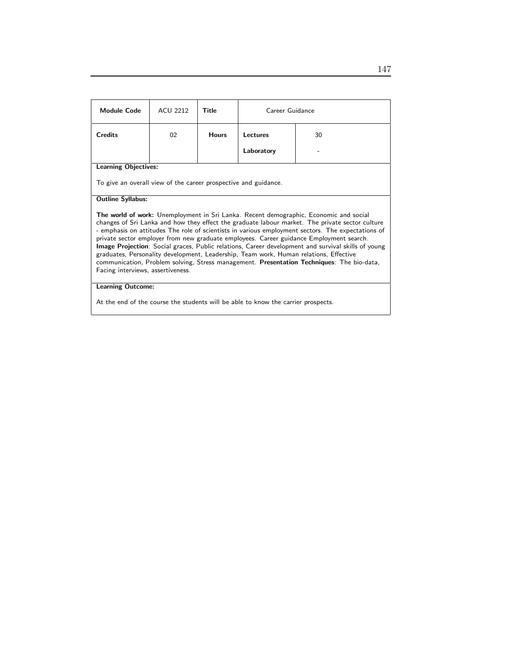| <b>Module Code</b>                                                                                                                                                                                                                                                                                                                                                                                                                                                                                                                                                                                                                                                                                                                | <b>ACU 2212</b> | Title        | Career Guidance |    |
|-----------------------------------------------------------------------------------------------------------------------------------------------------------------------------------------------------------------------------------------------------------------------------------------------------------------------------------------------------------------------------------------------------------------------------------------------------------------------------------------------------------------------------------------------------------------------------------------------------------------------------------------------------------------------------------------------------------------------------------|-----------------|--------------|-----------------|----|
| <b>Credits</b>                                                                                                                                                                                                                                                                                                                                                                                                                                                                                                                                                                                                                                                                                                                    | 02              | <b>Hours</b> | Lectures        | 30 |
|                                                                                                                                                                                                                                                                                                                                                                                                                                                                                                                                                                                                                                                                                                                                   |                 |              | Laboratory      |    |
| <b>Learning Objectives:</b>                                                                                                                                                                                                                                                                                                                                                                                                                                                                                                                                                                                                                                                                                                       |                 |              |                 |    |
| To give an overall view of the career prospective and guidance.                                                                                                                                                                                                                                                                                                                                                                                                                                                                                                                                                                                                                                                                   |                 |              |                 |    |
| <b>Outline Syllabus:</b>                                                                                                                                                                                                                                                                                                                                                                                                                                                                                                                                                                                                                                                                                                          |                 |              |                 |    |
| The world of work: Unemployment in Sri Lanka. Recent demographic, Economic and social<br>changes of Sri Lanka and how they effect the graduate labour market. The private sector culture<br>- emphasis on attitudes The role of scientists in various employment sectors. The expectations of<br>private sector employer from new graduate employees. Career guidance Employment search.<br><b>Image Projection</b> : Social graces, Public relations, Career development and survival skills of young<br>graduates, Personality development, Leadership, Team work, Human relations, Effective<br>communication, Problem solving, Stress management. Presentation Techniques: The bio-data,<br>Facing interviews, assertiveness. |                 |              |                 |    |
| <b>Learning Outcome:</b>                                                                                                                                                                                                                                                                                                                                                                                                                                                                                                                                                                                                                                                                                                          |                 |              |                 |    |

At the end of the course the students will be able to know the carrier prospects.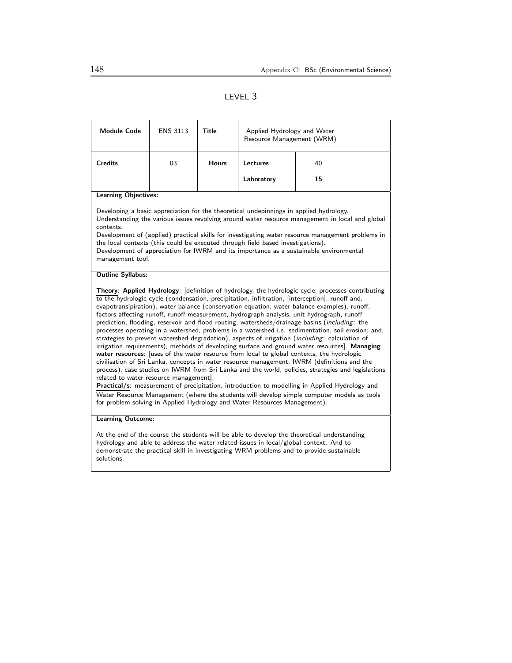# LEVEL 3

| <b>Module Code</b>                                                                                                                                                                                                                                                                                                                                                                                                                                                                                                                                                                                                                                                                                                                                                                                                                                                                                                                                                                                                                                                                                                                                                                                                                                                                                                                                                                                                                           | <b>ENS 3113</b> | Title        | Applied Hydrology and Water<br>Resource Management (WRM) |    |  |
|----------------------------------------------------------------------------------------------------------------------------------------------------------------------------------------------------------------------------------------------------------------------------------------------------------------------------------------------------------------------------------------------------------------------------------------------------------------------------------------------------------------------------------------------------------------------------------------------------------------------------------------------------------------------------------------------------------------------------------------------------------------------------------------------------------------------------------------------------------------------------------------------------------------------------------------------------------------------------------------------------------------------------------------------------------------------------------------------------------------------------------------------------------------------------------------------------------------------------------------------------------------------------------------------------------------------------------------------------------------------------------------------------------------------------------------------|-----------------|--------------|----------------------------------------------------------|----|--|
| <b>Credits</b>                                                                                                                                                                                                                                                                                                                                                                                                                                                                                                                                                                                                                                                                                                                                                                                                                                                                                                                                                                                                                                                                                                                                                                                                                                                                                                                                                                                                                               | 03              | <b>Hours</b> | Lectures                                                 | 40 |  |
|                                                                                                                                                                                                                                                                                                                                                                                                                                                                                                                                                                                                                                                                                                                                                                                                                                                                                                                                                                                                                                                                                                                                                                                                                                                                                                                                                                                                                                              |                 |              | Laboratory                                               | 15 |  |
| <b>Learning Objectives:</b>                                                                                                                                                                                                                                                                                                                                                                                                                                                                                                                                                                                                                                                                                                                                                                                                                                                                                                                                                                                                                                                                                                                                                                                                                                                                                                                                                                                                                  |                 |              |                                                          |    |  |
| Developing a basic appreciation for the theoretical undepinnings in applied hydrology.<br>Understanding the various issues revolving around water resource management in local and global<br>contexts.<br>Development of (applied) practical skills for investigating water resource management problems in<br>the local contexts (this could be executed through field based investigations).<br>Development of appreciation for IWRM and its importance as a sustainable environmental<br>management tool.                                                                                                                                                                                                                                                                                                                                                                                                                                                                                                                                                                                                                                                                                                                                                                                                                                                                                                                                 |                 |              |                                                          |    |  |
| <b>Outline Syllabus:</b>                                                                                                                                                                                                                                                                                                                                                                                                                                                                                                                                                                                                                                                                                                                                                                                                                                                                                                                                                                                                                                                                                                                                                                                                                                                                                                                                                                                                                     |                 |              |                                                          |    |  |
| Theory: Applied Hydrology: [definition of hydrology, the hydrologic cycle, processes contributing<br>to the hydrologic cycle (condensation, precipitation, infiltration, [interception], runoff and,<br>evapotransipiration), water balance (conservation equation, water balance examples), runoff,<br>factors affecting runoff, runoff measurement, hydrograph analysis, unit hydrograph, runoff<br>prediction, flooding, reservoir and flood routing, watersheds/drainage-basins (including: the<br>processes operating in a watershed, problems in a watershed i.e. sedimentation, soil erosion; and,<br>strategies to prevent watershed degradation), aspects of irrigation ( <i>including</i> : calculation of<br>irrigation requirements), methods of developing surface and ground water resources. Managing<br>water resources: [uses of the water resource from local to global contexts, the hydrologic<br>civilisation of Sri Lanka, concepts in water resource management, IWRM (definitions and the<br>process), case studies on IWRM from Sri Lanka and the world, policies, strategies and legislations<br>related to water resource management.<br>Practical/s: measurement of precipitation, introduction to modelling in Applied Hydrology and<br>Water Resource Management (where the students will develop simple computer models as tools<br>for problem solving in Applied Hydrology and Water Resources Management). |                 |              |                                                          |    |  |
| <b>Learning Outcome:</b>                                                                                                                                                                                                                                                                                                                                                                                                                                                                                                                                                                                                                                                                                                                                                                                                                                                                                                                                                                                                                                                                                                                                                                                                                                                                                                                                                                                                                     |                 |              |                                                          |    |  |
| At the end of the course the students will be able to develop the theoretical understanding<br>hydrology and able to address the water related issues in local/global context. And to<br>demonstrate the practical skill in investigating WRM problems and to provide sustainable                                                                                                                                                                                                                                                                                                                                                                                                                                                                                                                                                                                                                                                                                                                                                                                                                                                                                                                                                                                                                                                                                                                                                            |                 |              |                                                          |    |  |

solutions.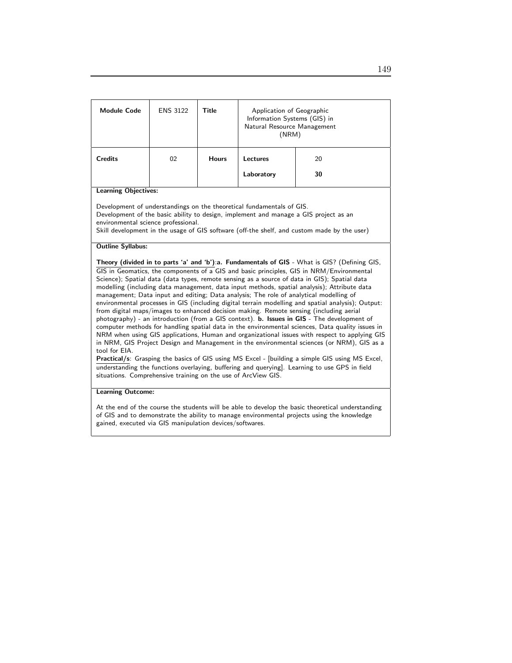| <b>Module Code</b>                                                                                                                                                                                                                                                                                                                                                                                                                                                                                                                                                                                                                                                                                                                                                                                                                                                                                                                                                                                                                                                                                                                                                                                                                                                                                                                                                                | <b>ENS 3122</b> | <b>Title</b> | Application of Geographic<br>Information Systems (GIS) in<br>Natural Resource Management<br>(NRM) |    |  |
|-----------------------------------------------------------------------------------------------------------------------------------------------------------------------------------------------------------------------------------------------------------------------------------------------------------------------------------------------------------------------------------------------------------------------------------------------------------------------------------------------------------------------------------------------------------------------------------------------------------------------------------------------------------------------------------------------------------------------------------------------------------------------------------------------------------------------------------------------------------------------------------------------------------------------------------------------------------------------------------------------------------------------------------------------------------------------------------------------------------------------------------------------------------------------------------------------------------------------------------------------------------------------------------------------------------------------------------------------------------------------------------|-----------------|--------------|---------------------------------------------------------------------------------------------------|----|--|
| <b>Credits</b>                                                                                                                                                                                                                                                                                                                                                                                                                                                                                                                                                                                                                                                                                                                                                                                                                                                                                                                                                                                                                                                                                                                                                                                                                                                                                                                                                                    | 02              | <b>Hours</b> | Lectures                                                                                          | 20 |  |
|                                                                                                                                                                                                                                                                                                                                                                                                                                                                                                                                                                                                                                                                                                                                                                                                                                                                                                                                                                                                                                                                                                                                                                                                                                                                                                                                                                                   |                 |              | Laboratory                                                                                        | 30 |  |
| <b>Learning Objectives:</b>                                                                                                                                                                                                                                                                                                                                                                                                                                                                                                                                                                                                                                                                                                                                                                                                                                                                                                                                                                                                                                                                                                                                                                                                                                                                                                                                                       |                 |              |                                                                                                   |    |  |
| Development of understandings on the theoretical fundamentals of GIS.<br>Development of the basic ability to design, implement and manage a GIS project as an<br>environmental science professional.<br>Skill development in the usage of GIS software (off-the shelf, and custom made by the user)                                                                                                                                                                                                                                                                                                                                                                                                                                                                                                                                                                                                                                                                                                                                                                                                                                                                                                                                                                                                                                                                               |                 |              |                                                                                                   |    |  |
| <b>Outline Syllabus:</b>                                                                                                                                                                                                                                                                                                                                                                                                                                                                                                                                                                                                                                                                                                                                                                                                                                                                                                                                                                                                                                                                                                                                                                                                                                                                                                                                                          |                 |              |                                                                                                   |    |  |
| Theory (divided in to parts 'a' and 'b'): a. Fundamentals of GIS - What is GIS? (Defining GIS,<br>GIS in Geomatics, the components of a GIS and basic principles, GIS in NRM/Environmental<br>Science); Spatial data (data types, remote sensing as a source of data in GIS); Spatial data<br>modelling (including data management, data input methods, spatial analysis); Attribute data<br>management; Data input and editing; Data analysis; The role of analytical modelling of<br>environmental processes in GIS (including digital terrain modelling and spatial analysis); Output:<br>from digital maps/images to enhanced decision making. Remote sensing (including aerial<br>photography) - an introduction (from a GIS context). <b>b. Issues in GIS</b> - The development of<br>computer methods for handling spatial data in the environmental sciences, Data quality issues in<br>NRM when using GIS applications, Human and organizational issues with respect to applying GIS<br>in NRM, GIS Project Design and Management in the environmental sciences (or NRM), GIS as a<br>tool for EIA.<br>Practical/s: Grasping the basics of GIS using MS Excel - [building a simple GIS using MS Excel,<br>understanding the functions overlaying, buffering and querying]. Learning to use GPS in field<br>situations. Comprehensive training on the use of ArcView GIS. |                 |              |                                                                                                   |    |  |
| <b>Learning Outcome:</b>                                                                                                                                                                                                                                                                                                                                                                                                                                                                                                                                                                                                                                                                                                                                                                                                                                                                                                                                                                                                                                                                                                                                                                                                                                                                                                                                                          |                 |              |                                                                                                   |    |  |
| At the end of the course the students will be able to develop the basic theoretical understanding<br>of GIS and to demonstrate the ability to manage environmental projects using the knowledge                                                                                                                                                                                                                                                                                                                                                                                                                                                                                                                                                                                                                                                                                                                                                                                                                                                                                                                                                                                                                                                                                                                                                                                   |                 |              |                                                                                                   |    |  |

gained, executed via GIS manipulation devices/softwares.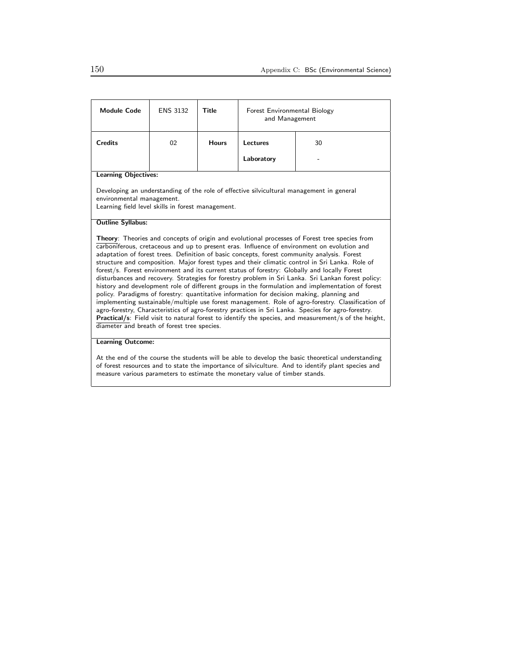| <b>Module Code</b>                                                                                                                                                                                                                                                                                                                                                                                                                                                                                                                                                                                                                                                                                                                                                                                                                                                                                                                                                                                                                                                                                                                                                                                 | <b>ENS 3132</b> | <b>Title</b> | Forest Environmental Biology<br>and Management |                                                                                          |  |
|----------------------------------------------------------------------------------------------------------------------------------------------------------------------------------------------------------------------------------------------------------------------------------------------------------------------------------------------------------------------------------------------------------------------------------------------------------------------------------------------------------------------------------------------------------------------------------------------------------------------------------------------------------------------------------------------------------------------------------------------------------------------------------------------------------------------------------------------------------------------------------------------------------------------------------------------------------------------------------------------------------------------------------------------------------------------------------------------------------------------------------------------------------------------------------------------------|-----------------|--------------|------------------------------------------------|------------------------------------------------------------------------------------------|--|
| <b>Credits</b>                                                                                                                                                                                                                                                                                                                                                                                                                                                                                                                                                                                                                                                                                                                                                                                                                                                                                                                                                                                                                                                                                                                                                                                     | 02              | <b>Hours</b> | Lectures<br>30                                 |                                                                                          |  |
|                                                                                                                                                                                                                                                                                                                                                                                                                                                                                                                                                                                                                                                                                                                                                                                                                                                                                                                                                                                                                                                                                                                                                                                                    |                 |              | Laboratory                                     |                                                                                          |  |
| <b>Learning Objectives:</b>                                                                                                                                                                                                                                                                                                                                                                                                                                                                                                                                                                                                                                                                                                                                                                                                                                                                                                                                                                                                                                                                                                                                                                        |                 |              |                                                |                                                                                          |  |
| environmental management.<br>Learning field level skills in forest management.                                                                                                                                                                                                                                                                                                                                                                                                                                                                                                                                                                                                                                                                                                                                                                                                                                                                                                                                                                                                                                                                                                                     |                 |              |                                                | Developing an understanding of the role of effective silvicultural management in general |  |
| <b>Outline Syllabus:</b><br>Theory: Theories and concepts of origin and evolutional processes of Forest tree species from<br>carboniferous, cretaceous and up to present eras. Influence of environment on evolution and<br>adaptation of forest trees. Definition of basic concepts, forest community analysis. Forest<br>structure and composition. Major forest types and their climatic control in Sri Lanka. Role of<br>forest/s. Forest environment and its current status of forestry: Globally and locally Forest<br>disturbances and recovery. Strategies for forestry problem in Sri Lanka. Sri Lankan forest policy:<br>history and development role of different groups in the formulation and implementation of forest<br>policy. Paradigms of forestry: quantitative information for decision making, planning and<br>implementing sustainable/multiple use forest management. Role of agro-forestry. Classification of<br>agro-forestry, Characteristics of agro-forestry practices in Sri Lanka. Species for agro-forestry.<br>Practical/s: Field visit to natural forest to identify the species, and measurement/s of the height,<br>diameter and breath of forest tree species. |                 |              |                                                |                                                                                          |  |
| <b>Learning Outcome:</b>                                                                                                                                                                                                                                                                                                                                                                                                                                                                                                                                                                                                                                                                                                                                                                                                                                                                                                                                                                                                                                                                                                                                                                           |                 |              |                                                |                                                                                          |  |
| At the end of the course the students will be able to develop the basic theoretical understanding<br>of forest resources and to state the importance of silviculture. And to identify plant species and<br>measure various parameters to estimate the monetary value of timber stands.                                                                                                                                                                                                                                                                                                                                                                                                                                                                                                                                                                                                                                                                                                                                                                                                                                                                                                             |                 |              |                                                |                                                                                          |  |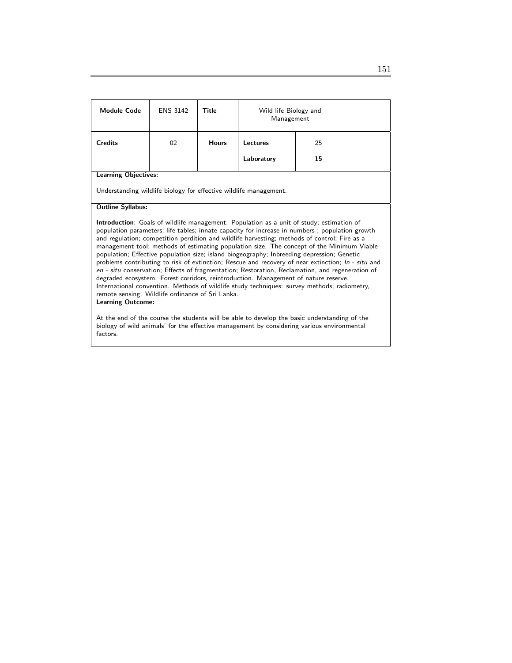| <b>Module Code</b>                                                                                                                                                                                                                                                                                                                                                                                                                                                                                                                                                                                                                                                                                                                                                                                                                                                                                                                               | <b>ENS 3142</b> | Title        | Wild life Biology and<br>Management |    |  |
|--------------------------------------------------------------------------------------------------------------------------------------------------------------------------------------------------------------------------------------------------------------------------------------------------------------------------------------------------------------------------------------------------------------------------------------------------------------------------------------------------------------------------------------------------------------------------------------------------------------------------------------------------------------------------------------------------------------------------------------------------------------------------------------------------------------------------------------------------------------------------------------------------------------------------------------------------|-----------------|--------------|-------------------------------------|----|--|
| <b>Credits</b>                                                                                                                                                                                                                                                                                                                                                                                                                                                                                                                                                                                                                                                                                                                                                                                                                                                                                                                                   | 02              | <b>Hours</b> | Lectures                            | 25 |  |
|                                                                                                                                                                                                                                                                                                                                                                                                                                                                                                                                                                                                                                                                                                                                                                                                                                                                                                                                                  |                 |              | Laboratory                          | 15 |  |
| <b>Learning Objectives:</b>                                                                                                                                                                                                                                                                                                                                                                                                                                                                                                                                                                                                                                                                                                                                                                                                                                                                                                                      |                 |              |                                     |    |  |
| Understanding wildlife biology for effective wildlife management.                                                                                                                                                                                                                                                                                                                                                                                                                                                                                                                                                                                                                                                                                                                                                                                                                                                                                |                 |              |                                     |    |  |
| <b>Outline Syllabus:</b>                                                                                                                                                                                                                                                                                                                                                                                                                                                                                                                                                                                                                                                                                                                                                                                                                                                                                                                         |                 |              |                                     |    |  |
| <b>Introduction</b> : Goals of wildlife management. Population as a unit of study; estimation of<br>population parameters; life tables; innate capacity for increase in numbers; population growth<br>and regulation; competition perdition and wildlife harvesting; methods of control; Fire as a<br>management tool; methods of estimating population size. The concept of the Minimum Viable<br>population; Effective population size; island biogeography; Inbreeding depression; Genetic<br>problems contributing to risk of extinction; Rescue and recovery of near extinction; In - situ and<br>en - situ conservation; Effects of fragmentation; Restoration, Reclamation, and regeneration of<br>degraded ecosystem. Forest corridors, reintroduction. Management of nature reserve.<br>International convention. Methods of wildlife study techniques: survey methods, radiometry,<br>remote sensing. Wildlife ordinance of Sri Lanka. |                 |              |                                     |    |  |
| <b>Learning Outcome:</b>                                                                                                                                                                                                                                                                                                                                                                                                                                                                                                                                                                                                                                                                                                                                                                                                                                                                                                                         |                 |              |                                     |    |  |
| At the end of the course the students will be able to develop the basic understanding of the<br>biology of wild animals' for the effective management by considering various environmental<br>factors.                                                                                                                                                                                                                                                                                                                                                                                                                                                                                                                                                                                                                                                                                                                                           |                 |              |                                     |    |  |

151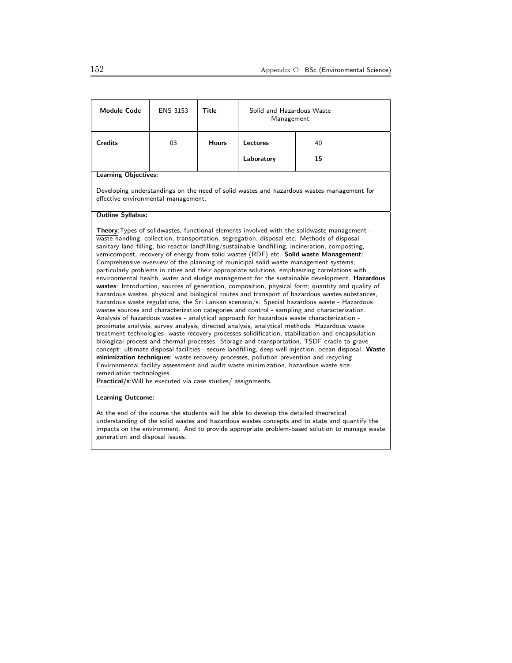| <b>Module Code</b>                                                                                                                                                                                                                                                                                                                                                                                                                                                                                                                                                                                                                                                                                                                                                                                                                                                                                                                                                                                                                                                                                                                                                                                                                                                                                                                                                                                                                                                                                                                                                                                                                                                                                                                                                                                                                                                           | <b>ENS 3153</b> | Title        | Solid and Hazardous Waste<br>Management |                                                                                           |  |
|------------------------------------------------------------------------------------------------------------------------------------------------------------------------------------------------------------------------------------------------------------------------------------------------------------------------------------------------------------------------------------------------------------------------------------------------------------------------------------------------------------------------------------------------------------------------------------------------------------------------------------------------------------------------------------------------------------------------------------------------------------------------------------------------------------------------------------------------------------------------------------------------------------------------------------------------------------------------------------------------------------------------------------------------------------------------------------------------------------------------------------------------------------------------------------------------------------------------------------------------------------------------------------------------------------------------------------------------------------------------------------------------------------------------------------------------------------------------------------------------------------------------------------------------------------------------------------------------------------------------------------------------------------------------------------------------------------------------------------------------------------------------------------------------------------------------------------------------------------------------------|-----------------|--------------|-----------------------------------------|-------------------------------------------------------------------------------------------|--|
| <b>Credits</b>                                                                                                                                                                                                                                                                                                                                                                                                                                                                                                                                                                                                                                                                                                                                                                                                                                                                                                                                                                                                                                                                                                                                                                                                                                                                                                                                                                                                                                                                                                                                                                                                                                                                                                                                                                                                                                                               | 03              | <b>Hours</b> | Lectures                                | 40                                                                                        |  |
|                                                                                                                                                                                                                                                                                                                                                                                                                                                                                                                                                                                                                                                                                                                                                                                                                                                                                                                                                                                                                                                                                                                                                                                                                                                                                                                                                                                                                                                                                                                                                                                                                                                                                                                                                                                                                                                                              |                 |              | Laboratory                              | 15                                                                                        |  |
| <b>Learning Objectives:</b>                                                                                                                                                                                                                                                                                                                                                                                                                                                                                                                                                                                                                                                                                                                                                                                                                                                                                                                                                                                                                                                                                                                                                                                                                                                                                                                                                                                                                                                                                                                                                                                                                                                                                                                                                                                                                                                  |                 |              |                                         |                                                                                           |  |
| effective environmental management.                                                                                                                                                                                                                                                                                                                                                                                                                                                                                                                                                                                                                                                                                                                                                                                                                                                                                                                                                                                                                                                                                                                                                                                                                                                                                                                                                                                                                                                                                                                                                                                                                                                                                                                                                                                                                                          |                 |              |                                         | Developing understandings on the need of solid wastes and hazardous wastes management for |  |
| <b>Outline Syllabus:</b>                                                                                                                                                                                                                                                                                                                                                                                                                                                                                                                                                                                                                                                                                                                                                                                                                                                                                                                                                                                                                                                                                                                                                                                                                                                                                                                                                                                                                                                                                                                                                                                                                                                                                                                                                                                                                                                     |                 |              |                                         |                                                                                           |  |
| Theory: Types of solidwastes, functional elements involved with the solidwaste management -<br>waste handling, collection, transportation, segregation, disposal etc. Methods of disposal -<br>sanitary land filling, bio reactor landfilling/sustainable landfilling, incineration, composting,<br>vemicompost, recovery of energy from solid wastes (RDF) etc. Solid waste Management:<br>Comprehensive overview of the planning of municipal solid waste management systems,<br>particularly problems in cities and their appropriate solutions, emphasizing correlations with<br>environmental health, water and sludge management for the sustainable development. Hazardous<br>wastes: Introduction, sources of generation, composition, physical form; quantity and quality of<br>hazardous wastes, physical and biological routes and transport of hazardous wastes substances,<br>hazardous waste regulations, the Sri Lankan scenario/s. Special hazardous waste - Hazardous<br>wastes sources and characterization categories and control - sampling and characterization.<br>Analysis of hazardous wastes - analytical approach for hazardous waste characterization -<br>proximate analysis, survey analysis, directed analysis, analytical methods. Hazardous waste<br>treatment technologies- waste recovery processes solidification, stabilization and encapsulation -<br>biological process and thermal processes. Storage and transportation, TSDF cradle to grave<br>concept: ultimate disposal facilities - secure landfilling, deep well injection, ocean disposal. Waste<br>minimization techniques: waste recovery processes, pollution prevention and recycling<br>Environmental facility assessment and audit waste minimization, hazardous waste site<br>remediation technologies.<br>Practical/s: Will be executed via case studies/assignments. |                 |              |                                         |                                                                                           |  |

At the end of the course the students will be able to develop the detailed theoretical understanding of the solid wastes and hazardous wastes concepts and to state and quantify the impacts on the environment. And to provide appropriate problem-based solution to manage waste generation and disposal issues.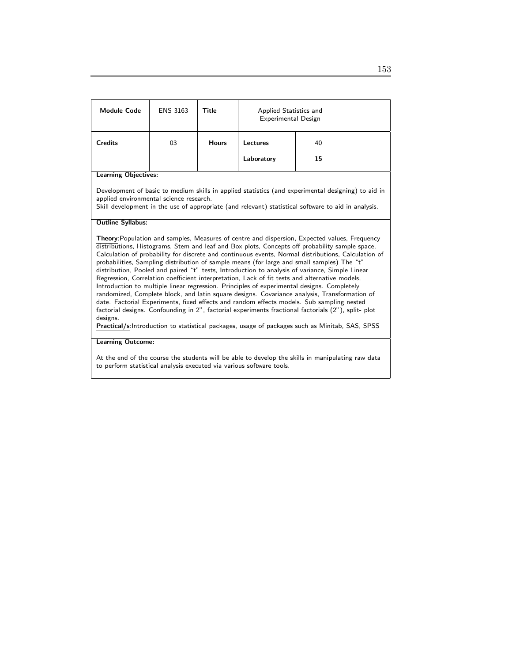| <b>Module Code</b>                                                                                                                                                                                                                                                                                                                                                                                                                                                                                                                                                                                                                                                                                                                                                                                                                                                                                                                                                                                                                                                                                                       | <b>ENS 3163</b> | Title        | Applied Statistics and<br>Experimental Design |    |  |
|--------------------------------------------------------------------------------------------------------------------------------------------------------------------------------------------------------------------------------------------------------------------------------------------------------------------------------------------------------------------------------------------------------------------------------------------------------------------------------------------------------------------------------------------------------------------------------------------------------------------------------------------------------------------------------------------------------------------------------------------------------------------------------------------------------------------------------------------------------------------------------------------------------------------------------------------------------------------------------------------------------------------------------------------------------------------------------------------------------------------------|-----------------|--------------|-----------------------------------------------|----|--|
| <b>Credits</b>                                                                                                                                                                                                                                                                                                                                                                                                                                                                                                                                                                                                                                                                                                                                                                                                                                                                                                                                                                                                                                                                                                           | 03              | <b>Hours</b> | <b>Lectures</b>                               | 40 |  |
|                                                                                                                                                                                                                                                                                                                                                                                                                                                                                                                                                                                                                                                                                                                                                                                                                                                                                                                                                                                                                                                                                                                          |                 |              | Laboratory                                    | 15 |  |
| <b>Learning Objectives:</b>                                                                                                                                                                                                                                                                                                                                                                                                                                                                                                                                                                                                                                                                                                                                                                                                                                                                                                                                                                                                                                                                                              |                 |              |                                               |    |  |
| Development of basic to medium skills in applied statistics (and experimental designing) to aid in<br>applied environmental science research.<br>Skill development in the use of appropriate (and relevant) statistical software to aid in analysis.                                                                                                                                                                                                                                                                                                                                                                                                                                                                                                                                                                                                                                                                                                                                                                                                                                                                     |                 |              |                                               |    |  |
| <b>Outline Syllabus:</b>                                                                                                                                                                                                                                                                                                                                                                                                                                                                                                                                                                                                                                                                                                                                                                                                                                                                                                                                                                                                                                                                                                 |                 |              |                                               |    |  |
| Theory: Population and samples, Measures of centre and dispersion, Expected values, Frequency<br>distributions, Histograms, Stem and leaf and Box plots, Concepts off probability sample space,<br>Calculation of probability for discrete and continuous events, Normal distributions, Calculation of<br>probabilities, Sampling distribution of sample means (for large and small samples) The "t"<br>distribution, Pooled and paired "t" tests, Introduction to analysis of variance, Simple Linear<br>Regression, Correlation coefficient interpretation, Lack of fit tests and alternative models,<br>Introduction to multiple linear regression. Principles of experimental designs. Completely<br>randomized, Complete block, and latin square designs. Covariance analysis, Transformation of<br>date. Factorial Experiments, fixed effects and random effects models. Sub sampling nested<br>factorial designs. Confounding in 2", factorial experiments fractional factorials (2"), split- plot<br>designs.<br>Practical/s: Introduction to statistical packages, usage of packages such as Minitab, SAS, SPSS |                 |              |                                               |    |  |
| <b>Learning Outcome:</b>                                                                                                                                                                                                                                                                                                                                                                                                                                                                                                                                                                                                                                                                                                                                                                                                                                                                                                                                                                                                                                                                                                 |                 |              |                                               |    |  |
| At the end of the course the students will be able to develop the skills in manipulating raw data<br>to perform statistical analysis executed via various software tools.                                                                                                                                                                                                                                                                                                                                                                                                                                                                                                                                                                                                                                                                                                                                                                                                                                                                                                                                                |                 |              |                                               |    |  |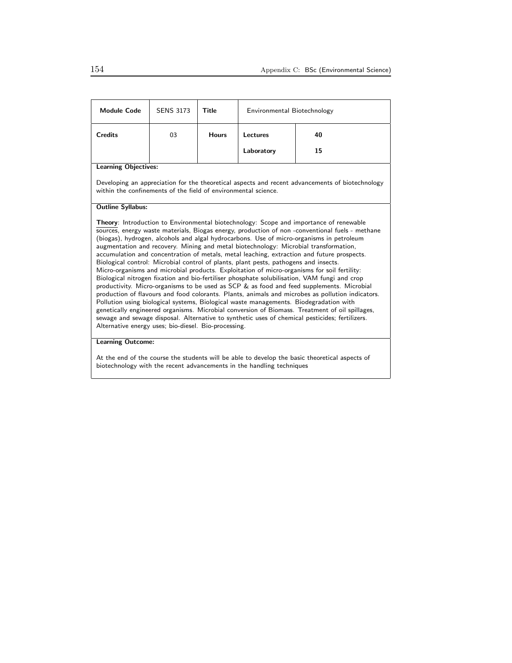| <b>Credits</b><br>03<br><b>Hours</b><br>Lectures<br>40<br>Laboratory<br>15<br><b>Learning Objectives:</b><br>Developing an appreciation for the theoretical aspects and recent advancements of biotechnology<br>within the confinements of the field of environmental science.<br><b>Outline Syllabus:</b><br><b>Theory:</b> Introduction to Environmental biotechnology: Scope and importance of renewable<br>sources, energy waste materials, Biogas energy, production of non-conventional fuels - methane<br>(biogas), hydrogen, alcohols and algal hydrocarbons. Use of micro-organisms in petroleum                                                                                                                                                                                                                                                                                                                                                                                                                                                   | <b>Module Code</b> | <b>SENS 3173</b> | Title | Environmental Biotechnology |  |  |
|-------------------------------------------------------------------------------------------------------------------------------------------------------------------------------------------------------------------------------------------------------------------------------------------------------------------------------------------------------------------------------------------------------------------------------------------------------------------------------------------------------------------------------------------------------------------------------------------------------------------------------------------------------------------------------------------------------------------------------------------------------------------------------------------------------------------------------------------------------------------------------------------------------------------------------------------------------------------------------------------------------------------------------------------------------------|--------------------|------------------|-------|-----------------------------|--|--|
|                                                                                                                                                                                                                                                                                                                                                                                                                                                                                                                                                                                                                                                                                                                                                                                                                                                                                                                                                                                                                                                             |                    |                  |       |                             |  |  |
|                                                                                                                                                                                                                                                                                                                                                                                                                                                                                                                                                                                                                                                                                                                                                                                                                                                                                                                                                                                                                                                             |                    |                  |       |                             |  |  |
|                                                                                                                                                                                                                                                                                                                                                                                                                                                                                                                                                                                                                                                                                                                                                                                                                                                                                                                                                                                                                                                             |                    |                  |       |                             |  |  |
|                                                                                                                                                                                                                                                                                                                                                                                                                                                                                                                                                                                                                                                                                                                                                                                                                                                                                                                                                                                                                                                             |                    |                  |       |                             |  |  |
|                                                                                                                                                                                                                                                                                                                                                                                                                                                                                                                                                                                                                                                                                                                                                                                                                                                                                                                                                                                                                                                             |                    |                  |       |                             |  |  |
| augmentation and recovery. Mining and metal biotechnology: Microbial transformation,<br>accumulation and concentration of metals, metal leaching, extraction and future prospects.<br>Biological control: Microbial control of plants, plant pests, pathogens and insects.<br>Micro-organisms and microbial products. Exploitation of micro-organisms for soil fertility:<br>Biological nitrogen fixation and bio-fertiliser phosphate solubilisation, VAM fungi and crop<br>productivity. Micro-organisms to be used as SCP & as food and feed supplements. Microbial<br>production of flavours and food colorants. Plants, animals and microbes as pollution indicators.<br>Pollution using biological systems, Biological waste managements. Biodegradation with<br>genetically engineered organisms. Microbial conversion of Biomass. Treatment of oil spillages,<br>sewage and sewage disposal. Alternative to synthetic uses of chemical pesticides; fertilizers.<br>Alternative energy uses; bio-diesel. Bio-processing.<br><b>Learning Outcome:</b> |                    |                  |       |                             |  |  |

At the end of the course the students will be able to develop the basic theoretical aspects of biotechnology with the recent advancements in the handling techniques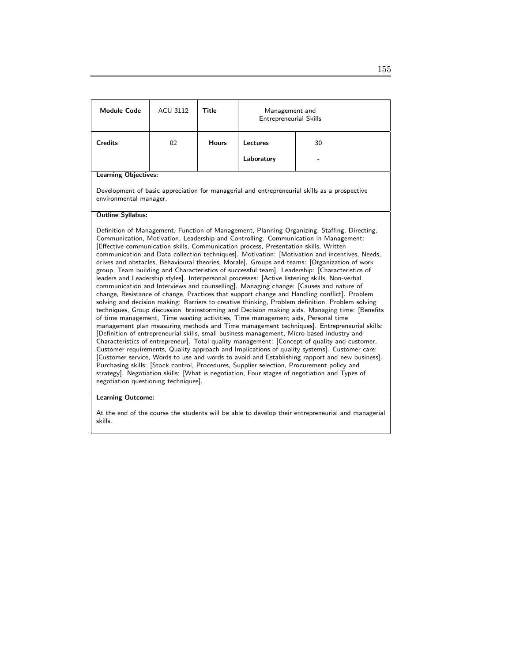| <b>Module Code</b>                                                                                                                                                                                                                                                                                                                                                                                                                                                                                                                                                                                                                                                                                                                                                                                                                                                                                                                                                                                                                                                                                                                                                                                                                                                                                                                                                                                                                                                                                                                                                                                                                                                                                                                                                                                                                                                                                 | <b>ACU 3112</b> | <b>Title</b> | Management and<br><b>Entrepreneurial Skills</b> |    |  |
|----------------------------------------------------------------------------------------------------------------------------------------------------------------------------------------------------------------------------------------------------------------------------------------------------------------------------------------------------------------------------------------------------------------------------------------------------------------------------------------------------------------------------------------------------------------------------------------------------------------------------------------------------------------------------------------------------------------------------------------------------------------------------------------------------------------------------------------------------------------------------------------------------------------------------------------------------------------------------------------------------------------------------------------------------------------------------------------------------------------------------------------------------------------------------------------------------------------------------------------------------------------------------------------------------------------------------------------------------------------------------------------------------------------------------------------------------------------------------------------------------------------------------------------------------------------------------------------------------------------------------------------------------------------------------------------------------------------------------------------------------------------------------------------------------------------------------------------------------------------------------------------------------|-----------------|--------------|-------------------------------------------------|----|--|
| <b>Credits</b>                                                                                                                                                                                                                                                                                                                                                                                                                                                                                                                                                                                                                                                                                                                                                                                                                                                                                                                                                                                                                                                                                                                                                                                                                                                                                                                                                                                                                                                                                                                                                                                                                                                                                                                                                                                                                                                                                     | 02              | <b>Hours</b> | Lectures                                        | 30 |  |
|                                                                                                                                                                                                                                                                                                                                                                                                                                                                                                                                                                                                                                                                                                                                                                                                                                                                                                                                                                                                                                                                                                                                                                                                                                                                                                                                                                                                                                                                                                                                                                                                                                                                                                                                                                                                                                                                                                    |                 |              | Laboratory                                      |    |  |
| <b>Learning Objectives:</b>                                                                                                                                                                                                                                                                                                                                                                                                                                                                                                                                                                                                                                                                                                                                                                                                                                                                                                                                                                                                                                                                                                                                                                                                                                                                                                                                                                                                                                                                                                                                                                                                                                                                                                                                                                                                                                                                        |                 |              |                                                 |    |  |
| Development of basic appreciation for managerial and entrepreneurial skills as a prospective<br>environmental manager.                                                                                                                                                                                                                                                                                                                                                                                                                                                                                                                                                                                                                                                                                                                                                                                                                                                                                                                                                                                                                                                                                                                                                                                                                                                                                                                                                                                                                                                                                                                                                                                                                                                                                                                                                                             |                 |              |                                                 |    |  |
| <b>Outline Syllabus:</b>                                                                                                                                                                                                                                                                                                                                                                                                                                                                                                                                                                                                                                                                                                                                                                                                                                                                                                                                                                                                                                                                                                                                                                                                                                                                                                                                                                                                                                                                                                                                                                                                                                                                                                                                                                                                                                                                           |                 |              |                                                 |    |  |
| Definition of Management, Function of Management, Planning Organizing, Staffing, Directing,<br>Communication, Motivation, Leadership and Controlling. Communication in Management:<br>[Effective communication skills, Communication process, Presentation skills, Written<br>communication and Data collection techniques]. Motivation: [Motivation and incentives, Needs,<br>drives and obstacles, Behavioural theories, Morale]. Groups and teams: [Organization of work<br>group, Team building and Characteristics of successful team]. Leadership: [Characteristics of<br>leaders and Leadership styles]. Interpersonal processes: [Active listening skills, Non-verbal<br>communication and Interviews and counselling]. Managing change: [Causes and nature of<br>change, Resistance of change, Practices that support change and Handling conflict]. Problem<br>solving and decision making: Barriers to creative thinking, Problem definition, Problem solving<br>techniques, Group discussion, brainstorming and Decision making aids. Managing time: [Benefits<br>of time management, Time wasting activities, Time management aids, Personal time<br>management plan measuring methods and Time management techniques]. Entrepreneurial skills:<br>[Definition of entrepreneurial skills, small business management, Micro based industry and<br>Characteristics of entrepreneur]. Total quality management: [Concept of quality and customer,<br>Customer requirements, Quality approach and Implications of quality systems]. Customer care:<br>[Customer service, Words to use and words to avoid and Establishing rapport and new business].<br>Purchasing skills: [Stock control, Procedures, Supplier selection, Procurement policy and<br>strategy]. Negotiation skills: [What is negotiation, Four stages of negotiation and Types of<br>negotiation questioning techniques]. |                 |              |                                                 |    |  |

## Learning Outcome:

At the end of the course the students will be able to develop their entrepreneurial and managerial skills.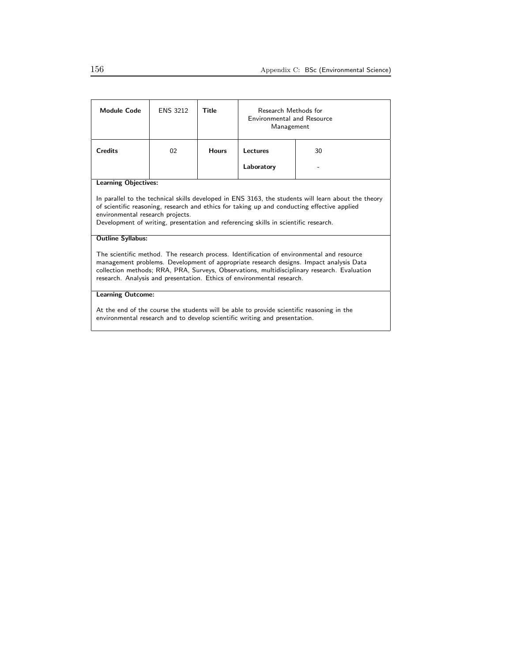| <b>Module Code</b>                                                                                                                                                                                                                                                                                                                                           | <b>ENS 3212</b> | Title        | Research Methods for<br><b>Environmental and Resource</b><br>Management |    |
|--------------------------------------------------------------------------------------------------------------------------------------------------------------------------------------------------------------------------------------------------------------------------------------------------------------------------------------------------------------|-----------------|--------------|-------------------------------------------------------------------------|----|
| <b>Credits</b>                                                                                                                                                                                                                                                                                                                                               | 02              | <b>Hours</b> | Lectures                                                                | 30 |
|                                                                                                                                                                                                                                                                                                                                                              |                 |              | Laboratory                                                              |    |
| <b>Learning Objectives:</b>                                                                                                                                                                                                                                                                                                                                  |                 |              |                                                                         |    |
| In parallel to the technical skills developed in ENS 3163, the students will learn about the theory<br>of scientific reasoning, research and ethics for taking up and conducting effective applied<br>environmental research projects.<br>Development of writing, presentation and referencing skills in scientific research.                                |                 |              |                                                                         |    |
| <b>Outline Syllabus:</b>                                                                                                                                                                                                                                                                                                                                     |                 |              |                                                                         |    |
| The scientific method. The research process. Identification of environmental and resource<br>management problems. Development of appropriate research designs. Impact analysis Data<br>collection methods; RRA, PRA, Surveys, Observations, multidisciplinary research. Evaluation<br>research. Analysis and presentation. Ethics of environmental research. |                 |              |                                                                         |    |
| <b>Learning Outcome:</b>                                                                                                                                                                                                                                                                                                                                     |                 |              |                                                                         |    |
| At the end of the course the students will be able to provide scientific reasoning in the<br>environmental research and to develop scientific writing and presentation.                                                                                                                                                                                      |                 |              |                                                                         |    |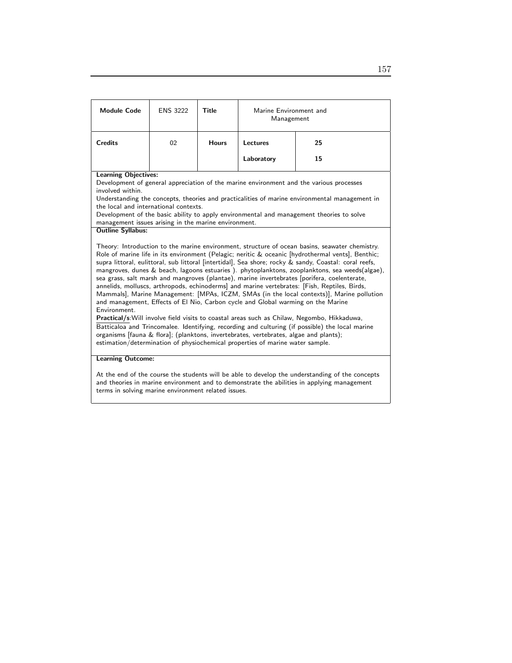| <b>Module Code</b>                                                                                                                                                                                                                                                                                                                                                                                                                                                                                                                                                                                                                                                                                                                                                                                                                                                                                                                                                                                                                                                                                                                                                                                                                                                              | <b>ENS 3222</b> | Title        | Marine Environment and<br>Management |    |  |
|---------------------------------------------------------------------------------------------------------------------------------------------------------------------------------------------------------------------------------------------------------------------------------------------------------------------------------------------------------------------------------------------------------------------------------------------------------------------------------------------------------------------------------------------------------------------------------------------------------------------------------------------------------------------------------------------------------------------------------------------------------------------------------------------------------------------------------------------------------------------------------------------------------------------------------------------------------------------------------------------------------------------------------------------------------------------------------------------------------------------------------------------------------------------------------------------------------------------------------------------------------------------------------|-----------------|--------------|--------------------------------------|----|--|
| <b>Credits</b>                                                                                                                                                                                                                                                                                                                                                                                                                                                                                                                                                                                                                                                                                                                                                                                                                                                                                                                                                                                                                                                                                                                                                                                                                                                                  | 02              | <b>Hours</b> | Lectures                             | 25 |  |
|                                                                                                                                                                                                                                                                                                                                                                                                                                                                                                                                                                                                                                                                                                                                                                                                                                                                                                                                                                                                                                                                                                                                                                                                                                                                                 |                 |              | Laboratory                           | 15 |  |
| <b>Learning Objectives:</b><br>Development of general appreciation of the marine environment and the various processes<br>involved within.<br>Understanding the concepts, theories and practicalities of marine environmental management in<br>the local and international contexts.<br>Development of the basic ability to apply environmental and management theories to solve                                                                                                                                                                                                                                                                                                                                                                                                                                                                                                                                                                                                                                                                                                                                                                                                                                                                                                |                 |              |                                      |    |  |
| management issues arising in the marine environment.<br><b>Outline Syllabus:</b><br>Theory: Introduction to the marine environment, structure of ocean basins, seawater chemistry.<br>Role of marine life in its environment (Pelagic; neritic & oceanic [hydrothermal vents], Benthic;<br>supra littoral, eulittoral, sub littoral [intertidal], Sea shore; rocky & sandy, Coastal: coral reefs,<br>mangroves, dunes & beach, lagoons estuaries). phytoplanktons, zooplanktons, sea weeds(algae),<br>sea grass, salt marsh and mangroves (plantae), marine invertebrates [porifera, coelenterate,<br>annelids, molluscs, arthropods, echinoderms] and marine vertebrates: [Fish, Reptiles, Birds,<br>Mammals], Marine Management: [MPAs, ICZM, SMAs (in the local contexts)], Marine pollution<br>and management, Effects of El Nio, Carbon cycle and Global warming on the Marine<br>Environment.<br>Practical/s: Will involve field visits to coastal areas such as Chilaw, Negombo, Hikkaduwa,<br>Batticaloa and Trincomalee. Identifying, recording and culturing (if possible) the local marine<br>organisms [fauna & flora]; (planktons, invertebrates, vertebrates, algae and plants);<br>estimation/determination of physiochemical properties of marine water sample. |                 |              |                                      |    |  |
| <b>Learning Outcome:</b><br>At the end of the course the students will be able to develop the understanding of the concepts<br>and theories in marine environment and to demonstrate the abilities in applying management<br>terms in solving marine environment related issues.                                                                                                                                                                                                                                                                                                                                                                                                                                                                                                                                                                                                                                                                                                                                                                                                                                                                                                                                                                                                |                 |              |                                      |    |  |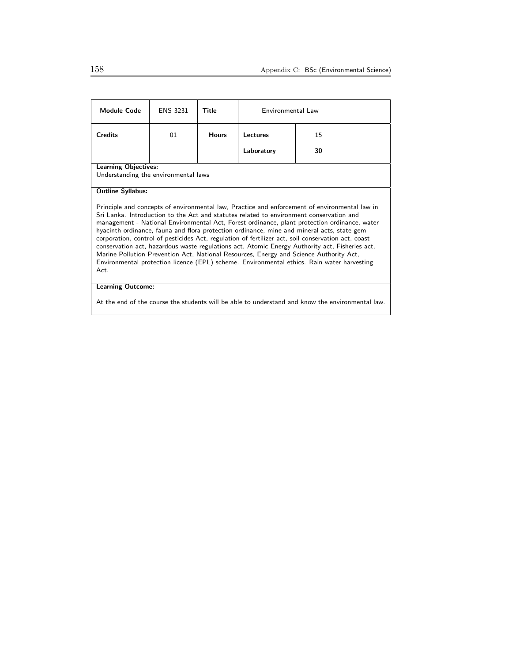| <b>Module Code</b>                                                                                                                                                                                                                                                                                                                                                                                                                                                                                                                                                                                                                                                                                                                                                                                                         | <b>ENS 3231</b> | Title        | Environmental Law |    |  |
|----------------------------------------------------------------------------------------------------------------------------------------------------------------------------------------------------------------------------------------------------------------------------------------------------------------------------------------------------------------------------------------------------------------------------------------------------------------------------------------------------------------------------------------------------------------------------------------------------------------------------------------------------------------------------------------------------------------------------------------------------------------------------------------------------------------------------|-----------------|--------------|-------------------|----|--|
| <b>Credits</b>                                                                                                                                                                                                                                                                                                                                                                                                                                                                                                                                                                                                                                                                                                                                                                                                             | 01              | <b>Hours</b> | Lectures          | 15 |  |
|                                                                                                                                                                                                                                                                                                                                                                                                                                                                                                                                                                                                                                                                                                                                                                                                                            |                 |              | Laboratory        | 30 |  |
| <b>Learning Objectives:</b><br>Understanding the environmental laws                                                                                                                                                                                                                                                                                                                                                                                                                                                                                                                                                                                                                                                                                                                                                        |                 |              |                   |    |  |
| <b>Outline Syllabus:</b><br>Principle and concepts of environmental law, Practice and enforcement of environmental law in<br>Sri Lanka. Introduction to the Act and statutes related to environment conservation and<br>management - National Environmental Act, Forest ordinance, plant protection ordinance, water<br>hyacinth ordinance, fauna and flora protection ordinance, mine and mineral acts, state gem<br>corporation, control of pesticides Act, regulation of fertilizer act, soil conservation act, coast<br>conservation act, hazardous waste regulations act, Atomic Energy Authority act, Fisheries act,<br>Marine Pollution Prevention Act, National Resources, Energy and Science Authority Act,<br>Environmental protection licence (EPL) scheme. Environmental ethics. Rain water harvesting<br>Act. |                 |              |                   |    |  |
| <b>Learning Outcome:</b>                                                                                                                                                                                                                                                                                                                                                                                                                                                                                                                                                                                                                                                                                                                                                                                                   |                 |              |                   |    |  |

At the end of the course the students will be able to understand and know the environmental law.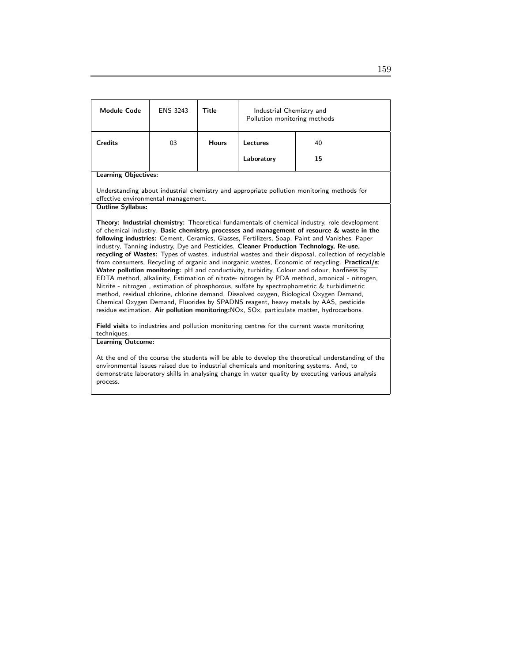| <b>Module Code</b>                                                                                                                                                                                                                                                                                                                                                                                                                                                                                                                                                                                                                                                                                                                                                                                                                                                                                                                                                                                                                                                                                                                                                                                                                                                                                                         | <b>ENS 3243</b> | <b>Title</b> | Industrial Chemistry and<br>Pollution monitoring methods |                                                                                           |  |
|----------------------------------------------------------------------------------------------------------------------------------------------------------------------------------------------------------------------------------------------------------------------------------------------------------------------------------------------------------------------------------------------------------------------------------------------------------------------------------------------------------------------------------------------------------------------------------------------------------------------------------------------------------------------------------------------------------------------------------------------------------------------------------------------------------------------------------------------------------------------------------------------------------------------------------------------------------------------------------------------------------------------------------------------------------------------------------------------------------------------------------------------------------------------------------------------------------------------------------------------------------------------------------------------------------------------------|-----------------|--------------|----------------------------------------------------------|-------------------------------------------------------------------------------------------|--|
| <b>Credits</b>                                                                                                                                                                                                                                                                                                                                                                                                                                                                                                                                                                                                                                                                                                                                                                                                                                                                                                                                                                                                                                                                                                                                                                                                                                                                                                             | 03              | <b>Hours</b> | Lectures                                                 | 40                                                                                        |  |
|                                                                                                                                                                                                                                                                                                                                                                                                                                                                                                                                                                                                                                                                                                                                                                                                                                                                                                                                                                                                                                                                                                                                                                                                                                                                                                                            |                 |              | Laboratory                                               | 15                                                                                        |  |
| <b>Learning Objectives:</b>                                                                                                                                                                                                                                                                                                                                                                                                                                                                                                                                                                                                                                                                                                                                                                                                                                                                                                                                                                                                                                                                                                                                                                                                                                                                                                |                 |              |                                                          |                                                                                           |  |
| effective environmental management.                                                                                                                                                                                                                                                                                                                                                                                                                                                                                                                                                                                                                                                                                                                                                                                                                                                                                                                                                                                                                                                                                                                                                                                                                                                                                        |                 |              |                                                          | Understanding about industrial chemistry and appropriate pollution monitoring methods for |  |
| <b>Outline Syllabus:</b>                                                                                                                                                                                                                                                                                                                                                                                                                                                                                                                                                                                                                                                                                                                                                                                                                                                                                                                                                                                                                                                                                                                                                                                                                                                                                                   |                 |              |                                                          |                                                                                           |  |
| Theory: Industrial chemistry: Theoretical fundamentals of chemical industry, role development<br>of chemical industry. Basic chemistry, processes and management of resource & waste in the<br>following industries: Cement, Ceramics, Glasses, Fertilizers, Soap, Paint and Vanishes, Paper<br>industry, Tanning industry, Dye and Pesticides. Cleaner Production Technology, Re-use,<br>recycling of Wastes: Types of wastes, industrial wastes and their disposal, collection of recyclable<br>from consumers, Recycling of organic and inorganic wastes, Economic of recycling. Practical/s:<br>Water pollution monitoring: pH and conductivity, turbidity, Colour and odour, hardness by<br>EDTA method, alkalinity, Estimation of nitrate- nitrogen by PDA method, amonical - nitrogen,<br>Nitrite - nitrogen, estimation of phosphorous, sulfate by spectrophometric & turbidimetric<br>method, residual chlorine, chlorine demand, Dissolved oxygen, Biological Oxygen Demand,<br>Chemical Oxygen Demand, Fluorides by SPADNS reagent, heavy metals by AAS, pesticide<br>residue estimation. Air pollution monitoring: NO <sub>x</sub> , SO <sub>x</sub> , particulate matter, hydrocarbons.<br><b>Field visits</b> to industries and pollution monitoring centres for the current waste monitoring<br>techniques. |                 |              |                                                          |                                                                                           |  |
| <b>Learning Outcome:</b><br>At the end of the course the students will be able to develop the theoretical understanding of the<br>environmental issues raised due to industrial chemicals and monitoring systems. And, to<br>demonstrate laboratory skills in analysing change in water quality by executing various analysis<br>process.                                                                                                                                                                                                                                                                                                                                                                                                                                                                                                                                                                                                                                                                                                                                                                                                                                                                                                                                                                                  |                 |              |                                                          |                                                                                           |  |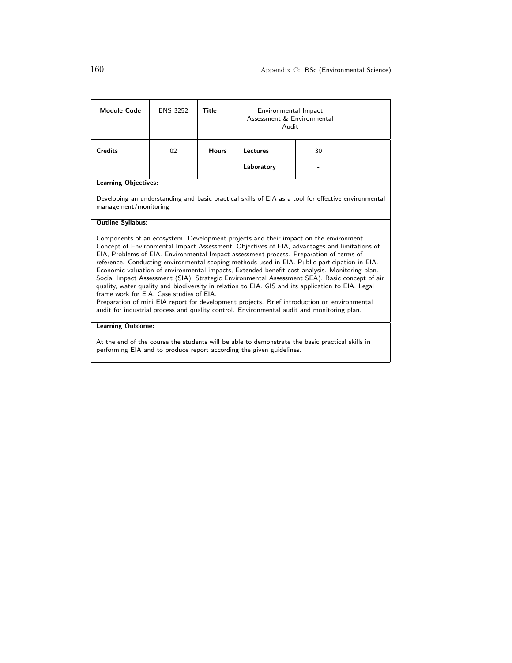| <b>Module Code</b>                                                                                                                                                                                                                                                                                                                                                                                                                                                                                                                                                                                                                                                                                                                                                                                                                                                                                                                | <b>ENS 3252</b> | Title        | Environmental Impact<br>Assessment & Environmental<br>Audit |    |
|-----------------------------------------------------------------------------------------------------------------------------------------------------------------------------------------------------------------------------------------------------------------------------------------------------------------------------------------------------------------------------------------------------------------------------------------------------------------------------------------------------------------------------------------------------------------------------------------------------------------------------------------------------------------------------------------------------------------------------------------------------------------------------------------------------------------------------------------------------------------------------------------------------------------------------------|-----------------|--------------|-------------------------------------------------------------|----|
| <b>Credits</b>                                                                                                                                                                                                                                                                                                                                                                                                                                                                                                                                                                                                                                                                                                                                                                                                                                                                                                                    | 02              | <b>Hours</b> | Lectures                                                    | 30 |
|                                                                                                                                                                                                                                                                                                                                                                                                                                                                                                                                                                                                                                                                                                                                                                                                                                                                                                                                   |                 |              | Laboratory                                                  |    |
| <b>Learning Objectives:</b>                                                                                                                                                                                                                                                                                                                                                                                                                                                                                                                                                                                                                                                                                                                                                                                                                                                                                                       |                 |              |                                                             |    |
| Developing an understanding and basic practical skills of EIA as a tool for effective environmental<br>management/monitoring                                                                                                                                                                                                                                                                                                                                                                                                                                                                                                                                                                                                                                                                                                                                                                                                      |                 |              |                                                             |    |
| <b>Outline Syllabus:</b>                                                                                                                                                                                                                                                                                                                                                                                                                                                                                                                                                                                                                                                                                                                                                                                                                                                                                                          |                 |              |                                                             |    |
| Components of an ecosystem. Development projects and their impact on the environment.<br>Concept of Environmental Impact Assessment, Objectives of EIA, advantages and limitations of<br>EIA, Problems of EIA. Environmental Impact assessment process. Preparation of terms of<br>reference. Conducting environmental scoping methods used in EIA. Public participation in EIA.<br>Economic valuation of environmental impacts, Extended benefit cost analysis. Monitoring plan.<br>Social Impact Assessment (SIA), Strategic Environmental Assessment SEA). Basic concept of air<br>quality, water quality and biodiversity in relation to EIA. GIS and its application to EIA. Legal<br>frame work for EIA. Case studies of EIA.<br>Preparation of mini EIA report for development projects. Brief introduction on environmental<br>audit for industrial process and quality control. Environmental audit and monitoring plan. |                 |              |                                                             |    |
| <b>Learning Outcome:</b>                                                                                                                                                                                                                                                                                                                                                                                                                                                                                                                                                                                                                                                                                                                                                                                                                                                                                                          |                 |              |                                                             |    |
| At the end of the course the students will be able to demonstrate the basic practical skills in                                                                                                                                                                                                                                                                                                                                                                                                                                                                                                                                                                                                                                                                                                                                                                                                                                   |                 |              |                                                             |    |

performing EIA and to produce report according the given guidelines.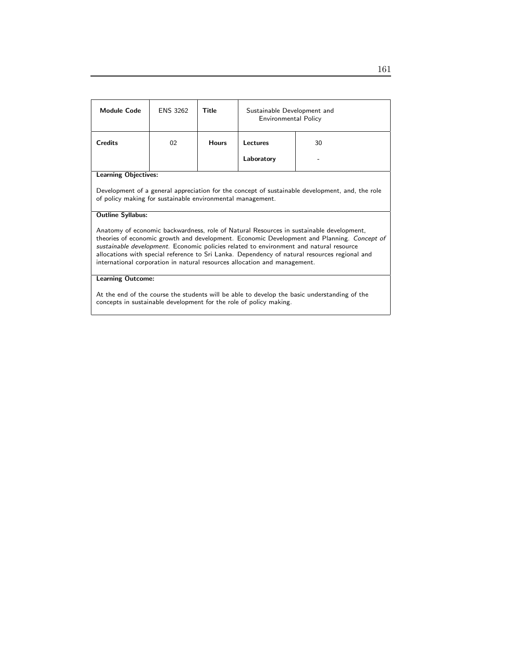| <b>Module Code</b>                                                                                                                                                                                                                                                                                                                                                                                                                                            | <b>ENS 3262</b> | Title        | Sustainable Development and<br>Environmental Policy |                                                                                                 |  |
|---------------------------------------------------------------------------------------------------------------------------------------------------------------------------------------------------------------------------------------------------------------------------------------------------------------------------------------------------------------------------------------------------------------------------------------------------------------|-----------------|--------------|-----------------------------------------------------|-------------------------------------------------------------------------------------------------|--|
| <b>Credits</b>                                                                                                                                                                                                                                                                                                                                                                                                                                                | 02              | <b>Hours</b> | Lectures                                            | 30                                                                                              |  |
|                                                                                                                                                                                                                                                                                                                                                                                                                                                               |                 |              | Laboratory                                          |                                                                                                 |  |
| <b>Learning Objectives:</b>                                                                                                                                                                                                                                                                                                                                                                                                                                   |                 |              |                                                     |                                                                                                 |  |
| of policy making for sustainable environmental management.                                                                                                                                                                                                                                                                                                                                                                                                    |                 |              |                                                     | Development of a general appreciation for the concept of sustainable development, and, the role |  |
| <b>Outline Syllabus:</b>                                                                                                                                                                                                                                                                                                                                                                                                                                      |                 |              |                                                     |                                                                                                 |  |
| Anatomy of economic backwardness, role of Natural Resources in sustainable development,<br>theories of economic growth and development. Economic Development and Planning. Concept of<br>sustainable development. Economic policies related to environment and natural resource<br>allocations with special reference to Sri Lanka. Dependency of natural resources regional and<br>international corporation in natural resources allocation and management. |                 |              |                                                     |                                                                                                 |  |
| <b>Learning Outcome:</b>                                                                                                                                                                                                                                                                                                                                                                                                                                      |                 |              |                                                     |                                                                                                 |  |
| At the end of the course the students will be able to develop the basic understanding of the<br>concepts in sustainable development for the role of policy making.                                                                                                                                                                                                                                                                                            |                 |              |                                                     |                                                                                                 |  |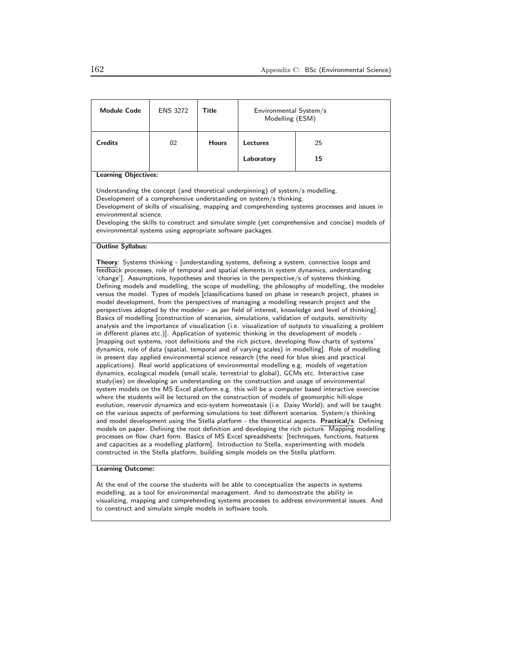| <b>Module Code</b>                                                                                                                                                                                                                                                                                                                                                                                                                                                                                                                                                                                                                                                                                                                                                                                                                                                                                                                                                                                                                                                                                                                                                                                                                                                                                                                                                                                                                                                                                                                                                                                                                                                                                                                                                                                                                                                                                                                                                                                                                                                                                                                                                                                                                                                                                                                                                                                                                                                                                                                            | <b>ENS 3272</b> | Title        | Environmental System/s<br>Modelling (ESM) |    |  |  |
|-----------------------------------------------------------------------------------------------------------------------------------------------------------------------------------------------------------------------------------------------------------------------------------------------------------------------------------------------------------------------------------------------------------------------------------------------------------------------------------------------------------------------------------------------------------------------------------------------------------------------------------------------------------------------------------------------------------------------------------------------------------------------------------------------------------------------------------------------------------------------------------------------------------------------------------------------------------------------------------------------------------------------------------------------------------------------------------------------------------------------------------------------------------------------------------------------------------------------------------------------------------------------------------------------------------------------------------------------------------------------------------------------------------------------------------------------------------------------------------------------------------------------------------------------------------------------------------------------------------------------------------------------------------------------------------------------------------------------------------------------------------------------------------------------------------------------------------------------------------------------------------------------------------------------------------------------------------------------------------------------------------------------------------------------------------------------------------------------------------------------------------------------------------------------------------------------------------------------------------------------------------------------------------------------------------------------------------------------------------------------------------------------------------------------------------------------------------------------------------------------------------------------------------------------|-----------------|--------------|-------------------------------------------|----|--|--|
| <b>Credits</b>                                                                                                                                                                                                                                                                                                                                                                                                                                                                                                                                                                                                                                                                                                                                                                                                                                                                                                                                                                                                                                                                                                                                                                                                                                                                                                                                                                                                                                                                                                                                                                                                                                                                                                                                                                                                                                                                                                                                                                                                                                                                                                                                                                                                                                                                                                                                                                                                                                                                                                                                | 02              | <b>Hours</b> | Lectures                                  | 25 |  |  |
|                                                                                                                                                                                                                                                                                                                                                                                                                                                                                                                                                                                                                                                                                                                                                                                                                                                                                                                                                                                                                                                                                                                                                                                                                                                                                                                                                                                                                                                                                                                                                                                                                                                                                                                                                                                                                                                                                                                                                                                                                                                                                                                                                                                                                                                                                                                                                                                                                                                                                                                                               |                 |              | Laboratory                                | 15 |  |  |
| <b>Learning Objectives:</b>                                                                                                                                                                                                                                                                                                                                                                                                                                                                                                                                                                                                                                                                                                                                                                                                                                                                                                                                                                                                                                                                                                                                                                                                                                                                                                                                                                                                                                                                                                                                                                                                                                                                                                                                                                                                                                                                                                                                                                                                                                                                                                                                                                                                                                                                                                                                                                                                                                                                                                                   |                 |              |                                           |    |  |  |
| Understanding the concept (and theoretical underpinning) of system/s modelling.<br>Development of a comprehensive understanding on system/s thinking.<br>Development of skills of visualising, mapping and comprehending systems processes and issues in<br>environmental science.<br>Developing the skills to construct and simulate simple (yet comprehensive and concise) models of<br>environmental systems using appropriate software packages.                                                                                                                                                                                                                                                                                                                                                                                                                                                                                                                                                                                                                                                                                                                                                                                                                                                                                                                                                                                                                                                                                                                                                                                                                                                                                                                                                                                                                                                                                                                                                                                                                                                                                                                                                                                                                                                                                                                                                                                                                                                                                          |                 |              |                                           |    |  |  |
| <b>Outline Syllabus:</b>                                                                                                                                                                                                                                                                                                                                                                                                                                                                                                                                                                                                                                                                                                                                                                                                                                                                                                                                                                                                                                                                                                                                                                                                                                                                                                                                                                                                                                                                                                                                                                                                                                                                                                                                                                                                                                                                                                                                                                                                                                                                                                                                                                                                                                                                                                                                                                                                                                                                                                                      |                 |              |                                           |    |  |  |
| Theory: Systems thinking - [understanding systems, defining a system, connective loops and<br>feedback processes, role of temporal and spatial elements in system dynamics, understanding<br>'change']. Assumptions, hypotheses and theories in the perspective/s of systems thinking.<br>Defining models and modelling, the scope of modelling, the philosophy of modelling, the modeler<br>versus the model. Types of models [classifications based on phase in research project, phases in<br>model development, from the perspectives of managing a modelling research project and the<br>perspectives adopted by the modeler - as per field of interest, knowledge and level of thinking].<br>Basics of modelling [construction of scenarios, simulations, validation of outputs, sensitivity<br>analysis and the importance of visualization (i.e. visualization of outputs to visualizing a problem<br>in different planes etc.)]. Application of systemic thinking in the development of models -<br>[mapping out systems, root definitions and the rich picture, developing flow charts of systems'<br>dynamics, role of data (spatial, temporal and of varying scales) in modelling]. Role of modelling<br>in present day applied environmental science research (the need for blue skies and practical<br>applications). Real world applications of environmental modelling e.g. models of vegetation<br>dynamics, ecological models (small scale, terrestrial to global), GCMs etc. Interactive case<br>study(ies) on developing an understanding on the construction and usage of environmental<br>system models on the MS Excel platform e.g. this will be a computer based interactive exercise<br>where the students will be lectured on the construction of models of geomorphic hill-slope<br>evolution, reservoir dynamics and eco-system homeostasis (i.e. Daisy World); and will be taught<br>on the various aspects of performing simulations to test different scenarios. System/s thinking<br>and model development using the Stella platform - the theoretical aspects. Practical/s: Defining<br>models on paper. Defining the root definition and developing the rich picture. Mapping modelling<br>processes on flow chart form. Basics of MS Excel spreadsheets: [techniques, functions, features<br>and capacities as a modelling platform]. Introduction to Stella, experimenting with models<br>constructed in the Stella platform, building simple models on the Stella platform.<br><b>Learning Outcome:</b> |                 |              |                                           |    |  |  |

At the end of the course the students will be able to conceptualize the aspects in systems modelling, as a tool for environmental management. And to demonstrate the ability in visualizing, mapping and comprehending systems processes to address environmental issues. And to construct and simulate simple models in software tools.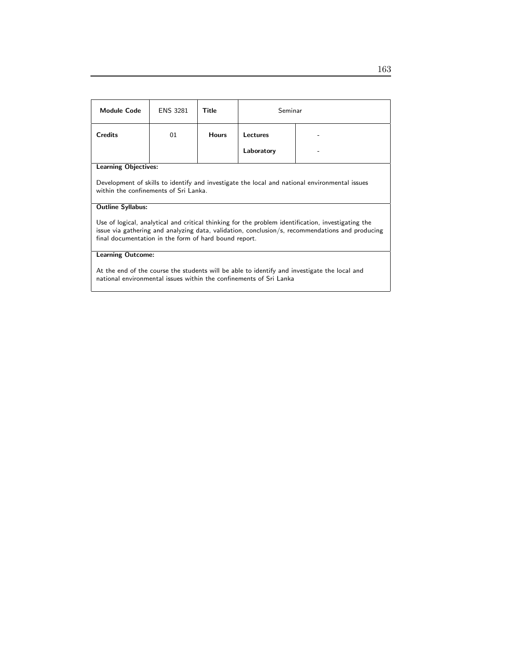| <b>Module Code</b>                                                                                                                                                                                                                                             | <b>ENS 3281</b> | <b>Title</b> | Seminar         |  |  |  |
|----------------------------------------------------------------------------------------------------------------------------------------------------------------------------------------------------------------------------------------------------------------|-----------------|--------------|-----------------|--|--|--|
| <b>Credits</b>                                                                                                                                                                                                                                                 | 01              | <b>Hours</b> | <b>Lectures</b> |  |  |  |
|                                                                                                                                                                                                                                                                |                 |              | Laboratory      |  |  |  |
| <b>Learning Objectives:</b>                                                                                                                                                                                                                                    |                 |              |                 |  |  |  |
| Development of skills to identify and investigate the local and national environmental issues<br>within the confinements of Sri Lanka.                                                                                                                         |                 |              |                 |  |  |  |
| <b>Outline Syllabus:</b>                                                                                                                                                                                                                                       |                 |              |                 |  |  |  |
| Use of logical, analytical and critical thinking for the problem identification, investigating the<br>issue via gathering and analyzing data, validation, conclusion/s, recommendations and producing<br>final documentation in the form of hard bound report. |                 |              |                 |  |  |  |
| <b>Learning Outcome:</b>                                                                                                                                                                                                                                       |                 |              |                 |  |  |  |
| At the end of the course the students will be able to identify and investigate the local and<br>national environmental issues within the confinements of Sri Lanka                                                                                             |                 |              |                 |  |  |  |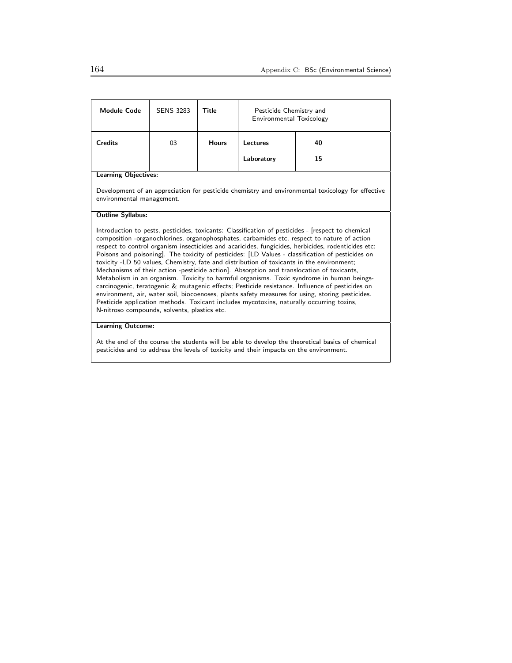| <b>Module Code</b>                                                                                                                                                                                                                                                                                                                                                                                                                                                                                                                                                                                                                                                                                                                                                                                                                                                                                                                                                                                                                                   | <b>SENS 3283</b> | Title        | Pesticide Chemistry and<br>Environmental Toxicology |    |  |
|------------------------------------------------------------------------------------------------------------------------------------------------------------------------------------------------------------------------------------------------------------------------------------------------------------------------------------------------------------------------------------------------------------------------------------------------------------------------------------------------------------------------------------------------------------------------------------------------------------------------------------------------------------------------------------------------------------------------------------------------------------------------------------------------------------------------------------------------------------------------------------------------------------------------------------------------------------------------------------------------------------------------------------------------------|------------------|--------------|-----------------------------------------------------|----|--|
| <b>Credits</b>                                                                                                                                                                                                                                                                                                                                                                                                                                                                                                                                                                                                                                                                                                                                                                                                                                                                                                                                                                                                                                       | 03               | <b>Hours</b> | 40<br>Lectures                                      |    |  |
|                                                                                                                                                                                                                                                                                                                                                                                                                                                                                                                                                                                                                                                                                                                                                                                                                                                                                                                                                                                                                                                      |                  |              | Laboratory                                          | 15 |  |
| <b>Learning Objectives:</b>                                                                                                                                                                                                                                                                                                                                                                                                                                                                                                                                                                                                                                                                                                                                                                                                                                                                                                                                                                                                                          |                  |              |                                                     |    |  |
| Development of an appreciation for pesticide chemistry and environmental toxicology for effective<br>environmental management.                                                                                                                                                                                                                                                                                                                                                                                                                                                                                                                                                                                                                                                                                                                                                                                                                                                                                                                       |                  |              |                                                     |    |  |
| <b>Outline Syllabus:</b>                                                                                                                                                                                                                                                                                                                                                                                                                                                                                                                                                                                                                                                                                                                                                                                                                                                                                                                                                                                                                             |                  |              |                                                     |    |  |
| Introduction to pests, pesticides, toxicants: Classification of pesticides - [respect to chemical<br>composition -organochlorines, organophosphates, carbamides etc, respect to nature of action<br>respect to control organism insecticides and acaricides, fungicides, herbicides, rodenticides etc:<br>Poisons and poisoning]. The toxicity of pesticides: [LD Values - classification of pesticides on<br>toxicity -LD 50 values, Chemistry, fate and distribution of toxicants in the environment;<br>Mechanisms of their action -pesticide action]. Absorption and translocation of toxicants,<br>Metabolism in an organism. Toxicity to harmful organisms. Toxic syndrome in human beings-<br>carcinogenic, teratogenic & mutagenic effects; Pesticide resistance. Influence of pesticides on<br>environment, air, water soil, biocoenoses, plants safety measures for using, storing pesticides.<br>Pesticide application methods. Toxicant includes mycotoxins, naturally occurring toxins,<br>N-nitroso compounds, solvents, plastics etc. |                  |              |                                                     |    |  |
| <b>Learning Outcome:</b>                                                                                                                                                                                                                                                                                                                                                                                                                                                                                                                                                                                                                                                                                                                                                                                                                                                                                                                                                                                                                             |                  |              |                                                     |    |  |

At the end of the course the students will be able to develop the theoretical basics of chemical pesticides and to address the levels of toxicity and their impacts on the environment.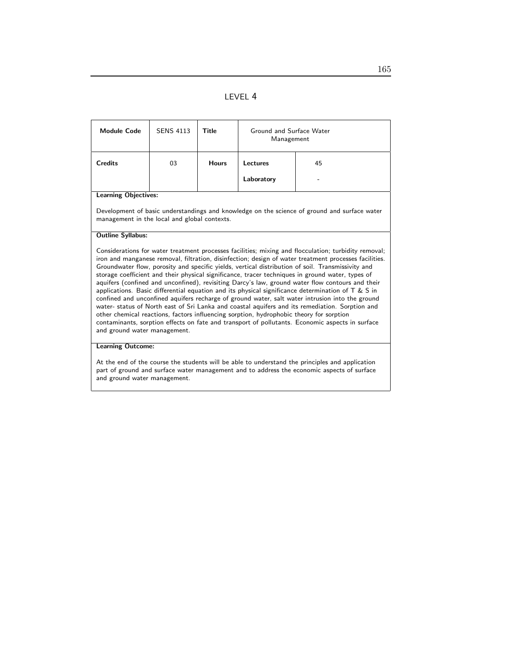|--|

| <b>Module Code</b>                                                                                                                                                                                                                                                                                                                                                                                                                                                                                                                                                                                                                                                                                                                                                                                                                                                                                                                                                                                                                                                     | <b>SENS 4113</b> | Title        | Ground and Surface Water<br>Management |    |  |
|------------------------------------------------------------------------------------------------------------------------------------------------------------------------------------------------------------------------------------------------------------------------------------------------------------------------------------------------------------------------------------------------------------------------------------------------------------------------------------------------------------------------------------------------------------------------------------------------------------------------------------------------------------------------------------------------------------------------------------------------------------------------------------------------------------------------------------------------------------------------------------------------------------------------------------------------------------------------------------------------------------------------------------------------------------------------|------------------|--------------|----------------------------------------|----|--|
| <b>Credits</b>                                                                                                                                                                                                                                                                                                                                                                                                                                                                                                                                                                                                                                                                                                                                                                                                                                                                                                                                                                                                                                                         | 03               | <b>Hours</b> | Lectures                               | 45 |  |
|                                                                                                                                                                                                                                                                                                                                                                                                                                                                                                                                                                                                                                                                                                                                                                                                                                                                                                                                                                                                                                                                        |                  |              | Laboratory                             |    |  |
| <b>Learning Objectives:</b>                                                                                                                                                                                                                                                                                                                                                                                                                                                                                                                                                                                                                                                                                                                                                                                                                                                                                                                                                                                                                                            |                  |              |                                        |    |  |
| Development of basic understandings and knowledge on the science of ground and surface water<br>management in the local and global contexts.                                                                                                                                                                                                                                                                                                                                                                                                                                                                                                                                                                                                                                                                                                                                                                                                                                                                                                                           |                  |              |                                        |    |  |
| <b>Outline Syllabus:</b>                                                                                                                                                                                                                                                                                                                                                                                                                                                                                                                                                                                                                                                                                                                                                                                                                                                                                                                                                                                                                                               |                  |              |                                        |    |  |
| Considerations for water treatment processes facilities; mixing and flocculation; turbidity removal;<br>iron and manganese removal, filtration, disinfection; design of water treatment processes facilities.<br>Groundwater flow, porosity and specific yields, vertical distribution of soil. Transmissivity and<br>storage coefficient and their physical significance, tracer techniques in ground water, types of<br>aquifers (confined and unconfined), revisiting Darcy's law, ground water flow contours and their<br>applications. Basic differential equation and its physical significance determination of $T \& S$ in<br>confined and unconfined aquifers recharge of ground water, salt water intrusion into the ground<br>water- status of North east of Sri Lanka and coastal aquifers and its remediation. Sorption and<br>other chemical reactions, factors influencing sorption, hydrophobic theory for sorption<br>contaminants, sorption effects on fate and transport of pollutants. Economic aspects in surface<br>and ground water management. |                  |              |                                        |    |  |
| <b>Learning Outcome:</b>                                                                                                                                                                                                                                                                                                                                                                                                                                                                                                                                                                                                                                                                                                                                                                                                                                                                                                                                                                                                                                               |                  |              |                                        |    |  |
| At the end of the course the students will be able to understand the principles and application<br>part of ground and surface water management and to address the economic aspects of surface<br>and ground water management.                                                                                                                                                                                                                                                                                                                                                                                                                                                                                                                                                                                                                                                                                                                                                                                                                                          |                  |              |                                        |    |  |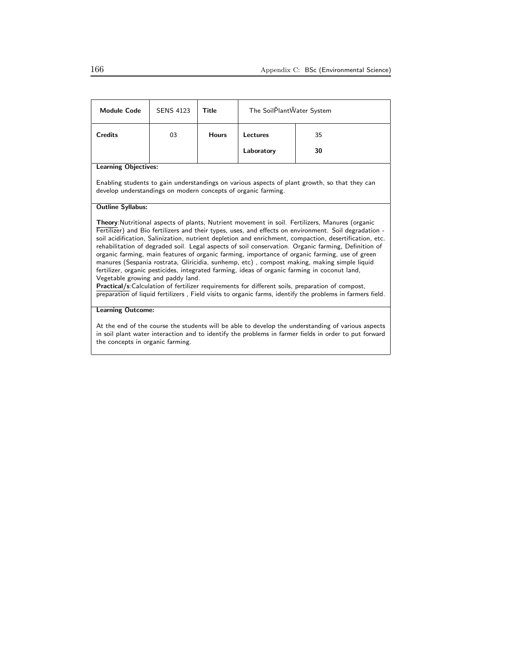| <b>Module Code</b>                                                                                                                                                                                                                                                                                                                                                                                                                                                                                                                                                                                                                                                                                                                                                                                                                                                                                                                                                                      | <b>SENS 4123</b> | Title        | The SoilPlantWater System |    |  |  |
|-----------------------------------------------------------------------------------------------------------------------------------------------------------------------------------------------------------------------------------------------------------------------------------------------------------------------------------------------------------------------------------------------------------------------------------------------------------------------------------------------------------------------------------------------------------------------------------------------------------------------------------------------------------------------------------------------------------------------------------------------------------------------------------------------------------------------------------------------------------------------------------------------------------------------------------------------------------------------------------------|------------------|--------------|---------------------------|----|--|--|
| <b>Credits</b>                                                                                                                                                                                                                                                                                                                                                                                                                                                                                                                                                                                                                                                                                                                                                                                                                                                                                                                                                                          | 03               | <b>Hours</b> | Lectures                  | 35 |  |  |
|                                                                                                                                                                                                                                                                                                                                                                                                                                                                                                                                                                                                                                                                                                                                                                                                                                                                                                                                                                                         |                  |              | Laboratory                | 30 |  |  |
| <b>Learning Objectives:</b>                                                                                                                                                                                                                                                                                                                                                                                                                                                                                                                                                                                                                                                                                                                                                                                                                                                                                                                                                             |                  |              |                           |    |  |  |
| Enabling students to gain understandings on various aspects of plant growth, so that they can<br>develop understandings on modern concepts of organic farming.                                                                                                                                                                                                                                                                                                                                                                                                                                                                                                                                                                                                                                                                                                                                                                                                                          |                  |              |                           |    |  |  |
| <b>Outline Syllabus:</b>                                                                                                                                                                                                                                                                                                                                                                                                                                                                                                                                                                                                                                                                                                                                                                                                                                                                                                                                                                |                  |              |                           |    |  |  |
| <b>Theory:</b> Nutritional aspects of plants, Nutrient movement in soil. Fertilizers, Manures (organic<br>Fertilizer) and Bio fertilizers and their types, uses, and effects on environment. Soil degradation -<br>soil acidification, Salinization, nutrient depletion and enrichment, compaction, desertification, etc.<br>rehabilitation of degraded soil. Legal aspects of soil conservation. Organic farming, Definition of<br>organic farming, main features of organic farming, importance of organic farming, use of green<br>manures (Sespania rostrata, Gliricidia, sunhemp, etc), compost making, making simple liquid<br>fertilizer, organic pesticides, integrated farming, ideas of organic farming in coconut land,<br>Vegetable growing and paddy land.<br>Practical/s:Calculation of fertilizer requirements for different soils, preparation of compost,<br>preparation of liquid fertilizers, Field visits to organic farms, identify the problems in farmers field. |                  |              |                           |    |  |  |
| <b>Learning Outcome:</b>                                                                                                                                                                                                                                                                                                                                                                                                                                                                                                                                                                                                                                                                                                                                                                                                                                                                                                                                                                |                  |              |                           |    |  |  |
| As a final that the state of the state of the state of the state of the state of the state of the state of the state of the state of the state of the state of the state of the state of the state of the state of the state                                                                                                                                                                                                                                                                                                                                                                                                                                                                                                                                                                                                                                                                                                                                                            |                  |              |                           |    |  |  |

At the end of the course the students will be able to develop the understanding of various aspects in soil plant water interaction and to identify the problems in farmer fields in order to put forward the concepts in organic farming.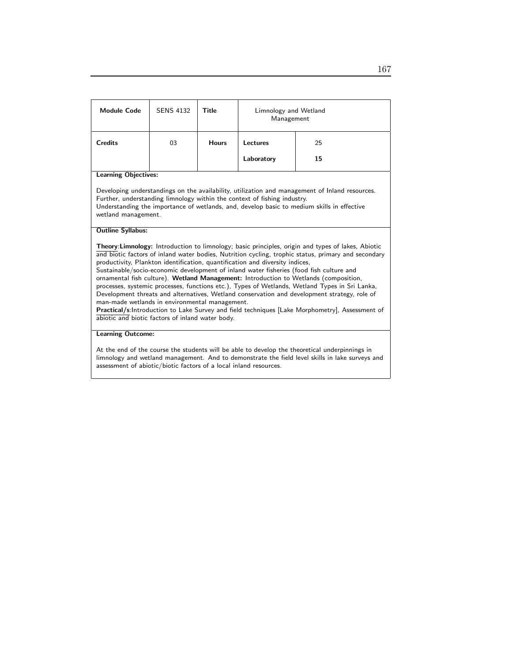| <b>Module Code</b>                                                                                                                                                                                                                                                                                                                                                                                                                                                                                                                                                                                                                                                                                                                                                                                                                                                                    | <b>SENS 4132</b>            | <b>Title</b> | Limnology and Wetland<br>Management |    |  |  |  |
|---------------------------------------------------------------------------------------------------------------------------------------------------------------------------------------------------------------------------------------------------------------------------------------------------------------------------------------------------------------------------------------------------------------------------------------------------------------------------------------------------------------------------------------------------------------------------------------------------------------------------------------------------------------------------------------------------------------------------------------------------------------------------------------------------------------------------------------------------------------------------------------|-----------------------------|--------------|-------------------------------------|----|--|--|--|
| <b>Credits</b>                                                                                                                                                                                                                                                                                                                                                                                                                                                                                                                                                                                                                                                                                                                                                                                                                                                                        | 03                          | <b>Hours</b> | Lectures                            | 25 |  |  |  |
|                                                                                                                                                                                                                                                                                                                                                                                                                                                                                                                                                                                                                                                                                                                                                                                                                                                                                       |                             |              | Laboratory                          | 15 |  |  |  |
|                                                                                                                                                                                                                                                                                                                                                                                                                                                                                                                                                                                                                                                                                                                                                                                                                                                                                       | <b>Learning Objectives:</b> |              |                                     |    |  |  |  |
| Developing understandings on the availability, utilization and management of Inland resources.<br>Further, understanding limnology within the context of fishing industry.<br>Understanding the importance of wetlands, and, develop basic to medium skills in effective<br>wetland management.                                                                                                                                                                                                                                                                                                                                                                                                                                                                                                                                                                                       |                             |              |                                     |    |  |  |  |
| <b>Outline Syllabus:</b>                                                                                                                                                                                                                                                                                                                                                                                                                                                                                                                                                                                                                                                                                                                                                                                                                                                              |                             |              |                                     |    |  |  |  |
| Theory:Limnology: Introduction to limnology; basic principles, origin and types of lakes, Abiotic<br>and biotic factors of inland water bodies, Nutrition cycling, trophic status, primary and secondary<br>productivity, Plankton identification, quantification and diversity indices,<br>Sustainable/socio-economic development of inland water fisheries (food fish culture and<br>ornamental fish culture). Wetland Management: Introduction to Wetlands (composition,<br>processes, systemic processes, functions etc.), Types of Wetlands, Wetland Types in Sri Lanka,<br>Development threats and alternatives, Wetland conservation and development strategy, role of<br>man-made wetlands in environmental management.<br>Practical/s:Introduction to Lake Survey and field techniques [Lake Morphometry], Assessment of<br>abiotic and biotic factors of inland water body. |                             |              |                                     |    |  |  |  |
| <b>Learning Outcome:</b>                                                                                                                                                                                                                                                                                                                                                                                                                                                                                                                                                                                                                                                                                                                                                                                                                                                              |                             |              |                                     |    |  |  |  |
| At the end of the course the students will be able to develop the theoretical underpinnings in<br>limnology and wetland management. And to demonstrate the field level skills in lake surveys and<br>assessment of abiotic/biotic factors of a local inland resources.                                                                                                                                                                                                                                                                                                                                                                                                                                                                                                                                                                                                                |                             |              |                                     |    |  |  |  |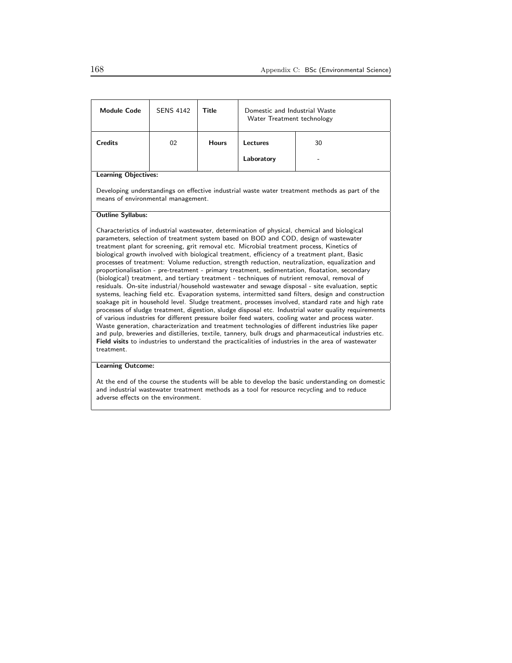| <b>Module Code</b>          | <b>SENS 4142</b> | Title        | Domestic and Industrial Waste<br>Water Treatment technology |         |  |
|-----------------------------|------------------|--------------|-------------------------------------------------------------|---------|--|
| <b>Credits</b>              | 02               | <b>Hours</b> | Lectures<br>Laboratory                                      | 30<br>۰ |  |
| <b>Learning Objectives:</b> |                  |              |                                                             |         |  |

Developing understandings on effective industrial waste water treatment methods as part of the means of environmental management.

#### Outline Syllabus:

Characteristics of industrial wastewater, determination of physical, chemical and biological parameters, selection of treatment system based on BOD and COD, design of wastewater treatment plant for screening, grit removal etc. Microbial treatment process, Kinetics of biological growth involved with biological treatment, efficiency of a treatment plant, Basic processes of treatment: Volume reduction, strength reduction, neutralization, equalization and proportionalisation - pre-treatment - primary treatment, sedimentation, floatation, secondary (biological) treatment, and tertiary treatment - techniques of nutrient removal, removal of residuals. On-site industrial/household wastewater and sewage disposal - site evaluation, septic systems, leaching field etc. Evaporation systems, intermitted sand filters, design and construction soakage pit in household level. Sludge treatment, processes involved, standard rate and high rate processes of sludge treatment, digestion, sludge disposal etc. Industrial water quality requirements of various industries for different pressure boiler feed waters, cooling water and process water. Waste generation, characterization and treatment technologies of different industries like paper and pulp, breweries and distilleries, textile, tannery, bulk drugs and pharmaceutical industries etc. Field visits to industries to understand the practicalities of industries in the area of wastewater treatment.

## Learning Outcome:

At the end of the course the students will be able to develop the basic understanding on domestic and industrial wastewater treatment methods as a tool for resource recycling and to reduce adverse effects on the environment.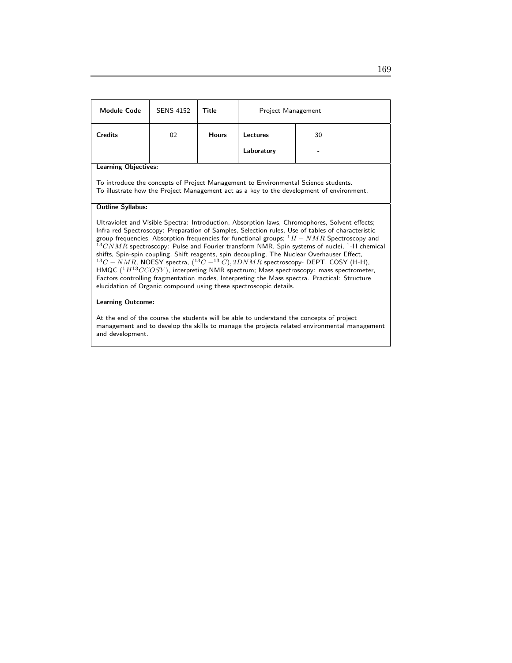| <b>Module Code</b>                                                                                                                                                                                                                                                                                                                                                                                                                                                                                                                                                                                                                                                                                                                                                                                                                                                               | <b>SENS 4152</b>            | Title        | Project Management |    |  |  |
|----------------------------------------------------------------------------------------------------------------------------------------------------------------------------------------------------------------------------------------------------------------------------------------------------------------------------------------------------------------------------------------------------------------------------------------------------------------------------------------------------------------------------------------------------------------------------------------------------------------------------------------------------------------------------------------------------------------------------------------------------------------------------------------------------------------------------------------------------------------------------------|-----------------------------|--------------|--------------------|----|--|--|
| <b>Credits</b>                                                                                                                                                                                                                                                                                                                                                                                                                                                                                                                                                                                                                                                                                                                                                                                                                                                                   | 02                          | <b>Hours</b> | Lectures           | 30 |  |  |
|                                                                                                                                                                                                                                                                                                                                                                                                                                                                                                                                                                                                                                                                                                                                                                                                                                                                                  |                             |              | Laboratory         |    |  |  |
|                                                                                                                                                                                                                                                                                                                                                                                                                                                                                                                                                                                                                                                                                                                                                                                                                                                                                  | <b>Learning Objectives:</b> |              |                    |    |  |  |
| To introduce the concepts of Project Management to Environmental Science students.<br>To illustrate how the Project Management act as a key to the development of environment.                                                                                                                                                                                                                                                                                                                                                                                                                                                                                                                                                                                                                                                                                                   |                             |              |                    |    |  |  |
| <b>Outline Syllabus:</b>                                                                                                                                                                                                                                                                                                                                                                                                                                                                                                                                                                                                                                                                                                                                                                                                                                                         |                             |              |                    |    |  |  |
| Ultraviolet and Visible Spectra: Introduction, Absorption laws, Chromophores, Solvent effects;<br>Infra red Spectroscopy: Preparation of Samples, Selection rules, Use of tables of characteristic<br>group frequencies, Absorption frequencies for functional groups; $1H - NMR$ Spectroscopy and<br>$^{13}CNMR$ spectroscopy: Pulse and Fourier transform NMR, Spin systems of nuclei, <sup>1</sup> -H chemical<br>shifts, Spin-spin coupling, Shift reagents, spin decoupling, The Nuclear Overhauser Effect,<br>$^{13}C-NMR$ , NOESY spectra, $(^{13}C-^{13}C)$ , $2DNMR$ spectroscopy- DEPT, COSY (H-H),<br>HMQC $(^1H^{13}CCOSY)$ , interpreting NMR spectrum; Mass spectroscopy: mass spectrometer,<br>Factors controlling fragmentation modes, Interpreting the Mass spectra. Practical: Structure<br>elucidation of Organic compound using these spectroscopic details. |                             |              |                    |    |  |  |
| <b>Learning Outcome:</b>                                                                                                                                                                                                                                                                                                                                                                                                                                                                                                                                                                                                                                                                                                                                                                                                                                                         |                             |              |                    |    |  |  |

At the end of the course the students will be able to understand the concepts of project management and to develop the skills to manage the projects related environmental management and development.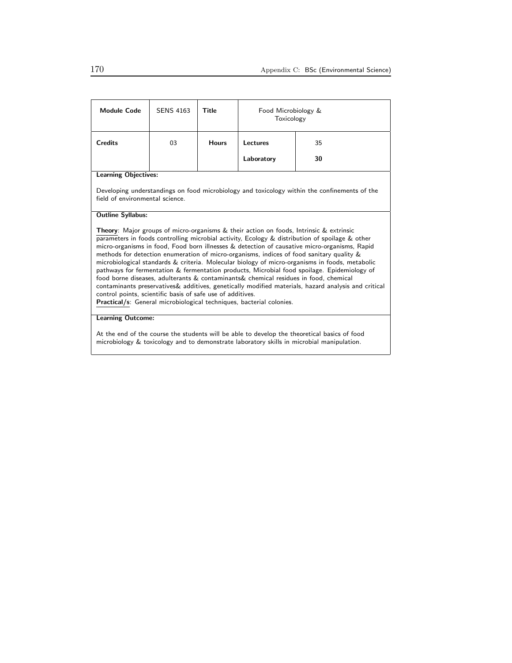| <b>Module Code</b>                                                                                                                                                                                                                                                                                                                                                                                                                                                                                                                                                                                                                                                                                                                                                                                                                                                                                                                  | <b>SENS 4163</b> | Title        | Food Microbiology &<br>Toxicology |    |  |
|-------------------------------------------------------------------------------------------------------------------------------------------------------------------------------------------------------------------------------------------------------------------------------------------------------------------------------------------------------------------------------------------------------------------------------------------------------------------------------------------------------------------------------------------------------------------------------------------------------------------------------------------------------------------------------------------------------------------------------------------------------------------------------------------------------------------------------------------------------------------------------------------------------------------------------------|------------------|--------------|-----------------------------------|----|--|
| <b>Credits</b>                                                                                                                                                                                                                                                                                                                                                                                                                                                                                                                                                                                                                                                                                                                                                                                                                                                                                                                      | 03               | <b>Hours</b> | Lectures                          | 35 |  |
|                                                                                                                                                                                                                                                                                                                                                                                                                                                                                                                                                                                                                                                                                                                                                                                                                                                                                                                                     |                  |              | Laboratory                        | 30 |  |
| <b>Learning Objectives:</b>                                                                                                                                                                                                                                                                                                                                                                                                                                                                                                                                                                                                                                                                                                                                                                                                                                                                                                         |                  |              |                                   |    |  |
| Developing understandings on food microbiology and toxicology within the confinements of the<br>field of environmental science.                                                                                                                                                                                                                                                                                                                                                                                                                                                                                                                                                                                                                                                                                                                                                                                                     |                  |              |                                   |    |  |
| <b>Outline Syllabus:</b>                                                                                                                                                                                                                                                                                                                                                                                                                                                                                                                                                                                                                                                                                                                                                                                                                                                                                                            |                  |              |                                   |    |  |
| <b>Theory:</b> Major groups of micro-organisms & their action on foods, Intrinsic & extrinsic<br>parameters in foods controlling microbial activity, Ecology & distribution of spoilage & other<br>micro-organisms in food, Food born illnesses & detection of causative micro-organisms, Rapid<br>methods for detection enumeration of micro-organisms, indices of food sanitary quality &<br>microbiological standards & criteria. Molecular biology of micro-organisms in foods, metabolic<br>pathways for fermentation & fermentation products, Microbial food spoilage. Epidemiology of<br>food borne diseases, adulterants & contaminants & chemical residues in food, chemical<br>contaminants preservatives & additives, genetically modified materials, hazard analysis and critical<br>control points, scientific basis of safe use of additives.<br>Practical/s: General microbiological techniques, bacterial colonies. |                  |              |                                   |    |  |
| <b>Learning Outcome:</b>                                                                                                                                                                                                                                                                                                                                                                                                                                                                                                                                                                                                                                                                                                                                                                                                                                                                                                            |                  |              |                                   |    |  |

At the end of the course the students will be able to develop the theoretical basics of food microbiology & toxicology and to demonstrate laboratory skills in microbial manipulation.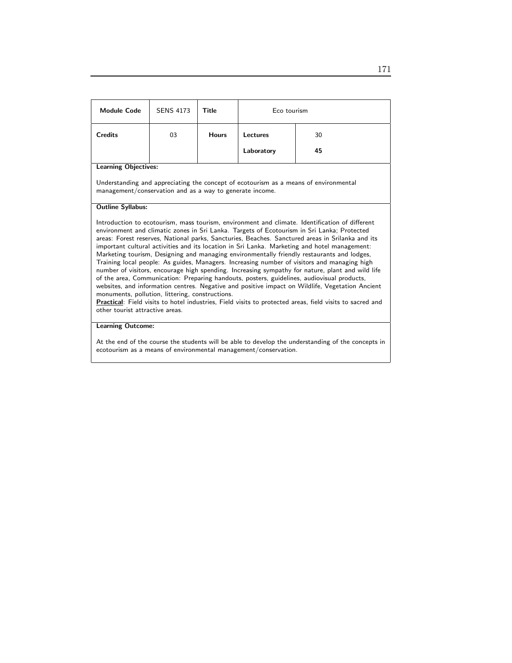| <b>Module Code</b>                                                                                                                                                                                                                                                                                                                                                                                                                                                                                                                                                                                                                                                                                                                                                                                                                                                                                                                                                                                                                                                                                   | <b>SENS 4173</b>         | Title        | Eco tourism    |    |  |  |
|------------------------------------------------------------------------------------------------------------------------------------------------------------------------------------------------------------------------------------------------------------------------------------------------------------------------------------------------------------------------------------------------------------------------------------------------------------------------------------------------------------------------------------------------------------------------------------------------------------------------------------------------------------------------------------------------------------------------------------------------------------------------------------------------------------------------------------------------------------------------------------------------------------------------------------------------------------------------------------------------------------------------------------------------------------------------------------------------------|--------------------------|--------------|----------------|----|--|--|
| <b>Credits</b>                                                                                                                                                                                                                                                                                                                                                                                                                                                                                                                                                                                                                                                                                                                                                                                                                                                                                                                                                                                                                                                                                       | 03                       | <b>Hours</b> | Lectures<br>30 |    |  |  |
|                                                                                                                                                                                                                                                                                                                                                                                                                                                                                                                                                                                                                                                                                                                                                                                                                                                                                                                                                                                                                                                                                                      |                          |              | Laboratory     | 45 |  |  |
| <b>Learning Objectives:</b>                                                                                                                                                                                                                                                                                                                                                                                                                                                                                                                                                                                                                                                                                                                                                                                                                                                                                                                                                                                                                                                                          |                          |              |                |    |  |  |
| Understanding and appreciating the concept of ecotourism as a means of environmental<br>management/conservation and as a way to generate income.                                                                                                                                                                                                                                                                                                                                                                                                                                                                                                                                                                                                                                                                                                                                                                                                                                                                                                                                                     |                          |              |                |    |  |  |
| <b>Outline Syllabus:</b>                                                                                                                                                                                                                                                                                                                                                                                                                                                                                                                                                                                                                                                                                                                                                                                                                                                                                                                                                                                                                                                                             |                          |              |                |    |  |  |
| Introduction to ecotourism, mass tourism, environment and climate. Identification of different<br>environment and climatic zones in Sri Lanka. Targets of Ecotourism in Sri Lanka; Protected<br>areas: Forest reserves, National parks, Sancturies, Beaches. Sanctured areas in Srilanka and its<br>important cultural activities and its location in Sri Lanka. Marketing and hotel management:<br>Marketing tourism, Designing and managing environmentally friendly restaurants and lodges,<br>Training local people: As guides, Managers. Increasing number of visitors and managing high<br>number of visitors, encourage high spending. Increasing sympathy for nature, plant and wild life<br>of the area, Communication: Preparing handouts, posters, guidelines, audiovisual products,<br>websites, and information centres. Negative and positive impact on Wildlife, Vegetation Ancient<br>monuments, pollution, littering, constructions.<br>Practical: Field visits to hotel industries, Field visits to protected areas, field visits to sacred and<br>other tourist attractive areas. |                          |              |                |    |  |  |
|                                                                                                                                                                                                                                                                                                                                                                                                                                                                                                                                                                                                                                                                                                                                                                                                                                                                                                                                                                                                                                                                                                      | <b>Learning Outcome:</b> |              |                |    |  |  |
| $\mathbf{A}$ , and a set of the set of the set of the set of the set of the set of the set of the set of the set of the set of the set of the set of the set of the set of the set of the set of the set of the set of the set of<br>$\sim$ $\sim$ $\sim$                                                                                                                                                                                                                                                                                                                                                                                                                                                                                                                                                                                                                                                                                                                                                                                                                                            |                          |              |                |    |  |  |

At the end of the course the students will be able to develop the understanding of the concepts in ecotourism as a means of environmental management/conservation.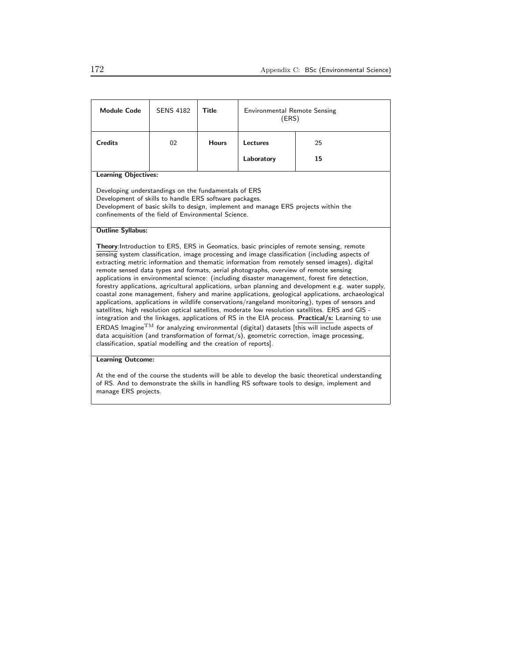| <b>Module Code</b>                                                                                                                                                                                                                                                                                                                                                                                                                                                                                                                                                                                                                                                                                                                                                                                                                                                                                                                                                                                                                                                                                                                                                                                                                                                                          | <b>SENS 4182</b> | <b>Title</b> | <b>Environmental Remote Sensing</b><br>(ERS) |    |  |  |
|---------------------------------------------------------------------------------------------------------------------------------------------------------------------------------------------------------------------------------------------------------------------------------------------------------------------------------------------------------------------------------------------------------------------------------------------------------------------------------------------------------------------------------------------------------------------------------------------------------------------------------------------------------------------------------------------------------------------------------------------------------------------------------------------------------------------------------------------------------------------------------------------------------------------------------------------------------------------------------------------------------------------------------------------------------------------------------------------------------------------------------------------------------------------------------------------------------------------------------------------------------------------------------------------|------------------|--------------|----------------------------------------------|----|--|--|
| <b>Credits</b>                                                                                                                                                                                                                                                                                                                                                                                                                                                                                                                                                                                                                                                                                                                                                                                                                                                                                                                                                                                                                                                                                                                                                                                                                                                                              | 02               | <b>Hours</b> | Lectures<br>25                               |    |  |  |
|                                                                                                                                                                                                                                                                                                                                                                                                                                                                                                                                                                                                                                                                                                                                                                                                                                                                                                                                                                                                                                                                                                                                                                                                                                                                                             |                  |              | Laboratory                                   | 15 |  |  |
| <b>Learning Objectives:</b>                                                                                                                                                                                                                                                                                                                                                                                                                                                                                                                                                                                                                                                                                                                                                                                                                                                                                                                                                                                                                                                                                                                                                                                                                                                                 |                  |              |                                              |    |  |  |
| Developing understandings on the fundamentals of ERS<br>Development of skills to handle ERS software packages.<br>Development of basic skills to design, implement and manage ERS projects within the<br>confinements of the field of Environmental Science.                                                                                                                                                                                                                                                                                                                                                                                                                                                                                                                                                                                                                                                                                                                                                                                                                                                                                                                                                                                                                                |                  |              |                                              |    |  |  |
| <b>Outline Syllabus:</b>                                                                                                                                                                                                                                                                                                                                                                                                                                                                                                                                                                                                                                                                                                                                                                                                                                                                                                                                                                                                                                                                                                                                                                                                                                                                    |                  |              |                                              |    |  |  |
| <b>Theory:</b> Introduction to ERS, ERS in Geomatics, basic principles of remote sensing, remote<br>sensing system classification, image processing and image classification (including aspects of<br>extracting metric information and thematic information from remotely sensed images), digital<br>remote sensed data types and formats, aerial photographs, overview of remote sensing<br>applications in environmental science: (including disaster management, forest fire detection,<br>forestry applications, agricultural applications, urban planning and development e.g. water supply,<br>coastal zone management, fishery and marine applications, geological applications, archaeological<br>applications, applications in wildlife conservations/rangeland monitoring), types of sensors and<br>satellites, high resolution optical satellites, moderate low resolution satellites. ERS and GIS -<br>integration and the linkages, applications of RS in the EIA process. Practical/s: Learning to use<br>$ERDAS$ Imagine $TM$ for analyzing environmental (digital) datasets [this will include aspects of<br>data acquisition (and transformation of format/s), geometric correction, image processing,<br>classification, spatial modelling and the creation of reports]. |                  |              |                                              |    |  |  |
| <b>Learning Outcome:</b>                                                                                                                                                                                                                                                                                                                                                                                                                                                                                                                                                                                                                                                                                                                                                                                                                                                                                                                                                                                                                                                                                                                                                                                                                                                                    |                  |              |                                              |    |  |  |
| At the end of the course the students will be able to develop the basic theoretical understanding<br>of RS. And to demonstrate the skills in handling RS software tools to design, implement and                                                                                                                                                                                                                                                                                                                                                                                                                                                                                                                                                                                                                                                                                                                                                                                                                                                                                                                                                                                                                                                                                            |                  |              |                                              |    |  |  |

manage ERS projects.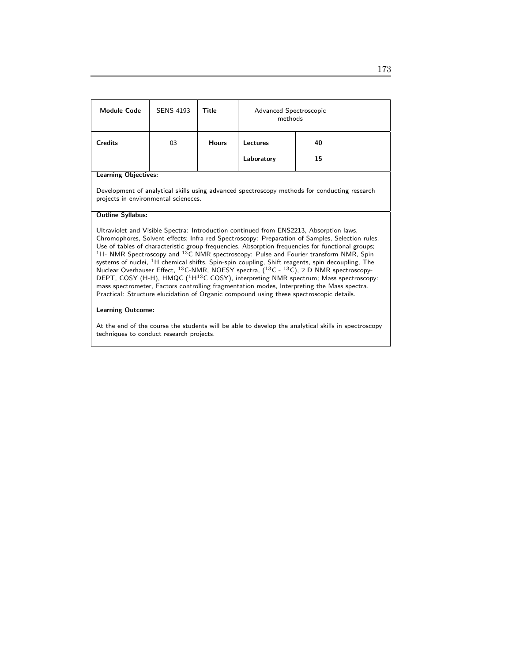| <b>Module Code</b>                                                                                                                   | <b>SENS 4193</b> | Title        | Advanced Spectroscopic<br>methods |          |  |
|--------------------------------------------------------------------------------------------------------------------------------------|------------------|--------------|-----------------------------------|----------|--|
| <b>Credits</b>                                                                                                                       | 03               | <b>Hours</b> | Lectures<br>Laboratory            | 40<br>15 |  |
| <b>Learning Objectives:</b>                                                                                                          |                  |              |                                   |          |  |
| Development of analytical skills using advanced spectroscopy methods for conducting research<br>projects in environmental scieneces. |                  |              |                                   |          |  |

### Outline Syllabus:

Ultraviolet and Visible Spectra: Introduction continued from ENS2213, Absorption laws, Chromophores, Solvent effects; Infra red Spectroscopy: Preparation of Samples, Selection rules, Use of tables of characteristic group frequencies, Absorption frequencies for functional groups;  $^1$ H- NMR Spectroscopy and  $^{13}$ C NMR spectroscopy: Pulse and Fourier transform NMR, Spin systems of nuclei,  $^1\mathsf{H}$  chemical shifts, Spin-spin coupling, Shift reagents, spin decoupling, The Nuclear Overhauser Effect,  $^{13}$ C-NMR, NOESY spectra,  $(^{13}$ C -  $^{13}$ C), 2 D NMR spectroscopy-DEPT, COSY (H-H), HMQC (<sup>1</sup>H<sup>13</sup>C COSY), interpreting NMR spectrum; Mass spectroscopy: mass spectrometer, Factors controlling fragmentation modes, Interpreting the Mass spectra. Practical: Structure elucidation of Organic compound using these spectroscopic details.

### Learning Outcome:

At the end of the course the students will be able to develop the analytical skills in spectroscopy techniques to conduct research projects.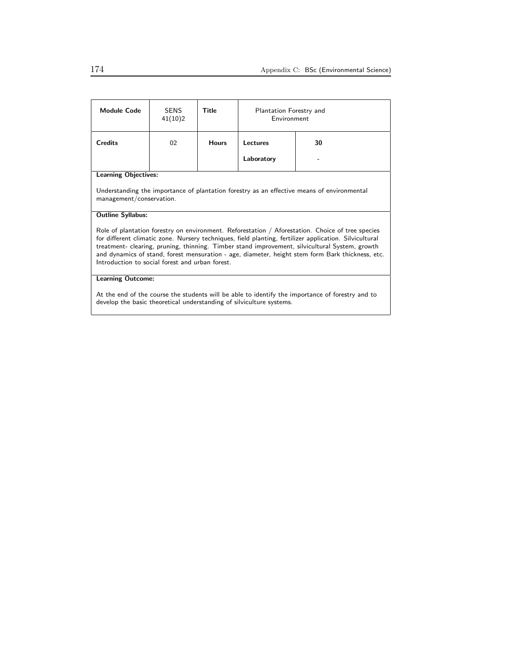| Module Code                                                                                                                                                                                                                                                                                                                                                                                                                                                        | <b>SENS</b><br>41(10)2 | Title        | Plantation Forestry and<br>Environment |    |
|--------------------------------------------------------------------------------------------------------------------------------------------------------------------------------------------------------------------------------------------------------------------------------------------------------------------------------------------------------------------------------------------------------------------------------------------------------------------|------------------------|--------------|----------------------------------------|----|
| <b>Credits</b>                                                                                                                                                                                                                                                                                                                                                                                                                                                     | 02                     | <b>Hours</b> | Lectures                               | 30 |
|                                                                                                                                                                                                                                                                                                                                                                                                                                                                    |                        |              | Laboratory                             |    |
| <b>Learning Objectives:</b>                                                                                                                                                                                                                                                                                                                                                                                                                                        |                        |              |                                        |    |
| Understanding the importance of plantation forestry as an effective means of environmental<br>management/conservation.                                                                                                                                                                                                                                                                                                                                             |                        |              |                                        |    |
| <b>Outline Syllabus:</b>                                                                                                                                                                                                                                                                                                                                                                                                                                           |                        |              |                                        |    |
| Role of plantation forestry on environment. Reforestation / Aforestation. Choice of tree species<br>for different climatic zone. Nursery techniques, field planting, fertilizer application. Silvicultural<br>treatment- clearing, pruning, thinning. Timber stand improvement, silvicultural System, growth<br>and dynamics of stand, forest mensuration - age, diameter, height stem form Bark thickness, etc.<br>Introduction to social forest and urban forest |                        |              |                                        |    |
| <b>Learning Outcome:</b>                                                                                                                                                                                                                                                                                                                                                                                                                                           |                        |              |                                        |    |
| At the end of the course the students will be able to identify the importance of forestry and to<br>develop the basic theoretical understanding of silviculture systems.                                                                                                                                                                                                                                                                                           |                        |              |                                        |    |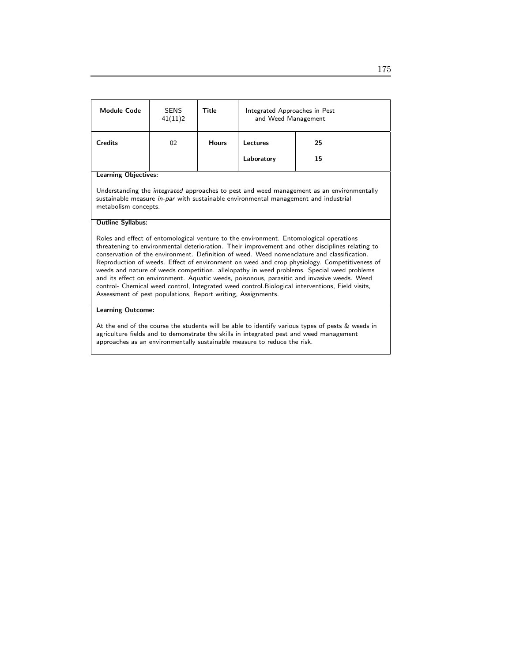| Module Code                                                                                                                                                                                                                                                                                                                                                                                                                                                                                                                                                                                                                                                                                                                                              | <b>SENS</b><br>41(11)2 | Title        | Integrated Approaches in Pest<br>and Weed Management |    |  |
|----------------------------------------------------------------------------------------------------------------------------------------------------------------------------------------------------------------------------------------------------------------------------------------------------------------------------------------------------------------------------------------------------------------------------------------------------------------------------------------------------------------------------------------------------------------------------------------------------------------------------------------------------------------------------------------------------------------------------------------------------------|------------------------|--------------|------------------------------------------------------|----|--|
| <b>Credits</b>                                                                                                                                                                                                                                                                                                                                                                                                                                                                                                                                                                                                                                                                                                                                           | 02                     | <b>Hours</b> | Lectures                                             | 25 |  |
|                                                                                                                                                                                                                                                                                                                                                                                                                                                                                                                                                                                                                                                                                                                                                          |                        |              | Laboratory                                           | 15 |  |
| <b>Learning Objectives:</b>                                                                                                                                                                                                                                                                                                                                                                                                                                                                                                                                                                                                                                                                                                                              |                        |              |                                                      |    |  |
| Understanding the <i>integrated</i> approaches to pest and weed management as an environmentally<br>sustainable measure in-par with sustainable environmental management and industrial<br>metabolism concepts.                                                                                                                                                                                                                                                                                                                                                                                                                                                                                                                                          |                        |              |                                                      |    |  |
| <b>Outline Syllabus:</b>                                                                                                                                                                                                                                                                                                                                                                                                                                                                                                                                                                                                                                                                                                                                 |                        |              |                                                      |    |  |
| Roles and effect of entomological venture to the environment. Entomological operations<br>threatening to environmental deterioration. Their improvement and other disciplines relating to<br>conservation of the environment. Definition of weed. Weed nomenclature and classification.<br>Reproduction of weeds. Effect of environment on weed and crop physiology. Competitiveness of<br>weeds and nature of weeds competition. allelopathy in weed problems. Special weed problems<br>and its effect on environment. Aquatic weeds, poisonous, parasitic and invasive weeds. Weed<br>control- Chemical weed control, Integrated weed control. Biological interventions, Field visits,<br>Assessment of pest populations, Report writing, Assignments. |                        |              |                                                      |    |  |
| <b>Learning Outcome:</b>                                                                                                                                                                                                                                                                                                                                                                                                                                                                                                                                                                                                                                                                                                                                 |                        |              |                                                      |    |  |
| At the end of the course the students will be able to identify various types of pests & weeds in                                                                                                                                                                                                                                                                                                                                                                                                                                                                                                                                                                                                                                                         |                        |              |                                                      |    |  |

agriculture fields and to demonstrate the skills in integrated pest and weed management approaches as an environmentally sustainable measure to reduce the risk.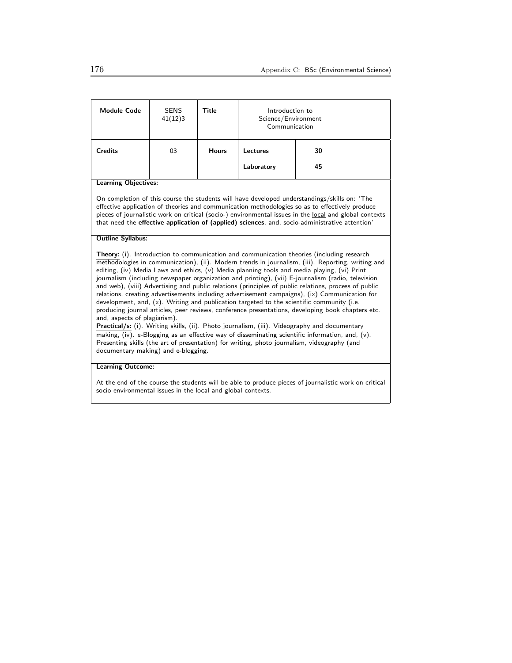| <b>Module Code</b>                                                                                                                                                                                                                                                                                                                                                                                                                                                                                                                                                                                                                                                                                                                                                                                                                                                                                                                                                                                                                                                                                                                                                                                                    | <b>SENS</b><br>41(12)3 | Title        | Introduction to<br>Science/Environment<br>Communication |    |  |
|-----------------------------------------------------------------------------------------------------------------------------------------------------------------------------------------------------------------------------------------------------------------------------------------------------------------------------------------------------------------------------------------------------------------------------------------------------------------------------------------------------------------------------------------------------------------------------------------------------------------------------------------------------------------------------------------------------------------------------------------------------------------------------------------------------------------------------------------------------------------------------------------------------------------------------------------------------------------------------------------------------------------------------------------------------------------------------------------------------------------------------------------------------------------------------------------------------------------------|------------------------|--------------|---------------------------------------------------------|----|--|
| <b>Credits</b>                                                                                                                                                                                                                                                                                                                                                                                                                                                                                                                                                                                                                                                                                                                                                                                                                                                                                                                                                                                                                                                                                                                                                                                                        | 03                     | <b>Hours</b> | Lectures                                                | 30 |  |
|                                                                                                                                                                                                                                                                                                                                                                                                                                                                                                                                                                                                                                                                                                                                                                                                                                                                                                                                                                                                                                                                                                                                                                                                                       |                        |              | Laboratory                                              | 45 |  |
| <b>Learning Objectives:</b>                                                                                                                                                                                                                                                                                                                                                                                                                                                                                                                                                                                                                                                                                                                                                                                                                                                                                                                                                                                                                                                                                                                                                                                           |                        |              |                                                         |    |  |
| On completion of this course the students will have developed understandings/skills on: 'The<br>effective application of theories and communication methodologies so as to effectively produce<br>pieces of journalistic work on critical (socio-) environmental issues in the local and global contexts<br>that need the effective application of (applied) sciences, and, socio-administrative attention'                                                                                                                                                                                                                                                                                                                                                                                                                                                                                                                                                                                                                                                                                                                                                                                                           |                        |              |                                                         |    |  |
| <b>Outline Syllabus:</b>                                                                                                                                                                                                                                                                                                                                                                                                                                                                                                                                                                                                                                                                                                                                                                                                                                                                                                                                                                                                                                                                                                                                                                                              |                        |              |                                                         |    |  |
| <b>Theory:</b> (i). Introduction to communication and communication theories (including research<br>methodologies in communication), (ii). Modern trends in journalism, (iii). Reporting, writing and<br>editing, (iv) Media Laws and ethics, (v) Media planning tools and media playing, (vi) Print<br>journalism (including newspaper organization and printing), (vii) E-journalism (radio, television<br>and web), (viii) Advertising and public relations (principles of public relations, process of public<br>relations, creating advertisements including advertisement campaigns), (ix) Communication for<br>development, and, $(x)$ . Writing and publication targeted to the scientific community (i.e.<br>producing journal articles, peer reviews, conference presentations, developing book chapters etc.<br>and, aspects of plagiarism).<br>Practical/s: (i). Writing skills, (ii). Photo journalism, (iii). Videography and documentary<br>$\overline{\text{making}}$ , (iv). e-Blogging as an effective way of disseminating scientific information, and, (v).<br>Presenting skills (the art of presentation) for writing, photo journalism, videography (and<br>documentary making) and e-blogging. |                        |              |                                                         |    |  |
| <b>Learning Outcome:</b>                                                                                                                                                                                                                                                                                                                                                                                                                                                                                                                                                                                                                                                                                                                                                                                                                                                                                                                                                                                                                                                                                                                                                                                              |                        |              |                                                         |    |  |

At the end of the course the students will be able to produce pieces of journalistic work on critical socio environmental issues in the local and global contexts.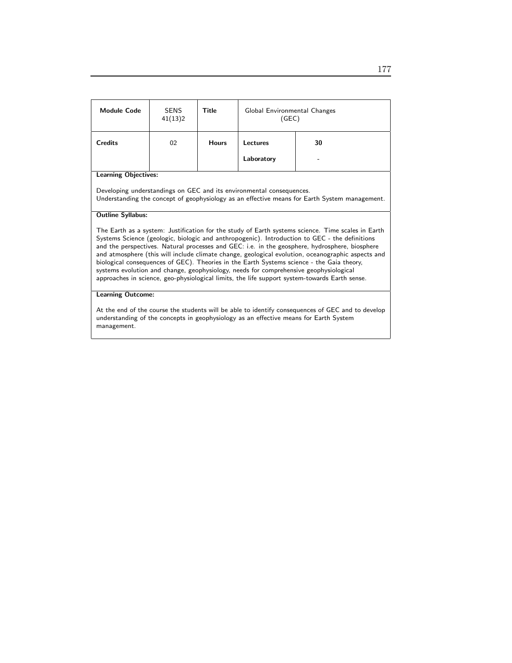| <b>Module Code</b>                                                                                                                                                                                                                                                                                                                                                                                                                                                                                                                                                                                                                                                                               | <b>SENS</b><br>41(13)2 | Title        | Global Environmental Changes<br>(GEC) |    |  |
|--------------------------------------------------------------------------------------------------------------------------------------------------------------------------------------------------------------------------------------------------------------------------------------------------------------------------------------------------------------------------------------------------------------------------------------------------------------------------------------------------------------------------------------------------------------------------------------------------------------------------------------------------------------------------------------------------|------------------------|--------------|---------------------------------------|----|--|
| <b>Credits</b>                                                                                                                                                                                                                                                                                                                                                                                                                                                                                                                                                                                                                                                                                   | 02                     | <b>Hours</b> | Lectures                              | 30 |  |
|                                                                                                                                                                                                                                                                                                                                                                                                                                                                                                                                                                                                                                                                                                  |                        |              | Laboratory                            |    |  |
| <b>Learning Objectives:</b>                                                                                                                                                                                                                                                                                                                                                                                                                                                                                                                                                                                                                                                                      |                        |              |                                       |    |  |
| Developing understandings on GEC and its environmental consequences.<br>Understanding the concept of geophysiology as an effective means for Earth System management.                                                                                                                                                                                                                                                                                                                                                                                                                                                                                                                            |                        |              |                                       |    |  |
| <b>Outline Syllabus:</b>                                                                                                                                                                                                                                                                                                                                                                                                                                                                                                                                                                                                                                                                         |                        |              |                                       |    |  |
| The Earth as a system: Justification for the study of Earth systems science. Time scales in Earth<br>Systems Science (geologic, biologic and anthropogenic). Introduction to GEC - the definitions<br>and the perspectives. Natural processes and GEC: i.e. in the geosphere, hydrosphere, biosphere<br>and atmosphere (this will include climate change, geological evolution, oceanographic aspects and<br>biological consequences of GEC). Theories in the Earth Systems science - the Gaia theory,<br>systems evolution and change, geophysiology, needs for comprehensive geophysiological<br>approaches in science, geo-physiological limits, the life support system-towards Earth sense. |                        |              |                                       |    |  |
| <b>Learning Outcome:</b>                                                                                                                                                                                                                                                                                                                                                                                                                                                                                                                                                                                                                                                                         |                        |              |                                       |    |  |
| At the end of the course the students will be able to identify consequences of GEC and to develop<br>understanding of the concepts in geophysiology as an effective means for Earth System<br>management.                                                                                                                                                                                                                                                                                                                                                                                                                                                                                        |                        |              |                                       |    |  |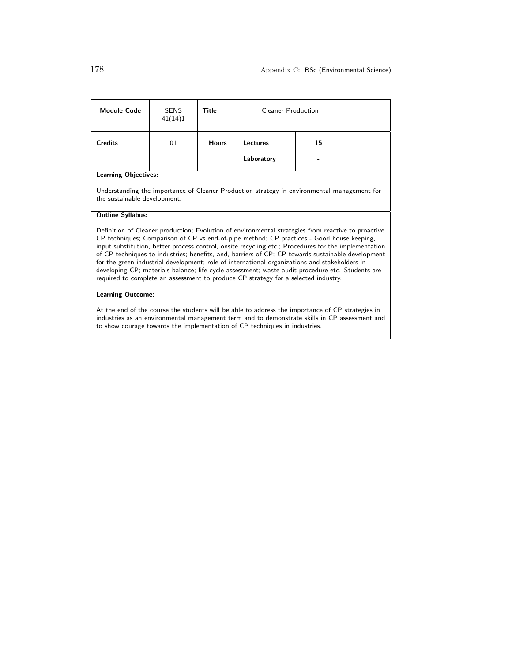| <b>Module Code</b>                                                                                                                                                                                                                                                                                                                                                                                                                                                                                                                                                                                                                                                                                      | <b>SENS</b><br>41(14)1 | Title        | <b>Cleaner Production</b> |    |  |
|---------------------------------------------------------------------------------------------------------------------------------------------------------------------------------------------------------------------------------------------------------------------------------------------------------------------------------------------------------------------------------------------------------------------------------------------------------------------------------------------------------------------------------------------------------------------------------------------------------------------------------------------------------------------------------------------------------|------------------------|--------------|---------------------------|----|--|
| <b>Credits</b>                                                                                                                                                                                                                                                                                                                                                                                                                                                                                                                                                                                                                                                                                          | 01                     | <b>Hours</b> | Lectures                  | 15 |  |
|                                                                                                                                                                                                                                                                                                                                                                                                                                                                                                                                                                                                                                                                                                         |                        |              | Laboratory                |    |  |
| <b>Learning Objectives:</b>                                                                                                                                                                                                                                                                                                                                                                                                                                                                                                                                                                                                                                                                             |                        |              |                           |    |  |
| Understanding the importance of Cleaner Production strategy in environmental management for<br>the sustainable development.                                                                                                                                                                                                                                                                                                                                                                                                                                                                                                                                                                             |                        |              |                           |    |  |
| <b>Outline Syllabus:</b>                                                                                                                                                                                                                                                                                                                                                                                                                                                                                                                                                                                                                                                                                |                        |              |                           |    |  |
| Definition of Cleaner production; Evolution of environmental strategies from reactive to proactive<br>CP techniques; Comparison of CP vs end-of-pipe method; CP practices - Good house keeping,<br>input substitution, better process control, onsite recycling etc.; Procedures for the implementation<br>of CP techniques to industries; benefits, and, barriers of CP; CP towards sustainable development<br>for the green industrial development; role of international organizations and stakeholders in<br>developing CP; materials balance; life cycle assessment; waste audit procedure etc. Students are<br>required to complete an assessment to produce CP strategy for a selected industry. |                        |              |                           |    |  |
| <b>Learning Outcome:</b>                                                                                                                                                                                                                                                                                                                                                                                                                                                                                                                                                                                                                                                                                |                        |              |                           |    |  |
| At the end of the course the students will be able to address the importance of CP strategies in<br>industries as an environmental management term and to demonstrate skills in CP assessment and<br>to show courage towards the implementation of CP techniques in industries.                                                                                                                                                                                                                                                                                                                                                                                                                         |                        |              |                           |    |  |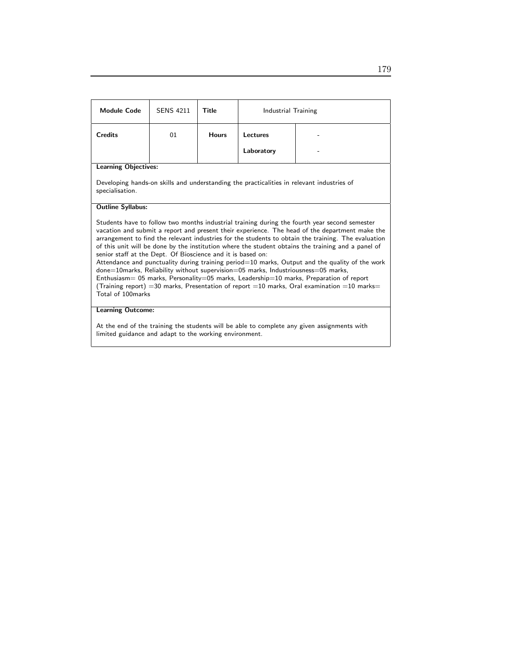| <b>Module Code</b>                                                                                                                                                                                                                                                                                                                                                                                                                                                                                                                                                                                                                                                                                                                                                                                                                                                              | <b>SENS 4211</b> | Title        | Industrial Training |  |  |
|---------------------------------------------------------------------------------------------------------------------------------------------------------------------------------------------------------------------------------------------------------------------------------------------------------------------------------------------------------------------------------------------------------------------------------------------------------------------------------------------------------------------------------------------------------------------------------------------------------------------------------------------------------------------------------------------------------------------------------------------------------------------------------------------------------------------------------------------------------------------------------|------------------|--------------|---------------------|--|--|
| <b>Credits</b>                                                                                                                                                                                                                                                                                                                                                                                                                                                                                                                                                                                                                                                                                                                                                                                                                                                                  | 01               | <b>Hours</b> | Lectures            |  |  |
|                                                                                                                                                                                                                                                                                                                                                                                                                                                                                                                                                                                                                                                                                                                                                                                                                                                                                 |                  |              | Laboratory          |  |  |
| <b>Learning Objectives:</b>                                                                                                                                                                                                                                                                                                                                                                                                                                                                                                                                                                                                                                                                                                                                                                                                                                                     |                  |              |                     |  |  |
| Developing hands-on skills and understanding the practicalities in relevant industries of<br>specialisation.                                                                                                                                                                                                                                                                                                                                                                                                                                                                                                                                                                                                                                                                                                                                                                    |                  |              |                     |  |  |
| <b>Outline Syllabus:</b>                                                                                                                                                                                                                                                                                                                                                                                                                                                                                                                                                                                                                                                                                                                                                                                                                                                        |                  |              |                     |  |  |
| Students have to follow two months industrial training during the fourth year second semester<br>vacation and submit a report and present their experience. The head of the department make the<br>arrangement to find the relevant industries for the students to obtain the training. The evaluation<br>of this unit will be done by the institution where the student obtains the training and a panel of<br>senior staff at the Dept. Of Bioscience and it is based on:<br>Attendance and punctuality during training period=10 marks, Output and the quality of the work<br>done=10marks, Reliability without supervision=05 marks, Industriousness=05 marks,<br>Enthusiasm= 05 marks, Personality=05 marks, Leadership=10 marks, Preparation of report<br>(Training report) =30 marks, Presentation of report =10 marks, Oral examination =10 marks=<br>Total of 100marks |                  |              |                     |  |  |
| <b>Learning Outcome:</b>                                                                                                                                                                                                                                                                                                                                                                                                                                                                                                                                                                                                                                                                                                                                                                                                                                                        |                  |              |                     |  |  |
| At the end of the training the students will be able to complete any given assignments with                                                                                                                                                                                                                                                                                                                                                                                                                                                                                                                                                                                                                                                                                                                                                                                     |                  |              |                     |  |  |

limited guidance and adapt to the working environment.